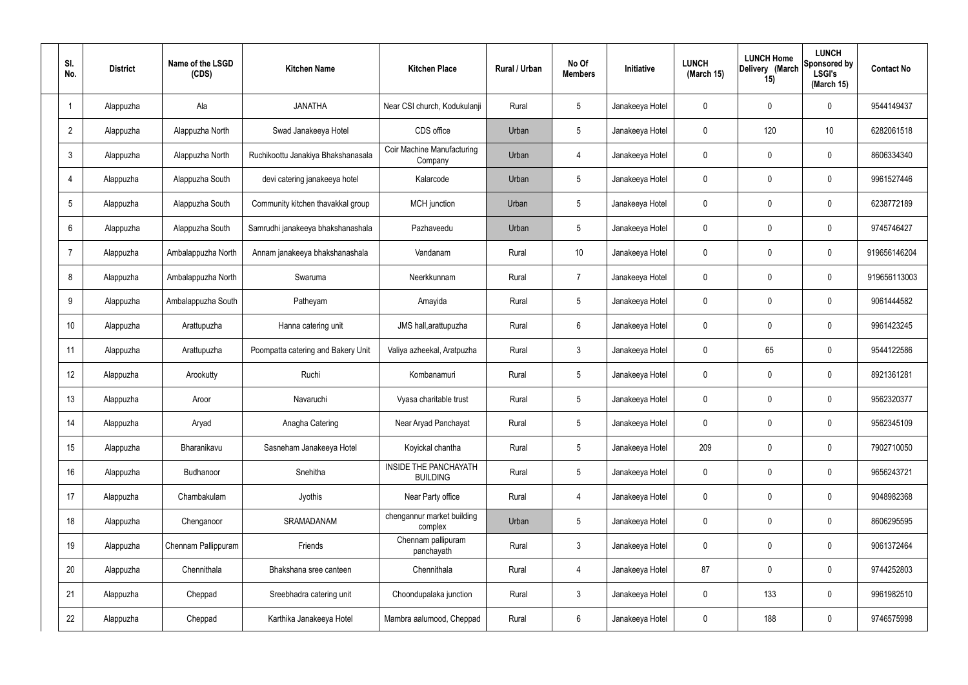| SI.<br>No.      | <b>District</b> | Name of the LSGD<br>(CDS) | <b>Kitchen Name</b>                | <b>Kitchen Place</b>                            | Rural / Urban | No Of<br><b>Members</b> | <b>Initiative</b> | <b>LUNCH</b><br>(March 15) | <b>LUNCH Home</b><br>Delivery (March<br>15) | <b>LUNCH</b><br>Sponsored by<br><b>LSGI's</b><br>(March 15) | <b>Contact No</b> |
|-----------------|-----------------|---------------------------|------------------------------------|-------------------------------------------------|---------------|-------------------------|-------------------|----------------------------|---------------------------------------------|-------------------------------------------------------------|-------------------|
|                 | Alappuzha       | Ala                       | <b>JANATHA</b>                     | Near CSI church, Kodukulanji                    | Rural         | $5\phantom{.0}$         | Janakeeya Hotel   | 0                          | 0                                           | $\mathbf 0$                                                 | 9544149437        |
| $\overline{2}$  | Alappuzha       | Alappuzha North           | Swad Janakeeya Hotel               | CDS office                                      | Urban         | $5\phantom{.0}$         | Janakeeya Hotel   | $\mathbf 0$                | 120                                         | 10                                                          | 6282061518        |
| $\mathbf{3}$    | Alappuzha       | Alappuzha North           | Ruchikoottu Janakiya Bhakshanasala | Coir Machine Manufacturing<br>Company           | Urban         | $\overline{4}$          | Janakeeya Hotel   | $\mathbf 0$                | 0                                           | $\mathbf 0$                                                 | 8606334340        |
| $\overline{4}$  | Alappuzha       | Alappuzha South           | devi catering janakeeya hotel      | Kalarcode                                       | Urban         | $5\phantom{.0}$         | Janakeeya Hotel   | $\mathbf 0$                | 0                                           | $\mathbf 0$                                                 | 9961527446        |
| $5\overline{)}$ | Alappuzha       | Alappuzha South           | Community kitchen thavakkal group  | MCH junction                                    | Urban         | $5\phantom{.0}$         | Janakeeya Hotel   | $\mathbf 0$                | 0                                           | $\mathbf 0$                                                 | 6238772189        |
| 6               | Alappuzha       | Alappuzha South           | Samrudhi janakeeya bhakshanashala  | Pazhaveedu                                      | Urban         | $5\phantom{.0}$         | Janakeeya Hotel   | $\mathbf 0$                | 0                                           | $\mathbf 0$                                                 | 9745746427        |
| $\overline{7}$  | Alappuzha       | Ambalappuzha North        | Annam janakeeya bhakshanashala     | Vandanam                                        | Rural         | 10 <sup>°</sup>         | Janakeeya Hotel   | $\mathbf 0$                | 0                                           | $\mathbf 0$                                                 | 919656146204      |
| 8               | Alappuzha       | Ambalappuzha North        | Swaruma                            | Neerkkunnam                                     | Rural         | $\overline{7}$          | Janakeeya Hotel   | $\mathbf 0$                | 0                                           | $\mathbf 0$                                                 | 919656113003      |
| 9               | Alappuzha       | Ambalappuzha South        | Patheyam                           | Amayida                                         | Rural         | $5\phantom{.0}$         | Janakeeya Hotel   | $\mathbf 0$                | 0                                           | $\mathbf 0$                                                 | 9061444582        |
| 10              | Alappuzha       | Arattupuzha               | Hanna catering unit                | JMS hall, arattupuzha                           | Rural         | $6\phantom{.}6$         | Janakeeya Hotel   | $\mathbf 0$                | 0                                           | $\mathbf 0$                                                 | 9961423245        |
| 11              | Alappuzha       | Arattupuzha               | Poompatta catering and Bakery Unit | Valiya azheekal, Aratpuzha                      | Rural         | $\mathbf{3}$            | Janakeeya Hotel   | $\mathbf 0$                | 65                                          | $\mathbf 0$                                                 | 9544122586        |
| 12              | Alappuzha       | Arookutty                 | Ruchi                              | Kombanamuri                                     | Rural         | $5\phantom{.0}$         | Janakeeya Hotel   | $\mathbf 0$                | 0                                           | $\mathbf 0$                                                 | 8921361281        |
| 13              | Alappuzha       | Aroor                     | Navaruchi                          | Vyasa charitable trust                          | Rural         | $5\phantom{.0}$         | Janakeeya Hotel   | $\mathbf 0$                | 0                                           | 0                                                           | 9562320377        |
| 14              | Alappuzha       | Aryad                     | Anagha Catering                    | Near Aryad Panchayat                            | Rural         | $5\phantom{.0}$         | Janakeeya Hotel   | $\mathbf 0$                | $\mathbf 0$                                 | $\mathbf 0$                                                 | 9562345109        |
| 15              | Alappuzha       | Bharanikavu               | Sasneham Janakeeya Hotel           | Koyickal chantha                                | Rural         | $5\phantom{.0}$         | Janakeeya Hotel   | 209                        | $\mathbf 0$                                 | $\mathbf 0$                                                 | 7902710050        |
| 16              | Alappuzha       | Budhanoor                 | Snehitha                           | <b>INSIDE THE PANCHAYATH</b><br><b>BUILDING</b> | Rural         | $5\phantom{.0}$         | Janakeeya Hotel   | $\mathbf 0$                | $\mathbf 0$                                 | $\mathbf 0$                                                 | 9656243721        |
| 17              | Alappuzha       | Chambakulam               | Jyothis                            | Near Party office                               | Rural         | 4                       | Janakeeya Hotel   | $\mathbf 0$                | $\mathbf 0$                                 | $\mathbf 0$                                                 | 9048982368        |
| 18              | Alappuzha       | Chenganoor                | SRAMADANAM                         | chengannur market building<br>complex           | Urban         | $5\phantom{.0}$         | Janakeeya Hotel   | $\mathbf 0$                | 0                                           | $\mathbf 0$                                                 | 8606295595        |
| 19              | Alappuzha       | Chennam Pallippuram       | Friends                            | Chennam pallipuram<br>panchayath                | Rural         | $\mathbf{3}$            | Janakeeya Hotel   | $\mathbf 0$                | 0                                           | $\mathbf 0$                                                 | 9061372464        |
| 20              | Alappuzha       | Chennithala               | Bhakshana sree canteen             | Chennithala                                     | Rural         | $\overline{4}$          | Janakeeya Hotel   | 87                         | 0                                           | $\mathbf 0$                                                 | 9744252803        |
| 21              | Alappuzha       | Cheppad                   | Sreebhadra catering unit           | Choondupalaka junction                          | Rural         | $\mathbf{3}$            | Janakeeya Hotel   | $\mathbf 0$                | 133                                         | $\mathbf 0$                                                 | 9961982510        |
| 22              | Alappuzha       | Cheppad                   | Karthika Janakeeya Hotel           | Mambra aalumood, Cheppad                        | Rural         | $6\overline{6}$         | Janakeeya Hotel   | 0                          | 188                                         | $\mathbf 0$                                                 | 9746575998        |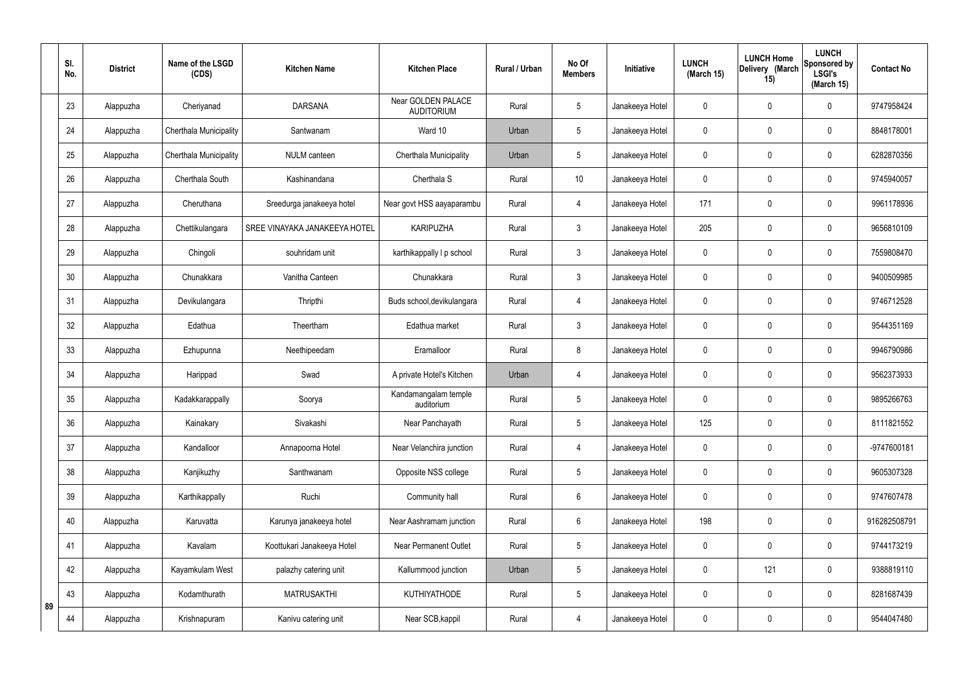|    | SI.<br>No. | <b>District</b> | Name of the LSGD<br>(CDS) | <b>Kitchen Name</b>           | <b>Kitchen Place</b>                    | <b>Rural / Urban</b> | No Of<br><b>Members</b> | Initiative      | <b>LUNCH</b><br>(March 15) | <b>LUNCH Home</b><br>Delivery (March<br>15) | <b>LUNCH</b><br>Sponsored by<br><b>LSGI's</b><br>(March 15) | <b>Contact No</b> |
|----|------------|-----------------|---------------------------|-------------------------------|-----------------------------------------|----------------------|-------------------------|-----------------|----------------------------|---------------------------------------------|-------------------------------------------------------------|-------------------|
|    | 23         | Alappuzha       | Cheriyanad                | <b>DARSANA</b>                | Near GOLDEN PALACE<br><b>AUDITORIUM</b> | Rural                | 5                       | Janakeeya Hotel | 0                          | $\mathbf 0$                                 | $\mathbf 0$                                                 | 9747958424        |
|    | 24         | Alappuzha       | Cherthala Municipality    | Santwanam                     | Ward 10                                 | Urban                | 5                       | Janakeeya Hotel | 0                          | $\mathbf 0$                                 | $\mathbf 0$                                                 | 8848178001        |
|    | 25         | Alappuzha       | Cherthala Municipality    | NULM canteen                  | Cherthala Municipality                  | Urban                | 5                       | Janakeeya Hotel | 0                          | $\mathbf 0$                                 | $\mathbf 0$                                                 | 6282870356        |
|    | 26         | Alappuzha       | Cherthala South           | Kashinandana                  | Cherthala S                             | Rural                | 10                      | Janakeeya Hotel | 0                          | $\mathbf 0$                                 | $\mathbf 0$                                                 | 9745940057        |
|    | 27         | Alappuzha       | Cheruthana                | Sreedurga janakeeya hotel     | Near govt HSS aayaparambu               | Rural                | $\overline{4}$          | Janakeeya Hotel | 171                        | $\mathbf 0$                                 | $\mathbf 0$                                                 | 9961178936        |
|    | 28         | Alappuzha       | Chettikulangara           | SREE VINAYAKA JANAKEEYA HOTEL | <b>KARIPUZHA</b>                        | Rural                | $\mathfrak{Z}$          | Janakeeya Hotel | 205                        | $\mathbf 0$                                 | $\mathbf 0$                                                 | 9656810109        |
|    | 29         | Alappuzha       | Chingoli                  | souhridam unit                | karthikappally I p school               | Rural                | 3                       | Janakeeya Hotel | 0                          | $\mathbf 0$                                 | $\mathbf 0$                                                 | 7559808470        |
|    | 30         | Alappuzha       | Chunakkara                | Vanitha Canteen               | Chunakkara                              | Rural                | 3                       | Janakeeya Hotel | 0                          | $\mathbf 0$                                 | $\mathbf 0$                                                 | 9400509985        |
|    | 31         | Alappuzha       | Devikulangara             | Thripthi                      | Buds school, devikulangara              | Rural                | $\overline{4}$          | Janakeeya Hotel | 0                          | $\mathbf 0$                                 | $\mathbf 0$                                                 | 9746712528        |
|    | 32         | Alappuzha       | Edathua                   | Theertham                     | Edathua market                          | Rural                | 3                       | Janakeeya Hotel | $\mathbf 0$                | $\mathbf 0$                                 | $\mathbf 0$                                                 | 9544351169        |
|    | 33         | Alappuzha       | Ezhupunna                 | Neethipeedam                  | Eramalloor                              | Rural                | 8                       | Janakeeya Hotel | 0                          | $\mathbf 0$                                 | $\mathbf 0$                                                 | 9946790986        |
|    | 34         | Alappuzha       | Harippad                  | Swad                          | A private Hotel's Kitchen               | Urban                | $\overline{4}$          | Janakeeya Hotel | 0                          | $\mathbf 0$                                 | $\mathbf 0$                                                 | 9562373933        |
|    | 35         | Alappuzha       | Kadakkarappally           | Soorya                        | Kandamangalam temple<br>auditorium      | Rural                | 5                       | Janakeeya Hotel | 0                          | $\mathbf 0$                                 | $\mathbf 0$                                                 | 9895266763        |
|    | 36         | Alappuzha       | Kainakary                 | Sivakashi                     | Near Panchayath                         | Rural                | 5                       | Janakeeya Hotel | 125                        | $\mathbf 0$                                 | $\pmb{0}$                                                   | 8111821552        |
|    | 37         | Alappuzha       | Kandalloor                | Annapoorna Hotel              | Near Velanchira junction                | Rural                | $\overline{4}$          | Janakeeya Hotel | 0                          | $\overline{0}$                              | $\mathsf{0}$                                                | -9747600181       |
|    | 38         | Alappuzha       | Kanjikuzhy                | Santhwanam                    | Opposite NSS college                    | Rural                | 5                       | Janakeeya Hotel | $\mathbf 0$                | $\pmb{0}$                                   | $\pmb{0}$                                                   | 9605307328        |
|    | 39         | Alappuzha       | Karthikappally            | Ruchi                         | Community hall                          | Rural                | $6\phantom{.}6$         | Janakeeya Hotel | 0                          | $\mathbf 0$                                 | $\mathbf 0$                                                 | 9747607478        |
|    | 40         | Alappuzha       | Karuvatta                 | Karunya janakeeya hotel       | Near Aashramam junction                 | Rural                | $6\phantom{.}6$         | Janakeeya Hotel | 198                        | $\boldsymbol{0}$                            | $\pmb{0}$                                                   | 916282508791      |
|    | 41         | Alappuzha       | Kavalam                   | Koottukari Janakeeya Hotel    | Near Permanent Outlet                   | Rural                | 5                       | Janakeeya Hotel | 0                          | $\mathbf 0$                                 | $\mathbf 0$                                                 | 9744173219        |
|    | 42         | Alappuzha       | Kayamkulam West           | palazhy catering unit         | Kallummood junction                     | Urban                | 5                       | Janakeeya Hotel | 0                          | 121                                         | $\mathbf 0$                                                 | 9388819110        |
| 89 | 43         | Alappuzha       | Kodamthurath              | <b>MATRUSAKTHI</b>            | <b>KUTHIYATHODE</b>                     | Rural                | 5                       | Janakeeya Hotel | 0                          | $\mathbf 0$                                 | $\mathsf{0}$                                                | 8281687439        |
|    | 44         | Alappuzha       | Krishnapuram              | Kanivu catering unit          | Near SCB, kappil                        | Rural                | $\overline{4}$          | Janakeeya Hotel | 0                          | $\mathbf 0$                                 | $\pmb{0}$                                                   | 9544047480        |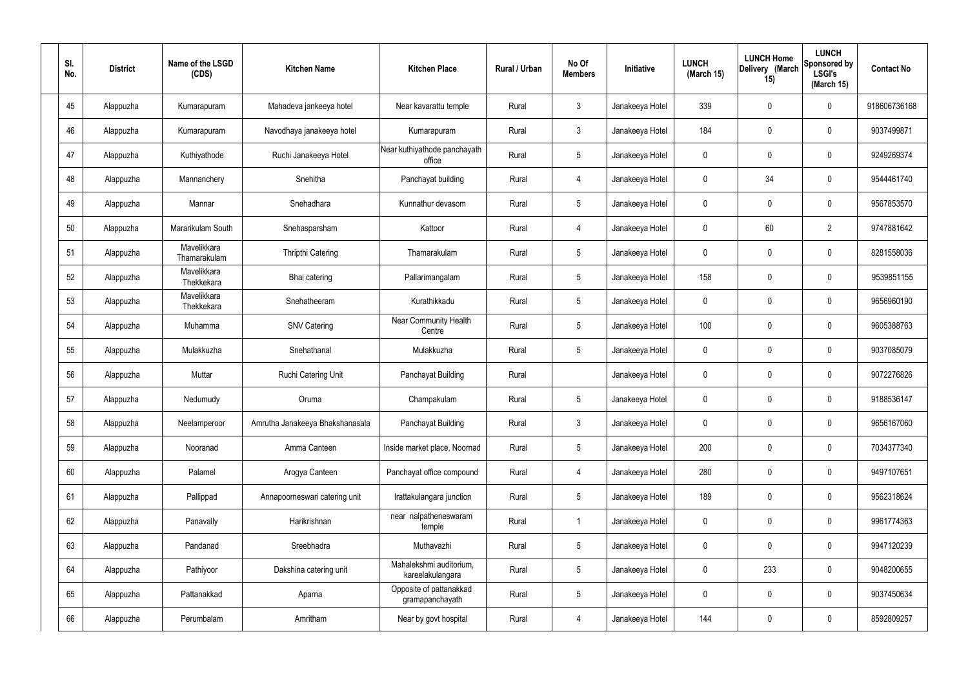| SI.<br>No. | <b>District</b> | Name of the LSGD<br>(CDS)   | <b>Kitchen Name</b>             | <b>Kitchen Place</b>                        | Rural / Urban | No Of<br><b>Members</b> | Initiative      | <b>LUNCH</b><br>(March 15) | <b>LUNCH Home</b><br>Delivery (March<br>15) | <b>LUNCH</b><br>Sponsored by<br><b>LSGI's</b><br>(March 15) | <b>Contact No</b> |
|------------|-----------------|-----------------------------|---------------------------------|---------------------------------------------|---------------|-------------------------|-----------------|----------------------------|---------------------------------------------|-------------------------------------------------------------|-------------------|
| 45         | Alappuzha       | Kumarapuram                 | Mahadeva jankeeya hotel         | Near kavarattu temple                       | Rural         | $\mathfrak{Z}$          | Janakeeya Hotel | 339                        | 0                                           | $\mathbf 0$                                                 | 918606736168      |
| 46         | Alappuzha       | Kumarapuram                 | Navodhaya janakeeya hotel       | Kumarapuram                                 | Rural         | $\mathbf{3}$            | Janakeeya Hotel | 184                        | 0                                           | $\pmb{0}$                                                   | 9037499871        |
| 47         | Alappuzha       | Kuthiyathode                | Ruchi Janakeeya Hotel           | Near kuthiyathode panchayath<br>office      | Rural         | $5\phantom{.0}$         | Janakeeya Hotel | 0                          | 0                                           | $\mathbf 0$                                                 | 9249269374        |
| 48         | Alappuzha       | Mannanchery                 | Snehitha                        | Panchayat building                          | Rural         | $\overline{4}$          | Janakeeya Hotel | $\mathbf 0$                | 34                                          | $\mathbf 0$                                                 | 9544461740        |
| 49         | Alappuzha       | Mannar                      | Snehadhara                      | Kunnathur devasom                           | Rural         | $5\phantom{.0}$         | Janakeeya Hotel | 0                          | 0                                           | $\mathbf 0$                                                 | 9567853570        |
| 50         | Alappuzha       | Mararikulam South           | Snehasparsham                   | Kattoor                                     | Rural         | $\overline{4}$          | Janakeeya Hotel | $\mathbf 0$                | 60                                          | $\overline{2}$                                              | 9747881642        |
| 51         | Alappuzha       | Mavelikkara<br>Thamarakulam | Thripthi Catering               | Thamarakulam                                | Rural         | $5\phantom{.0}$         | Janakeeya Hotel | 0                          | $\boldsymbol{0}$                            | $\mathbf 0$                                                 | 8281558036        |
| 52         | Alappuzha       | Mavelikkara<br>Thekkekara   | Bhai catering                   | Pallarimangalam                             | Rural         | $5\phantom{.0}$         | Janakeeya Hotel | 158                        | 0                                           | $\mathbf 0$                                                 | 9539851155        |
| 53         | Alappuzha       | Mavelikkara<br>Thekkekara   | Snehatheeram                    | Kurathikkadu                                | Rural         | $5\phantom{.0}$         | Janakeeya Hotel | 0                          | $\boldsymbol{0}$                            | $\mathbf 0$                                                 | 9656960190        |
| 54         | Alappuzha       | Muhamma                     | <b>SNV Catering</b>             | <b>Near Community Health</b><br>Centre      | Rural         | $5\phantom{.0}$         | Janakeeya Hotel | 100                        | 0                                           | $\boldsymbol{0}$                                            | 9605388763        |
| 55         | Alappuzha       | Mulakkuzha                  | Snehathanal                     | Mulakkuzha                                  | Rural         | $5\phantom{.0}$         | Janakeeya Hotel | 0                          | 0                                           | $\boldsymbol{0}$                                            | 9037085079        |
| 56         | Alappuzha       | Muttar                      | Ruchi Catering Unit             | Panchayat Building                          | Rural         |                         | Janakeeya Hotel | 0                          | 0                                           | $\boldsymbol{0}$                                            | 9072276826        |
| 57         | Alappuzha       | Nedumudy                    | Oruma                           | Champakulam                                 | Rural         | $5\phantom{.0}$         | Janakeeya Hotel | 0                          | 0                                           | 0                                                           | 9188536147        |
| 58         | Alappuzha       | Neelamperoor                | Amrutha Janakeeya Bhakshanasala | Panchayat Building                          | Rural         | $\mathbf{3}$            | Janakeeya Hotel | $\mathbf 0$                | $\mathbf 0$                                 | $\mathbf 0$                                                 | 9656167060        |
| 59         | Alappuzha       | Nooranad                    | Amma Canteen                    | Inside market place, Noornad                | Rural         | $5\phantom{.0}$         | Janakeeya Hotel | 200                        | $\mathbf 0$                                 | $\mathbf 0$                                                 | 7034377340        |
| 60         | Alappuzha       | Palamel                     | Arogya Canteen                  | Panchayat office compound                   | Rural         | $\overline{4}$          | Janakeeya Hotel | 280                        | $\mathbf 0$                                 | $\mathbf 0$                                                 | 9497107651        |
| 61         | Alappuzha       | Pallippad                   | Annapoorneswari catering unit   | Irattakulangara junction                    | Rural         | $5\phantom{.0}$         | Janakeeya Hotel | 189                        | $\mathbf 0$                                 | $\mathbf 0$                                                 | 9562318624        |
| 62         | Alappuzha       | Panavally                   | Harikrishnan                    | near nalpatheneswaram<br>temple             | Rural         | $\overline{1}$          | Janakeeya Hotel | $\mathbf 0$                | 0                                           | $\mathbf 0$                                                 | 9961774363        |
| 63         | Alappuzha       | Pandanad                    | Sreebhadra                      | Muthavazhi                                  | Rural         | $5\phantom{.0}$         | Janakeeya Hotel | $\mathbf 0$                | $\mathbf 0$                                 | $\mathbf 0$                                                 | 9947120239        |
| 64         | Alappuzha       | Pathiyoor                   | Dakshina catering unit          | Mahalekshmi auditorium,<br>kareelakulangara | Rural         | $\sqrt{5}$              | Janakeeya Hotel | $\mathbf 0$                | 233                                         | $\mathbf 0$                                                 | 9048200655        |
| 65         | Alappuzha       | Pattanakkad                 | Aparna                          | Opposite of pattanakkad<br>gramapanchayath  | Rural         | $5\phantom{.0}$         | Janakeeya Hotel | $\mathbf 0$                | 0                                           | $\mathbf 0$                                                 | 9037450634        |
| 66         | Alappuzha       | Perumbalam                  | Amritham                        | Near by govt hospital                       | Rural         | 4                       | Janakeeya Hotel | 144                        | $\pmb{0}$                                   | $\boldsymbol{0}$                                            | 8592809257        |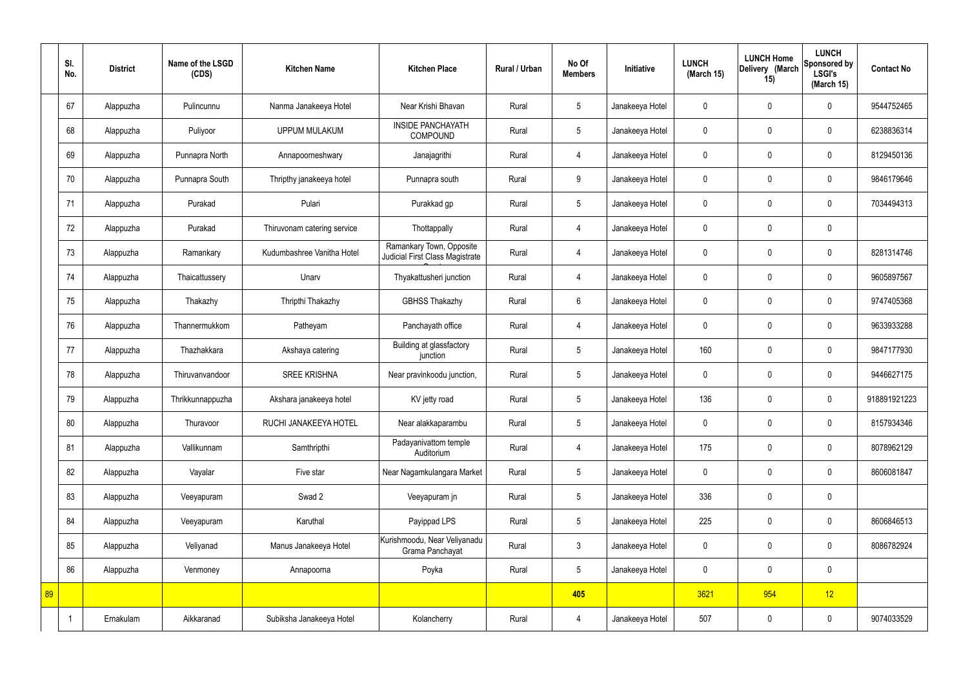|    | SI.<br>No. | <b>District</b> | Name of the LSGD<br>(CDS) | <b>Kitchen Name</b>         | <b>Kitchen Place</b>                                        | Rural / Urban | No Of<br><b>Members</b> | Initiative      | <b>LUNCH</b><br>(March 15) | <b>LUNCH Home</b><br>Delivery (March<br>15) | <b>LUNCH</b><br>Sponsored by<br><b>LSGI's</b><br>(March 15) | <b>Contact No</b> |
|----|------------|-----------------|---------------------------|-----------------------------|-------------------------------------------------------------|---------------|-------------------------|-----------------|----------------------------|---------------------------------------------|-------------------------------------------------------------|-------------------|
|    | 67         | Alappuzha       | Pulincunnu                | Nanma Janakeeya Hotel       | Near Krishi Bhavan                                          | Rural         | 5                       | Janakeeya Hotel | $\mathbf 0$                | $\mathbf 0$                                 | $\mathbf 0$                                                 | 9544752465        |
|    | 68         | Alappuzha       | Puliyoor                  | <b>UPPUM MULAKUM</b>        | <b>INSIDE PANCHAYATH</b><br><b>COMPOUND</b>                 | Rural         | $5\overline{)}$         | Janakeeya Hotel | $\mathbf 0$                | $\mathbf 0$                                 | $\mathbf 0$                                                 | 6238836314        |
|    | 69         | Alappuzha       | Punnapra North            | Annapoorneshwary            | Janajagrithi                                                | Rural         | $\overline{4}$          | Janakeeya Hotel | $\mathbf 0$                | $\mathbf 0$                                 | $\mathbf 0$                                                 | 8129450136        |
|    | 70         | Alappuzha       | Punnapra South            | Thripthy janakeeya hotel    | Punnapra south                                              | Rural         | 9                       | Janakeeya Hotel | $\mathbf 0$                | $\mathbf 0$                                 | $\mathbf 0$                                                 | 9846179646        |
|    | 71         | Alappuzha       | Purakad                   | Pulari                      | Purakkad gp                                                 | Rural         | $5\phantom{.0}$         | Janakeeya Hotel | $\mathbf 0$                | $\mathbf 0$                                 | $\mathbf 0$                                                 | 7034494313        |
|    | 72         | Alappuzha       | Purakad                   | Thiruvonam catering service | Thottappally                                                | Rural         | $\overline{4}$          | Janakeeya Hotel | $\mathbf 0$                | $\mathbf 0$                                 | $\mathbf 0$                                                 |                   |
|    | 73         | Alappuzha       | Ramankary                 | Kudumbashree Vanitha Hotel  | Ramankary Town, Opposite<br>Judicial First Class Magistrate | Rural         | $\overline{4}$          | Janakeeya Hotel | $\mathbf 0$                | $\mathbf 0$                                 | $\mathbf 0$                                                 | 8281314746        |
|    | 74         | Alappuzha       | Thaicattussery            | Unarv                       | Thyakattusheri junction                                     | Rural         | 4                       | Janakeeya Hotel | $\mathbf 0$                | $\mathbf 0$                                 | $\mathbf 0$                                                 | 9605897567        |
|    | 75         | Alappuzha       | Thakazhy                  | Thripthi Thakazhy           | <b>GBHSS Thakazhy</b>                                       | Rural         | $6\overline{6}$         | Janakeeya Hotel | $\mathbf 0$                | $\mathbf 0$                                 | $\mathbf 0$                                                 | 9747405368        |
|    | 76         | Alappuzha       | Thannermukkom             | Patheyam                    | Panchayath office                                           | Rural         | $\overline{4}$          | Janakeeya Hotel | $\mathbf 0$                | $\mathbf 0$                                 | $\mathbf 0$                                                 | 9633933288        |
|    | 77         | Alappuzha       | Thazhakkara               | Akshaya catering            | Building at glassfactory<br>junction                        | Rural         | $5\phantom{.0}$         | Janakeeya Hotel | 160                        | $\mathbf 0$                                 | $\mathbf 0$                                                 | 9847177930        |
|    | 78         | Alappuzha       | Thiruvanvandoor           | <b>SREE KRISHNA</b>         | Near pravinkoodu junction,                                  | Rural         | $5\overline{)}$         | Janakeeya Hotel | $\mathbf 0$                | $\mathbf 0$                                 | $\mathbf 0$                                                 | 9446627175        |
|    | 79         | Alappuzha       | Thrikkunnappuzha          | Akshara janakeeya hotel     | KV jetty road                                               | Rural         | $5\overline{)}$         | Janakeeya Hotel | 136                        | $\mathbf 0$                                 | $\mathbf 0$                                                 | 918891921223      |
|    | 80         | Alappuzha       | Thuravoor                 | RUCHI JANAKEEYA HOTEL       | Near alakkaparambu                                          | Rural         | $5\phantom{.0}$         | Janakeeya Hotel | $\mathbf 0$                | $\mathbf 0$                                 | $\mathbf 0$                                                 | 8157934346        |
|    | 81         | Alappuzha       | Vallikunnam               | Samthripthi                 | Padayanivattom temple<br>Auditorium                         | Rural         | $\overline{4}$          | Janakeeya Hotel | 175                        | $\mathbf 0$                                 | $\mathbf 0$                                                 | 8078962129        |
|    | 82         | Alappuzha       | Vayalar                   | Five star                   | Near Nagamkulangara Market                                  | Rural         | $5\overline{)}$         | Janakeeya Hotel | $\pmb{0}$                  | $\mathbf 0$                                 | $\mathbf 0$                                                 | 8606081847        |
|    | 83         | Alappuzha       | Veeyapuram                | Swad 2                      | Veeyapuram jn                                               | Rural         | $5\phantom{.0}$         | Janakeeya Hotel | 336                        | $\pmb{0}$                                   | $\mathbf 0$                                                 |                   |
|    | 84         | Alappuzha       | Veeyapuram                | Karuthal                    | Payippad LPS                                                | Rural         | $5\phantom{.0}$         | Janakeeya Hotel | 225                        | $\pmb{0}$                                   | $\mathbf 0$                                                 | 8606846513        |
|    | 85         | Alappuzha       | Veliyanad                 | Manus Janakeeya Hotel       | Kurishmoodu, Near Veliyanadu<br>Grama Panchayat             | Rural         | $\mathbf{3}$            | Janakeeya Hotel | $\pmb{0}$                  | $\mathbf 0$                                 | $\mathbf 0$                                                 | 8086782924        |
|    | 86         | Alappuzha       | Venmoney                  | Annapoorna                  | Poyka                                                       | Rural         | $5\overline{)}$         | Janakeeya Hotel | $\pmb{0}$                  | $\mathbf 0$                                 | $\mathbf 0$                                                 |                   |
| 89 |            |                 |                           |                             |                                                             |               | 405                     |                 | 3621                       | 954                                         | 12                                                          |                   |
|    |            | Ernakulam       | Aikkaranad                | Subiksha Janakeeya Hotel    | Kolancherry                                                 | Rural         | 4                       | Janakeeya Hotel | 507                        | $\pmb{0}$                                   | $\mathbf 0$                                                 | 9074033529        |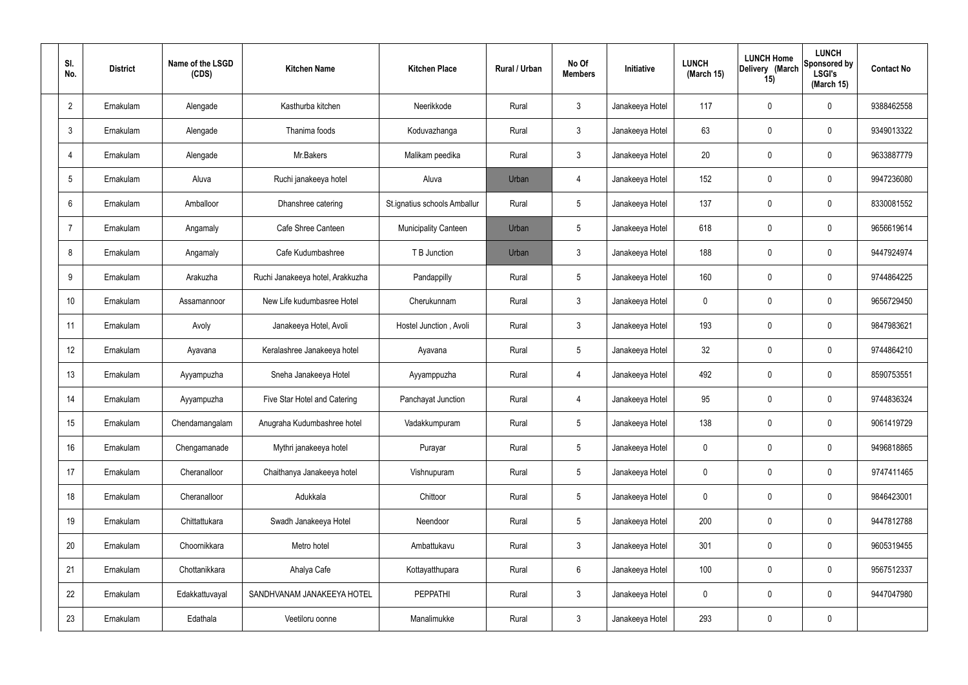| SI.<br>No.      | <b>District</b> | Name of the LSGD<br>(CDS) | <b>Kitchen Name</b>              | <b>Kitchen Place</b>         | Rural / Urban | No Of<br><b>Members</b> | Initiative      | <b>LUNCH</b><br>(March 15) | <b>LUNCH Home</b><br>Delivery (March<br>15) | <b>LUNCH</b><br><b>Sponsored by</b><br><b>LSGI's</b><br>(March 15) | <b>Contact No</b> |
|-----------------|-----------------|---------------------------|----------------------------------|------------------------------|---------------|-------------------------|-----------------|----------------------------|---------------------------------------------|--------------------------------------------------------------------|-------------------|
| $\overline{2}$  | Ernakulam       | Alengade                  | Kasthurba kitchen                | Neerikkode                   | Rural         | $\mathbf{3}$            | Janakeeya Hotel | 117                        | $\mathbf 0$                                 | 0                                                                  | 9388462558        |
| $\mathbf{3}$    | Ernakulam       | Alengade                  | Thanima foods                    | Koduvazhanga                 | Rural         | $\mathbf{3}$            | Janakeeya Hotel | 63                         | $\mathbf 0$                                 | 0                                                                  | 9349013322        |
| $\overline{4}$  | Ernakulam       | Alengade                  | Mr.Bakers                        | Malikam peedika              | Rural         | $\mathbf{3}$            | Janakeeya Hotel | 20                         | $\mathbf 0$                                 | 0                                                                  | 9633887779        |
| $5\overline{)}$ | Ernakulam       | Aluva                     | Ruchi janakeeya hotel            | Aluva                        | Urban         | $\overline{4}$          | Janakeeya Hotel | 152                        | $\mathbf 0$                                 | 0                                                                  | 9947236080        |
| 6               | Ernakulam       | Amballoor                 | Dhanshree catering               | St.ignatius schools Amballur | Rural         | $5\phantom{.0}$         | Janakeeya Hotel | 137                        | $\mathbf 0$                                 | 0                                                                  | 8330081552        |
| $\overline{7}$  | Ernakulam       | Angamaly                  | Cafe Shree Canteen               | <b>Municipality Canteen</b>  | Urban         | $5\phantom{.0}$         | Janakeeya Hotel | 618                        | $\mathbf 0$                                 | 0                                                                  | 9656619614        |
| 8               | Ernakulam       | Angamaly                  | Cafe Kudumbashree                | T B Junction                 | Urban         | $\mathbf{3}$            | Janakeeya Hotel | 188                        | $\mathbf 0$                                 | 0                                                                  | 9447924974        |
| 9               | Ernakulam       | Arakuzha                  | Ruchi Janakeeya hotel, Arakkuzha | Pandappilly                  | Rural         | $5\phantom{.0}$         | Janakeeya Hotel | 160                        | $\mathbf 0$                                 | 0                                                                  | 9744864225        |
| 10              | Ernakulam       | Assamannoor               | New Life kudumbasree Hotel       | Cherukunnam                  | Rural         | $\mathbf{3}$            | Janakeeya Hotel | $\mathbf 0$                | $\mathbf 0$                                 | 0                                                                  | 9656729450        |
| 11              | Ernakulam       | Avoly                     | Janakeeya Hotel, Avoli           | Hostel Junction, Avoli       | Rural         | $\mathbf{3}$            | Janakeeya Hotel | 193                        | $\mathbf 0$                                 | 0                                                                  | 9847983621        |
| 12              | Ernakulam       | Ayavana                   | Keralashree Janakeeya hotel      | Ayavana                      | Rural         | $5\phantom{.0}$         | Janakeeya Hotel | 32                         | 0                                           | 0                                                                  | 9744864210        |
| 13              | Ernakulam       | Ayyampuzha                | Sneha Janakeeya Hotel            | Ayyamppuzha                  | Rural         | $\overline{4}$          | Janakeeya Hotel | 492                        | 0                                           | 0                                                                  | 8590753551        |
| 14              | Ernakulam       | Ayyampuzha                | Five Star Hotel and Catering     | Panchayat Junction           | Rural         | $\overline{4}$          | Janakeeya Hotel | 95                         | $\mathbf 0$                                 | 0                                                                  | 9744836324        |
| 15              | Ernakulam       | Chendamangalam            | Anugraha Kudumbashree hotel      | Vadakkumpuram                | Rural         | $5\phantom{.0}$         | Janakeeya Hotel | 138                        | $\mathbf 0$                                 | 0                                                                  | 9061419729        |
| 16              | Ernakulam       | Chengamanade              | Mythri janakeeya hotel           | Purayar                      | Rural         | $5\phantom{.0}$         | Janakeeya Hotel | $\mathbf 0$                | $\mathbf 0$                                 | 0                                                                  | 9496818865        |
| 17              | Ernakulam       | Cheranalloor              | Chaithanya Janakeeya hotel       | Vishnupuram                  | Rural         | $5\phantom{.0}$         | Janakeeya Hotel | $\mathbf 0$                | $\mathbf 0$                                 | 0                                                                  | 9747411465        |
| 18              | Ernakulam       | Cheranalloor              | Adukkala                         | Chittoor                     | Rural         | $5\phantom{.0}$         | Janakeeya Hotel | $\mathbf 0$                | $\mathbf 0$                                 | 0                                                                  | 9846423001        |
| 19              | Ernakulam       | Chittattukara             | Swadh Janakeeya Hotel            | Neendoor                     | Rural         | $5\phantom{.0}$         | Janakeeya Hotel | 200                        | $\mathbf 0$                                 | 0                                                                  | 9447812788        |
| 20              | Ernakulam       | Choornikkara              | Metro hotel                      | Ambattukavu                  | Rural         | $\mathbf{3}$            | Janakeeya Hotel | 301                        | $\pmb{0}$                                   | 0                                                                  | 9605319455        |
| 21              | Ernakulam       | Chottanikkara             | Ahalya Cafe                      | Kottayatthupara              | Rural         | $6\overline{6}$         | Janakeeya Hotel | 100                        | $\mathbf 0$                                 | 0                                                                  | 9567512337        |
| 22              | Ernakulam       | Edakkattuvayal            | SANDHVANAM JANAKEEYA HOTEL       | <b>PEPPATHI</b>              | Rural         | $\mathbf{3}$            | Janakeeya Hotel | $\mathbf 0$                | $\mathbf 0$                                 | $\mathbf 0$                                                        | 9447047980        |
| 23              | Ernakulam       | Edathala                  | Veetiloru oonne                  | Manalimukke                  | Rural         | $\mathbf{3}$            | Janakeeya Hotel | 293                        | $\pmb{0}$                                   | 0                                                                  |                   |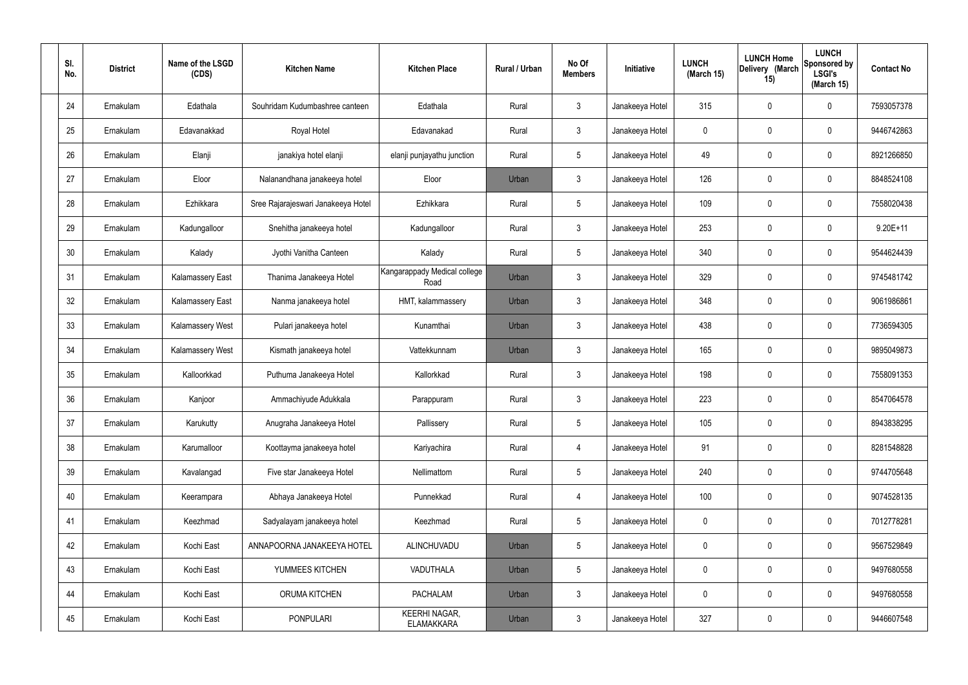| SI.<br>No. | <b>District</b> | Name of the LSGD<br>(CDS) | <b>Kitchen Name</b>                | <b>Kitchen Place</b>                      | Rural / Urban | No Of<br><b>Members</b> | Initiative      | <b>LUNCH</b><br>(March 15) | <b>LUNCH Home</b><br>Delivery (March<br>15) | <b>LUNCH</b><br>Sponsored by<br><b>LSGI's</b><br>(March 15) | <b>Contact No</b> |
|------------|-----------------|---------------------------|------------------------------------|-------------------------------------------|---------------|-------------------------|-----------------|----------------------------|---------------------------------------------|-------------------------------------------------------------|-------------------|
| 24         | Ernakulam       | Edathala                  | Souhridam Kudumbashree canteen     | Edathala                                  | Rural         | $\mathbf{3}$            | Janakeeya Hotel | 315                        | 0                                           | $\mathbf 0$                                                 | 7593057378        |
| 25         | Ernakulam       | Edavanakkad               | Royal Hotel                        | Edavanakad                                | Rural         | $\mathbf{3}$            | Janakeeya Hotel | $\mathbf 0$                | 0                                           | $\mathbf 0$                                                 | 9446742863        |
| 26         | Ernakulam       | Elanji                    | janakiya hotel elanji              | elanji punjayathu junction                | Rural         | $5\phantom{.0}$         | Janakeeya Hotel | 49                         | 0                                           | $\mathbf 0$                                                 | 8921266850        |
| 27         | Ernakulam       | Eloor                     | Nalanandhana janakeeya hotel       | Eloor                                     | Urban         | $\mathbf{3}$            | Janakeeya Hotel | 126                        | 0                                           | $\mathbf 0$                                                 | 8848524108        |
| 28         | Ernakulam       | Ezhikkara                 | Sree Rajarajeswari Janakeeya Hotel | Ezhikkara                                 | Rural         | $5\phantom{.0}$         | Janakeeya Hotel | 109                        | 0                                           | $\mathbf 0$                                                 | 7558020438        |
| 29         | Ernakulam       | Kadungalloor              | Snehitha janakeeya hotel           | Kadungalloor                              | Rural         | $\mathbf{3}$            | Janakeeya Hotel | 253                        | 0                                           | $\mathbf 0$                                                 | $9.20E + 11$      |
| 30         | Ernakulam       | Kalady                    | Jyothi Vanitha Canteen             | Kalady                                    | Rural         | $5\phantom{.0}$         | Janakeeya Hotel | 340                        | 0                                           | $\mathbf 0$                                                 | 9544624439        |
| 31         | Ernakulam       | <b>Kalamassery East</b>   | Thanima Janakeeya Hotel            | Kangarappady Medical college<br>Road      | Urban         | $\mathbf{3}$            | Janakeeya Hotel | 329                        | 0                                           | $\mathbf 0$                                                 | 9745481742        |
| 32         | Ernakulam       | <b>Kalamassery East</b>   | Nanma janakeeya hotel              | HMT, kalammassery                         | Urban         | $\mathbf{3}$            | Janakeeya Hotel | 348                        | $\boldsymbol{0}$                            | $\mathbf 0$                                                 | 9061986861        |
| 33         | Ernakulam       | Kalamassery West          | Pulari janakeeya hotel             | Kunamthai                                 | Urban         | $\mathbf{3}$            | Janakeeya Hotel | 438                        | 0                                           | $\boldsymbol{0}$                                            | 7736594305        |
| 34         | Ernakulam       | Kalamassery West          | Kismath janakeeya hotel            | Vattekkunnam                              | Urban         | $\mathbf{3}$            | Janakeeya Hotel | 165                        | 0                                           | $\boldsymbol{0}$                                            | 9895049873        |
| 35         | Ernakulam       | Kalloorkkad               | Puthuma Janakeeya Hotel            | Kallorkkad                                | Rural         | $\mathfrak{Z}$          | Janakeeya Hotel | 198                        | 0                                           | $\boldsymbol{0}$                                            | 7558091353        |
| 36         | Ernakulam       | Kanjoor                   | Ammachiyude Adukkala               | Parappuram                                | Rural         | $\mathbf{3}$            | Janakeeya Hotel | 223                        | 0                                           | 0                                                           | 8547064578        |
| 37         | Ernakulam       | Karukutty                 | Anugraha Janakeeya Hotel           | Pallissery                                | Rural         | $5\phantom{.0}$         | Janakeeya Hotel | 105                        | $\mathbf 0$                                 | $\mathbf 0$                                                 | 8943838295        |
| 38         | Ernakulam       | Karumalloor               | Koottayma janakeeya hotel          | Kariyachira                               | Rural         | $\overline{4}$          | Janakeeya Hotel | 91                         | $\mathsf{0}$                                | $\mathbf 0$                                                 | 8281548828        |
| 39         | Ernakulam       | Kavalangad                | Five star Janakeeya Hotel          | Nellimattom                               | Rural         | $5\phantom{.0}$         | Janakeeya Hotel | 240                        | $\mathbf 0$                                 | $\mathbf 0$                                                 | 9744705648        |
| 40         | Ernakulam       | Keerampara                | Abhaya Janakeeya Hotel             | Punnekkad                                 | Rural         | $\overline{4}$          | Janakeeya Hotel | 100                        | $\mathsf{0}$                                | $\mathbf 0$                                                 | 9074528135        |
| 41         | Ernakulam       | Keezhmad                  | Sadyalayam janakeeya hotel         | Keezhmad                                  | Rural         | $5\phantom{.0}$         | Janakeeya Hotel | $\mathbf 0$                | $\mathbf 0$                                 | $\mathbf 0$                                                 | 7012778281        |
| 42         | Ernakulam       | Kochi East                | ANNAPOORNA JANAKEEYA HOTEL         | ALINCHUVADU                               | Urban         | $5\phantom{.0}$         | Janakeeya Hotel | $\mathbf 0$                | $\mathbf 0$                                 | $\mathbf 0$                                                 | 9567529849        |
| 43         | Ernakulam       | Kochi East                | YUMMEES KITCHEN                    | VADUTHALA                                 | Urban         | $5\phantom{.0}$         | Janakeeya Hotel | $\mathbf 0$                | $\mathbf 0$                                 | $\mathbf 0$                                                 | 9497680558        |
| 44         | Ernakulam       | Kochi East                | ORUMA KITCHEN                      | <b>PACHALAM</b>                           | Urban         | $\mathfrak{Z}$          | Janakeeya Hotel | 0                          | 0                                           | $\mathbf 0$                                                 | 9497680558        |
| 45         | Ernakulam       | Kochi East                | <b>PONPULARI</b>                   | <b>KEERHI NAGAR,</b><br><b>ELAMAKKARA</b> | Urban         | $\mathbf{3}$            | Janakeeya Hotel | 327                        | $\pmb{0}$                                   | $\boldsymbol{0}$                                            | 9446607548        |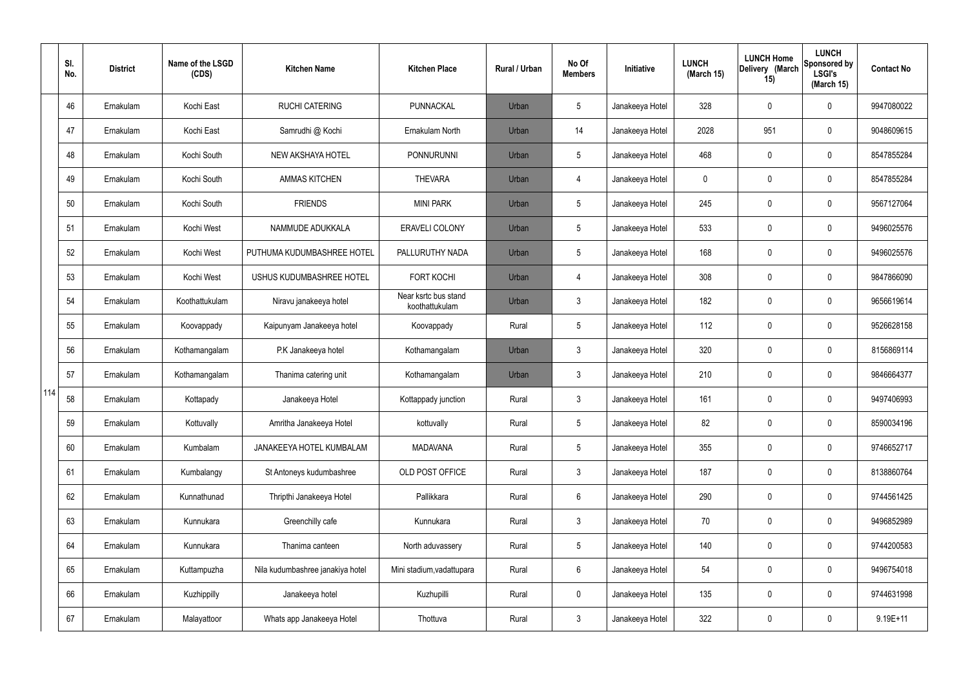|     | SI.<br>No. | <b>District</b> | Name of the LSGD<br>(CDS) | <b>Kitchen Name</b>              | <b>Kitchen Place</b>                   | <b>Rural / Urban</b> | No Of<br><b>Members</b> | Initiative      | <b>LUNCH</b><br>(March 15) | <b>LUNCH Home</b><br>Delivery (March<br>15) | <b>LUNCH</b><br>Sponsored by<br><b>LSGI's</b><br>(March 15) | <b>Contact No</b> |
|-----|------------|-----------------|---------------------------|----------------------------------|----------------------------------------|----------------------|-------------------------|-----------------|----------------------------|---------------------------------------------|-------------------------------------------------------------|-------------------|
|     | 46         | Ernakulam       | Kochi East                | <b>RUCHI CATERING</b>            | PUNNACKAL                              | Urban                | 5                       | Janakeeya Hotel | 328                        | 0                                           | $\mathbf 0$                                                 | 9947080022        |
|     | 47         | Ernakulam       | Kochi East                | Samrudhi @ Kochi                 | Ernakulam North                        | Urban                | 14                      | Janakeeya Hotel | 2028                       | 951                                         | $\boldsymbol{0}$                                            | 9048609615        |
|     | 48         | Ernakulam       | Kochi South               | NEW AKSHAYA HOTEL                | <b>PONNURUNNI</b>                      | Urban                | 5                       | Janakeeya Hotel | 468                        | 0                                           | $\boldsymbol{0}$                                            | 8547855284        |
|     | 49         | Ernakulam       | Kochi South               | <b>AMMAS KITCHEN</b>             | <b>THEVARA</b>                         | Urban                | 4                       | Janakeeya Hotel | 0                          | 0                                           | $\boldsymbol{0}$                                            | 8547855284        |
|     | 50         | Ernakulam       | Kochi South               | <b>FRIENDS</b>                   | <b>MINI PARK</b>                       | Urban                | 5                       | Janakeeya Hotel | 245                        | 0                                           | $\mathbf 0$                                                 | 9567127064        |
|     | 51         | Ernakulam       | Kochi West                | NAMMUDE ADUKKALA                 | <b>ERAVELI COLONY</b>                  | Urban                | 5                       | Janakeeya Hotel | 533                        | 0                                           | $\mathbf 0$                                                 | 9496025576        |
|     | 52         | Ernakulam       | Kochi West                | PUTHUMA KUDUMBASHREE HOTEL       | PALLURUTHY NADA                        | Urban                | 5                       | Janakeeya Hotel | 168                        | 0                                           | $\mathbf 0$                                                 | 9496025576        |
|     | 53         | Ernakulam       | Kochi West                | USHUS KUDUMBASHREE HOTEL         | <b>FORT KOCHI</b>                      | Urban                | $\overline{4}$          | Janakeeya Hotel | 308                        | 0                                           | $\mathbf 0$                                                 | 9847866090        |
|     | 54         | Ernakulam       | Koothattukulam            | Niravu janakeeya hotel           | Near ksrtc bus stand<br>koothattukulam | Urban                | $\mathbf{3}$            | Janakeeya Hotel | 182                        | 0                                           | $\mathbf 0$                                                 | 9656619614        |
|     | 55         | Ernakulam       | Koovappady                | Kaipunyam Janakeeya hotel        | Koovappady                             | Rural                | 5                       | Janakeeya Hotel | 112                        | 0                                           | $\pmb{0}$                                                   | 9526628158        |
|     | 56         | Ernakulam       | Kothamangalam             | P.K Janakeeya hotel              | Kothamangalam                          | Urban                | $\mathbf{3}$            | Janakeeya Hotel | 320                        | 0                                           | $\boldsymbol{0}$                                            | 8156869114        |
|     | 57         | Ernakulam       | Kothamangalam             | Thanima catering unit            | Kothamangalam                          | Urban                | $\mathbf{3}$            | Janakeeya Hotel | 210                        | 0                                           | $\boldsymbol{0}$                                            | 9846664377        |
| 114 | 58         | Ernakulam       | Kottapady                 | Janakeeya Hotel                  | Kottappady junction                    | Rural                | $\mathbf{3}$            | Janakeeya Hotel | 161                        | 0                                           | $\mathbf 0$                                                 | 9497406993        |
|     | 59         | Ernakulam       | Kottuvally                | Amritha Janakeeya Hotel          | kottuvally                             | Rural                | 5                       | Janakeeya Hotel | 82                         | 0                                           | $\mathbf 0$                                                 | 8590034196        |
|     | 60         | Ernakulam       | Kumbalam                  | JANAKEEYA HOTEL KUMBALAM         | <b>MADAVANA</b>                        | Rural                | 5                       | Janakeeya Hotel | 355                        | 0                                           | $\mathbf 0$                                                 | 9746652717        |
|     | 61         | Ernakulam       | Kumbalangy                | St Antoneys kudumbashree         | OLD POST OFFICE                        | Rural                | $\mathbf{3}$            | Janakeeya Hotel | 187                        | 0                                           | $\mathbf 0$                                                 | 8138860764        |
|     | 62         | Ernakulam       | Kunnathunad               | Thripthi Janakeeya Hotel         | Pallikkara                             | Rural                | 6                       | Janakeeya Hotel | 290                        | 0                                           | $\pmb{0}$                                                   | 9744561425        |
|     | 63         | Ernakulam       | Kunnukara                 | Greenchilly cafe                 | Kunnukara                              | Rural                | $\mathbf{3}$            | Janakeeya Hotel | 70                         | 0                                           | $\mathbf 0$                                                 | 9496852989        |
|     | 64         | Ernakulam       | Kunnukara                 | Thanima canteen                  | North aduvassery                       | Rural                | 5                       | Janakeeya Hotel | 140                        | 0                                           | $\pmb{0}$                                                   | 9744200583        |
|     | 65         | Ernakulam       | Kuttampuzha               | Nila kudumbashree janakiya hotel | Mini stadium, vadattupara              | Rural                | $6\phantom{.}6$         | Janakeeya Hotel | 54                         | 0                                           | $\pmb{0}$                                                   | 9496754018        |
|     | 66         | Ernakulam       | Kuzhippilly               | Janakeeya hotel                  | Kuzhupilli                             | Rural                | $\mathbf 0$             | Janakeeya Hotel | 135                        | 0                                           | $\pmb{0}$                                                   | 9744631998        |
|     | 67         | Ernakulam       | Malayattoor               | Whats app Janakeeya Hotel        | Thottuva                               | Rural                | $\mathfrak{Z}$          | Janakeeya Hotel | 322                        | 0                                           | $\pmb{0}$                                                   | $9.19E + 11$      |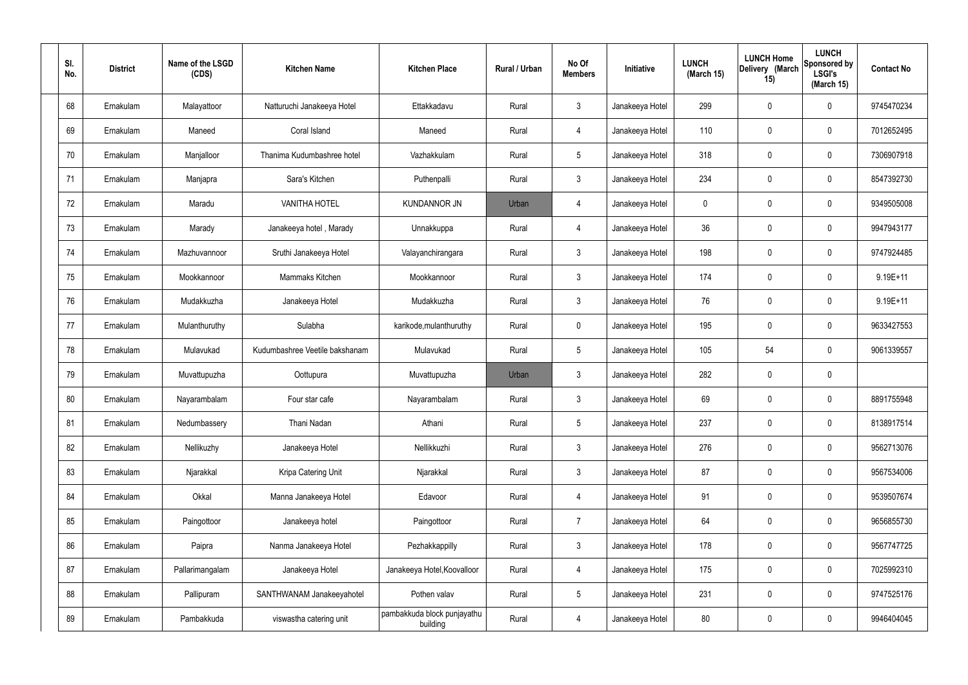| SI.<br>No. | <b>District</b> | Name of the LSGD<br>(CDS) | <b>Kitchen Name</b>            | <b>Kitchen Place</b>                    | Rural / Urban | No Of<br><b>Members</b> | Initiative      | <b>LUNCH</b><br>(March 15) | <b>LUNCH Home</b><br>Delivery (March<br>15) | <b>LUNCH</b><br>Sponsored by<br><b>LSGI's</b><br>(March 15) | <b>Contact No</b> |
|------------|-----------------|---------------------------|--------------------------------|-----------------------------------------|---------------|-------------------------|-----------------|----------------------------|---------------------------------------------|-------------------------------------------------------------|-------------------|
| 68         | Ernakulam       | Malayattoor               | Natturuchi Janakeeya Hotel     | Ettakkadavu                             | Rural         | $\mathbf{3}$            | Janakeeya Hotel | 299                        | 0                                           | $\mathbf 0$                                                 | 9745470234        |
| 69         | Ernakulam       | Maneed                    | Coral Island                   | Maneed                                  | Rural         | $\overline{4}$          | Janakeeya Hotel | 110                        | 0                                           | $\mathbf 0$                                                 | 7012652495        |
| 70         | Ernakulam       | Manjalloor                | Thanima Kudumbashree hotel     | Vazhakkulam                             | Rural         | $5\phantom{.0}$         | Janakeeya Hotel | 318                        | 0                                           | $\mathbf 0$                                                 | 7306907918        |
| 71         | Ernakulam       | Manjapra                  | Sara's Kitchen                 | Puthenpalli                             | Rural         | $\mathbf{3}$            | Janakeeya Hotel | 234                        | 0                                           | $\boldsymbol{0}$                                            | 8547392730        |
| 72         | Ernakulam       | Maradu                    | <b>VANITHA HOTEL</b>           | <b>KUNDANNOR JN</b>                     | Urban         | $\overline{4}$          | Janakeeya Hotel | 0                          | 0                                           | $\mathbf 0$                                                 | 9349505008        |
| 73         | Ernakulam       | Marady                    | Janakeeya hotel, Marady        | Unnakkuppa                              | Rural         | $\overline{4}$          | Janakeeya Hotel | 36                         | 0                                           | $\boldsymbol{0}$                                            | 9947943177        |
| 74         | Ernakulam       | Mazhuvannoor              | Sruthi Janakeeya Hotel         | Valayanchirangara                       | Rural         | $\mathbf{3}$            | Janakeeya Hotel | 198                        | 0                                           | $\mathbf 0$                                                 | 9747924485        |
| 75         | Ernakulam       | Mookkannoor               | Mammaks Kitchen                | Mookkannoor                             | Rural         | $\mathbf{3}$            | Janakeeya Hotel | 174                        | 0                                           | $\boldsymbol{0}$                                            | 9.19E+11          |
| 76         | Ernakulam       | Mudakkuzha                | Janakeeya Hotel                | Mudakkuzha                              | Rural         | $\mathbf{3}$            | Janakeeya Hotel | 76                         | 0                                           | $\boldsymbol{0}$                                            | $9.19E + 11$      |
| 77         | Ernakulam       | Mulanthuruthy             | Sulabha                        | karikode, mulanthuruthy                 | Rural         | $\mathbf 0$             | Janakeeya Hotel | 195                        | 0                                           | $\mathbf 0$                                                 | 9633427553        |
| 78         | Ernakulam       | Mulavukad                 | Kudumbashree Veetile bakshanam | Mulavukad                               | Rural         | $5\phantom{.0}$         | Janakeeya Hotel | 105                        | 54                                          | $\mathbf 0$                                                 | 9061339557        |
| 79         | Ernakulam       | Muvattupuzha              | Oottupura                      | Muvattupuzha                            | Urban         | $\mathbf{3}$            | Janakeeya Hotel | 282                        | 0                                           | $\pmb{0}$                                                   |                   |
| 80         | Ernakulam       | Nayarambalam              | Four star cafe                 | Nayarambalam                            | Rural         | $\mathbf{3}$            | Janakeeya Hotel | 69                         | $\boldsymbol{0}$                            | 0                                                           | 8891755948        |
| 81         | Ernakulam       | Nedumbassery              | Thani Nadan                    | Athani                                  | Rural         | $\sqrt{5}$              | Janakeeya Hotel | 237                        | 0                                           | $\mathbf 0$                                                 | 8138917514        |
| 82         | Ernakulam       | Nellikuzhy                | Janakeeya Hotel                | Nellikkuzhi                             | Rural         | 3 <sup>1</sup>          | Janakeeya Hotel | 276                        | 0                                           | $\mathbf 0$                                                 | 9562713076        |
| 83         | Ernakulam       | Njarakkal                 | Kripa Catering Unit            | Njarakkal                               | Rural         | $\mathbf{3}$            | Janakeeya Hotel | 87                         | 0                                           | $\mathbf 0$                                                 | 9567534006        |
| 84         | Ernakulam       | Okkal                     | Manna Janakeeya Hotel          | Edavoor                                 | Rural         | $\overline{4}$          | Janakeeya Hotel | 91                         | 0                                           | $\mathbf 0$                                                 | 9539507674        |
| 85         | Ernakulam       | Paingottoor               | Janakeeya hotel                | Paingottoor                             | Rural         | $\overline{7}$          | Janakeeya Hotel | 64                         | 0                                           | $\mathbf 0$                                                 | 9656855730        |
| 86         | Ernakulam       | Paipra                    | Nanma Janakeeya Hotel          | Pezhakkappilly                          | Rural         | $\mathfrak{Z}$          | Janakeeya Hotel | 178                        | 0                                           | $\mathbf 0$                                                 | 9567747725        |
| 87         | Ernakulam       | Pallarimangalam           | Janakeeya Hotel                | Janakeeya Hotel, Koovalloor             | Rural         | $\overline{4}$          | Janakeeya Hotel | 175                        | 0                                           | $\mathbf 0$                                                 | 7025992310        |
| 88         | Ernakulam       | Pallipuram                | SANTHWANAM Janakeeyahotel      | Pothen valav                            | Rural         | $5\,$                   | Janakeeya Hotel | 231                        | 0                                           | $\mathbf 0$                                                 | 9747525176        |
| 89         | Ernakulam       | Pambakkuda                | viswastha catering unit        | pambakkuda block punjayathu<br>building | Rural         | $\overline{4}$          | Janakeeya Hotel | 80                         | 0                                           | $\mathbf 0$                                                 | 9946404045        |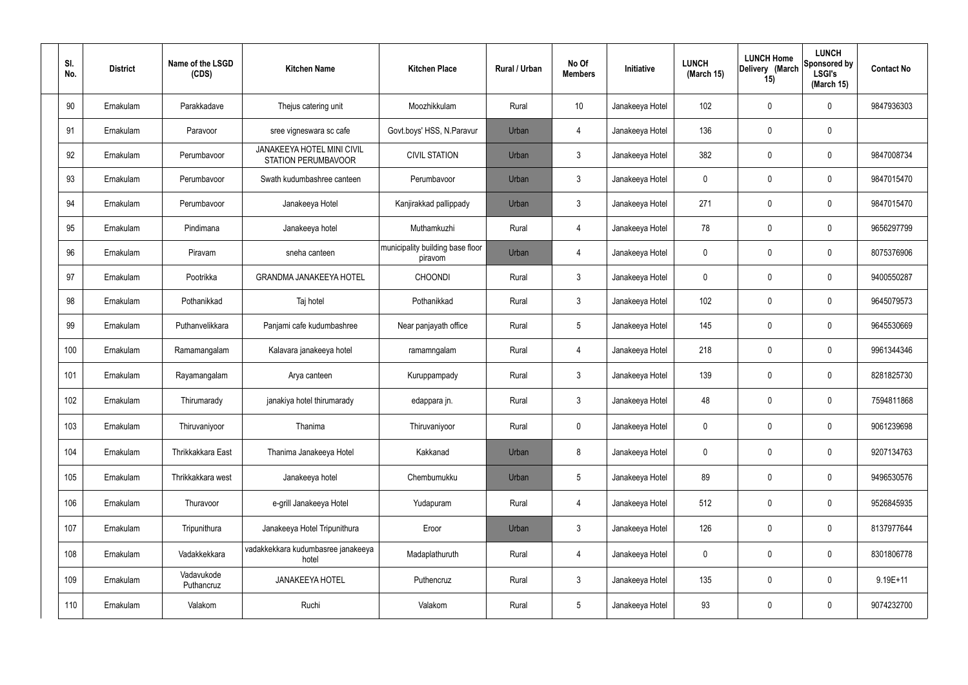| SI.<br>No. | <b>District</b> | Name of the LSGD<br>(CDS) | <b>Kitchen Name</b>                                      | <b>Kitchen Place</b>                        | Rural / Urban | No Of<br><b>Members</b> | Initiative      | <b>LUNCH</b><br>(March 15) | <b>LUNCH Home</b><br>Delivery (March<br>15) | <b>LUNCH</b><br>Sponsored by<br><b>LSGI's</b><br>(March 15) | <b>Contact No</b> |
|------------|-----------------|---------------------------|----------------------------------------------------------|---------------------------------------------|---------------|-------------------------|-----------------|----------------------------|---------------------------------------------|-------------------------------------------------------------|-------------------|
| 90         | Ernakulam       | Parakkadave               | Thejus catering unit                                     | Moozhikkulam                                | Rural         | 10                      | Janakeeya Hotel | 102                        | 0                                           | 0                                                           | 9847936303        |
| 91         | Ernakulam       | Paravoor                  | sree vigneswara sc cafe                                  | Govt.boys' HSS, N.Paravur                   | Urban         | 4                       | Janakeeya Hotel | 136                        | $\mathbf 0$                                 | 0                                                           |                   |
| 92         | Ernakulam       | Perumbavoor               | <b>JANAKEEYA HOTEL MINI CIVIL</b><br>STATION PERUMBAVOOR | <b>CIVIL STATION</b>                        | Urban         | $\mathbf{3}$            | Janakeeya Hotel | 382                        | $\mathbf 0$                                 | 0                                                           | 9847008734        |
| 93         | Ernakulam       | Perumbavoor               | Swath kudumbashree canteen                               | Perumbavoor                                 | Urban         | $\mathbf{3}$            | Janakeeya Hotel | $\mathbf 0$                | $\mathbf 0$                                 | 0                                                           | 9847015470        |
| 94         | Ernakulam       | Perumbavoor               | Janakeeya Hotel                                          | Kanjirakkad pallippady                      | Urban         | $\mathbf{3}$            | Janakeeya Hotel | 271                        | $\mathbf 0$                                 | 0                                                           | 9847015470        |
| 95         | Ernakulam       | Pindimana                 | Janakeeya hotel                                          | Muthamkuzhi                                 | Rural         | $\overline{4}$          | Janakeeya Hotel | 78                         | $\mathbf 0$                                 | 0                                                           | 9656297799        |
| 96         | Ernakulam       | Piravam                   | sneha canteen                                            | municipality building base floor<br>piravom | Urban         | $\overline{4}$          | Janakeeya Hotel | $\mathbf 0$                | 0                                           | 0                                                           | 8075376906        |
| 97         | Ernakulam       | Pootrikka                 | <b>GRANDMA JANAKEEYA HOTEL</b>                           | <b>CHOONDI</b>                              | Rural         | $\mathbf{3}$            | Janakeeya Hotel | $\mathbf 0$                | $\mathbf 0$                                 | 0                                                           | 9400550287        |
| 98         | Ernakulam       | Pothanikkad               | Taj hotel                                                | Pothanikkad                                 | Rural         | $\mathbf{3}$            | Janakeeya Hotel | 102                        | 0                                           | 0                                                           | 9645079573        |
| 99         | Ernakulam       | Puthanvelikkara           | Panjami cafe kudumbashree                                | Near panjayath office                       | Rural         | $5\phantom{.0}$         | Janakeeya Hotel | 145                        | $\mathbf 0$                                 | 0                                                           | 9645530669        |
| 100        | Ernakulam       | Ramamangalam              | Kalavara janakeeya hotel                                 | ramamngalam                                 | Rural         | $\overline{4}$          | Janakeeya Hotel | 218                        | $\boldsymbol{0}$                            | 0                                                           | 9961344346        |
| 101        | Ernakulam       | Rayamangalam              | Arya canteen                                             | Kuruppampady                                | Rural         | $\mathbf{3}$            | Janakeeya Hotel | 139                        | $\mathbf 0$                                 | 0                                                           | 8281825730        |
| 102        | Ernakulam       | Thirumarady               | janakiya hotel thirumarady                               | edappara jn.                                | Rural         | $\mathbf{3}$            | Janakeeya Hotel | 48                         | $\mathbf 0$                                 | 0                                                           | 7594811868        |
| 103        | Ernakulam       | Thiruvaniyoor             | Thanima                                                  | Thiruvaniyoor                               | Rural         | $\pmb{0}$               | Janakeeya Hotel | $\mathbf 0$                | $\pmb{0}$                                   | 0                                                           | 9061239698        |
| 104        | Ernakulam       | Thrikkakkara East         | Thanima Janakeeya Hotel                                  | Kakkanad                                    | Urban         | 8                       | Janakeeya Hotel | $\mathbf 0$                | $\boldsymbol{0}$                            | 0                                                           | 9207134763        |
| 105        | Ernakulam       | Thrikkakkara west         | Janakeeya hotel                                          | Chembumukku                                 | Urban         | $5\phantom{.0}$         | Janakeeya Hotel | 89                         | $\pmb{0}$                                   | 0                                                           | 9496530576        |
| 106        | Ernakulam       | Thuravoor                 | e-grill Janakeeya Hotel                                  | Yudapuram                                   | Rural         | $\overline{4}$          | Janakeeya Hotel | 512                        | $\pmb{0}$                                   | 0                                                           | 9526845935        |
| 107        | Ernakulam       | Tripunithura              | Janakeeya Hotel Tripunithura                             | Eroor                                       | Urban         | $\mathbf{3}$            | Janakeeya Hotel | 126                        | $\pmb{0}$                                   | 0                                                           | 8137977644        |
| 108        | Ernakulam       | Vadakkekkara              | vadakkekkara kudumbasree janakeeya<br>hotel              | Madaplathuruth                              | Rural         | $\overline{4}$          | Janakeeya Hotel | $\mathbf 0$                | $\mathbf 0$                                 | 0                                                           | 8301806778        |
| 109        | Ernakulam       | Vadavukode<br>Puthancruz  | JANAKEEYA HOTEL                                          | Puthencruz                                  | Rural         | $\mathbf{3}$            | Janakeeya Hotel | 135                        | $\boldsymbol{0}$                            | 0                                                           | $9.19E + 11$      |
| 110        | Ernakulam       | Valakom                   | Ruchi                                                    | Valakom                                     | Rural         | $\overline{5}$          | Janakeeya Hotel | 93                         | $\boldsymbol{0}$                            | 0                                                           | 9074232700        |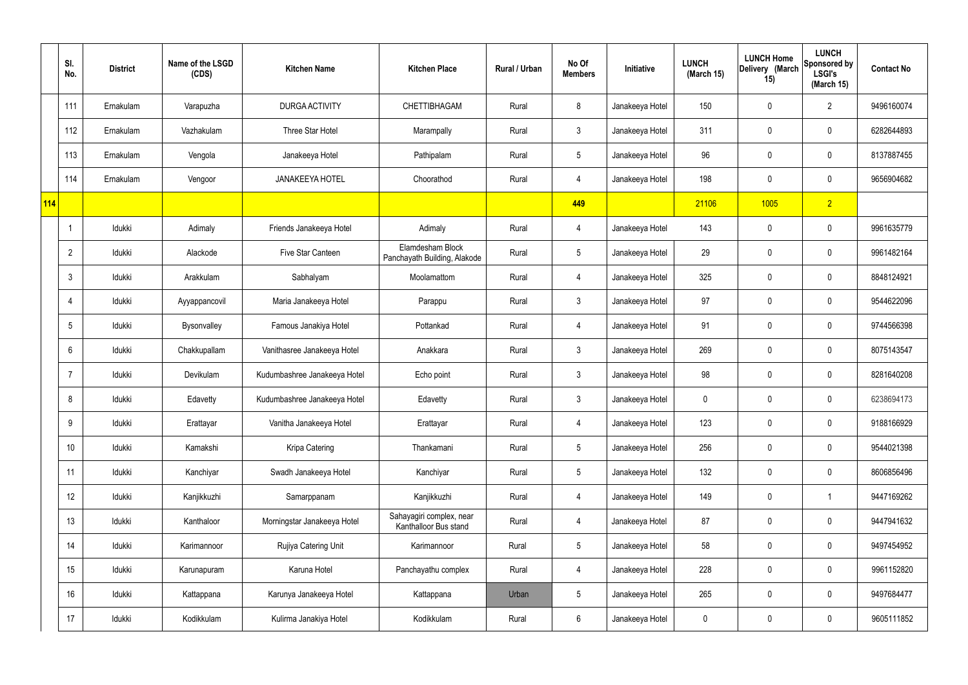|     | SI.<br>No.     | <b>District</b> | Name of the LSGD<br>(CDS) | <b>Kitchen Name</b>          | <b>Kitchen Place</b>                              | Rural / Urban | No Of<br><b>Members</b> | Initiative      | <b>LUNCH</b><br>(March 15) | <b>LUNCH Home</b><br>Delivery (March<br>15) | <b>LUNCH</b><br>Sponsored by<br><b>LSGI's</b><br>(March 15) | <b>Contact No</b> |
|-----|----------------|-----------------|---------------------------|------------------------------|---------------------------------------------------|---------------|-------------------------|-----------------|----------------------------|---------------------------------------------|-------------------------------------------------------------|-------------------|
|     | 111            | Ernakulam       | Varapuzha                 | DURGA ACTIVITY               | CHETTIBHAGAM                                      | Rural         | 8                       | Janakeeya Hotel | 150                        | $\mathbf 0$                                 | $\overline{2}$                                              | 9496160074        |
|     | 112            | Ernakulam       | Vazhakulam                | Three Star Hotel             | Marampally                                        | Rural         | $\mathbf{3}$            | Janakeeya Hotel | 311                        | $\mathbf 0$                                 | $\mathbf 0$                                                 | 6282644893        |
|     | 113            | Ernakulam       | Vengola                   | Janakeeya Hotel              | Pathipalam                                        | Rural         | $5\overline{)}$         | Janakeeya Hotel | 96                         | $\mathbf 0$                                 | $\mathbf 0$                                                 | 8137887455        |
|     | 114            | Ernakulam       | Vengoor                   | <b>JANAKEEYA HOTEL</b>       | Choorathod                                        | Rural         | $\overline{4}$          | Janakeeya Hotel | 198                        | $\mathbf 0$                                 | $\mathbf 0$                                                 | 9656904682        |
| 114 |                |                 |                           |                              |                                                   |               | 449                     |                 | 21106                      | 1005                                        | $\overline{2}$                                              |                   |
|     |                | Idukki          | Adimaly                   | Friends Janakeeya Hotel      | Adimaly                                           | Rural         | $\overline{4}$          | Janakeeya Hotel | 143                        | $\mathbf 0$                                 | $\mathbf 0$                                                 | 9961635779        |
|     | $\overline{2}$ | Idukki          | Alackode                  | Five Star Canteen            | Elamdesham Block<br>Panchayath Building, Alakode  | Rural         | $5\overline{)}$         | Janakeeya Hotel | 29                         | $\mathbf 0$                                 | $\mathbf 0$                                                 | 9961482164        |
|     | 3              | Idukki          | Arakkulam                 | Sabhalyam                    | Moolamattom                                       | Rural         | $\overline{4}$          | Janakeeya Hotel | 325                        | $\mathbf 0$                                 | $\mathbf 0$                                                 | 8848124921        |
|     | $\overline{4}$ | Idukki          | Ayyappancovil             | Maria Janakeeya Hotel        | Parappu                                           | Rural         | $\mathbf{3}$            | Janakeeya Hotel | 97                         | $\mathbf 0$                                 | $\mathbf 0$                                                 | 9544622096        |
|     | 5              | Idukki          | Bysonvalley               | Famous Janakiya Hotel        | Pottankad                                         | Rural         | 4                       | Janakeeya Hotel | 91                         | $\mathbf 0$                                 | $\mathbf 0$                                                 | 9744566398        |
|     | 6              | Idukki          | Chakkupallam              | Vanithasree Janakeeya Hotel  | Anakkara                                          | Rural         | $\mathbf{3}$            | Janakeeya Hotel | 269                        | 0                                           | $\mathbf 0$                                                 | 8075143547        |
|     |                | Idukki          | Devikulam                 | Kudumbashree Janakeeya Hotel | Echo point                                        | Rural         | $\mathbf{3}$            | Janakeeya Hotel | 98                         | $\mathbf 0$                                 | $\mathbf 0$                                                 | 8281640208        |
|     | 8              | Idukki          | Edavetty                  | Kudumbashree Janakeeya Hotel | Edavetty                                          | Rural         | $\mathbf{3}$            | Janakeeya Hotel | 0                          | 0                                           | $\mathbf 0$                                                 | 6238694173        |
|     | 9              | Idukki          | Erattayar                 | Vanitha Janakeeya Hotel      | Erattayar                                         | Rural         | $\overline{4}$          | Janakeeya Hotel | 123                        | $\mathsf{0}$                                | $\mathbf 0$                                                 | 9188166929        |
|     | 10             | Idukki          | Kamakshi                  | Kripa Catering               | Thankamani                                        | Rural         | $5\phantom{.0}$         | Janakeeya Hotel | 256                        | 0                                           | $\mathbf 0$                                                 | 9544021398        |
|     | 11             | Idukki          | Kanchiyar                 | Swadh Janakeeya Hotel        | Kanchiyar                                         | Rural         | $5\overline{)}$         | Janakeeya Hotel | 132                        | 0                                           | $\mathbf 0$                                                 | 8606856496        |
|     | 12             | Idukki          | Kanjikkuzhi               | Samarppanam                  | Kanjikkuzhi                                       | Rural         | $\overline{4}$          | Janakeeya Hotel | 149                        | 0                                           | $\mathbf{1}$                                                | 9447169262        |
|     | 13             | Idukki          | Kanthaloor                | Morningstar Janakeeya Hotel  | Sahayagiri complex, near<br>Kanthalloor Bus stand | Rural         | $\overline{4}$          | Janakeeya Hotel | 87                         | 0                                           | $\mathbf 0$                                                 | 9447941632        |
|     | 14             | Idukki          | Karimannoor               | Rujiya Catering Unit         | Karimannoor                                       | Rural         | $5\overline{)}$         | Janakeeya Hotel | 58                         | 0                                           | $\mathbf 0$                                                 | 9497454952        |
|     | 15             | Idukki          | Karunapuram               | Karuna Hotel                 | Panchayathu complex                               | Rural         | $\overline{4}$          | Janakeeya Hotel | 228                        | 0                                           | $\mathbf 0$                                                 | 9961152820        |
|     | 16             | Idukki          | Kattappana                | Karunya Janakeeya Hotel      | Kattappana                                        | Urban         | $5\phantom{.0}$         | Janakeeya Hotel | 265                        | 0                                           | $\mathbf 0$                                                 | 9497684477        |
|     | 17             | Idukki          | Kodikkulam                | Kulirma Janakiya Hotel       | Kodikkulam                                        | Rural         | $6\phantom{.}6$         | Janakeeya Hotel | 0                          | 0                                           | $\overline{0}$                                              | 9605111852        |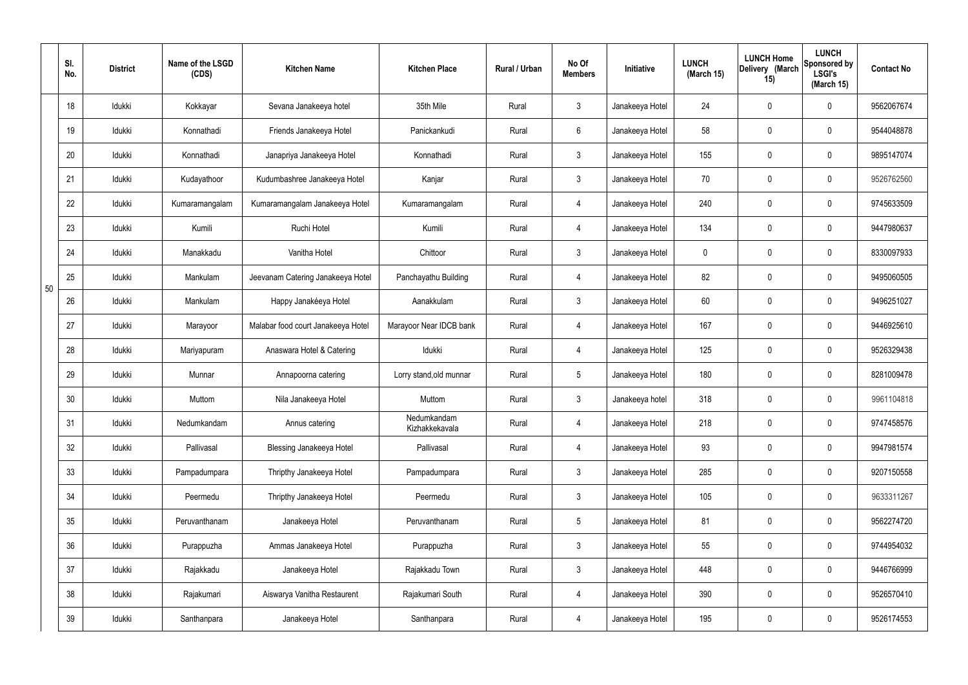|    | SI.<br>No. | <b>District</b> | Name of the LSGD<br>(CDS) | <b>Kitchen Name</b>                | <b>Kitchen Place</b>          | Rural / Urban | No Of<br><b>Members</b> | Initiative      | <b>LUNCH</b><br>(March 15) | <b>LUNCH Home</b><br>Delivery (March<br>15) | <b>LUNCH</b><br>Sponsored by<br><b>LSGI's</b><br>(March 15) | <b>Contact No</b> |
|----|------------|-----------------|---------------------------|------------------------------------|-------------------------------|---------------|-------------------------|-----------------|----------------------------|---------------------------------------------|-------------------------------------------------------------|-------------------|
|    | 18         | Idukki          | Kokkayar                  | Sevana Janakeeya hotel             | 35th Mile                     | Rural         | $\mathbf{3}$            | Janakeeya Hotel | 24                         | $\mathbf 0$                                 | $\mathbf 0$                                                 | 9562067674        |
|    | 19         | Idukki          | Konnathadi                | Friends Janakeeya Hotel            | Panickankudi                  | Rural         | $6\overline{6}$         | Janakeeya Hotel | 58                         | $\mathbf 0$                                 | $\mathbf 0$                                                 | 9544048878        |
|    | 20         | Idukki          | Konnathadi                | Janapriya Janakeeya Hotel          | Konnathadi                    | Rural         | 3                       | Janakeeya Hotel | 155                        | $\mathbf 0$                                 | $\mathbf 0$                                                 | 9895147074        |
|    | 21         | Idukki          | Kudayathoor               | Kudumbashree Janakeeya Hotel       | Kanjar                        | Rural         | $\mathbf{3}$            | Janakeeya Hotel | 70                         | $\mathbf 0$                                 | $\mathbf 0$                                                 | 9526762560        |
|    | 22         | Idukki          | Kumaramangalam            | Kumaramangalam Janakeeya Hotel     | Kumaramangalam                | Rural         | $\overline{4}$          | Janakeeya Hotel | 240                        | $\mathbf 0$                                 | $\mathbf 0$                                                 | 9745633509        |
|    | 23         | Idukki          | Kumili                    | Ruchi Hotel                        | Kumili                        | Rural         | 4                       | Janakeeya Hotel | 134                        | $\mathbf 0$                                 | $\mathbf 0$                                                 | 9447980637        |
|    | 24         | Idukki          | Manakkadu                 | Vanitha Hotel                      | Chittoor                      | Rural         | $\mathbf{3}$            | Janakeeya Hotel | $\mathbf 0$                | $\mathbf 0$                                 | $\mathbf 0$                                                 | 8330097933        |
| 50 | 25         | Idukki          | Mankulam                  | Jeevanam Catering Janakeeya Hotel  | Panchayathu Building          | Rural         | 4                       | Janakeeya Hotel | 82                         | $\mathbf 0$                                 | $\mathbf 0$                                                 | 9495060505        |
|    | 26         | Idukki          | Mankulam                  | Happy Janakéeya Hotel              | Aanakkulam                    | Rural         | $\mathbf{3}$            | Janakeeya Hotel | 60                         | 0                                           | $\mathbf 0$                                                 | 9496251027        |
|    | 27         | Idukki          | Marayoor                  | Malabar food court Janakeeya Hotel | Marayoor Near IDCB bank       | Rural         | 4                       | Janakeeya Hotel | 167                        | $\mathbf 0$                                 | $\mathbf 0$                                                 | 9446925610        |
|    | 28         | Idukki          | Mariyapuram               | Anaswara Hotel & Catering          | Idukki                        | Rural         | $\overline{4}$          | Janakeeya Hotel | 125                        | $\mathbf 0$                                 | $\mathbf 0$                                                 | 9526329438        |
|    | 29         | Idukki          | Munnar                    | Annapoorna catering                | Lorry stand, old munnar       | Rural         | $5\overline{)}$         | Janakeeya Hotel | 180                        | $\mathbf 0$                                 | $\mathbf 0$                                                 | 8281009478        |
|    | 30         | Idukki          | Muttom                    | Nila Janakeeya Hotel               | Muttom                        | Rural         | $\mathbf{3}$            | Janakeeya hotel | 318                        | $\mathbf 0$                                 | $\mathbf 0$                                                 | 9961104818        |
|    | 31         | Idukki          | Nedumkandam               | Annus catering                     | Nedumkandam<br>Kizhakkekavala | Rural         | $\overline{4}$          | Janakeeya Hotel | 218                        | $\pmb{0}$                                   | $\mathbf 0$                                                 | 9747458576        |
|    | 32         | Idukki          | Pallivasal                | <b>Blessing Janakeeya Hotel</b>    | Pallivasal                    | Rural         | $\overline{4}$          | Janakeeya Hotel | 93                         | $\pmb{0}$                                   | $\mathbf 0$                                                 | 9947981574        |
|    | 33         | Idukki          | Pampadumpara              | Thripthy Janakeeya Hotel           | Pampadumpara                  | Rural         | $\mathbf{3}$            | Janakeeya Hotel | 285                        | $\pmb{0}$                                   | $\mathbf 0$                                                 | 9207150558        |
|    | 34         | Idukki          | Peermedu                  | Thripthy Janakeeya Hotel           | Peermedu                      | Rural         | $\mathbf{3}$            | Janakeeya Hotel | 105                        | $\pmb{0}$                                   | $\mathbf 0$                                                 | 9633311267        |
|    | 35         | Idukki          | Peruvanthanam             | Janakeeya Hotel                    | Peruvanthanam                 | Rural         | $5\phantom{.0}$         | Janakeeya Hotel | 81                         | 0                                           | $\mathbf 0$                                                 | 9562274720        |
|    | 36         | Idukki          | Purappuzha                | Ammas Janakeeya Hotel              | Purappuzha                    | Rural         | 3                       | Janakeeya Hotel | 55                         | $\pmb{0}$                                   | $\mathbf 0$                                                 | 9744954032        |
|    | 37         | Idukki          | Rajakkadu                 | Janakeeya Hotel                    | Rajakkadu Town                | Rural         | 3                       | Janakeeya Hotel | 448                        | $\pmb{0}$                                   | $\mathbf 0$                                                 | 9446766999        |
|    | 38         | Idukki          | Rajakumari                | Aiswarya Vanitha Restaurent        | Rajakumari South              | Rural         | $\overline{4}$          | Janakeeya Hotel | 390                        | 0                                           | $\mathbf 0$                                                 | 9526570410        |
|    | 39         | Idukki          | Santhanpara               | Janakeeya Hotel                    | Santhanpara                   | Rural         | $\overline{4}$          | Janakeeya Hotel | 195                        | $\pmb{0}$                                   | $\boldsymbol{0}$                                            | 9526174553        |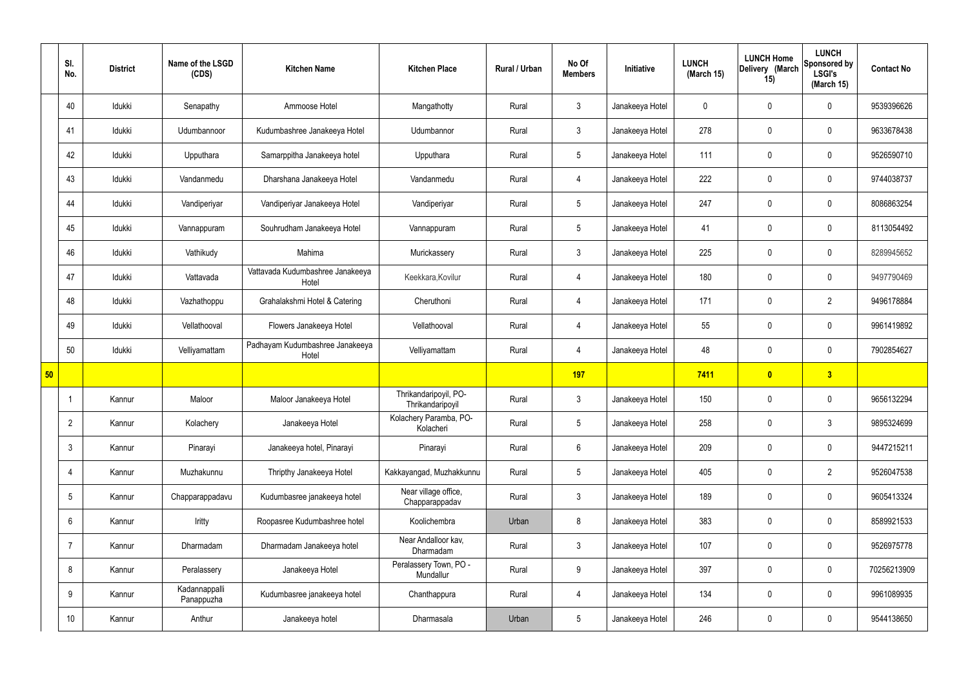|    | SI.<br>No.      | <b>District</b> | Name of the LSGD<br>(CDS)   | <b>Kitchen Name</b>                       | <b>Kitchen Place</b>                      | Rural / Urban | No Of<br><b>Members</b> | Initiative      | <b>LUNCH</b><br>(March 15) | <b>LUNCH Home</b><br>Delivery (March<br>15) | <b>LUNCH</b><br>Sponsored by<br><b>LSGI's</b><br>(March 15) | <b>Contact No</b> |
|----|-----------------|-----------------|-----------------------------|-------------------------------------------|-------------------------------------------|---------------|-------------------------|-----------------|----------------------------|---------------------------------------------|-------------------------------------------------------------|-------------------|
|    | 40              | Idukki          | Senapathy                   | Ammoose Hotel                             | Mangathotty                               | Rural         | $\mathbf{3}$            | Janakeeya Hotel | $\mathbf 0$                | $\mathbf 0$                                 | $\mathbf 0$                                                 | 9539396626        |
|    | 41              | Idukki          | Udumbannoor                 | Kudumbashree Janakeeya Hotel              | Udumbannor                                | Rural         | $\mathbf{3}$            | Janakeeya Hotel | 278                        | $\mathbf 0$                                 | $\mathbf 0$                                                 | 9633678438        |
|    | 42              | Idukki          | Upputhara                   | Samarppitha Janakeeya hotel               | Upputhara                                 | Rural         | 5 <sup>5</sup>          | Janakeeya Hotel | 111                        | $\mathbf 0$                                 | $\mathbf 0$                                                 | 9526590710        |
|    | 43              | Idukki          | Vandanmedu                  | Dharshana Janakeeya Hotel                 | Vandanmedu                                | Rural         | 4                       | Janakeeya Hotel | 222                        | $\mathbf 0$                                 | $\mathbf 0$                                                 | 9744038737        |
|    | 44              | Idukki          | Vandiperiyar                | Vandiperiyar Janakeeya Hotel              | Vandiperiyar                              | Rural         | $5\phantom{.0}$         | Janakeeya Hotel | 247                        | $\mathbf 0$                                 | $\mathbf 0$                                                 | 8086863254        |
|    | 45              | Idukki          | Vannappuram                 | Souhrudham Janakeeya Hotel                | Vannappuram                               | Rural         | $5\overline{)}$         | Janakeeya Hotel | 41                         | $\mathbf 0$                                 | $\mathbf 0$                                                 | 8113054492        |
|    | 46              | Idukki          | Vathikudy                   | Mahima                                    | Murickassery                              | Rural         | 3                       | Janakeeya Hotel | 225                        | $\mathbf 0$                                 | $\mathbf 0$                                                 | 8289945652        |
|    | 47              | Idukki          | Vattavada                   | Vattavada Kudumbashree Janakeeya<br>Hotel | Keekkara, Kovilur                         | Rural         | $\overline{4}$          | Janakeeya Hotel | 180                        | $\mathbf 0$                                 | $\mathbf 0$                                                 | 9497790469        |
|    | 48              | Idukki          | Vazhathoppu                 | Grahalakshmi Hotel & Catering             | Cheruthoni                                | Rural         | $\overline{4}$          | Janakeeya Hotel | 171                        | $\mathbf 0$                                 | $\overline{2}$                                              | 9496178884        |
|    | 49              | Idukki          | Vellathooval                | Flowers Janakeeya Hotel                   | Vellathooval                              | Rural         | $\overline{4}$          | Janakeeya Hotel | 55                         | $\mathbf 0$                                 | $\mathbf 0$                                                 | 9961419892        |
|    | 50              | Idukki          | Velliyamattam               | Padhayam Kudumbashree Janakeeya<br>Hotel  | Velliyamattam                             | Rural         | $\overline{4}$          | Janakeeya Hotel | 48                         | $\mathbf 0$                                 | $\mathbf 0$                                                 | 7902854627        |
| 50 |                 |                 |                             |                                           |                                           |               | <b>197</b>              |                 | 7411                       | $\bullet$                                   | 3                                                           |                   |
|    |                 | Kannur          | Maloor                      | Maloor Janakeeya Hotel                    | Thrikandaripoyil, PO-<br>Thrikandaripoyil | Rural         | $\mathbf{3}$            | Janakeeya Hotel | 150                        | $\mathbf 0$                                 | $\mathbf 0$                                                 | 9656132294        |
|    | $\overline{2}$  | Kannur          | Kolachery                   | Janakeeya Hotel                           | Kolachery Paramba, PO-<br>Kolacheri       | Rural         | $5\overline{)}$         | Janakeeya Hotel | 258                        | $\pmb{0}$                                   | $\mathfrak{Z}$                                              | 9895324699        |
|    | 3               | Kannur          | Pinarayi                    | Janakeeya hotel, Pinarayi                 | Pinarayi                                  | Rural         | $6\overline{6}$         | Janakeeya Hotel | 209                        | $\pmb{0}$                                   | $\mathbf 0$                                                 | 9447215211        |
|    | 4               | Kannur          | Muzhakunnu                  | Thripthy Janakeeya Hotel                  | Kakkayangad, Muzhakkunnu                  | Rural         | 5 <sub>5</sub>          | Janakeeya Hotel | 405                        | $\mathbf 0$                                 | $\overline{2}$                                              | 9526047538        |
|    | $5\phantom{.0}$ | Kannur          | Chapparappadavu             | Kudumbasree janakeeya hotel               | Near village office,<br>Chapparappadav    | Rural         | $\mathbf{3}$            | Janakeeya Hotel | 189                        | $\pmb{0}$                                   | $\mathbf 0$                                                 | 9605413324        |
|    | 6               | Kannur          | Iritty                      | Roopasree Kudumbashree hotel              | Koolichembra                              | Urban         | 8                       | Janakeeya Hotel | 383                        | $\mathbf 0$                                 | $\mathbf 0$                                                 | 8589921533        |
|    | 7               | Kannur          | Dharmadam                   | Dharmadam Janakeeya hotel                 | Near Andalloor kav,<br>Dharmadam          | Rural         | $\mathbf{3}$            | Janakeeya Hotel | 107                        | $\mathbf 0$                                 | $\mathbf 0$                                                 | 9526975778        |
|    | 8               | Kannur          | Peralassery                 | Janakeeya Hotel                           | Peralassery Town, PO -<br>Mundallur       | Rural         | $9\phantom{.0}$         | Janakeeya Hotel | 397                        | $\pmb{0}$                                   | $\mathbf 0$                                                 | 70256213909       |
|    | 9               | Kannur          | Kadannappalli<br>Panappuzha | Kudumbasree janakeeya hotel               | Chanthappura                              | Rural         | $\overline{4}$          | Janakeeya Hotel | 134                        | $\pmb{0}$                                   | $\mathbf 0$                                                 | 9961089935        |
|    | 10              | Kannur          | Anthur                      | Janakeeya hotel                           | Dharmasala                                | Urban         | $5\overline{)}$         | Janakeeya Hotel | 246                        | $\pmb{0}$                                   | $\boldsymbol{0}$                                            | 9544138650        |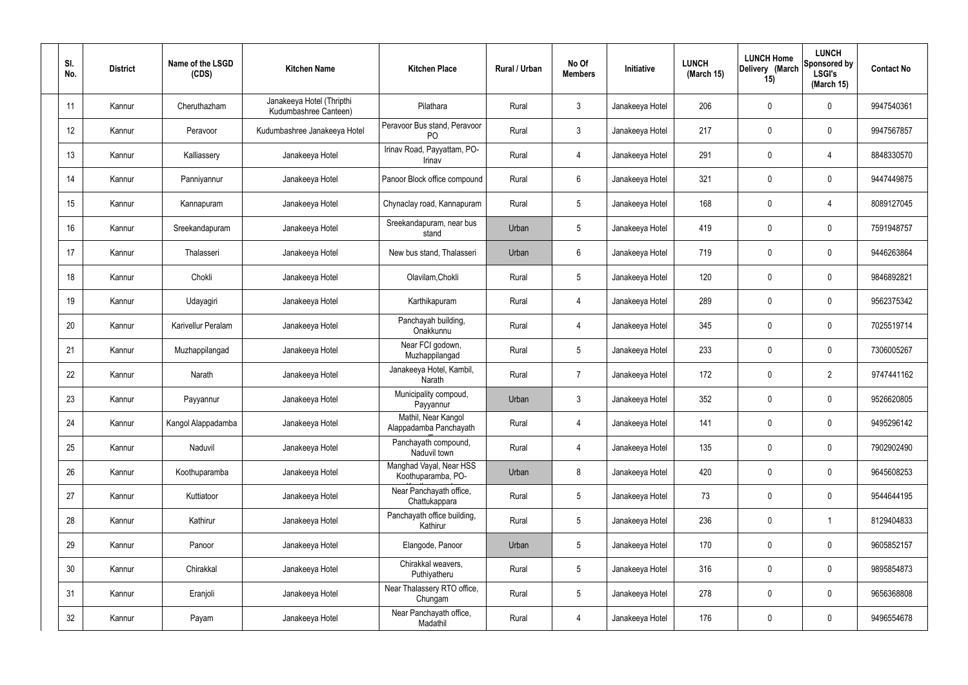| SI.<br>No. | <b>District</b> | Name of the LSGD<br>(CDS) | <b>Kitchen Name</b>                                | <b>Kitchen Place</b>                           | Rural / Urban | No Of<br><b>Members</b> | Initiative      | <b>LUNCH</b><br>(March 15) | <b>LUNCH Home</b><br>Delivery (March<br>15) | <b>LUNCH</b><br>Sponsored by<br><b>LSGI's</b><br>(March 15) | <b>Contact No</b> |
|------------|-----------------|---------------------------|----------------------------------------------------|------------------------------------------------|---------------|-------------------------|-----------------|----------------------------|---------------------------------------------|-------------------------------------------------------------|-------------------|
| 11         | Kannur          | Cheruthazham              | Janakeeya Hotel (Thripthi<br>Kudumbashree Canteen) | Pilathara                                      | Rural         | $\mathbf{3}$            | Janakeeya Hotel | 206                        | $\mathbf 0$                                 | $\mathbf 0$                                                 | 9947540361        |
| 12         | Kannur          | Peravoor                  | Kudumbashree Janakeeya Hotel                       | Peravoor Bus stand, Peravoor<br>P <sub>O</sub> | Rural         | $\mathbf{3}$            | Janakeeya Hotel | 217                        | $\mathbf 0$                                 | $\mathbf 0$                                                 | 9947567857        |
| 13         | Kannur          | Kalliassery               | Janakeeya Hotel                                    | Irinav Road, Payyattam, PO-<br>Irinav          | Rural         | $\overline{4}$          | Janakeeya Hotel | 291                        | $\mathbf 0$                                 | 4                                                           | 8848330570        |
| 14         | Kannur          | Panniyannur               | Janakeeya Hotel                                    | Panoor Block office compound                   | Rural         | $6\phantom{.}6$         | Janakeeya Hotel | 321                        | $\mathbf 0$                                 | $\mathbf 0$                                                 | 9447449875        |
| 15         | Kannur          | Kannapuram                | Janakeeya Hotel                                    | Chynaclay road, Kannapuram                     | Rural         | $5\overline{)}$         | Janakeeya Hotel | 168                        | $\mathbf 0$                                 | 4                                                           | 8089127045        |
| 16         | Kannur          | Sreekandapuram            | Janakeeya Hotel                                    | Sreekandapuram, near bus<br>stand              | Urban         | $5\phantom{.0}$         | Janakeeya Hotel | 419                        | $\mathbf 0$                                 | $\mathbf 0$                                                 | 7591948757        |
| 17         | Kannur          | Thalasseri                | Janakeeya Hotel                                    | New bus stand, Thalasseri                      | Urban         | $6\phantom{.}6$         | Janakeeya Hotel | 719                        | $\mathbf 0$                                 | $\mathbf 0$                                                 | 9446263864        |
| 18         | Kannur          | Chokli                    | Janakeeya Hotel                                    | Olavilam, Chokli                               | Rural         | $5\phantom{.0}$         | Janakeeya Hotel | 120                        | $\mathbf 0$                                 | $\mathbf 0$                                                 | 9846892821        |
| 19         | Kannur          | Udayagiri                 | Janakeeya Hotel                                    | Karthikapuram                                  | Rural         | $\overline{4}$          | Janakeeya Hotel | 289                        | $\mathbf 0$                                 | $\mathbf 0$                                                 | 9562375342        |
| 20         | Kannur          | Karivellur Peralam        | Janakeeya Hotel                                    | Panchayah building,<br>Onakkunnu               | Rural         | $\overline{4}$          | Janakeeya Hotel | 345                        | 0                                           | $\mathbf 0$                                                 | 7025519714        |
| 21         | Kannur          | Muzhappilangad            | Janakeeya Hotel                                    | Near FCI godown,<br>Muzhappilangad             | Rural         | $5\phantom{.0}$         | Janakeeya Hotel | 233                        | $\mathbf 0$                                 | $\mathbf 0$                                                 | 7306005267        |
| 22         | Kannur          | Narath                    | Janakeeya Hotel                                    | Janakeeya Hotel, Kambil,<br>Narath             | Rural         | $\overline{7}$          | Janakeeya Hotel | 172                        | $\mathbf 0$                                 | $\overline{2}$                                              | 9747441162        |
| 23         | Kannur          | Payyannur                 | Janakeeya Hotel                                    | Municipality compoud,<br>Payyannur             | Urban         | $\mathbf{3}$            | Janakeeya Hotel | 352                        | $\mathbf 0$                                 | 0                                                           | 9526620805        |
| 24         | Kannur          | Kangol Alappadamba        | Janakeeya Hotel                                    | Mathil, Near Kangol<br>Alappadamba Panchayath  | Rural         | $\overline{4}$          | Janakeeya Hotel | 141                        | $\mathbf 0$                                 | $\mathbf 0$                                                 | 9495296142        |
| 25         | Kannur          | Naduvil                   | Janakeeya Hotel                                    | Panchayath compound,<br>Naduvil town           | Rural         | $\overline{4}$          | Janakeeya Hotel | 135                        | $\mathbf 0$                                 | $\mathbf 0$                                                 | 7902902490        |
| 26         | Kannur          | Koothuparamba             | Janakeeya Hotel                                    | Manghad Vayal, Near HSS<br>Koothuparamba, PO-  | Urban         | 8                       | Janakeeya Hotel | 420                        | $\mathbf 0$                                 | $\mathbf 0$                                                 | 9645608253        |
| 27         | Kannur          | Kuttiatoor                | Janakeeya Hotel                                    | Near Panchayath office,<br>Chattukappara       | Rural         | $5\phantom{.0}$         | Janakeeya Hotel | 73                         | $\mathbf 0$                                 | $\mathbf 0$                                                 | 9544644195        |
| 28         | Kannur          | Kathirur                  | Janakeeya Hotel                                    | Panchayath office building,<br>Kathirur        | Rural         | $5\phantom{.0}$         | Janakeeya Hotel | 236                        | $\mathbf 0$                                 | $\mathbf 1$                                                 | 8129404833        |
| 29         | Kannur          | Panoor                    | Janakeeya Hotel                                    | Elangode, Panoor                               | Urban         | $5\phantom{.0}$         | Janakeeya Hotel | 170                        | 0                                           | $\mathbf 0$                                                 | 9605852157        |
| 30         | Kannur          | Chirakkal                 | Janakeeya Hotel                                    | Chirakkal weavers,<br>Puthiyatheru             | Rural         | $5\phantom{.0}$         | Janakeeya Hotel | 316                        | 0                                           | $\mathbf 0$                                                 | 9895854873        |
| 31         | Kannur          | Eranjoli                  | Janakeeya Hotel                                    | Near Thalassery RTO office,<br>Chungam         | Rural         | $5\phantom{.0}$         | Janakeeya Hotel | 278                        | $\mathbf 0$                                 | $\mathbf 0$                                                 | 9656368808        |
| 32         | Kannur          | Payam                     | Janakeeya Hotel                                    | Near Panchayath office,<br>Madathil            | Rural         | $\overline{4}$          | Janakeeya Hotel | 176                        | 0                                           | $\mathbf 0$                                                 | 9496554678        |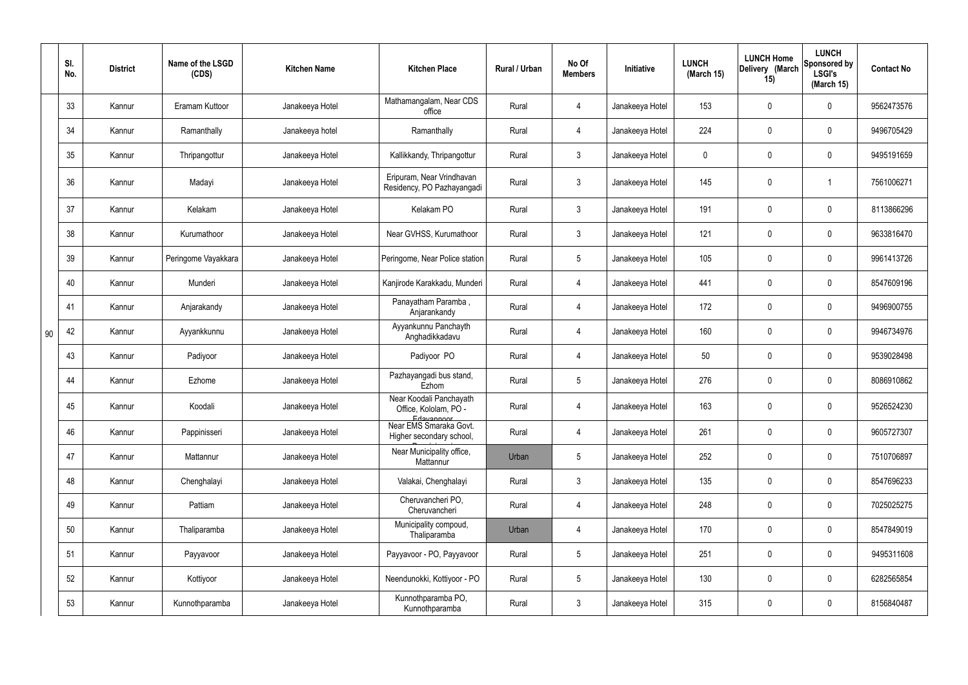|    | SI.<br>No. | <b>District</b> | Name of the LSGD<br>(CDS) | <b>Kitchen Name</b> | <b>Kitchen Place</b>                                           | Rural / Urban | No Of<br><b>Members</b> | Initiative      | <b>LUNCH</b><br>(March 15) | <b>LUNCH Home</b><br>Delivery (March<br>15) | <b>LUNCH</b><br>Sponsored by<br><b>LSGI's</b><br>(March 15) | <b>Contact No</b> |
|----|------------|-----------------|---------------------------|---------------------|----------------------------------------------------------------|---------------|-------------------------|-----------------|----------------------------|---------------------------------------------|-------------------------------------------------------------|-------------------|
|    | 33         | Kannur          | Eramam Kuttoor            | Janakeeya Hotel     | Mathamangalam, Near CDS<br>office                              | Rural         | 4                       | Janakeeya Hotel | 153                        | 0                                           | $\mathbf 0$                                                 | 9562473576        |
|    | 34         | Kannur          | Ramanthally               | Janakeeya hotel     | Ramanthally                                                    | Rural         | 4                       | Janakeeya Hotel | 224                        | $\mathbf 0$                                 | $\overline{0}$                                              | 9496705429        |
|    | 35         | Kannur          | Thripangottur             | Janakeeya Hotel     | Kallikkandy, Thripangottur                                     | Rural         | $\mathbf{3}$            | Janakeeya Hotel | 0                          | 0                                           | $\overline{0}$                                              | 9495191659        |
|    | 36         | Kannur          | Madayi                    | Janakeeya Hotel     | Eripuram, Near Vrindhavan<br>Residency, PO Pazhayangadi        | Rural         | $\mathbf{3}$            | Janakeeya Hotel | 145                        | 0                                           |                                                             | 7561006271        |
|    | 37         | Kannur          | Kelakam                   | Janakeeya Hotel     | Kelakam PO                                                     | Rural         | $\mathbf{3}$            | Janakeeya Hotel | 191                        | 0                                           | $\mathbf 0$                                                 | 8113866296        |
|    | 38         | Kannur          | Kurumathoor               | Janakeeya Hotel     | Near GVHSS, Kurumathoor                                        | Rural         | $\mathbf{3}$            | Janakeeya Hotel | 121                        | 0                                           | $\mathbf 0$                                                 | 9633816470        |
|    | 39         | Kannur          | Peringome Vayakkara       | Janakeeya Hotel     | Peringome, Near Police station                                 | Rural         | $5\phantom{.0}$         | Janakeeya Hotel | 105                        | 0                                           | $\mathbf 0$                                                 | 9961413726        |
|    | 40         | Kannur          | Munderi                   | Janakeeya Hotel     | Kanjirode Karakkadu, Munderi                                   | Rural         | $\overline{4}$          | Janakeeya Hotel | 441                        | 0                                           | $\mathbf 0$                                                 | 8547609196        |
|    | 41         | Kannur          | Anjarakandy               | Janakeeya Hotel     | Panayatham Paramba,<br>Anjarankandy                            | Rural         | 4                       | Janakeeya Hotel | 172                        | 0                                           | $\mathbf 0$                                                 | 9496900755        |
| 90 | 42         | Kannur          | Ayyankkunnu               | Janakeeya Hotel     | Ayyankunnu Panchayth<br>Anghadikkadavu                         | Rural         | $\overline{4}$          | Janakeeya Hotel | 160                        | 0                                           | $\mathbf 0$                                                 | 9946734976        |
|    | 43         | Kannur          | Padiyoor                  | Janakeeya Hotel     | Padiyoor PO                                                    | Rural         | 4                       | Janakeeya Hotel | 50                         | 0                                           | $\mathbf 0$                                                 | 9539028498        |
|    | 44         | Kannur          | Ezhome                    | Janakeeya Hotel     | Pazhayangadi bus stand,<br>Ezhom                               | Rural         | $5\phantom{.0}$         | Janakeeya Hotel | 276                        | 0                                           | $\mathbf 0$                                                 | 8086910862        |
|    | 45         | Kannur          | Koodali                   | Janakeeya Hotel     | Near Koodali Panchayath<br>Office, Kololam, PO -<br>Edavannoor | Rural         |                         | Janakeeya Hotel | 163                        | $\mathbf 0$                                 | 0                                                           | 9526524230        |
|    | 46         | Kannur          | Pappinisseri              | Janakeeya Hotel     | Near EMS Smaraka Govt.<br>Higher secondary school,             | Rural         | $\overline{4}$          | Janakeeya Hotel | 261                        | 0                                           | $\mathbf 0$                                                 | 9605727307        |
|    | 47         | Kannur          | Mattannur                 | Janakeeya Hotel     | Near Municipality office,<br>Mattannur                         | Urban         | $5\phantom{.0}$         | Janakeeya Hotel | 252                        | 0                                           | $\mathbf 0$                                                 | 7510706897        |
|    | 48         | Kannur          | Chenghalayi               | Janakeeya Hotel     | Valakai, Chenghalayi                                           | Rural         | $\mathbf{3}$            | Janakeeya Hotel | 135                        | 0                                           | $\mathbf 0$                                                 | 8547696233        |
|    | 49         | Kannur          | Pattiam                   | Janakeeya Hotel     | Cheruvancheri PO,<br>Cheruvancheri                             | Rural         | $\overline{4}$          | Janakeeya Hotel | 248                        | 0                                           | $\mathbf 0$                                                 | 7025025275        |
|    | 50         | Kannur          | Thaliparamba              | Janakeeya Hotel     | Municipality compoud,<br>Thaliparamba                          | Urban         | $\overline{4}$          | Janakeeya Hotel | 170                        | 0                                           | $\mathbf 0$                                                 | 8547849019        |
|    | 51         | Kannur          | Payyavoor                 | Janakeeya Hotel     | Payyavoor - PO, Payyavoor                                      | Rural         | $5\phantom{.0}$         | Janakeeya Hotel | 251                        | 0                                           | $\mathbf 0$                                                 | 9495311608        |
|    | 52         | Kannur          | Kottiyoor                 | Janakeeya Hotel     | Neendunokki, Kottiyoor - PO                                    | Rural         | $5\phantom{.0}$         | Janakeeya Hotel | 130                        | 0                                           | $\mathbf 0$                                                 | 6282565854        |
|    | 53         | Kannur          | Kunnothparamba            | Janakeeya Hotel     | Kunnothparamba PO,<br>Kunnothparamba                           | Rural         | $\mathbf{3}$            | Janakeeya Hotel | 315                        | 0                                           | $\boldsymbol{0}$                                            | 8156840487        |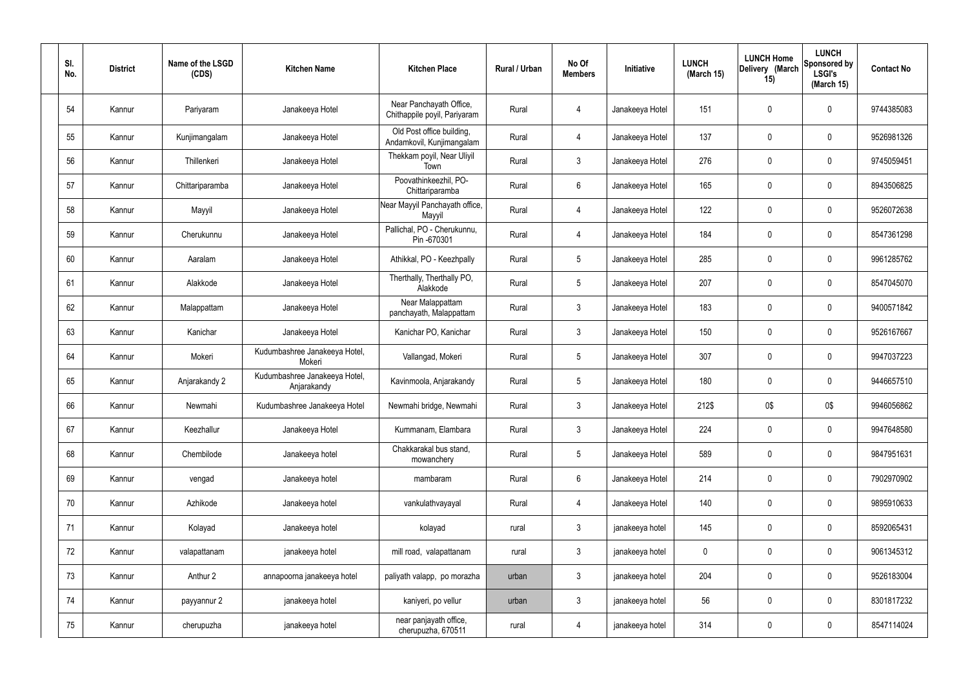| SI.<br>No. | <b>District</b> | Name of the LSGD<br>(CDS) | <b>Kitchen Name</b>                          | <b>Kitchen Place</b>                                    | Rural / Urban | No Of<br><b>Members</b> | Initiative      | <b>LUNCH</b><br>(March 15) | <b>LUNCH Home</b><br>Delivery (March<br>15) | <b>LUNCH</b><br>Sponsored by<br><b>LSGI's</b><br>(March 15) | <b>Contact No</b> |
|------------|-----------------|---------------------------|----------------------------------------------|---------------------------------------------------------|---------------|-------------------------|-----------------|----------------------------|---------------------------------------------|-------------------------------------------------------------|-------------------|
| 54         | Kannur          | Pariyaram                 | Janakeeya Hotel                              | Near Panchayath Office,<br>Chithappile poyil, Pariyaram | Rural         | 4                       | Janakeeya Hotel | 151                        | 0                                           | $\mathbf 0$                                                 | 9744385083        |
| 55         | Kannur          | Kunjimangalam             | Janakeeya Hotel                              | Old Post office building,<br>Andamkovil, Kunjimangalam  | Rural         | $\overline{4}$          | Janakeeya Hotel | 137                        | 0                                           | $\mathbf 0$                                                 | 9526981326        |
| 56         | Kannur          | Thillenkeri               | Janakeeya Hotel                              | Thekkam poyil, Near Uliyil<br>Town                      | Rural         | $\mathbf{3}$            | Janakeeya Hotel | 276                        | $\boldsymbol{0}$                            | $\overline{0}$                                              | 9745059451        |
| 57         | Kannur          | Chittariparamba           | Janakeeya Hotel                              | Poovathinkeezhil, PO-<br>Chittariparamba                | Rural         | $6\phantom{.}6$         | Janakeeya Hotel | 165                        | 0                                           | $\mathbf 0$                                                 | 8943506825        |
| 58         | Kannur          | Mayyil                    | Janakeeya Hotel                              | Near Mayyil Panchayath office,<br>Mayyil                | Rural         | 4                       | Janakeeya Hotel | 122                        | 0                                           | $\mathbf 0$                                                 | 9526072638        |
| 59         | Kannur          | Cherukunnu                | Janakeeya Hotel                              | Pallichal, PO - Cherukunnu,<br>Pin -670301              | Rural         | $\overline{4}$          | Janakeeya Hotel | 184                        | 0                                           | $\mathbf 0$                                                 | 8547361298        |
| 60         | Kannur          | Aaralam                   | Janakeeya Hotel                              | Athikkal, PO - Keezhpally                               | Rural         | $5\phantom{.0}$         | Janakeeya Hotel | 285                        | $\mathbf 0$                                 | $\mathbf 0$                                                 | 9961285762        |
| 61         | Kannur          | Alakkode                  | Janakeeya Hotel                              | Therthally, Therthally PO,<br>Alakkode                  | Rural         | $5\overline{)}$         | Janakeeya Hotel | 207                        | $\mathbf 0$                                 | $\mathbf 0$                                                 | 8547045070        |
| 62         | Kannur          | Malappattam               | Janakeeya Hotel                              | Near Malappattam<br>panchayath, Malappattam             | Rural         | $\mathbf{3}$            | Janakeeya Hotel | 183                        | $\mathbf 0$                                 | $\mathbf 0$                                                 | 9400571842        |
| 63         | Kannur          | Kanichar                  | Janakeeya Hotel                              | Kanichar PO, Kanichar                                   | Rural         | $\mathbf{3}$            | Janakeeya Hotel | 150                        | 0                                           | $\pmb{0}$                                                   | 9526167667        |
| 64         | Kannur          | Mokeri                    | Kudumbashree Janakeeya Hotel,<br>Mokeri      | Vallangad, Mokeri                                       | Rural         | $5\overline{)}$         | Janakeeya Hotel | 307                        | 0                                           | $\mathbf 0$                                                 | 9947037223        |
| 65         | Kannur          | Anjarakandy 2             | Kudumbashree Janakeeya Hotel,<br>Anjarakandy | Kavinmoola, Anjarakandy                                 | Rural         | $5\phantom{.0}$         | Janakeeya Hotel | 180                        | 0                                           | $\mathbf 0$                                                 | 9446657510        |
| 66         | Kannur          | Newmahi                   | Kudumbashree Janakeeya Hotel                 | Newmahi bridge, Newmahi                                 | Rural         | 3                       | Janakeeya Hotel | 212\$                      | 0\$                                         | 0\$                                                         | 9946056862        |
| 67         | Kannur          | Keezhallur                | Janakeeya Hotel                              | Kummanam, Elambara                                      | Rural         | $\mathbf{3}$            | Janakeeya Hotel | 224                        | 0                                           | $\mathbf 0$                                                 | 9947648580        |
| 68         | Kannur          | Chembilode                | Janakeeya hotel                              | Chakkarakal bus stand,<br>mowanchery                    | Rural         | 5 <sub>5</sub>          | Janakeeya Hotel | 589                        | 0                                           | $\overline{0}$                                              | 9847951631        |
| 69         | Kannur          | vengad                    | Janakeeya hotel                              | mambaram                                                | Rural         | 6                       | Janakeeya Hotel | 214                        | 0                                           | $\overline{0}$                                              | 7902970902        |
| 70         | Kannur          | Azhikode                  | Janakeeya hotel                              | vankulathvayayal                                        | Rural         | 4                       | Janakeeya Hotel | 140                        | 0                                           | $\overline{0}$                                              | 9895910633        |
| 71         | Kannur          | Kolayad                   | Janakeeya hotel                              | kolayad                                                 | rural         | $\mathbf{3}$            | janakeeya hotel | 145                        | 0                                           | $\mathbf 0$                                                 | 8592065431        |
| 72         | Kannur          | valapattanam              | janakeeya hotel                              | mill road, valapattanam                                 | rural         | $\mathbf{3}$            | janakeeya hotel | $\mathbf 0$                | 0                                           | $\mathbf 0$                                                 | 9061345312        |
| 73         | Kannur          | Anthur 2                  | annapoorna janakeeya hotel                   | paliyath valapp, po morazha                             | urban         | $\mathbf{3}$            | janakeeya hotel | 204                        | 0                                           | $\mathbf 0$                                                 | 9526183004        |
| 74         | Kannur          | payyannur 2               | janakeeya hotel                              | kaniyeri, po vellur                                     | urban         | $\mathbf{3}$            | janakeeya hotel | 56                         | 0                                           | $\overline{0}$                                              | 8301817232        |
| 75         | Kannur          | cherupuzha                | janakeeya hotel                              | near panjayath office,<br>cherupuzha, 670511            | rural         | $\overline{4}$          | janakeeya hotel | 314                        | 0                                           | $\overline{0}$                                              | 8547114024        |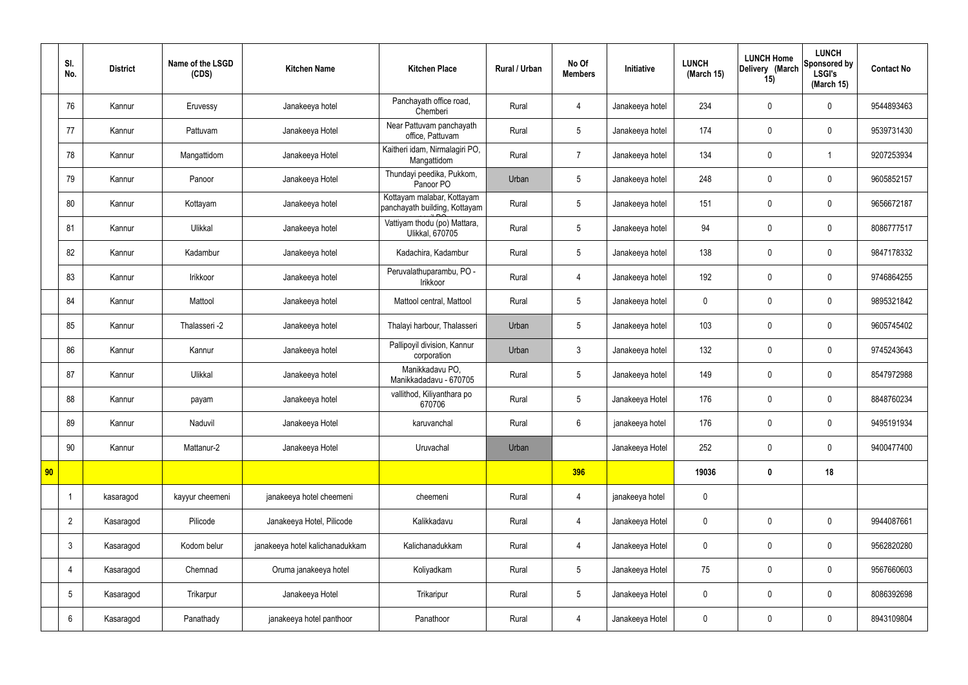|    | SI.<br>No.      | <b>District</b> | Name of the LSGD<br>(CDS) | <b>Kitchen Name</b>             | <b>Kitchen Place</b>                                        | <b>Rural / Urban</b> | No Of<br><b>Members</b> | Initiative      | <b>LUNCH</b><br>(March 15) | <b>LUNCH Home</b><br>Delivery (March<br>15) | <b>LUNCH</b><br>Sponsored by<br><b>LSGI's</b><br>(March 15) | <b>Contact No</b> |
|----|-----------------|-----------------|---------------------------|---------------------------------|-------------------------------------------------------------|----------------------|-------------------------|-----------------|----------------------------|---------------------------------------------|-------------------------------------------------------------|-------------------|
|    | 76              | Kannur          | Eruvessy                  | Janakeeya hotel                 | Panchayath office road,<br>Chemberi                         | Rural                | 4                       | Janakeeya hotel | 234                        | $\mathbf 0$                                 | $\mathbf 0$                                                 | 9544893463        |
|    | 77              | Kannur          | Pattuvam                  | Janakeeya Hotel                 | Near Pattuvam panchayath<br>office, Pattuvam                | Rural                | 5                       | Janakeeya hotel | 174                        | $\mathbf 0$                                 | $\mathbf 0$                                                 | 9539731430        |
|    | 78              | Kannur          | Mangattidom               | Janakeeya Hotel                 | Kaitheri idam, Nirmalagiri PO,<br>Mangattidom               | Rural                | $\overline{7}$          | Janakeeya hotel | 134                        | $\mathbf 0$                                 | -1                                                          | 9207253934        |
|    | 79              | Kannur          | Panoor                    | Janakeeya Hotel                 | Thundayi peedika, Pukkom,<br>Panoor PO                      | Urban                | 5                       | Janakeeya hotel | 248                        | $\mathbf 0$                                 | $\mathbf 0$                                                 | 9605852157        |
|    | 80              | Kannur          | Kottayam                  | Janakeeya hotel                 | Kottayam malabar, Kottayam<br>panchayath building, Kottayam | Rural                | 5                       | Janakeeya hotel | 151                        | $\mathbf 0$                                 | $\mathbf 0$                                                 | 9656672187        |
|    | 81              | Kannur          | Ulikkal                   | Janakeeya hotel                 | Vattiyam thodu (po) Mattara,<br><b>Ulikkal, 670705</b>      | Rural                | 5                       | Janakeeya hotel | 94                         | $\mathbf 0$                                 | $\mathbf 0$                                                 | 8086777517        |
|    | 82              | Kannur          | Kadambur                  | Janakeeya hotel                 | Kadachira, Kadambur                                         | Rural                | $5\phantom{.0}$         | Janakeeya hotel | 138                        | $\mathbf 0$                                 | $\mathbf 0$                                                 | 9847178332        |
|    | 83              | Kannur          | Irikkoor                  | Janakeeya hotel                 | Peruvalathuparambu, PO -<br>Irikkoor                        | Rural                | 4                       | Janakeeya hotel | 192                        | $\mathbf 0$                                 | $\mathbf 0$                                                 | 9746864255        |
|    | 84              | Kannur          | Mattool                   | Janakeeya hotel                 | Mattool central, Mattool                                    | Rural                | 5                       | Janakeeya hotel | $\mathbf 0$                | $\mathbf 0$                                 | $\mathbf 0$                                                 | 9895321842        |
|    | 85              | Kannur          | Thalasseri -2             | Janakeeya hotel                 | Thalayi harbour, Thalasseri                                 | Urban                | 5                       | Janakeeya hotel | 103                        | $\pmb{0}$                                   | $\mathbf 0$                                                 | 9605745402        |
|    | 86              | Kannur          | Kannur                    | Janakeeya hotel                 | Pallipoyil division, Kannur<br>corporation                  | Urban                | $\mathbf{3}$            | Janakeeya hotel | 132                        | $\pmb{0}$                                   | $\mathbf 0$                                                 | 9745243643        |
|    | 87              | Kannur          | Ulikkal                   | Janakeeya hotel                 | Manikkadavu PO,<br>Manikkadadavu - 670705                   | Rural                | 5                       | Janakeeya hotel | 149                        | $\boldsymbol{0}$                            | $\mathbf 0$                                                 | 8547972988        |
|    | 88              | Kannur          | payam                     | Janakeeya hotel                 | vallithod, Kiliyanthara po<br>670706                        | Rural                | 5                       | Janakeeya Hotel | 176                        | $\mathbf 0$                                 | $\mathbf 0$                                                 | 8848760234        |
|    | 89              | Kannur          | Naduvil                   | Janakeeya Hotel                 | karuvanchal                                                 | Rural                | $6\overline{6}$         | janakeeya hotel | 176                        | $\pmb{0}$                                   | $\mathbf 0$                                                 | 9495191934        |
|    | 90              | Kannur          | Mattanur-2                | Janakeeya Hotel                 | Uruvachal                                                   | Urban                |                         | Janakeeya Hotel | 252                        | $\pmb{0}$                                   | $\mathbf 0$                                                 | 9400477400        |
| 90 |                 |                 |                           |                                 |                                                             |                      | 396                     |                 | 19036                      | $\pmb{0}$                                   | 18                                                          |                   |
|    |                 | kasaragod       | kayyur cheemeni           | janakeeya hotel cheemeni        | cheemeni                                                    | Rural                | $\overline{4}$          | janakeeya hotel | $\pmb{0}$                  |                                             |                                                             |                   |
|    | $\overline{2}$  | Kasaragod       | Pilicode                  | Janakeeya Hotel, Pilicode       | Kalikkadavu                                                 | Rural                | $\overline{4}$          | Janakeeya Hotel | $\pmb{0}$                  | $\pmb{0}$                                   | $\mathbf 0$                                                 | 9944087661        |
|    | $\mathbf{3}$    | Kasaragod       | Kodom belur               | janakeeya hotel kalichanadukkam | Kalichanadukkam                                             | Rural                | $\overline{4}$          | Janakeeya Hotel | $\pmb{0}$                  | $\pmb{0}$                                   | $\mathbf 0$                                                 | 9562820280        |
|    | 4               | Kasaragod       | Chemnad                   | Oruma janakeeya hotel           | Koliyadkam                                                  | Rural                | 5                       | Janakeeya Hotel | 75                         | $\pmb{0}$                                   | $\mathbf 0$                                                 | 9567660603        |
|    | $5\phantom{.0}$ | Kasaragod       | Trikarpur                 | Janakeeya Hotel                 | Trikaripur                                                  | Rural                | 5                       | Janakeeya Hotel | $\pmb{0}$                  | $\mathbf 0$                                 | $\mathbf 0$                                                 | 8086392698        |
|    | $6\phantom{.}6$ | Kasaragod       | Panathady                 | janakeeya hotel panthoor        | Panathoor                                                   | Rural                | 4                       | Janakeeya Hotel | $\pmb{0}$                  | $\pmb{0}$                                   | $\mathbf 0$                                                 | 8943109804        |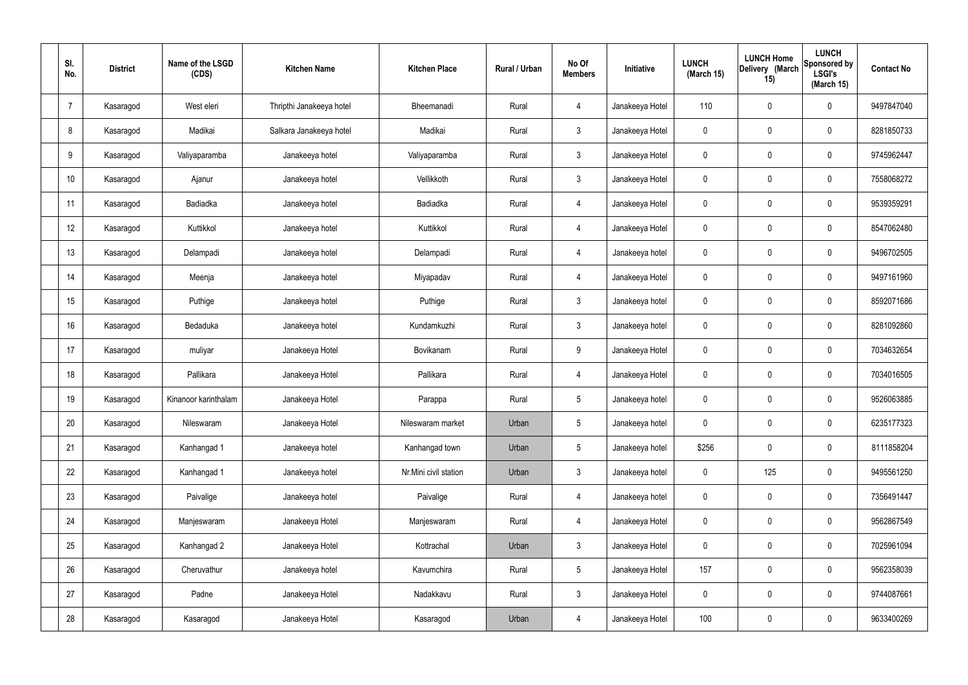| SI.<br>No. | <b>District</b> | Name of the LSGD<br>(CDS) | <b>Kitchen Name</b>      | <b>Kitchen Place</b>  | <b>Rural / Urban</b> | No Of<br><b>Members</b> | Initiative      | <b>LUNCH</b><br>(March 15) | <b>LUNCH Home</b><br>Delivery (March<br>15) | <b>LUNCH</b><br>Sponsored by<br><b>LSGI's</b><br>(March 15) | <b>Contact No</b> |
|------------|-----------------|---------------------------|--------------------------|-----------------------|----------------------|-------------------------|-----------------|----------------------------|---------------------------------------------|-------------------------------------------------------------|-------------------|
| 7          | Kasaragod       | West eleri                | Thripthi Janakeeya hotel | Bheemanadi            | Rural                | $\overline{4}$          | Janakeeya Hotel | 110                        | $\pmb{0}$                                   | $\mathbf 0$                                                 | 9497847040        |
| 8          | Kasaragod       | Madikai                   | Salkara Janakeeya hotel  | Madikai               | Rural                | $\mathbf{3}$            | Janakeeya Hotel | $\mathbf 0$                | $\mathbf 0$                                 | $\mathbf 0$                                                 | 8281850733        |
| 9          | Kasaragod       | Valiyaparamba             | Janakeeya hotel          | Valiyaparamba         | Rural                | $\mathbf{3}$            | Janakeeya Hotel | $\mathbf 0$                | $\pmb{0}$                                   | $\mathbf 0$                                                 | 9745962447        |
| 10         | Kasaragod       | Ajanur                    | Janakeeya hotel          | Vellikkoth            | Rural                | $\mathbf{3}$            | Janakeeya Hotel | $\mathbf 0$                | $\mathbf 0$                                 | $\mathbf 0$                                                 | 7558068272        |
| 11         | Kasaragod       | Badiadka                  | Janakeeya hotel          | Badiadka              | Rural                | $\overline{4}$          | Janakeeya Hotel | $\mathbf 0$                | $\mathbf 0$                                 | $\mathbf 0$                                                 | 9539359291        |
| 12         | Kasaragod       | Kuttikkol                 | Janakeeya hotel          | Kuttikkol             | Rural                | $\overline{4}$          | Janakeeya Hotel | $\mathbf 0$                | $\mathbf 0$                                 | $\mathbf 0$                                                 | 8547062480        |
| 13         | Kasaragod       | Delampadi                 | Janakeeya hotel          | Delampadi             | Rural                | $\overline{4}$          | Janakeeya hotel | $\mathbf 0$                | $\mathbf 0$                                 | $\mathbf 0$                                                 | 9496702505        |
| 14         | Kasaragod       | Meenja                    | Janakeeya hotel          | Miyapadav             | Rural                | $\overline{4}$          | Janakeeya Hotel | $\mathbf 0$                | $\mathbf 0$                                 | $\mathbf 0$                                                 | 9497161960        |
| 15         | Kasaragod       | Puthige                   | Janakeeya hotel          | Puthige               | Rural                | $\mathbf{3}$            | Janakeeya hotel | $\boldsymbol{0}$           | $\pmb{0}$                                   | $\mathbf 0$                                                 | 8592071686        |
| 16         | Kasaragod       | Bedaduka                  | Janakeeya hotel          | Kundamkuzhi           | Rural                | $\mathbf{3}$            | Janakeeya hotel | $\mathbf 0$                | $\mathbf 0$                                 | $\mathbf 0$                                                 | 8281092860        |
| 17         | Kasaragod       | muliyar                   | Janakeeya Hotel          | Bovikanam             | Rural                | 9                       | Janakeeya Hotel | $\boldsymbol{0}$           | $\pmb{0}$                                   | $\mathbf 0$                                                 | 7034632654        |
| 18         | Kasaragod       | Pallikara                 | Janakeeya Hotel          | Pallikara             | Rural                | $\overline{4}$          | Janakeeya Hotel | $\mathbf 0$                | $\mathbf 0$                                 | $\mathbf 0$                                                 | 7034016505        |
| 19         | Kasaragod       | Kinanoor karinthalam      | Janakeeya Hotel          | Parappa               | Rural                | 5                       | Janakeeya hotel | $\mathbf 0$                | $\mathbf 0$                                 | $\mathbf 0$                                                 | 9526063885        |
| 20         | Kasaragod       | Nileswaram                | Janakeeya Hotel          | Nileswaram market     | Urban                | $5\phantom{.0}$         | Janakeeya hotel | 0                          | $\pmb{0}$                                   | $\mathbf 0$                                                 | 6235177323        |
| 21         | Kasaragod       | Kanhangad 1               | Janakeeya hotel          | Kanhangad town        | Urban                | $5\phantom{.0}$         | Janakeeya hotel | \$256                      | $\pmb{0}$                                   | $\mathbf 0$                                                 | 8111858204        |
| 22         | Kasaragod       | Kanhangad 1               | Janakeeya hotel          | Nr.Mini civil station | Urban                | $\mathbf{3}$            | Janakeeya hotel | $\boldsymbol{0}$           | 125                                         | $\mathbf 0$                                                 | 9495561250        |
| 23         | Kasaragod       | Paivalige                 | Janakeeya hotel          | Paivalige             | Rural                | $\overline{4}$          | Janakeeya hotel | $\boldsymbol{0}$           | $\pmb{0}$                                   | $\mathbf 0$                                                 | 7356491447        |
| 24         | Kasaragod       | Manjeswaram               | Janakeeya Hotel          | Manjeswaram           | Rural                | $\overline{4}$          | Janakeeya Hotel | $\boldsymbol{0}$           | $\pmb{0}$                                   | $\mathbf 0$                                                 | 9562867549        |
| 25         | Kasaragod       | Kanhangad 2               | Janakeeya Hotel          | Kottrachal            | Urban                | $\mathbf{3}$            | Janakeeya Hotel | $\pmb{0}$                  | $\pmb{0}$                                   | $\mathbf 0$                                                 | 7025961094        |
| 26         | Kasaragod       | Cheruvathur               | Janakeeya hotel          | Kavumchira            | Rural                | $5\phantom{.0}$         | Janakeeya Hotel | 157                        | $\pmb{0}$                                   | $\mathbf 0$                                                 | 9562358039        |
| 27         | Kasaragod       | Padne                     | Janakeeya Hotel          | Nadakkavu             | Rural                | $\mathbf{3}$            | Janakeeya Hotel | $\boldsymbol{0}$           | $\pmb{0}$                                   | $\mathbf 0$                                                 | 9744087661        |
| 28         | Kasaragod       | Kasaragod                 | Janakeeya Hotel          | Kasaragod             | Urban                | 4                       | Janakeeya Hotel | 100                        | $\pmb{0}$                                   | $\mathbf 0$                                                 | 9633400269        |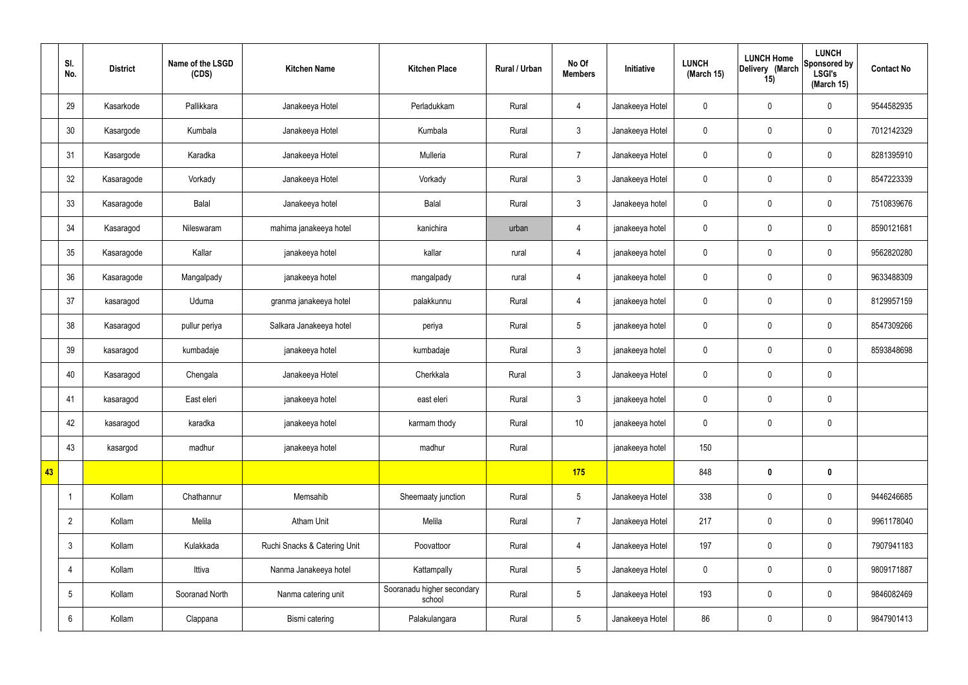|    | SI.<br>No.      | <b>District</b> | Name of the LSGD<br>(CDS) | <b>Kitchen Name</b>          | <b>Kitchen Place</b>                 | Rural / Urban | No Of<br><b>Members</b> | Initiative      | <b>LUNCH</b><br>(March 15) | <b>LUNCH Home</b><br>Delivery (March<br>15) | <b>LUNCH</b><br>Sponsored by<br><b>LSGI's</b><br>(March 15) | <b>Contact No</b> |
|----|-----------------|-----------------|---------------------------|------------------------------|--------------------------------------|---------------|-------------------------|-----------------|----------------------------|---------------------------------------------|-------------------------------------------------------------|-------------------|
|    | 29              | Kasarkode       | Pallikkara                | Janakeeya Hotel              | Perladukkam                          | Rural         | $\overline{4}$          | Janakeeya Hotel | $\mathbf 0$                | $\pmb{0}$                                   | $\mathbf 0$                                                 | 9544582935        |
|    | 30              | Kasargode       | Kumbala                   | Janakeeya Hotel              | Kumbala                              | Rural         | $\mathbf{3}$            | Janakeeya Hotel | $\mathbf 0$                | $\pmb{0}$                                   | $\mathbf 0$                                                 | 7012142329        |
|    | 31              | Kasargode       | Karadka                   | Janakeeya Hotel              | Mulleria                             | Rural         | $\overline{7}$          | Janakeeya Hotel | $\mathbf 0$                | $\pmb{0}$                                   | $\mathbf 0$                                                 | 8281395910        |
|    | 32              | Kasaragode      | Vorkady                   | Janakeeya Hotel              | Vorkady                              | Rural         | $\mathbf{3}$            | Janakeeya Hotel | $\mathbf 0$                | $\mathbf 0$                                 | $\mathbf 0$                                                 | 8547223339        |
|    | 33              | Kasaragode      | <b>Balal</b>              | Janakeeya hotel              | Balal                                | Rural         | $\mathbf{3}$            | Janakeeya hotel | $\mathbf 0$                | $\pmb{0}$                                   | $\mathbf 0$                                                 | 7510839676        |
|    | 34              | Kasaragod       | Nileswaram                | mahima janakeeya hotel       | kanichira                            | urban         | $\overline{4}$          | janakeeya hotel | $\mathbf 0$                | $\mathbf 0$                                 | $\mathbf 0$                                                 | 8590121681        |
|    | 35              | Kasaragode      | Kallar                    | janakeeya hotel              | kallar                               | rural         | $\overline{4}$          | janakeeya hotel | $\mathbf 0$                | $\pmb{0}$                                   | $\mathbf 0$                                                 | 9562820280        |
|    | 36              | Kasaragode      | Mangalpady                | janakeeya hotel              | mangalpady                           | rural         | $\overline{4}$          | janakeeya hotel | $\mathbf 0$                | $\mathbf 0$                                 | $\mathbf 0$                                                 | 9633488309        |
|    | 37              | kasaragod       | Uduma                     | granma janakeeya hotel       | palakkunnu                           | Rural         | $\overline{4}$          | janakeeya hotel | $\mathbf 0$                | $\mathbf 0$                                 | $\mathbf 0$                                                 | 8129957159        |
|    | 38              | Kasaragod       | pullur periya             | Salkara Janakeeya hotel      | periya                               | Rural         | $5\phantom{.0}$         | janakeeya hotel | $\mathbf 0$                | $\mathbf 0$                                 | $\mathbf 0$                                                 | 8547309266        |
|    | 39              | kasaragod       | kumbadaje                 | janakeeya hotel              | kumbadaje                            | Rural         | $\mathbf{3}$            | janakeeya hotel | $\mathbf 0$                | $\mathbf 0$                                 | $\mathbf 0$                                                 | 8593848698        |
|    | 40              | Kasaragod       | Chengala                  | Janakeeya Hotel              | Cherkkala                            | Rural         | $\mathbf{3}$            | Janakeeya Hotel | $\mathbf 0$                | $\pmb{0}$                                   | $\mathbf 0$                                                 |                   |
|    | 41              | kasaragod       | East eleri                | janakeeya hotel              | east eleri                           | Rural         | $\mathfrak{Z}$          | janakeeya hotel | $\mathbf 0$                | $\mathbf 0$                                 | $\mathbf 0$                                                 |                   |
|    | 42              | kasaragod       | karadka                   | janakeeya hotel              | karmam thody                         | Rural         | $10$                    | janakeeya hotel | $\mathbf 0$                | $\mathbf 0$                                 | $\mathbf 0$                                                 |                   |
|    | 43              | kasargod        | madhur                    | janakeeya hotel              | madhur                               | Rural         |                         | janakeeya hotel | 150                        |                                             |                                                             |                   |
| 43 |                 |                 |                           |                              |                                      |               | 175                     |                 | 848                        | $\bm{0}$                                    | $\mathbf 0$                                                 |                   |
|    |                 | Kollam          | Chathannur                | Memsahib                     | Sheemaaty junction                   | Rural         | $5\phantom{.0}$         | Janakeeya Hotel | 338                        | $\mathbf 0$                                 | $\mathbf 0$                                                 | 9446246685        |
|    | $\overline{2}$  | Kollam          | Melila                    | Atham Unit                   | Melila                               | Rural         | $\overline{7}$          | Janakeeya Hotel | 217                        | $\pmb{0}$                                   | $\mathbf 0$                                                 | 9961178040        |
|    | $\mathfrak{Z}$  | Kollam          | Kulakkada                 | Ruchi Snacks & Catering Unit | Poovattoor                           | Rural         | $\overline{4}$          | Janakeeya Hotel | 197                        | $\pmb{0}$                                   | $\mathbf 0$                                                 | 7907941183        |
|    | $\overline{4}$  | Kollam          | Ittiva                    | Nanma Janakeeya hotel        | Kattampally                          | Rural         | $5\phantom{.0}$         | Janakeeya Hotel | $\pmb{0}$                  | $\pmb{0}$                                   | $\mathbf 0$                                                 | 9809171887        |
|    | $5\phantom{.0}$ | Kollam          | Sooranad North            | Nanma catering unit          | Sooranadu higher secondary<br>school | Rural         | $5\overline{)}$         | Janakeeya Hotel | 193                        | $\pmb{0}$                                   | $\mathbf 0$                                                 | 9846082469        |
|    | 6               | Kollam          | Clappana                  | Bismi catering               | Palakulangara                        | Rural         | $5\overline{)}$         | Janakeeya Hotel | 86                         | $\pmb{0}$                                   | $\boldsymbol{0}$                                            | 9847901413        |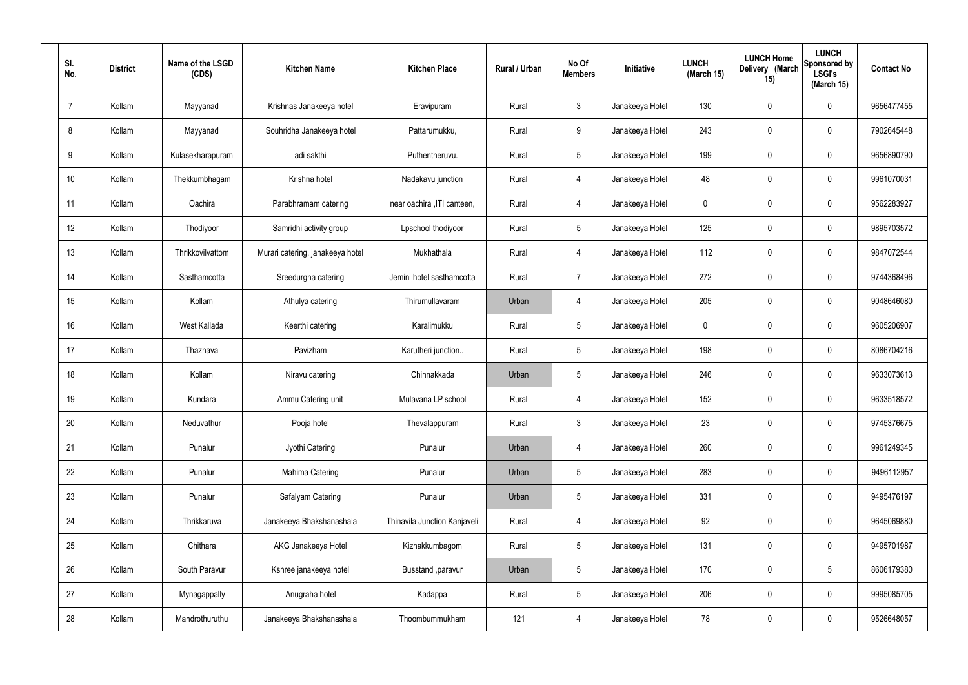| SI.<br>No. | <b>District</b> | Name of the LSGD<br>(CDS) | <b>Kitchen Name</b>              | <b>Kitchen Place</b>         | Rural / Urban | No Of<br><b>Members</b> | Initiative      | <b>LUNCH</b><br>(March 15) | <b>LUNCH Home</b><br>Delivery (March<br>15) | <b>LUNCH</b><br>Sponsored by<br><b>LSGI's</b><br>(March 15) | <b>Contact No</b> |
|------------|-----------------|---------------------------|----------------------------------|------------------------------|---------------|-------------------------|-----------------|----------------------------|---------------------------------------------|-------------------------------------------------------------|-------------------|
| 7          | Kollam          | Mayyanad                  | Krishnas Janakeeya hotel         | Eravipuram                   | Rural         | $\mathbf{3}$            | Janakeeya Hotel | 130                        | 0                                           | $\mathbf 0$                                                 | 9656477455        |
| 8          | Kollam          | Mayyanad                  | Souhridha Janakeeya hotel        | Pattarumukku,                | Rural         | 9                       | Janakeeya Hotel | 243                        | $\mathbf 0$                                 | $\mathbf 0$                                                 | 7902645448        |
| 9          | Kollam          | Kulasekharapuram          | adi sakthi                       | Puthentheruvu.               | Rural         | $5\overline{)}$         | Janakeeya Hotel | 199                        | $\mathbf 0$                                 | $\mathbf 0$                                                 | 9656890790        |
| 10         | Kollam          | Thekkumbhagam             | Krishna hotel                    | Nadakavu junction            | Rural         | $\overline{4}$          | Janakeeya Hotel | 48                         | $\mathbf 0$                                 | $\mathbf 0$                                                 | 9961070031        |
| 11         | Kollam          | Oachira                   | Parabhramam catering             | near oachira , ITI canteen,  | Rural         | $\overline{4}$          | Janakeeya Hotel | 0                          | $\mathbf 0$                                 | $\mathbf 0$                                                 | 9562283927        |
| 12         | Kollam          | Thodiyoor                 | Samridhi activity group          | Lpschool thodiyoor           | Rural         | $5\overline{)}$         | Janakeeya Hotel | 125                        | $\mathbf 0$                                 | $\mathbf 0$                                                 | 9895703572        |
| 13         | Kollam          | Thrikkovilvattom          | Murari catering, janakeeya hotel | Mukhathala                   | Rural         | $\overline{4}$          | Janakeeya Hotel | 112                        | $\mathbf 0$                                 | $\mathbf 0$                                                 | 9847072544        |
| 14         | Kollam          | Sasthamcotta              | Sreedurgha catering              | Jemini hotel sasthamcotta    | Rural         | $\overline{7}$          | Janakeeya Hotel | 272                        | $\mathbf 0$                                 | $\mathbf 0$                                                 | 9744368496        |
| 15         | Kollam          | Kollam                    | Athulya catering                 | Thirumullavaram              | Urban         | 4                       | Janakeeya Hotel | 205                        | $\mathbf 0$                                 | $\mathbf 0$                                                 | 9048646080        |
| 16         | Kollam          | West Kallada              | Keerthi catering                 | Karalimukku                  | Rural         | $5\phantom{.0}$         | Janakeeya Hotel | 0                          | $\mathbf 0$                                 | $\mathbf 0$                                                 | 9605206907        |
| 17         | Kollam          | Thazhava                  | Pavizham                         | Karutheri junction           | Rural         | $5\overline{)}$         | Janakeeya Hotel | 198                        | 0                                           | $\mathbf 0$                                                 | 8086704216        |
| 18         | Kollam          | Kollam                    | Niravu catering                  | Chinnakkada                  | Urban         | $5\phantom{.0}$         | Janakeeya Hotel | 246                        | 0                                           | $\mathbf 0$                                                 | 9633073613        |
| 19         | Kollam          | Kundara                   | Ammu Catering unit               | Mulavana LP school           | Rural         | $\overline{4}$          | Janakeeya Hotel | 152                        | 0                                           | $\mathbf 0$                                                 | 9633518572        |
| 20         | Kollam          | Neduvathur                | Pooja hotel                      | Thevalappuram                | Rural         | $\mathbf{3}$            | Janakeeya Hotel | 23                         | $\mathbf 0$                                 | $\mathbf 0$                                                 | 9745376675        |
| 21         | Kollam          | Punalur                   | Jyothi Catering                  | Punalur                      | Urban         | $\overline{4}$          | Janakeeya Hotel | 260                        | 0                                           | $\mathbf 0$                                                 | 9961249345        |
| 22         | Kollam          | Punalur                   | Mahima Catering                  | Punalur                      | Urban         | $5\overline{)}$         | Janakeeya Hotel | 283                        | 0                                           | $\mathbf 0$                                                 | 9496112957        |
| 23         | Kollam          | Punalur                   | Safalyam Catering                | Punalur                      | Urban         | $5\phantom{.0}$         | Janakeeya Hotel | 331                        | 0                                           | $\mathbf 0$                                                 | 9495476197        |
| 24         | Kollam          | Thrikkaruva               | Janakeeya Bhakshanashala         | Thinavila Junction Kanjaveli | Rural         | $\overline{4}$          | Janakeeya Hotel | 92                         | 0                                           | $\mathbf 0$                                                 | 9645069880        |
| 25         | Kollam          | Chithara                  | AKG Janakeeya Hotel              | Kizhakkumbagom               | Rural         | $5\overline{)}$         | Janakeeya Hotel | 131                        | 0                                           | $\mathbf 0$                                                 | 9495701987        |
| 26         | Kollam          | South Paravur             | Kshree janakeeya hotel           | Busstand , paravur           | Urban         | $5\phantom{.0}$         | Janakeeya Hotel | 170                        | 0                                           | $5\phantom{.0}$                                             | 8606179380        |
| 27         | Kollam          | Mynagappally              | Anugraha hotel                   | Kadappa                      | Rural         | $5\phantom{.0}$         | Janakeeya Hotel | 206                        | 0                                           | $\mathbf 0$                                                 | 9995085705        |
| 28         | Kollam          | Mandrothuruthu            | Janakeeya Bhakshanashala         | Thoombummukham               | 121           | 4                       | Janakeeya Hotel | 78                         | 0                                           | $\overline{0}$                                              | 9526648057        |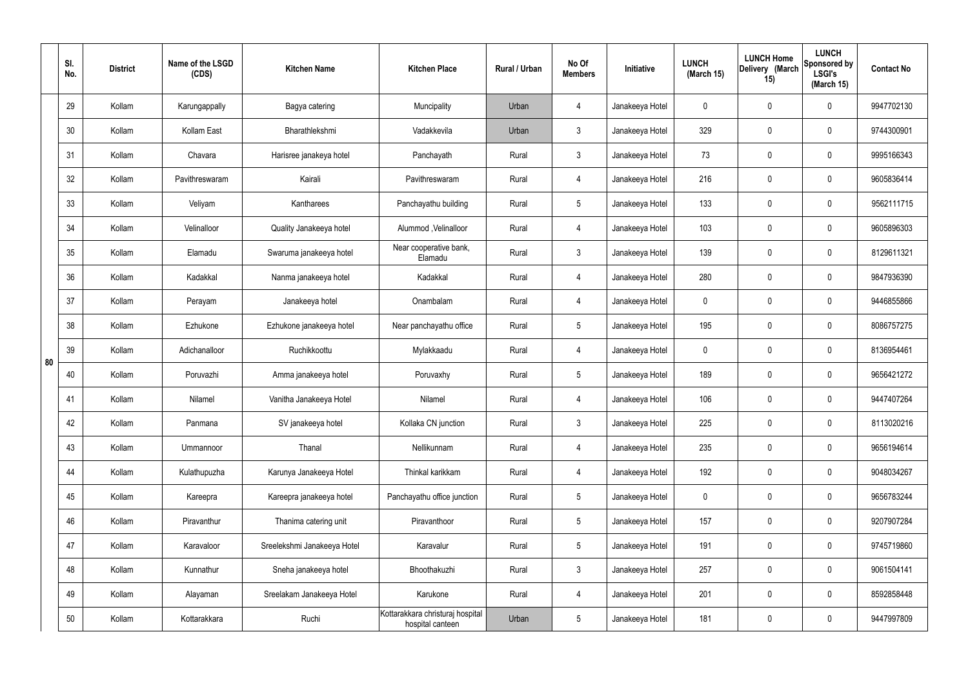|    | SI.<br>No. | <b>District</b> | Name of the LSGD<br>(CDS) | <b>Kitchen Name</b>         | <b>Kitchen Place</b>                                 | Rural / Urban | No Of<br><b>Members</b> | Initiative      | <b>LUNCH</b><br>(March 15) | <b>LUNCH Home</b><br>Delivery (March<br>15) | <b>LUNCH</b><br>Sponsored by<br><b>LSGI's</b><br>(March 15) | <b>Contact No</b> |
|----|------------|-----------------|---------------------------|-----------------------------|------------------------------------------------------|---------------|-------------------------|-----------------|----------------------------|---------------------------------------------|-------------------------------------------------------------|-------------------|
|    | 29         | Kollam          | Karungappally             | Bagya catering              | Muncipality                                          | Urban         | $\overline{4}$          | Janakeeya Hotel | $\mathbf 0$                | 0                                           | $\mathbf 0$                                                 | 9947702130        |
|    | 30         | Kollam          | Kollam East               | Bharathlekshmi              | Vadakkevila                                          | Urban         | $\mathbf{3}$            | Janakeeya Hotel | 329                        | 0                                           | $\mathbf 0$                                                 | 9744300901        |
|    | 31         | Kollam          | Chavara                   | Harisree janakeya hotel     | Panchayath                                           | Rural         | $\mathbf{3}$            | Janakeeya Hotel | 73                         | 0                                           | $\mathbf 0$                                                 | 9995166343        |
|    | 32         | Kollam          | Pavithreswaram            | Kairali                     | Pavithreswaram                                       | Rural         | $\overline{4}$          | Janakeeya Hotel | 216                        | $\mathbf 0$                                 | $\mathbf 0$                                                 | 9605836414        |
|    | 33         | Kollam          | Veliyam                   | Kantharees                  | Panchayathu building                                 | Rural         | $5\phantom{.0}$         | Janakeeya Hotel | 133                        | $\mathbf 0$                                 | $\mathbf 0$                                                 | 9562111715        |
|    | 34         | Kollam          | Velinalloor               | Quality Janakeeya hotel     | Alummod, Velinalloor                                 | Rural         | $\overline{4}$          | Janakeeya Hotel | 103                        | 0                                           | $\mathbf 0$                                                 | 9605896303        |
|    | 35         | Kollam          | Elamadu                   | Swaruma janakeeya hotel     | Near cooperative bank,<br>Elamadu                    | Rural         | $\mathbf{3}$            | Janakeeya Hotel | 139                        | $\mathbf 0$                                 | $\mathbf 0$                                                 | 8129611321        |
|    | 36         | Kollam          | Kadakkal                  | Nanma janakeeya hotel       | Kadakkal                                             | Rural         | $\overline{4}$          | Janakeeya Hotel | 280                        | 0                                           | $\mathbf 0$                                                 | 9847936390        |
|    | 37         | Kollam          | Perayam                   | Janakeeya hotel             | Onambalam                                            | Rural         | $\overline{4}$          | Janakeeya Hotel | $\mathbf 0$                | 0                                           | $\mathbf 0$                                                 | 9446855866        |
|    | 38         | Kollam          | Ezhukone                  | Ezhukone janakeeya hotel    | Near panchayathu office                              | Rural         | $5\phantom{.0}$         | Janakeeya Hotel | 195                        | 0                                           | $\mathbf 0$                                                 | 8086757275        |
| 80 | 39         | Kollam          | Adichanalloor             | Ruchikkoottu                | Mylakkaadu                                           | Rural         | 4                       | Janakeeya Hotel | $\mathbf 0$                | 0                                           | $\mathbf 0$                                                 | 8136954461        |
|    | 40         | Kollam          | Poruvazhi                 | Amma janakeeya hotel        | Poruvaxhy                                            | Rural         | $5\phantom{.0}$         | Janakeeya Hotel | 189                        | 0                                           | $\mathbf 0$                                                 | 9656421272        |
|    | 41         | Kollam          | Nilamel                   | Vanitha Janakeeya Hotel     | Nilamel                                              | Rural         | 4                       | Janakeeya Hotel | 106                        | 0                                           | $\mathbf 0$                                                 | 9447407264        |
|    | 42         | Kollam          | Panmana                   | SV janakeeya hotel          | Kollaka CN junction                                  | Rural         | $\mathbf{3}$            | Janakeeya Hotel | 225                        | $\mathbf 0$                                 | $\mathbf 0$                                                 | 8113020216        |
|    | 43         | Kollam          | Ummannoor                 | Thanal                      | Nellikunnam                                          | Rural         | $\overline{4}$          | Janakeeya Hotel | 235                        | $\mathbf 0$                                 | $\mathbf 0$                                                 | 9656194614        |
|    | 44         | Kollam          | Kulathupuzha              | Karunya Janakeeya Hotel     | Thinkal karikkam                                     | Rural         | $\overline{4}$          | Janakeeya Hotel | 192                        | 0                                           | $\mathbf 0$                                                 | 9048034267        |
|    | 45         | Kollam          | Kareepra                  | Kareepra janakeeya hotel    | Panchayathu office junction                          | Rural         | $5\phantom{.0}$         | Janakeeya Hotel | $\mathbf 0$                | 0                                           | $\mathbf 0$                                                 | 9656783244        |
|    | 46         | Kollam          | Piravanthur               | Thanima catering unit       | Piravanthoor                                         | Rural         | $5\phantom{.0}$         | Janakeeya Hotel | 157                        | 0                                           | $\mathbf 0$                                                 | 9207907284        |
|    | 47         | Kollam          | Karavaloor                | Sreelekshmi Janakeeya Hotel | Karavalur                                            | Rural         | $5\phantom{.0}$         | Janakeeya Hotel | 191                        | 0                                           | $\mathbf 0$                                                 | 9745719860        |
|    | 48         | Kollam          | Kunnathur                 | Sneha janakeeya hotel       | Bhoothakuzhi                                         | Rural         | $\mathfrak{Z}$          | Janakeeya Hotel | 257                        | 0                                           | $\mathbf 0$                                                 | 9061504141        |
|    | 49         | Kollam          | Alayaman                  | Sreelakam Janakeeya Hotel   | Karukone                                             | Rural         | $\overline{4}$          | Janakeeya Hotel | 201                        | 0                                           | $\mathbf 0$                                                 | 8592858448        |
|    | 50         | Kollam          | Kottarakkara              | Ruchi                       | Kottarakkara christuraj hospital<br>hospital canteen | Urban         | $5\phantom{.0}$         | Janakeeya Hotel | 181                        | 0                                           | $\mathbf 0$                                                 | 9447997809        |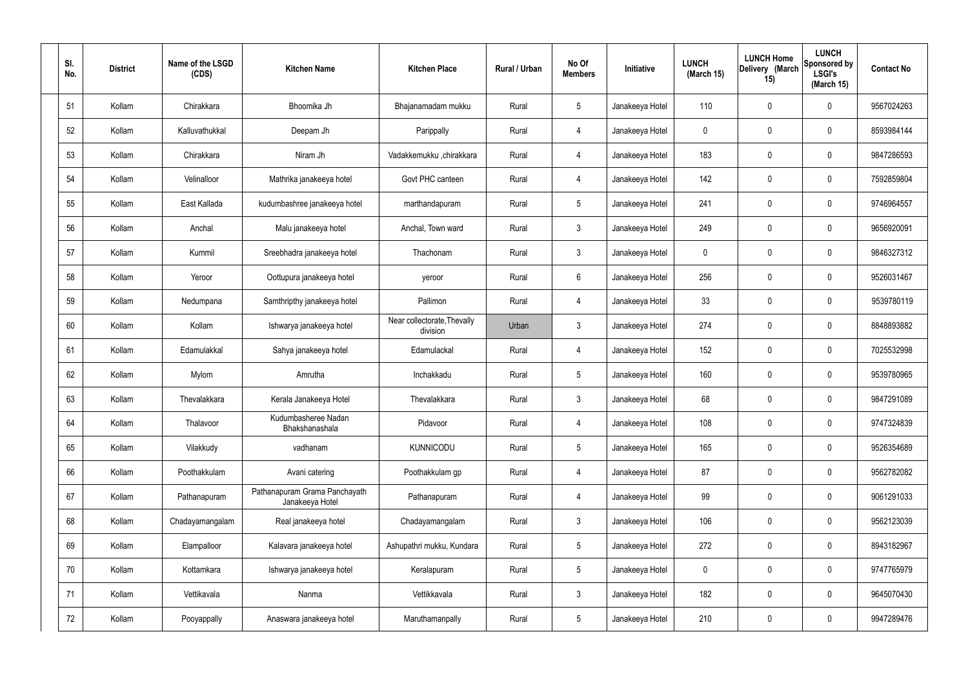| SI.<br>No. | <b>District</b> | Name of the LSGD<br>(CDS) | <b>Kitchen Name</b>                              | <b>Kitchen Place</b>                    | Rural / Urban | No Of<br><b>Members</b> | Initiative      | <b>LUNCH</b><br>(March 15) | <b>LUNCH Home</b><br>Delivery (March<br>15) | <b>LUNCH</b><br>Sponsored by<br><b>LSGI's</b><br>(March 15) | <b>Contact No</b> |
|------------|-----------------|---------------------------|--------------------------------------------------|-----------------------------------------|---------------|-------------------------|-----------------|----------------------------|---------------------------------------------|-------------------------------------------------------------|-------------------|
| 51         | Kollam          | Chirakkara                | Bhoomika Jh                                      | Bhajanamadam mukku                      | Rural         | $5\phantom{.0}$         | Janakeeya Hotel | 110                        | 0                                           | $\mathbf 0$                                                 | 9567024263        |
| 52         | Kollam          | Kalluvathukkal            | Deepam Jh                                        | Parippally                              | Rural         | $\overline{4}$          | Janakeeya Hotel | $\mathbf 0$                | 0                                           | $\mathbf 0$                                                 | 8593984144        |
| 53         | Kollam          | Chirakkara                | Niram Jh                                         | Vadakkemukku ,chirakkara                | Rural         | $\overline{4}$          | Janakeeya Hotel | 183                        | $\mathbf 0$                                 | $\mathbf 0$                                                 | 9847286593        |
| 54         | Kollam          | Velinalloor               | Mathrika janakeeya hotel                         | Govt PHC canteen                        | Rural         | $\overline{4}$          | Janakeeya Hotel | 142                        | $\mathbf 0$                                 | $\mathbf 0$                                                 | 7592859804        |
| 55         | Kollam          | East Kallada              | kudumbashree janakeeya hotel                     | marthandapuram                          | Rural         | $5\phantom{.0}$         | Janakeeya Hotel | 241                        | $\mathbf 0$                                 | $\mathbf 0$                                                 | 9746964557        |
| 56         | Kollam          | Anchal                    | Malu janakeeya hotel                             | Anchal, Town ward                       | Rural         | $\mathbf{3}$            | Janakeeya Hotel | 249                        | 0                                           | $\mathbf 0$                                                 | 9656920091        |
| 57         | Kollam          | Kummil                    | Sreebhadra janakeeya hotel                       | Thachonam                               | Rural         | $\mathbf{3}$            | Janakeeya Hotel | $\mathbf 0$                | $\mathbf 0$                                 | $\mathbf 0$                                                 | 9846327312        |
| 58         | Kollam          | Yeroor                    | Oottupura janakeeya hotel                        | yeroor                                  | Rural         | $6\overline{6}$         | Janakeeya Hotel | 256                        | 0                                           | $\mathbf 0$                                                 | 9526031467        |
| 59         | Kollam          | Nedumpana                 | Samthripthy janakeeya hotel                      | Pallimon                                | Rural         | $\overline{4}$          | Janakeeya Hotel | 33                         | $\mathbf 0$                                 | $\mathbf 0$                                                 | 9539780119        |
| 60         | Kollam          | Kollam                    | Ishwarya janakeeya hotel                         | Near collectorate, Thevally<br>division | Urban         | $\mathbf{3}$            | Janakeeya Hotel | 274                        | 0                                           | $\mathbf 0$                                                 | 8848893882        |
| 61         | Kollam          | Edamulakkal               | Sahya janakeeya hotel                            | Edamulackal                             | Rural         | 4                       | Janakeeya Hotel | 152                        | 0                                           | $\mathbf 0$                                                 | 7025532998        |
| 62         | Kollam          | Mylom                     | Amrutha                                          | Inchakkadu                              | Rural         | $5\phantom{.0}$         | Janakeeya Hotel | 160                        | 0                                           | $\mathbf 0$                                                 | 9539780965        |
| 63         | Kollam          | Thevalakkara              | Kerala Janakeeya Hotel                           | Thevalakkara                            | Rural         | $\mathbf{3}$            | Janakeeya Hotel | 68                         | 0                                           | $\mathbf 0$                                                 | 9847291089        |
| 64         | Kollam          | Thalavoor                 | Kudumbasheree Nadan<br>Bhakshanashala            | Pidavoor                                | Rural         | $\overline{4}$          | Janakeeya Hotel | 108                        | $\mathbf 0$                                 | $\mathbf 0$                                                 | 9747324839        |
| 65         | Kollam          | Vilakkudy                 | vadhanam                                         | <b>KUNNICODU</b>                        | Rural         | $5\phantom{.0}$         | Janakeeya Hotel | 165                        | $\mathbf 0$                                 | $\mathbf 0$                                                 | 9526354689        |
| 66         | Kollam          | Poothakkulam              | Avani catering                                   | Poothakkulam gp                         | Rural         | $\overline{4}$          | Janakeeya Hotel | 87                         | $\mathbf 0$                                 | $\mathbf 0$                                                 | 9562782082        |
| 67         | Kollam          | Pathanapuram              | Pathanapuram Grama Panchayath<br>Janakeeya Hotel | Pathanapuram                            | Rural         | $\overline{4}$          | Janakeeya Hotel | 99                         | $\mathbf 0$                                 | $\mathbf 0$                                                 | 9061291033        |
| 68         | Kollam          | Chadayamangalam           | Real janakeeya hotel                             | Chadayamangalam                         | Rural         | $\mathfrak{Z}$          | Janakeeya Hotel | 106                        | 0                                           | $\mathbf 0$                                                 | 9562123039        |
| 69         | Kollam          | Elampalloor               | Kalavara janakeeya hotel                         | Ashupathri mukku, Kundara               | Rural         | $5\phantom{.0}$         | Janakeeya Hotel | 272                        | 0                                           | $\mathbf 0$                                                 | 8943182967        |
| 70         | Kollam          | Kottamkara                | Ishwarya janakeeya hotel                         | Keralapuram                             | Rural         | $5\phantom{.0}$         | Janakeeya Hotel | $\mathbf 0$                | 0                                           | $\mathbf 0$                                                 | 9747765979        |
| 71         | Kollam          | Vettikavala               | Nanma                                            | Vettikkavala                            | Rural         | $\mathfrak{Z}$          | Janakeeya Hotel | 182                        | 0                                           | $\mathbf 0$                                                 | 9645070430        |
| 72         | Kollam          | Pooyappally               | Anaswara janakeeya hotel                         | Maruthamanpally                         | Rural         | $5\,$                   | Janakeeya Hotel | 210                        | 0                                           | $\mathbf 0$                                                 | 9947289476        |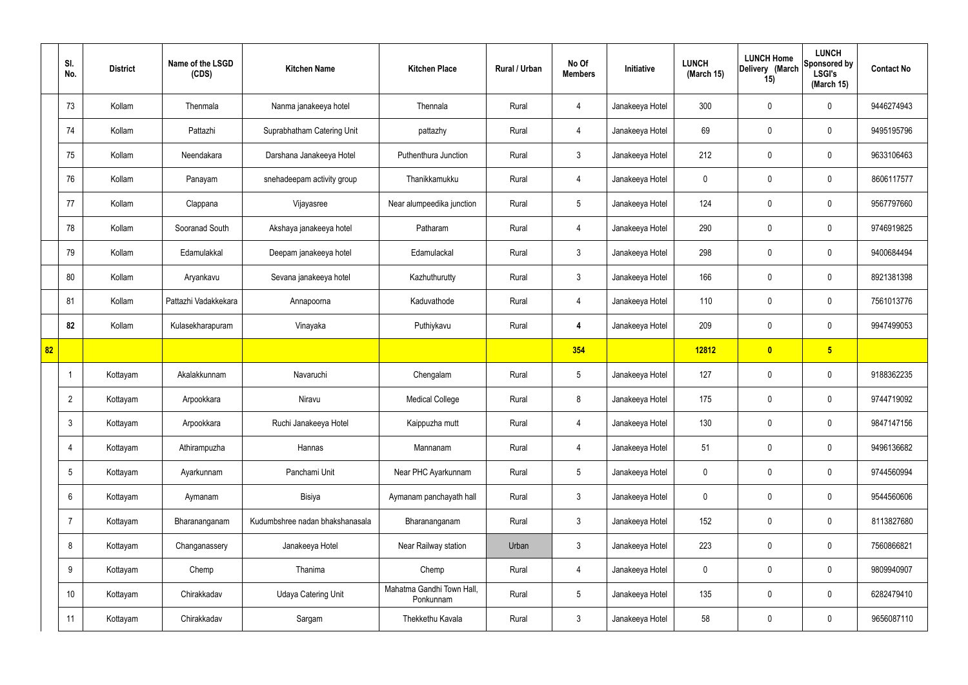|    | SI.<br>No.      | <b>District</b> | Name of the LSGD<br>(CDS) | <b>Kitchen Name</b>             | <b>Kitchen Place</b>                   | Rural / Urban | No Of<br><b>Members</b> | Initiative      | <b>LUNCH</b><br>(March 15) | <b>LUNCH Home</b><br>Delivery (March<br>15) | <b>LUNCH</b><br>Sponsored by<br><b>LSGI's</b><br>(March 15) | <b>Contact No</b> |
|----|-----------------|-----------------|---------------------------|---------------------------------|----------------------------------------|---------------|-------------------------|-----------------|----------------------------|---------------------------------------------|-------------------------------------------------------------|-------------------|
|    | 73              | Kollam          | Thenmala                  | Nanma janakeeya hotel           | Thennala                               | Rural         | 4                       | Janakeeya Hotel | 300                        | $\mathbf 0$                                 | $\mathbf 0$                                                 | 9446274943        |
|    | 74              | Kollam          | Pattazhi                  | Suprabhatham Catering Unit      | pattazhy                               | Rural         | $\overline{4}$          | Janakeeya Hotel | 69                         | $\mathbf 0$                                 | $\mathbf 0$                                                 | 9495195796        |
|    | 75              | Kollam          | Neendakara                | Darshana Janakeeya Hotel        | Puthenthura Junction                   | Rural         | $\mathbf{3}$            | Janakeeya Hotel | 212                        | $\mathbf 0$                                 | $\mathbf 0$                                                 | 9633106463        |
|    | 76              | Kollam          | Panayam                   | snehadeepam activity group      | Thanikkamukku                          | Rural         | 4                       | Janakeeya Hotel | $\mathbf 0$                | $\mathbf 0$                                 | $\mathbf 0$                                                 | 8606117577        |
|    | 77              | Kollam          | Clappana                  | Vijayasree                      | Near alumpeedika junction              | Rural         | $5\phantom{.0}$         | Janakeeya Hotel | 124                        | $\mathbf 0$                                 | $\mathbf 0$                                                 | 9567797660        |
|    | 78              | Kollam          | Sooranad South            | Akshaya janakeeya hotel         | Patharam                               | Rural         | 4                       | Janakeeya Hotel | 290                        | $\mathbf 0$                                 | $\mathbf 0$                                                 | 9746919825        |
|    | 79              | Kollam          | Edamulakkal               | Deepam janakeeya hotel          | Edamulackal                            | Rural         | $\mathbf{3}$            | Janakeeya Hotel | 298                        | 0                                           | $\mathbf 0$                                                 | 9400684494        |
|    | 80              | Kollam          | Aryankavu                 | Sevana janakeeya hotel          | Kazhuthurutty                          | Rural         | $\mathbf{3}$            | Janakeeya Hotel | 166                        | $\mathbf 0$                                 | $\mathbf 0$                                                 | 8921381398        |
|    | 81              | Kollam          | Pattazhi Vadakkekara      | Annapoorna                      | Kaduvathode                            | Rural         | $\overline{4}$          | Janakeeya Hotel | 110                        | 0                                           | $\mathbf 0$                                                 | 7561013776        |
|    | 82              | Kollam          | Kulasekharapuram          | Vinayaka                        | Puthiykavu                             | Rural         | $\overline{\mathbf{4}}$ | Janakeeya Hotel | 209                        | $\mathbf 0$                                 | $\mathbf 0$                                                 | 9947499053        |
| 82 |                 |                 |                           |                                 |                                        |               | 354                     |                 | 12812                      | $\mathbf{0}$                                | $5\overline{)}$                                             |                   |
|    | -1              | Kottayam        | Akalakkunnam              | Navaruchi                       | Chengalam                              | Rural         | $5\phantom{.0}$         | Janakeeya Hotel | 127                        | 0                                           | $\mathbf 0$                                                 | 9188362235        |
|    | $\overline{2}$  | Kottayam        | Arpookkara                | Niravu                          | <b>Medical College</b>                 | Rural         | 8                       | Janakeeya Hotel | 175                        | $\mathbf 0$                                 | $\mathbf 0$                                                 | 9744719092        |
|    | $\mathbf{3}$    | Kottayam        | Arpookkara                | Ruchi Janakeeya Hotel           | Kaippuzha mutt                         | Rural         | $\overline{4}$          | Janakeeya Hotel | 130                        | $\pmb{0}$                                   | $\mathbf 0$                                                 | 9847147156        |
|    | $\overline{4}$  | Kottayam        | Athirampuzha              | Hannas                          | Mannanam                               | Rural         | $\overline{4}$          | Janakeeya Hotel | 51                         | $\pmb{0}$                                   | $\mathbf 0$                                                 | 9496136682        |
|    | $5\phantom{.0}$ | Kottayam        | Ayarkunnam                | Panchami Unit                   | Near PHC Ayarkunnam                    | Rural         | $5\phantom{.0}$         | Janakeeya Hotel | $\mathbf 0$                | $\pmb{0}$                                   | $\mathbf 0$                                                 | 9744560994        |
|    | 6               | Kottayam        | Aymanam                   | Bisiya                          | Aymanam panchayath hall                | Rural         | $\mathbf{3}$            | Janakeeya Hotel | $\mathbf 0$                | $\pmb{0}$                                   | $\mathbf 0$                                                 | 9544560606        |
|    | $\overline{7}$  | Kottayam        | Bharananganam             | Kudumbshree nadan bhakshanasala | Bharananganam                          | Rural         | 3                       | Janakeeya Hotel | 152                        | 0                                           | $\mathbf 0$                                                 | 8113827680        |
|    | 8               | Kottayam        | Changanassery             | Janakeeya Hotel                 | Near Railway station                   | Urban         | $\mathbf{3}$            | Janakeeya Hotel | 223                        | $\pmb{0}$                                   | $\mathbf 0$                                                 | 7560866821        |
|    | 9               | Kottayam        | Chemp                     | Thanima                         | Chemp                                  | Rural         | $\overline{4}$          | Janakeeya Hotel | $\mathbf 0$                | 0                                           | $\mathbf 0$                                                 | 9809940907        |
|    | 10              | Kottayam        | Chirakkadav               | <b>Udaya Catering Unit</b>      | Mahatma Gandhi Town Hall,<br>Ponkunnam | Rural         | $5\phantom{.0}$         | Janakeeya Hotel | 135                        | 0                                           | $\mathbf 0$                                                 | 6282479410        |
|    | 11              | Kottayam        | Chirakkadav               | Sargam                          | Thekkethu Kavala                       | Rural         | 3 <sup>2</sup>          | Janakeeya Hotel | 58                         | $\pmb{0}$                                   | $\boldsymbol{0}$                                            | 9656087110        |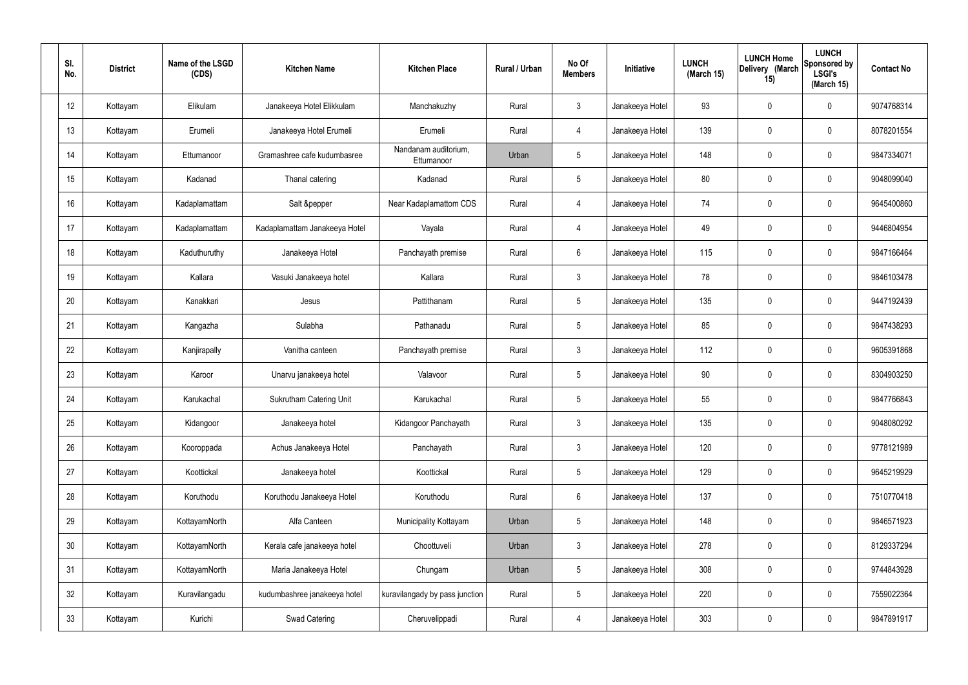| SI.<br>No.      | <b>District</b> | Name of the LSGD<br>(CDS) | <b>Kitchen Name</b>            | <b>Kitchen Place</b>               | Rural / Urban | No Of<br><b>Members</b> | Initiative      | <b>LUNCH</b><br>(March 15) | <b>LUNCH Home</b><br>Delivery (March<br>15) | <b>LUNCH</b><br><b>Sponsored by</b><br><b>LSGI's</b><br>(March 15) | <b>Contact No</b> |
|-----------------|-----------------|---------------------------|--------------------------------|------------------------------------|---------------|-------------------------|-----------------|----------------------------|---------------------------------------------|--------------------------------------------------------------------|-------------------|
| 12              | Kottayam        | Elikulam                  | Janakeeya Hotel Elikkulam      | Manchakuzhy                        | Rural         | $\mathbf{3}$            | Janakeeya Hotel | 93                         | $\mathbf 0$                                 | 0                                                                  | 9074768314        |
| 13              | Kottayam        | Erumeli                   | Janakeeya Hotel Erumeli        | Erumeli                            | Rural         | $\overline{4}$          | Janakeeya Hotel | 139                        | $\mathbf 0$                                 | 0                                                                  | 8078201554        |
| 14              | Kottayam        | Ettumanoor                | Gramashree cafe kudumbasree    | Nandanam auditorium,<br>Ettumanoor | Urban         | $5\phantom{.0}$         | Janakeeya Hotel | 148                        | $\mathbf 0$                                 | 0                                                                  | 9847334071        |
| 15              | Kottayam        | Kadanad                   | Thanal catering                | Kadanad                            | Rural         | $5\phantom{.0}$         | Janakeeya Hotel | 80                         | $\mathbf 0$                                 | 0                                                                  | 9048099040        |
| 16              | Kottayam        | Kadaplamattam             | Salt &pepper                   | Near Kadaplamattom CDS             | Rural         | $\overline{4}$          | Janakeeya Hotel | 74                         | $\mathbf 0$                                 | 0                                                                  | 9645400860        |
| 17              | Kottayam        | Kadaplamattam             | Kadaplamattam Janakeeya Hotel  | Vayala                             | Rural         | $\overline{4}$          | Janakeeya Hotel | 49                         | $\mathbf 0$                                 | 0                                                                  | 9446804954        |
| 18              | Kottayam        | Kaduthuruthy              | Janakeeya Hotel                | Panchayath premise                 | Rural         | 6                       | Janakeeya Hotel | 115                        | $\mathbf 0$                                 | 0                                                                  | 9847166464        |
| 19              | Kottayam        | Kallara                   | Vasuki Janakeeya hotel         | Kallara                            | Rural         | $\mathbf{3}$            | Janakeeya Hotel | 78                         | $\mathbf 0$                                 | 0                                                                  | 9846103478        |
| 20              | Kottayam        | Kanakkari                 | Jesus                          | Pattithanam                        | Rural         | $5\phantom{.0}$         | Janakeeya Hotel | 135                        | $\mathbf 0$                                 | 0                                                                  | 9447192439        |
| 21              | Kottayam        | Kangazha                  | Sulabha                        | Pathanadu                          | Rural         | $5\phantom{.0}$         | Janakeeya Hotel | 85                         | $\mathbf 0$                                 | 0                                                                  | 9847438293        |
| 22              | Kottayam        | Kanjirapally              | Vanitha canteen                | Panchayath premise                 | Rural         | $\mathbf{3}$            | Janakeeya Hotel | 112                        | 0                                           | 0                                                                  | 9605391868        |
| 23              | Kottayam        | Karoor                    | Unarvu janakeeya hotel         | Valavoor                           | Rural         | $5\phantom{.0}$         | Janakeeya Hotel | 90                         | $\mathbf 0$                                 | 0                                                                  | 8304903250        |
| 24              | Kottayam        | Karukachal                | <b>Sukrutham Catering Unit</b> | Karukachal                         | Rural         | 5                       | Janakeeya Hotel | 55                         | $\mathbf 0$                                 | 0                                                                  | 9847766843        |
| 25              | Kottayam        | Kidangoor                 | Janakeeya hotel                | Kidangoor Panchayath               | Rural         | $\mathbf{3}$            | Janakeeya Hotel | 135                        | $\mathbf 0$                                 | 0                                                                  | 9048080292        |
| 26              | Kottayam        | Kooroppada                | Achus Janakeeya Hotel          | Panchayath                         | Rural         | $\mathbf{3}$            | Janakeeya Hotel | 120                        | $\pmb{0}$                                   | 0                                                                  | 9778121989        |
| 27              | Kottayam        | Koottickal                | Janakeeya hotel                | Koottickal                         | Rural         | $5\phantom{.0}$         | Janakeeya Hotel | 129                        | $\mathbf 0$                                 | 0                                                                  | 9645219929        |
| 28              | Kottayam        | Koruthodu                 | Koruthodu Janakeeya Hotel      | Koruthodu                          | Rural         | $6\overline{6}$         | Janakeeya Hotel | 137                        | $\pmb{0}$                                   | 0                                                                  | 7510770418        |
| 29              | Kottayam        | KottayamNorth             | Alfa Canteen                   | Municipality Kottayam              | Urban         | $5\phantom{.0}$         | Janakeeya Hotel | 148                        | $\mathbf 0$                                 | 0                                                                  | 9846571923        |
| 30 <sub>2</sub> | Kottayam        | KottayamNorth             | Kerala cafe janakeeya hotel    | Choottuveli                        | Urban         | $\mathbf{3}$            | Janakeeya Hotel | 278                        | $\pmb{0}$                                   | 0                                                                  | 8129337294        |
| 31              | Kottayam        | KottayamNorth             | Maria Janakeeya Hotel          | Chungam                            | Urban         | $5\phantom{.0}$         | Janakeeya Hotel | 308                        | $\mathbf 0$                                 | 0                                                                  | 9744843928        |
| 32              | Kottayam        | Kuravilangadu             | kudumbashree janakeeya hotel   | kuravilangady by pass junction     | Rural         | $5\phantom{.0}$         | Janakeeya Hotel | 220                        | $\mathbf 0$                                 | 0                                                                  | 7559022364        |
| 33              | Kottayam        | Kurichi                   | Swad Catering                  | Cheruvelippadi                     | Rural         | $\overline{4}$          | Janakeeya Hotel | 303                        | $\pmb{0}$                                   | 0                                                                  | 9847891917        |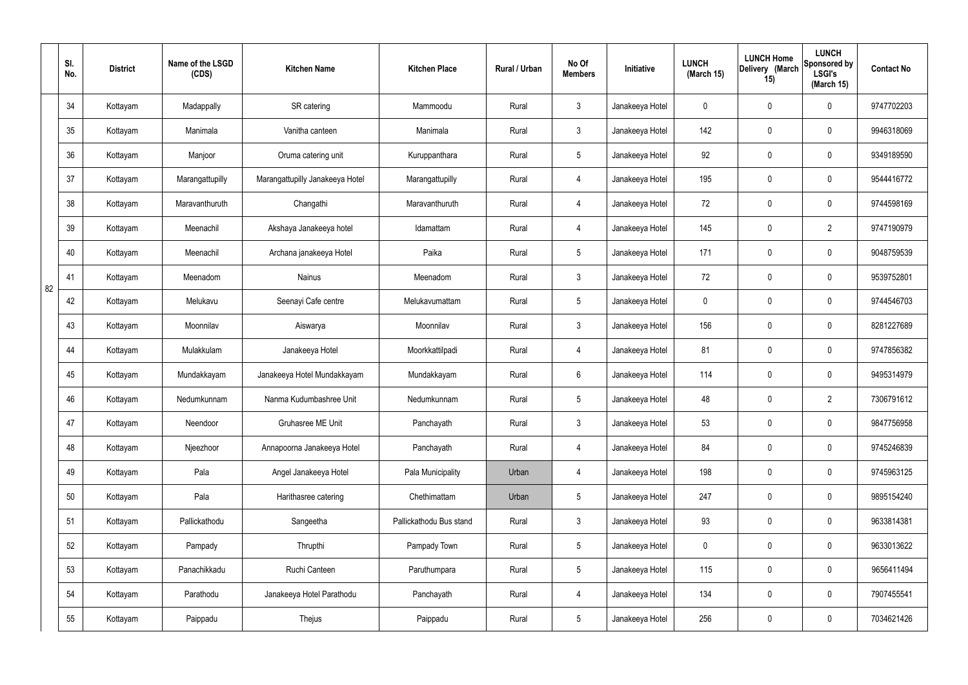|    | SI.<br>No. | <b>District</b> | Name of the LSGD<br>(CDS) | <b>Kitchen Name</b>             | <b>Kitchen Place</b>    | Rural / Urban | No Of<br><b>Members</b> | Initiative      | <b>LUNCH</b><br>(March 15) | <b>LUNCH Home</b><br>Delivery (March<br>15) | <b>LUNCH</b><br>Sponsored by<br><b>LSGI's</b><br>(March 15) | <b>Contact No</b> |
|----|------------|-----------------|---------------------------|---------------------------------|-------------------------|---------------|-------------------------|-----------------|----------------------------|---------------------------------------------|-------------------------------------------------------------|-------------------|
|    | 34         | Kottayam        | Madappally                | SR catering                     | Mammoodu                | Rural         | $\mathbf{3}$            | Janakeeya Hotel | 0                          | $\boldsymbol{0}$                            | $\mathbf 0$                                                 | 9747702203        |
|    | 35         | Kottayam        | Manimala                  | Vanitha canteen                 | Manimala                | Rural         | $\mathbf{3}$            | Janakeeya Hotel | 142                        | $\mathbf 0$                                 | $\mathbf 0$                                                 | 9946318069        |
|    | 36         | Kottayam        | Manjoor                   | Oruma catering unit             | Kuruppanthara           | Rural         | $5\phantom{.0}$         | Janakeeya Hotel | 92                         | 0                                           | $\mathbf 0$                                                 | 9349189590        |
|    | 37         | Kottayam        | Marangattupilly           | Marangattupilly Janakeeya Hotel | Marangattupilly         | Rural         | $\overline{4}$          | Janakeeya Hotel | 195                        | 0                                           | $\mathbf 0$                                                 | 9544416772        |
|    | 38         | Kottayam        | Maravanthuruth            | Changathi                       | Maravanthuruth          | Rural         | $\overline{4}$          | Janakeeya Hotel | 72                         | $\mathbf 0$                                 | $\mathbf 0$                                                 | 9744598169        |
|    | 39         | Kottayam        | Meenachil                 | Akshaya Janakeeya hotel         | Idamattam               | Rural         | $\overline{4}$          | Janakeeya Hotel | 145                        | 0                                           | $\overline{2}$                                              | 9747190979        |
|    | 40         | Kottayam        | Meenachil                 | Archana janakeeya Hotel         | Paika                   | Rural         | $5\phantom{.0}$         | Janakeeya Hotel | 171                        | $\mathbf 0$                                 | $\mathbf 0$                                                 | 9048759539        |
| 82 | 41         | Kottayam        | Meenadom                  | <b>Nainus</b>                   | Meenadom                | Rural         | $\mathbf{3}$            | Janakeeya Hotel | 72                         | 0                                           | $\mathbf 0$                                                 | 9539752801        |
|    | 42         | Kottayam        | Melukavu                  | Seenayi Cafe centre             | Melukavumattam          | Rural         | $5\phantom{.0}$         | Janakeeya Hotel | $\mathbf 0$                | 0                                           | $\mathbf 0$                                                 | 9744546703        |
|    | 43         | Kottayam        | Moonnilav                 | Aiswarya                        | Moonnilav               | Rural         | $\mathbf{3}$            | Janakeeya Hotel | 156                        | 0                                           | $\mathbf 0$                                                 | 8281227689        |
|    | 44         | Kottayam        | Mulakkulam                | Janakeeya Hotel                 | Moorkkattilpadi         | Rural         | 4                       | Janakeeya Hotel | 81                         | 0                                           | $\mathbf 0$                                                 | 9747856382        |
|    | 45         | Kottayam        | Mundakkayam               | Janakeeya Hotel Mundakkayam     | Mundakkayam             | Rural         | $6\phantom{.}6$         | Janakeeya Hotel | 114                        | 0                                           | $\mathbf 0$                                                 | 9495314979        |
|    | 46         | Kottayam        | Nedumkunnam               | Nanma Kudumbashree Unit         | Nedumkunnam             | Rural         | $5\phantom{.0}$         | Janakeeya Hotel | 48                         | 0                                           | $\overline{2}$                                              | 7306791612        |
|    | 47         | Kottayam        | Neendoor                  | Gruhasree ME Unit               | Panchayath              | Rural         | $\mathbf{3}$            | Janakeeya Hotel | 53                         | $\mathsf{0}$                                | $\mathbf 0$                                                 | 9847756958        |
|    | 48         | Kottayam        | Njeezhoor                 | Annapoorna Janakeeya Hotel      | Panchayath              | Rural         | $\overline{4}$          | Janakeeya Hotel | 84                         | $\mathsf{0}$                                | $\mathbf 0$                                                 | 9745246839        |
|    | 49         | Kottayam        | Pala                      | Angel Janakeeya Hotel           | Pala Municipality       | Urban         | $\overline{4}$          | Janakeeya Hotel | 198                        | 0                                           | $\mathbf 0$                                                 | 9745963125        |
|    | 50         | Kottayam        | Pala                      | Harithasree catering            | Chethimattam            | Urban         | $5\phantom{.0}$         | Janakeeya Hotel | 247                        | 0                                           | $\mathbf 0$                                                 | 9895154240        |
|    | 51         | Kottayam        | Pallickathodu             | Sangeetha                       | Pallickathodu Bus stand | Rural         | $\mathbf{3}$            | Janakeeya Hotel | 93                         | 0                                           | $\mathbf 0$                                                 | 9633814381        |
|    | 52         | Kottayam        | Pampady                   | Thrupthi                        | Pampady Town            | Rural         | $5\overline{)}$         | Janakeeya Hotel | $\pmb{0}$                  | 0                                           | $\mathbf 0$                                                 | 9633013622        |
|    | 53         | Kottayam        | Panachikkadu              | Ruchi Canteen                   | Paruthumpara            | Rural         | $5\phantom{.0}$         | Janakeeya Hotel | 115                        | 0                                           | $\mathbf 0$                                                 | 9656411494        |
|    | 54         | Kottayam        | Parathodu                 | Janakeeya Hotel Parathodu       | Panchayath              | Rural         | $\overline{4}$          | Janakeeya Hotel | 134                        | 0                                           | $\mathbf 0$                                                 | 7907455541        |
|    | 55         | Kottayam        | Paippadu                  | Thejus                          | Paippadu                | Rural         | $5\,$                   | Janakeeya Hotel | 256                        | 0                                           | $\mathbf 0$                                                 | 7034621426        |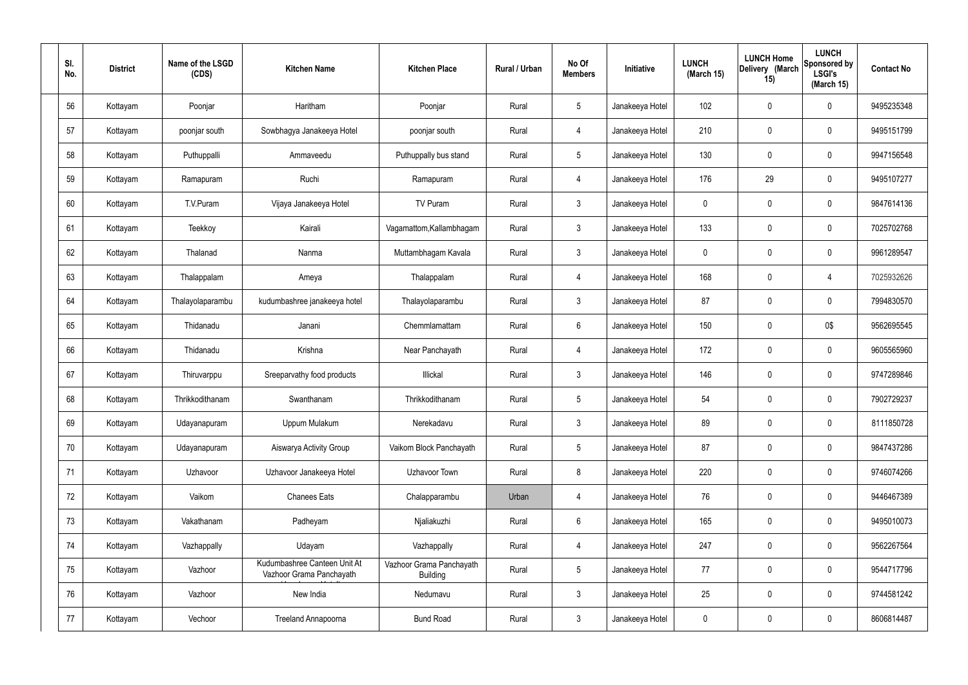| SI.<br>No. | <b>District</b> | Name of the LSGD<br>(CDS) | <b>Kitchen Name</b>                                      | <b>Kitchen Place</b>                        | Rural / Urban | No Of<br><b>Members</b> | Initiative      | <b>LUNCH</b><br>(March 15) | <b>LUNCH Home</b><br>Delivery (March<br>15) | <b>LUNCH</b><br>Sponsored by<br><b>LSGI's</b><br>(March 15) | <b>Contact No</b> |
|------------|-----------------|---------------------------|----------------------------------------------------------|---------------------------------------------|---------------|-------------------------|-----------------|----------------------------|---------------------------------------------|-------------------------------------------------------------|-------------------|
| 56         | Kottayam        | Poonjar                   | Haritham                                                 | Poonjar                                     | Rural         | $5\phantom{.0}$         | Janakeeya Hotel | 102                        | $\mathbf 0$                                 | 0                                                           | 9495235348        |
| 57         | Kottayam        | poonjar south             | Sowbhagya Janakeeya Hotel                                | poonjar south                               | Rural         | $\overline{4}$          | Janakeeya Hotel | 210                        | $\mathbf 0$                                 | 0                                                           | 9495151799        |
| 58         | Kottayam        | Puthuppalli               | Ammaveedu                                                | Puthuppally bus stand                       | Rural         | $5\overline{)}$         | Janakeeya Hotel | 130                        | $\mathbf 0$                                 | 0                                                           | 9947156548        |
| 59         | Kottayam        | Ramapuram                 | Ruchi                                                    | Ramapuram                                   | Rural         | $\overline{4}$          | Janakeeya Hotel | 176                        | 29                                          | 0                                                           | 9495107277        |
| 60         | Kottayam        | T.V.Puram                 | Vijaya Janakeeya Hotel                                   | TV Puram                                    | Rural         | $\mathbf{3}$            | Janakeeya Hotel | 0                          | $\mathbf 0$                                 | 0                                                           | 9847614136        |
| 61         | Kottayam        | Teekkoy                   | Kairali                                                  | Vagamattom, Kallambhagam                    | Rural         | $\mathbf{3}$            | Janakeeya Hotel | 133                        | $\mathbf 0$                                 | 0                                                           | 7025702768        |
| 62         | Kottayam        | Thalanad                  | Nanma                                                    | Muttambhagam Kavala                         | Rural         | $\mathbf{3}$            | Janakeeya Hotel | 0                          | 0                                           | 0                                                           | 9961289547        |
| 63         | Kottayam        | Thalappalam               | Ameya                                                    | Thalappalam                                 | Rural         | $\overline{4}$          | Janakeeya Hotel | 168                        | $\mathbf 0$                                 | 4                                                           | 7025932626        |
| 64         | Kottayam        | Thalayolaparambu          | kudumbashree janakeeya hotel                             | Thalayolaparambu                            | Rural         | $\mathbf{3}$            | Janakeeya Hotel | 87                         | 0                                           | 0                                                           | 7994830570        |
| 65         | Kottayam        | Thidanadu                 | Janani                                                   | Chemmlamattam                               | Rural         | $6\phantom{.}6$         | Janakeeya Hotel | 150                        | 0                                           | 0\$                                                         | 9562695545        |
| 66         | Kottayam        | Thidanadu                 | Krishna                                                  | Near Panchayath                             | Rural         | $\overline{4}$          | Janakeeya Hotel | 172                        | 0                                           | 0                                                           | 9605565960        |
| 67         | Kottayam        | Thiruvarppu               | Sreeparvathy food products                               | Illickal                                    | Rural         | $\mathbf{3}$            | Janakeeya Hotel | 146                        | 0                                           | 0                                                           | 9747289846        |
| 68         | Kottayam        | Thrikkodithanam           | Swanthanam                                               | Thrikkodithanam                             | Rural         | 5                       | Janakeeya Hotel | 54                         | 0                                           | 0                                                           | 7902729237        |
| 69         | Kottayam        | Udayanapuram              | Uppum Mulakum                                            | Nerekadavu                                  | Rural         | $\mathbf{3}$            | Janakeeya Hotel | 89                         | $\mathbf 0$                                 | 0                                                           | 8111850728        |
| 70         | Kottayam        | Udayanapuram              | Aiswarya Activity Group                                  | Vaikom Block Panchayath                     | Rural         | $5\phantom{.0}$         | Janakeeya Hotel | 87                         | $\pmb{0}$                                   | $\mathbf 0$                                                 | 9847437286        |
| 71         | Kottayam        | Uzhavoor                  | Uzhavoor Janakeeya Hotel                                 | Uzhavoor Town                               | Rural         | 8                       | Janakeeya Hotel | 220                        | $\mathbf 0$                                 | 0                                                           | 9746074266        |
| 72         | Kottayam        | Vaikom                    | <b>Chanees Eats</b>                                      | Chalapparambu                               | Urban         | $\overline{4}$          | Janakeeya Hotel | 76                         | $\mathbf 0$                                 | 0                                                           | 9446467389        |
| 73         | Kottayam        | Vakathanam                | Padheyam                                                 | Njaliakuzhi                                 | Rural         | $6\phantom{.}6$         | Janakeeya Hotel | 165                        | $\mathbf 0$                                 | 0                                                           | 9495010073        |
| 74         | Kottayam        | Vazhappally               | Udayam                                                   | Vazhappally                                 | Rural         | $\overline{4}$          | Janakeeya Hotel | 247                        | $\pmb{0}$                                   | $\mathbf 0$                                                 | 9562267564        |
| 75         | Kottayam        | Vazhoor                   | Kudumbashree Canteen Unit At<br>Vazhoor Grama Panchayath | Vazhoor Grama Panchayath<br><b>Building</b> | Rural         | $5\phantom{.0}$         | Janakeeya Hotel | 77                         | $\mathbf 0$                                 | 0                                                           | 9544717796        |
| 76         | Kottayam        | Vazhoor                   | New India                                                | Nedumavu                                    | Rural         | $\mathbf{3}$            | Janakeeya Hotel | 25                         | $\mathbf 0$                                 | 0                                                           | 9744581242        |
| 77         | Kottayam        | Vechoor                   | Treeland Annapoorna                                      | <b>Bund Road</b>                            | Rural         | $\mathbf{3}$            | Janakeeya Hotel | $\pmb{0}$                  | $\boldsymbol{0}$                            | 0                                                           | 8606814487        |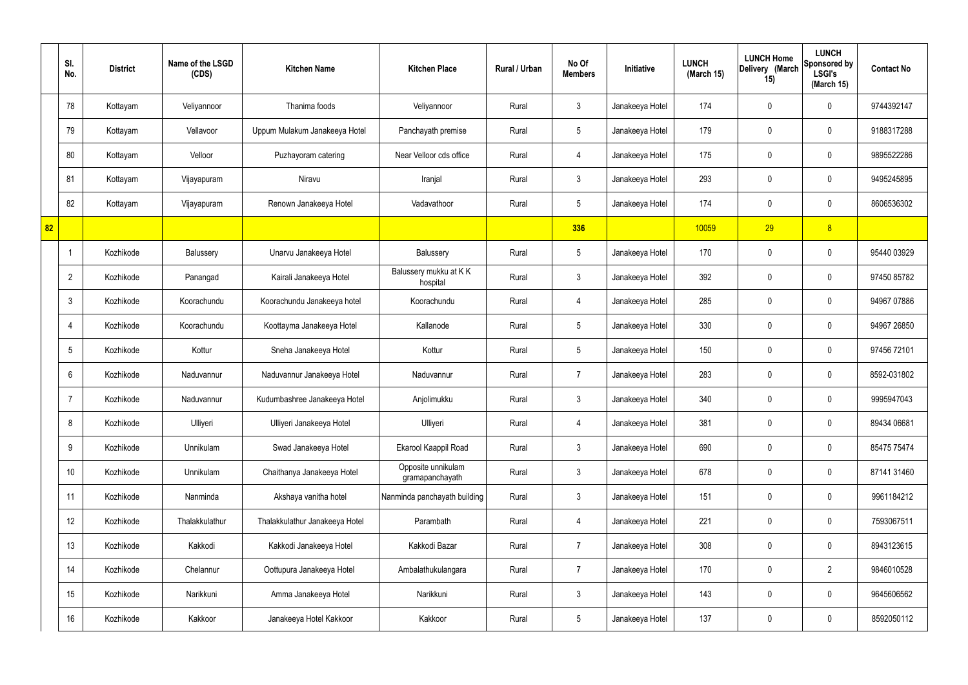|    | SI.<br>No.      | <b>District</b> | Name of the LSGD<br>(CDS) | <b>Kitchen Name</b>            | <b>Kitchen Place</b>                  | Rural / Urban | No Of<br><b>Members</b> | <b>Initiative</b> | <b>LUNCH</b><br>(March 15) | <b>LUNCH Home</b><br>Delivery (March<br>15) | <b>LUNCH</b><br>Sponsored by<br><b>LSGI's</b><br>(March 15) | <b>Contact No</b> |
|----|-----------------|-----------------|---------------------------|--------------------------------|---------------------------------------|---------------|-------------------------|-------------------|----------------------------|---------------------------------------------|-------------------------------------------------------------|-------------------|
|    | 78              | Kottayam        | Veliyannoor               | Thanima foods                  | Veliyannoor                           | Rural         | $\mathbf{3}$            | Janakeeya Hotel   | 174                        | $\mathbf 0$                                 | $\mathbf 0$                                                 | 9744392147        |
|    | 79              | Kottayam        | Vellavoor                 | Uppum Mulakum Janakeeya Hotel  | Panchayath premise                    | Rural         | $5\phantom{.0}$         | Janakeeya Hotel   | 179                        | $\mathbf 0$                                 | $\mathbf 0$                                                 | 9188317288        |
|    | 80              | Kottayam        | Velloor                   | Puzhayoram catering            | Near Velloor cds office               | Rural         | $\overline{4}$          | Janakeeya Hotel   | 175                        | $\mathbf 0$                                 | $\mathbf 0$                                                 | 9895522286        |
|    | 81              | Kottayam        | Vijayapuram               | Niravu                         | Iranjal                               | Rural         | $\mathbf{3}$            | Janakeeya Hotel   | 293                        | 0                                           | $\mathbf 0$                                                 | 9495245895        |
|    | 82              | Kottayam        | Vijayapuram               | Renown Janakeeya Hotel         | Vadavathoor                           | Rural         | $5\overline{)}$         | Janakeeya Hotel   | 174                        | $\mathbf 0$                                 | $\mathbf 0$                                                 | 8606536302        |
| 82 |                 |                 |                           |                                |                                       |               | 336                     |                   | 10059                      | 29                                          | 8                                                           |                   |
|    | -1              | Kozhikode       | Balussery                 | Unarvu Janakeeya Hotel         | Balussery                             | Rural         | $5\phantom{.0}$         | Janakeeya Hotel   | 170                        | $\mathbf 0$                                 | $\mathbf 0$                                                 | 95440 03929       |
|    | $\overline{2}$  | Kozhikode       | Panangad                  | Kairali Janakeeya Hotel        | Balussery mukku at KK<br>hospital     | Rural         | $\mathbf{3}$            | Janakeeya Hotel   | 392                        | 0                                           | $\mathbf 0$                                                 | 97450 85782       |
|    | $\mathbf{3}$    | Kozhikode       | Koorachundu               | Koorachundu Janakeeya hotel    | Koorachundu                           | Rural         | $\overline{4}$          | Janakeeya Hotel   | 285                        | $\mathbf 0$                                 | $\mathbf 0$                                                 | 94967 07886       |
|    | $\overline{4}$  | Kozhikode       | Koorachundu               | Koottayma Janakeeya Hotel      | Kallanode                             | Rural         | $5\phantom{.0}$         | Janakeeya Hotel   | 330                        | 0                                           | $\mathbf 0$                                                 | 94967 26850       |
|    | $5\overline{)}$ | Kozhikode       | Kottur                    | Sneha Janakeeya Hotel          | Kottur                                | Rural         | $5\phantom{.0}$         | Janakeeya Hotel   | 150                        | 0                                           | $\mathbf 0$                                                 | 97456 72101       |
|    | 6               | Kozhikode       | Naduvannur                | Naduvannur Janakeeya Hotel     | Naduvannur                            | Rural         | $\overline{7}$          | Janakeeya Hotel   | 283                        | 0                                           | $\mathbf 0$                                                 | 8592-031802       |
|    | $\overline{7}$  | Kozhikode       | Naduvannur                | Kudumbashree Janakeeya Hotel   | Anjolimukku                           | Rural         | $\mathbf{3}$            | Janakeeya Hotel   | 340                        | 0                                           | $\mathbf 0$                                                 | 9995947043        |
|    | 8               | Kozhikode       | Ulliyeri                  | Ulliyeri Janakeeya Hotel       | Ulliyeri                              | Rural         | $\overline{4}$          | Janakeeya Hotel   | 381                        | $\mathbf 0$                                 | $\mathbf 0$                                                 | 89434 06681       |
|    | 9               | Kozhikode       | Unnikulam                 | Swad Janakeeya Hotel           | Ekarool Kaappil Road                  | Rural         | $\mathbf{3}$            | Janakeeya Hotel   | 690                        | $\mathbf 0$                                 | $\mathbf 0$                                                 | 85475 75474       |
|    | 10              | Kozhikode       | Unnikulam                 | Chaithanya Janakeeya Hotel     | Opposite unnikulam<br>gramapanchayath | Rural         | $\mathfrak{Z}$          | Janakeeya Hotel   | 678                        | 0                                           | $\mathbf 0$                                                 | 87141 31460       |
|    | 11              | Kozhikode       | Nanminda                  | Akshaya vanitha hotel          | Nanminda panchayath building          | Rural         | $\mathfrak{Z}$          | Janakeeya Hotel   | 151                        | 0                                           | $\mathbf 0$                                                 | 9961184212        |
|    | 12              | Kozhikode       | Thalakkulathur            | Thalakkulathur Janakeeya Hotel | Parambath                             | Rural         | $\overline{4}$          | Janakeeya Hotel   | 221                        | 0                                           | $\mathbf 0$                                                 | 7593067511        |
|    | 13              | Kozhikode       | Kakkodi                   | Kakkodi Janakeeya Hotel        | Kakkodi Bazar                         | Rural         | $\overline{7}$          | Janakeeya Hotel   | 308                        | 0                                           | $\mathbf 0$                                                 | 8943123615        |
|    | 14              | Kozhikode       | Chelannur                 | Oottupura Janakeeya Hotel      | Ambalathukulangara                    | Rural         | $\overline{7}$          | Janakeeya Hotel   | 170                        | 0                                           | $\overline{2}$                                              | 9846010528        |
|    | 15              | Kozhikode       | Narikkuni                 | Amma Janakeeya Hotel           | Narikkuni                             | Rural         | $\mathfrak{Z}$          | Janakeeya Hotel   | 143                        | 0                                           | $\mathbf 0$                                                 | 9645606562        |
|    | 16              | Kozhikode       | Kakkoor                   | Janakeeya Hotel Kakkoor        | Kakkoor                               | Rural         | $5\,$                   | Janakeeya Hotel   | 137                        | 0                                           | $\mathbf 0$                                                 | 8592050112        |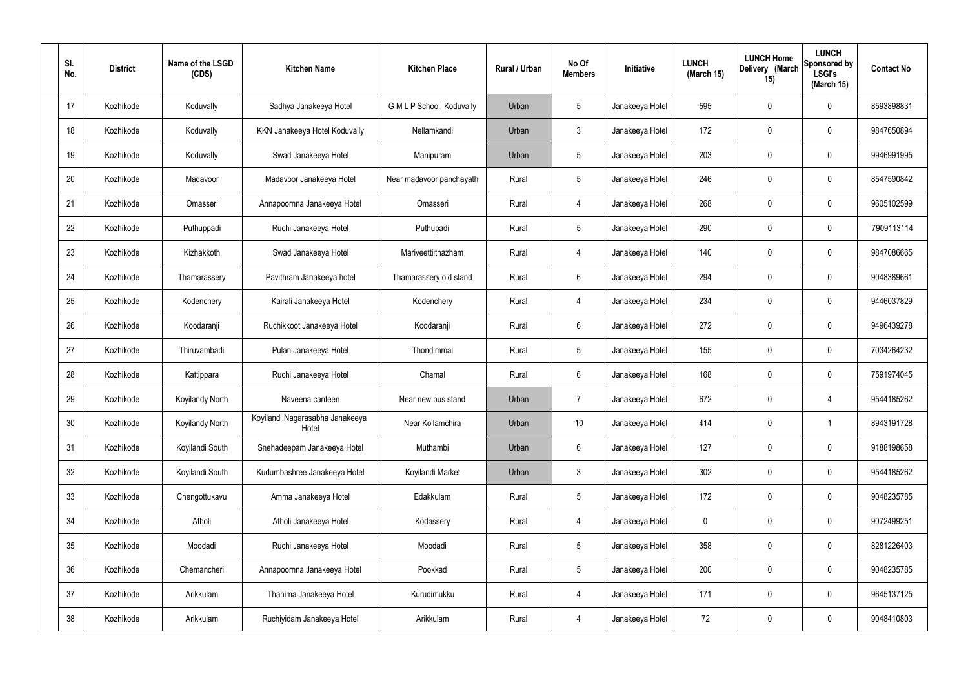| SI.<br>No. | <b>District</b> | Name of the LSGD<br>(CDS) | <b>Kitchen Name</b>                      | <b>Kitchen Place</b>      | Rural / Urban | No Of<br><b>Members</b> | <b>Initiative</b> | <b>LUNCH</b><br>(March 15) | <b>LUNCH Home</b><br>Delivery (March<br>15) | <b>LUNCH</b><br>Sponsored by<br><b>LSGI's</b><br>(March 15) | <b>Contact No</b> |
|------------|-----------------|---------------------------|------------------------------------------|---------------------------|---------------|-------------------------|-------------------|----------------------------|---------------------------------------------|-------------------------------------------------------------|-------------------|
| 17         | Kozhikode       | Koduvally                 | Sadhya Janakeeya Hotel                   | G M L P School, Koduvally | Urban         | $5\phantom{.0}$         | Janakeeya Hotel   | 595                        | 0                                           | $\mathbf 0$                                                 | 8593898831        |
| 18         | Kozhikode       | Koduvally                 | KKN Janakeeya Hotel Koduvally            | Nellamkandi               | Urban         | $\mathbf{3}$            | Janakeeya Hotel   | 172                        | 0                                           | $\mathbf 0$                                                 | 9847650894        |
| 19         | Kozhikode       | Koduvally                 | Swad Janakeeya Hotel                     | Manipuram                 | Urban         | $5\phantom{.0}$         | Janakeeya Hotel   | 203                        | 0                                           | $\mathbf 0$                                                 | 9946991995        |
| 20         | Kozhikode       | Madavoor                  | Madavoor Janakeeya Hotel                 | Near madavoor panchayath  | Rural         | $5\phantom{.0}$         | Janakeeya Hotel   | 246                        | 0                                           | $\mathbf 0$                                                 | 8547590842        |
| 21         | Kozhikode       | Omasseri                  | Annapoornna Janakeeya Hotel              | Omasseri                  | Rural         | $\overline{4}$          | Janakeeya Hotel   | 268                        | 0                                           | $\mathbf 0$                                                 | 9605102599        |
| 22         | Kozhikode       | Puthuppadi                | Ruchi Janakeeya Hotel                    | Puthupadi                 | Rural         | $5\phantom{.0}$         | Janakeeya Hotel   | 290                        | 0                                           | $\mathbf 0$                                                 | 7909113114        |
| 23         | Kozhikode       | Kizhakkoth                | Swad Janakeeya Hotel                     | Mariveettilthazham        | Rural         | $\overline{4}$          | Janakeeya Hotel   | 140                        | 0                                           | $\mathbf 0$                                                 | 9847086665        |
| 24         | Kozhikode       | Thamarassery              | Pavithram Janakeeya hotel                | Thamarassery old stand    | Rural         | $6\phantom{.}6$         | Janakeeya Hotel   | 294                        | 0                                           | $\mathbf 0$                                                 | 9048389661        |
| 25         | Kozhikode       | Kodenchery                | Kairali Janakeeya Hotel                  | Kodenchery                | Rural         | 4                       | Janakeeya Hotel   | 234                        | 0                                           | $\mathbf 0$                                                 | 9446037829        |
| 26         | Kozhikode       | Koodaranji                | Ruchikkoot Janakeeya Hotel               | Koodaranji                | Rural         | $6\phantom{.}6$         | Janakeeya Hotel   | 272                        | 0                                           | $\mathbf 0$                                                 | 9496439278        |
| 27         | Kozhikode       | Thiruvambadi              | Pulari Janakeeya Hotel                   | Thondimmal                | Rural         | $5\phantom{.0}$         | Janakeeya Hotel   | 155                        | 0                                           | $\mathbf 0$                                                 | 7034264232        |
| 28         | Kozhikode       | Kattippara                | Ruchi Janakeeya Hotel                    | Chamal                    | Rural         | $6\phantom{.}6$         | Janakeeya Hotel   | 168                        | 0                                           | $\mathbf 0$                                                 | 7591974045        |
| 29         | Kozhikode       | Koyilandy North           | Naveena canteen                          | Near new bus stand        | Urban         | $\overline{7}$          | Janakeeya Hotel   | 672                        | 0                                           | 4                                                           | 9544185262        |
| 30         | Kozhikode       | Koyilandy North           | Koyilandi Nagarasabha Janakeeya<br>Hotel | Near Kollamchira          | Urban         | 10 <sup>°</sup>         | Janakeeya Hotel   | 414                        | $\mathbf 0$                                 | $\mathbf 1$                                                 | 8943191728        |
| 31         | Kozhikode       | Koyilandi South           | Snehadeepam Janakeeya Hotel              | Muthambi                  | Urban         | $6\overline{6}$         | Janakeeya Hotel   | 127                        | $\mathbf 0$                                 | $\mathbf 0$                                                 | 9188198658        |
| 32         | Kozhikode       | Koyilandi South           | Kudumbashree Janakeeya Hotel             | Koyilandi Market          | Urban         | $\mathbf{3}$            | Janakeeya Hotel   | 302                        | 0                                           | $\mathbf 0$                                                 | 9544185262        |
| 33         | Kozhikode       | Chengottukavu             | Amma Janakeeya Hotel                     | Edakkulam                 | Rural         | $5\phantom{.0}$         | Janakeeya Hotel   | 172                        | 0                                           | $\mathbf 0$                                                 | 9048235785        |
| 34         | Kozhikode       | Atholi                    | Atholi Janakeeya Hotel                   | Kodassery                 | Rural         | $\overline{4}$          | Janakeeya Hotel   | $\mathbf 0$                | 0                                           | $\mathbf 0$                                                 | 9072499251        |
| 35         | Kozhikode       | Moodadi                   | Ruchi Janakeeya Hotel                    | Moodadi                   | Rural         | $5\phantom{.0}$         | Janakeeya Hotel   | 358                        | 0                                           | $\mathbf 0$                                                 | 8281226403        |
| 36         | Kozhikode       | Chemancheri               | Annapoornna Janakeeya Hotel              | Pookkad                   | Rural         | $5\phantom{.0}$         | Janakeeya Hotel   | 200                        | 0                                           | $\mathbf 0$                                                 | 9048235785        |
| 37         | Kozhikode       | Arikkulam                 | Thanima Janakeeya Hotel                  | Kurudimukku               | Rural         | $\overline{4}$          | Janakeeya Hotel   | 171                        | 0                                           | $\mathbf 0$                                                 | 9645137125        |
| 38         | Kozhikode       | Arikkulam                 | Ruchiyidam Janakeeya Hotel               | Arikkulam                 | Rural         | 4                       | Janakeeya Hotel   | 72                         | 0                                           | $\mathbf 0$                                                 | 9048410803        |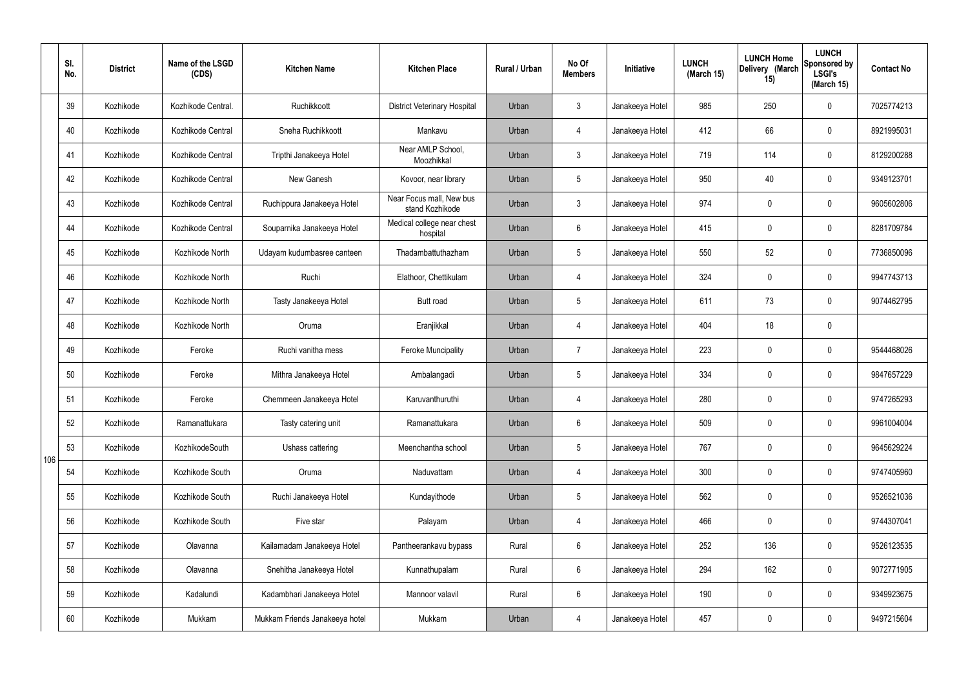|     | SI.<br>No. | <b>District</b> | Name of the LSGD<br>(CDS) | <b>Kitchen Name</b>            | <b>Kitchen Place</b>                        | <b>Rural / Urban</b> | No Of<br><b>Members</b> | Initiative      | <b>LUNCH</b><br>(March 15) | <b>LUNCH Home</b><br>Delivery (March<br>15) | <b>LUNCH</b><br>Sponsored by<br><b>LSGI's</b><br>(March 15) | <b>Contact No</b> |
|-----|------------|-----------------|---------------------------|--------------------------------|---------------------------------------------|----------------------|-------------------------|-----------------|----------------------------|---------------------------------------------|-------------------------------------------------------------|-------------------|
|     | 39         | Kozhikode       | Kozhikode Central.        | Ruchikkoott                    | <b>District Veterinary Hospital</b>         | Urban                | $\mathbf{3}$            | Janakeeya Hotel | 985                        | 250                                         | $\mathbf 0$                                                 | 7025774213        |
|     | 40         | Kozhikode       | Kozhikode Central         | Sneha Ruchikkoott              | Mankavu                                     | Urban                | 4                       | Janakeeya Hotel | 412                        | 66                                          | $\mathbf 0$                                                 | 8921995031        |
|     | 41         | Kozhikode       | Kozhikode Central         | Tripthi Janakeeya Hotel        | Near AMLP School,<br>Moozhikkal             | Urban                | $\mathbf{3}$            | Janakeeya Hotel | 719                        | 114                                         | $\mathbf 0$                                                 | 8129200288        |
|     | 42         | Kozhikode       | Kozhikode Central         | New Ganesh                     | Kovoor, near library                        | Urban                | $5\phantom{.0}$         | Janakeeya Hotel | 950                        | 40                                          | $\mathbf 0$                                                 | 9349123701        |
|     | 43         | Kozhikode       | Kozhikode Central         | Ruchippura Janakeeya Hotel     | Near Focus mall, New bus<br>stand Kozhikode | Urban                | $\mathbf{3}$            | Janakeeya Hotel | 974                        | $\mathbf 0$                                 | $\mathbf 0$                                                 | 9605602806        |
|     | 44         | Kozhikode       | Kozhikode Central         | Souparnika Janakeeya Hotel     | Medical college near chest<br>hospital      | Urban                | $6\phantom{.}6$         | Janakeeya Hotel | 415                        | $\mathbf 0$                                 | $\mathbf 0$                                                 | 8281709784        |
|     | 45         | Kozhikode       | Kozhikode North           | Udayam kudumbasree canteen     | Thadambattuthazham                          | Urban                | $5\overline{)}$         | Janakeeya Hotel | 550                        | 52                                          | $\mathbf 0$                                                 | 7736850096        |
|     | 46         | Kozhikode       | Kozhikode North           | Ruchi                          | Elathoor, Chettikulam                       | Urban                | 4                       | Janakeeya Hotel | 324                        | $\mathbf 0$                                 | $\mathbf 0$                                                 | 9947743713        |
|     | 47         | Kozhikode       | Kozhikode North           | Tasty Janakeeya Hotel          | <b>Butt</b> road                            | Urban                | $5\overline{)}$         | Janakeeya Hotel | 611                        | 73                                          | $\mathbf 0$                                                 | 9074462795        |
|     | 48         | Kozhikode       | Kozhikode North           | Oruma                          | Eranjikkal                                  | Urban                | 4                       | Janakeeya Hotel | 404                        | 18                                          | $\mathbf 0$                                                 |                   |
|     | 49         | Kozhikode       | Feroke                    | Ruchi vanitha mess             | <b>Feroke Muncipality</b>                   | Urban                | $\overline{7}$          | Janakeeya Hotel | 223                        | $\mathbf 0$                                 | $\mathbf 0$                                                 | 9544468026        |
|     | 50         | Kozhikode       | Feroke                    | Mithra Janakeeya Hotel         | Ambalangadi                                 | Urban                | $5\overline{)}$         | Janakeeya Hotel | 334                        | $\mathbf 0$                                 | $\mathbf 0$                                                 | 9847657229        |
|     | 51         | Kozhikode       | Feroke                    | Chemmeen Janakeeya Hotel       | Karuvanthuruthi                             | Urban                | 4                       | Janakeeya Hotel | 280                        | $\mathbf 0$                                 | $\mathbf 0$                                                 | 9747265293        |
|     | 52         | Kozhikode       | Ramanattukara             | Tasty catering unit            | Ramanattukara                               | Urban                | $6\phantom{.}6$         | Janakeeya Hotel | 509                        | $\mathbf 0$                                 | $\mathbf 0$                                                 | 9961004004        |
| 106 | 53         | Kozhikode       | KozhikodeSouth            | Ushass cattering               | Meenchantha school                          | Urban                | $5\phantom{.0}$         | Janakeeya Hotel | 767                        | 0                                           | $\mathbf 0$                                                 | 9645629224        |
|     | 54         | Kozhikode       | Kozhikode South           | Oruma                          | Naduvattam                                  | Urban                | 4                       | Janakeeya Hotel | 300                        | 0                                           | $\mathbf 0$                                                 | 9747405960        |
|     | 55         | Kozhikode       | Kozhikode South           | Ruchi Janakeeya Hotel          | Kundayithode                                | Urban                | $5\phantom{.0}$         | Janakeeya Hotel | 562                        | 0                                           | $\mathbf 0$                                                 | 9526521036        |
|     | 56         | Kozhikode       | Kozhikode South           | Five star                      | Palayam                                     | Urban                | 4                       | Janakeeya Hotel | 466                        | 0                                           | $\mathbf 0$                                                 | 9744307041        |
|     | 57         | Kozhikode       | Olavanna                  | Kailamadam Janakeeya Hotel     | Pantheerankavu bypass                       | Rural                | $6\overline{6}$         | Janakeeya Hotel | 252                        | 136                                         | $\mathbf 0$                                                 | 9526123535        |
|     | 58         | Kozhikode       | Olavanna                  | Snehitha Janakeeya Hotel       | Kunnathupalam                               | Rural                | $6\overline{6}$         | Janakeeya Hotel | 294                        | 162                                         | $\mathbf 0$                                                 | 9072771905        |
|     | 59         | Kozhikode       | Kadalundi                 | Kadambhari Janakeeya Hotel     | Mannoor valavil                             | Rural                | $6\overline{6}$         | Janakeeya Hotel | 190                        | 0                                           | $\mathbf 0$                                                 | 9349923675        |
|     | 60         | Kozhikode       | Mukkam                    | Mukkam Friends Janakeeya hotel | Mukkam                                      | Urban                | 4                       | Janakeeya Hotel | 457                        | 0                                           | $\overline{0}$                                              | 9497215604        |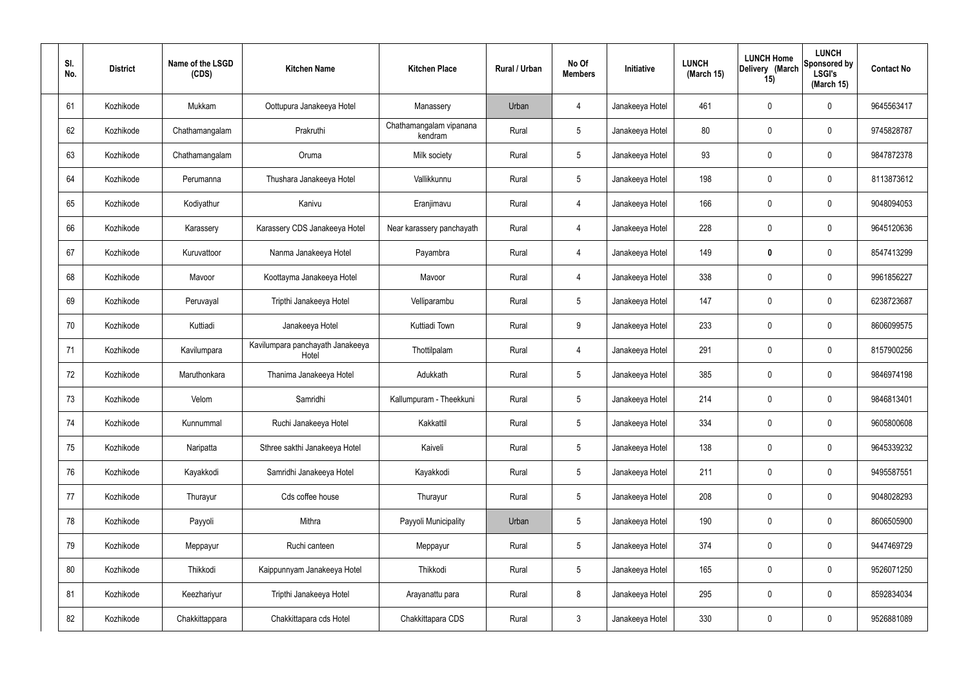| SI.<br>No. | <b>District</b> | Name of the LSGD<br>(CDS) | <b>Kitchen Name</b>                       | <b>Kitchen Place</b>               | Rural / Urban | No Of<br><b>Members</b> | Initiative      | <b>LUNCH</b><br>(March 15) | <b>LUNCH Home</b><br>Delivery (March<br>15) | <b>LUNCH</b><br>Sponsored by<br><b>LSGI's</b><br>(March 15) | <b>Contact No</b> |
|------------|-----------------|---------------------------|-------------------------------------------|------------------------------------|---------------|-------------------------|-----------------|----------------------------|---------------------------------------------|-------------------------------------------------------------|-------------------|
| 61         | Kozhikode       | Mukkam                    | Oottupura Janakeeya Hotel                 | Manassery                          | Urban         | 4                       | Janakeeya Hotel | 461                        | 0                                           | 0                                                           | 9645563417        |
| 62         | Kozhikode       | Chathamangalam            | Prakruthi                                 | Chathamangalam vipanana<br>kendram | Rural         | $5\phantom{.0}$         | Janakeeya Hotel | 80                         | $\mathbf 0$                                 | 0                                                           | 9745828787        |
| 63         | Kozhikode       | Chathamangalam            | Oruma                                     | Milk society                       | Rural         | $5\phantom{.0}$         | Janakeeya Hotel | 93                         | 0                                           | 0                                                           | 9847872378        |
| 64         | Kozhikode       | Perumanna                 | Thushara Janakeeya Hotel                  | Vallikkunnu                        | Rural         | $5\phantom{.0}$         | Janakeeya Hotel | 198                        | 0                                           | 0                                                           | 8113873612        |
| 65         | Kozhikode       | Kodiyathur                | Kanivu                                    | Eranjimavu                         | Rural         | $\overline{4}$          | Janakeeya Hotel | 166                        | 0                                           | 0                                                           | 9048094053        |
| 66         | Kozhikode       | Karassery                 | Karassery CDS Janakeeya Hotel             | Near karassery panchayath          | Rural         | $\overline{4}$          | Janakeeya Hotel | 228                        | 0                                           | 0                                                           | 9645120636        |
| 67         | Kozhikode       | Kuruvattoor               | Nanma Janakeeya Hotel                     | Payambra                           | Rural         | $\overline{4}$          | Janakeeya Hotel | 149                        | 0                                           | 0                                                           | 8547413299        |
| 68         | Kozhikode       | Mavoor                    | Koottayma Janakeeya Hotel                 | Mavoor                             | Rural         | $\overline{4}$          | Janakeeya Hotel | 338                        | 0                                           | 0                                                           | 9961856227        |
| 69         | Kozhikode       | Peruvayal                 | Tripthi Janakeeya Hotel                   | Velliparambu                       | Rural         | $5\phantom{.0}$         | Janakeeya Hotel | 147                        | 0                                           | 0                                                           | 6238723687        |
| 70         | Kozhikode       | Kuttiadi                  | Janakeeya Hotel                           | Kuttiadi Town                      | Rural         | 9                       | Janakeeya Hotel | 233                        | $\mathbf 0$                                 | 0                                                           | 8606099575        |
| 71         | Kozhikode       | Kavilumpara               | Kavilumpara panchayath Janakeeya<br>Hotel | Thottilpalam                       | Rural         | 4                       | Janakeeya Hotel | 291                        | 0                                           | 0                                                           | 8157900256        |
| 72         | Kozhikode       | Maruthonkara              | Thanima Janakeeya Hotel                   | Adukkath                           | Rural         | $5\phantom{.0}$         | Janakeeya Hotel | 385                        | 0                                           | 0                                                           | 9846974198        |
| 73         | Kozhikode       | Velom                     | Samridhi                                  | Kallumpuram - Theekkuni            | Rural         | $5\phantom{.0}$         | Janakeeya Hotel | 214                        | 0                                           | 0                                                           | 9846813401        |
| 74         | Kozhikode       | Kunnummal                 | Ruchi Janakeeya Hotel                     | Kakkattil                          | Rural         | $5\phantom{.0}$         | Janakeeya Hotel | 334                        | $\mathbf 0$                                 | 0                                                           | 9605800608        |
| 75         | Kozhikode       | Naripatta                 | Sthree sakthi Janakeeya Hotel             | Kaiveli                            | Rural         | $5\phantom{.0}$         | Janakeeya Hotel | 138                        | $\mathbf 0$                                 | $\mathbf 0$                                                 | 9645339232        |
| 76         | Kozhikode       | Kayakkodi                 | Samridhi Janakeeya Hotel                  | Kayakkodi                          | Rural         | $5\overline{)}$         | Janakeeya Hotel | 211                        | $\pmb{0}$                                   | 0                                                           | 9495587551        |
| 77         | Kozhikode       | Thurayur                  | Cds coffee house                          | Thurayur                           | Rural         | $5\phantom{.0}$         | Janakeeya Hotel | 208                        | $\mathbf 0$                                 | 0                                                           | 9048028293        |
| 78         | Kozhikode       | Payyoli                   | Mithra                                    | Payyoli Municipality               | Urban         | $5\phantom{.0}$         | Janakeeya Hotel | 190                        | $\pmb{0}$                                   | 0                                                           | 8606505900        |
| 79         | Kozhikode       | Meppayur                  | Ruchi canteen                             | Meppayur                           | Rural         | $5\phantom{.0}$         | Janakeeya Hotel | 374                        | $\pmb{0}$                                   | 0                                                           | 9447469729        |
| 80         | Kozhikode       | Thikkodi                  | Kaippunnyam Janakeeya Hotel               | Thikkodi                           | Rural         | $5\phantom{.0}$         | Janakeeya Hotel | 165                        | $\pmb{0}$                                   | 0                                                           | 9526071250        |
| 81         | Kozhikode       | Keezhariyur               | Tripthi Janakeeya Hotel                   | Arayanattu para                    | Rural         | 8                       | Janakeeya Hotel | 295                        | $\boldsymbol{0}$                            | 0                                                           | 8592834034        |
| 82         | Kozhikode       | Chakkittappara            | Chakkittapara cds Hotel                   | Chakkittapara CDS                  | Rural         | $\mathbf{3}$            | Janakeeya Hotel | 330                        | $\pmb{0}$                                   | 0                                                           | 9526881089        |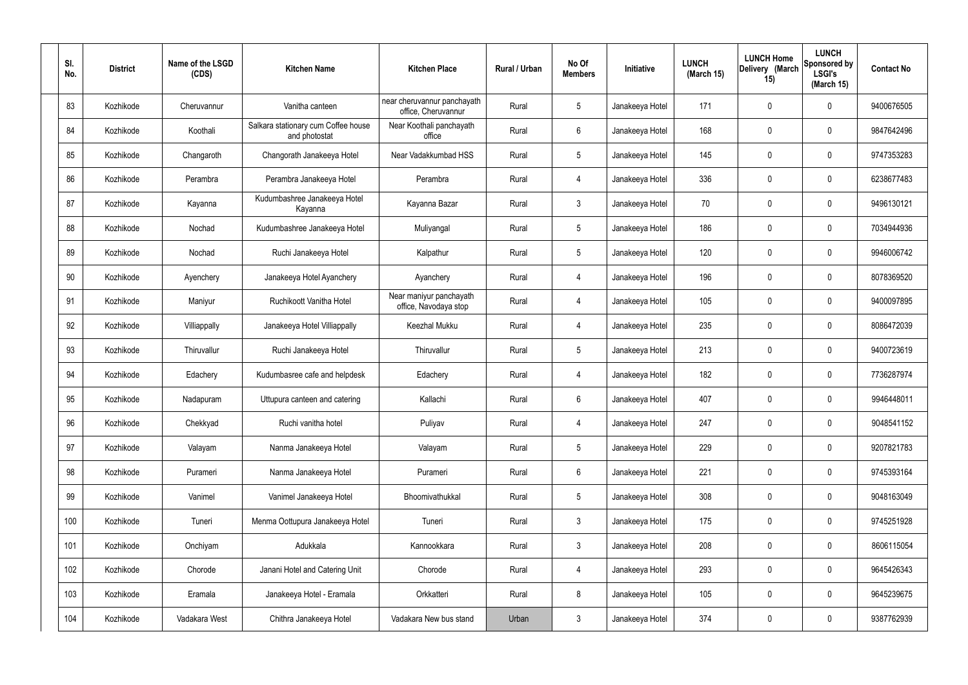| SI.<br>No. | <b>District</b> | Name of the LSGD<br>(CDS) | <b>Kitchen Name</b>                                  | <b>Kitchen Place</b>                               | Rural / Urban | No Of<br><b>Members</b> | Initiative      | <b>LUNCH</b><br>(March 15) | <b>LUNCH Home</b><br>Delivery (March<br>15) | <b>LUNCH</b><br>Sponsored by<br><b>LSGI's</b><br>(March 15) | <b>Contact No</b> |
|------------|-----------------|---------------------------|------------------------------------------------------|----------------------------------------------------|---------------|-------------------------|-----------------|----------------------------|---------------------------------------------|-------------------------------------------------------------|-------------------|
| 83         | Kozhikode       | Cheruvannur               | Vanitha canteen                                      | near cheruvannur panchayath<br>office, Cheruvannur | Rural         | $5\phantom{.0}$         | Janakeeya Hotel | 171                        | $\mathbf 0$                                 | 0                                                           | 9400676505        |
| 84         | Kozhikode       | Koothali                  | Salkara stationary cum Coffee house<br>and photostat | Near Koothali panchayath<br>office                 | Rural         | $6\phantom{.}6$         | Janakeeya Hotel | 168                        | 0                                           | $\mathbf 0$                                                 | 9847642496        |
| 85         | Kozhikode       | Changaroth                | Changorath Janakeeya Hotel                           | Near Vadakkumbad HSS                               | Rural         | $5\phantom{.0}$         | Janakeeya Hotel | 145                        | $\mathbf 0$                                 | $\mathbf 0$                                                 | 9747353283        |
| 86         | Kozhikode       | Perambra                  | Perambra Janakeeya Hotel                             | Perambra                                           | Rural         | 4                       | Janakeeya Hotel | 336                        | 0                                           | $\mathbf 0$                                                 | 6238677483        |
| 87         | Kozhikode       | Kayanna                   | Kudumbashree Janakeeya Hotel<br>Kayanna              | Kayanna Bazar                                      | Rural         | $\mathbf{3}$            | Janakeeya Hotel | 70                         | $\mathbf 0$                                 | $\mathbf 0$                                                 | 9496130121        |
| 88         | Kozhikode       | Nochad                    | Kudumbashree Janakeeya Hotel                         | Muliyangal                                         | Rural         | $5\phantom{.0}$         | Janakeeya Hotel | 186                        | 0                                           | $\mathbf 0$                                                 | 7034944936        |
| 89         | Kozhikode       | Nochad                    | Ruchi Janakeeya Hotel                                | Kalpathur                                          | Rural         | $5\phantom{.0}$         | Janakeeya Hotel | 120                        | $\mathbf 0$                                 | $\mathbf 0$                                                 | 9946006742        |
| 90         | Kozhikode       | Ayenchery                 | Janakeeya Hotel Ayanchery                            | Ayanchery                                          | Rural         | 4                       | Janakeeya Hotel | 196                        | 0                                           | $\mathbf 0$                                                 | 8078369520        |
| 91         | Kozhikode       | Maniyur                   | Ruchikoott Vanitha Hotel                             | Near maniyur panchayath<br>office, Navodaya stop   | Rural         | 4                       | Janakeeya Hotel | 105                        | $\mathbf 0$                                 | $\mathbf 0$                                                 | 9400097895        |
| 92         | Kozhikode       | Villiappally              | Janakeeya Hotel Villiappally                         | <b>Keezhal Mukku</b>                               | Rural         | 4                       | Janakeeya Hotel | 235                        | 0                                           | $\mathbf 0$                                                 | 8086472039        |
| 93         | Kozhikode       | Thiruvallur               | Ruchi Janakeeya Hotel                                | Thiruvallur                                        | Rural         | $5\phantom{.0}$         | Janakeeya Hotel | 213                        | $\mathbf 0$                                 | $\mathbf 0$                                                 | 9400723619        |
| 94         | Kozhikode       | Edachery                  | Kudumbasree cafe and helpdesk                        | Edachery                                           | Rural         | 4                       | Janakeeya Hotel | 182                        | $\mathbf 0$                                 | $\mathbf 0$                                                 | 7736287974        |
| 95         | Kozhikode       | Nadapuram                 | Uttupura canteen and catering                        | Kallachi                                           | Rural         | 6                       | Janakeeya Hotel | 407                        | $\mathbf 0$                                 | 0                                                           | 9946448011        |
| 96         | Kozhikode       | Chekkyad                  | Ruchi vanitha hotel                                  | Puliyav                                            | Rural         | 4                       | Janakeeya Hotel | 247                        | 0                                           | $\mathbf 0$                                                 | 9048541152        |
| 97         | Kozhikode       | Valayam                   | Nanma Janakeeya Hotel                                | Valayam                                            | Rural         | $5\phantom{.0}$         | Janakeeya Hotel | 229                        | 0                                           | $\mathbf 0$                                                 | 9207821783        |
| 98         | Kozhikode       | Purameri                  | Nanma Janakeeya Hotel                                | Purameri                                           | Rural         | $6\overline{6}$         | Janakeeya Hotel | 221                        | 0                                           | $\mathbf 0$                                                 | 9745393164        |
| 99         | Kozhikode       | Vanimel                   | Vanimel Janakeeya Hotel                              | Bhoomivathukkal                                    | Rural         | $5\phantom{.0}$         | Janakeeya Hotel | 308                        | 0                                           | $\mathbf 0$                                                 | 9048163049        |
| 100        | Kozhikode       | Tuneri                    | Menma Oottupura Janakeeya Hotel                      | Tuneri                                             | Rural         | $\mathfrak{Z}$          | Janakeeya Hotel | 175                        | $\pmb{0}$                                   | $\mathbf 0$                                                 | 9745251928        |
| 101        | Kozhikode       | Onchiyam                  | Adukkala                                             | Kannookkara                                        | Rural         | $\mathfrak{Z}$          | Janakeeya Hotel | 208                        | 0                                           | $\mathbf 0$                                                 | 8606115054        |
| 102        | Kozhikode       | Chorode                   | Janani Hotel and Catering Unit                       | Chorode                                            | Rural         | $\overline{4}$          | Janakeeya Hotel | 293                        | $\pmb{0}$                                   | $\mathbf 0$                                                 | 9645426343        |
| 103        | Kozhikode       | Eramala                   | Janakeeya Hotel - Eramala                            | Orkkatteri                                         | Rural         | $8\,$                   | Janakeeya Hotel | 105                        | 0                                           | $\mathbf 0$                                                 | 9645239675        |
| 104        | Kozhikode       | Vadakara West             | Chithra Janakeeya Hotel                              | Vadakara New bus stand                             | Urban         | $\mathfrak{Z}$          | Janakeeya Hotel | 374                        | 0                                           | $\mathbf 0$                                                 | 9387762939        |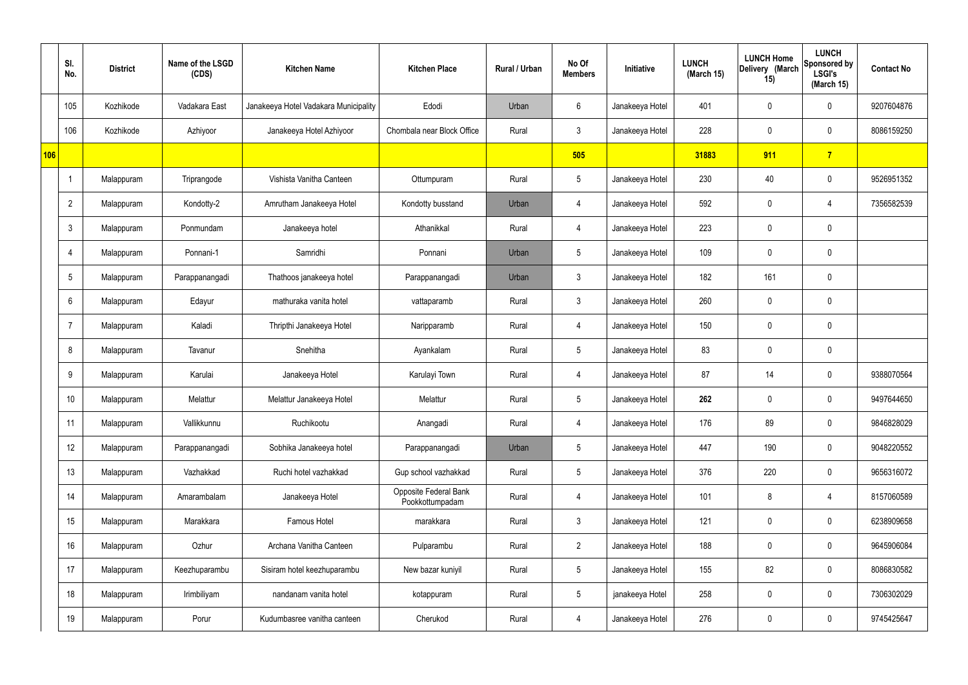|     | SI.<br>No.     | <b>District</b> | Name of the LSGD<br>(CDS) | <b>Kitchen Name</b>                   | <b>Kitchen Place</b>                     | Rural / Urban | No Of<br><b>Members</b> | Initiative      | <b>LUNCH</b><br>(March 15) | <b>LUNCH Home</b><br>Delivery (March<br>15) | <b>LUNCH</b><br>Sponsored by<br><b>LSGI's</b><br>(March 15) | <b>Contact No</b> |
|-----|----------------|-----------------|---------------------------|---------------------------------------|------------------------------------------|---------------|-------------------------|-----------------|----------------------------|---------------------------------------------|-------------------------------------------------------------|-------------------|
|     | 105            | Kozhikode       | Vadakara East             | Janakeeya Hotel Vadakara Municipality | Edodi                                    | Urban         | 6                       | Janakeeya Hotel | 401                        | 0                                           | $\mathbf 0$                                                 | 9207604876        |
|     | 106            | Kozhikode       | Azhiyoor                  | Janakeeya Hotel Azhiyoor              | Chombala near Block Office               | Rural         | $\mathbf{3}$            | Janakeeya Hotel | 228                        | $\mathbf 0$                                 | $\mathbf 0$                                                 | 8086159250        |
| 106 |                |                 |                           |                                       |                                          |               | 505                     |                 | 31883                      | 911                                         | $\overline{7}$                                              |                   |
|     | -1             | Malappuram      | Triprangode               | Vishista Vanitha Canteen              | Ottumpuram                               | Rural         | $5\overline{)}$         | Janakeeya Hotel | 230                        | 40                                          | $\mathbf 0$                                                 | 9526951352        |
|     | $\overline{2}$ | Malappuram      | Kondotty-2                | Amrutham Janakeeya Hotel              | Kondotty busstand                        | Urban         | 4                       | Janakeeya Hotel | 592                        | $\mathbf 0$                                 | 4                                                           | 7356582539        |
|     | 3              | Malappuram      | Ponmundam                 | Janakeeya hotel                       | Athanikkal                               | Rural         | $\overline{4}$          | Janakeeya Hotel | 223                        | $\mathbf 0$                                 | $\mathbf 0$                                                 |                   |
|     | $\overline{4}$ | Malappuram      | Ponnani-1                 | Samridhi                              | Ponnani                                  | Urban         | $5\overline{)}$         | Janakeeya Hotel | 109                        | $\mathbf 0$                                 | $\mathbf 0$                                                 |                   |
|     | 5              | Malappuram      | Parappanangadi            | Thathoos janakeeya hotel              | Parappanangadi                           | Urban         | $\mathbf{3}$            | Janakeeya Hotel | 182                        | 161                                         | $\mathbf 0$                                                 |                   |
|     | 6              | Malappuram      | Edayur                    | mathuraka vanita hotel                | vattaparamb                              | Rural         | 3                       | Janakeeya Hotel | 260                        | $\mathbf 0$                                 | $\mathbf 0$                                                 |                   |
|     | $\overline{7}$ | Malappuram      | Kaladi                    | Thripthi Janakeeya Hotel              | Naripparamb                              | Rural         | 4                       | Janakeeya Hotel | 150                        | $\mathbf 0$                                 | $\mathbf 0$                                                 |                   |
|     | 8              | Malappuram      | Tavanur                   | Snehitha                              | Ayankalam                                | Rural         | $5\phantom{.0}$         | Janakeeya Hotel | 83                         | 0                                           | $\mathbf 0$                                                 |                   |
|     | 9              | Malappuram      | Karulai                   | Janakeeya Hotel                       | Karulayi Town                            | Rural         | 4                       | Janakeeya Hotel | 87                         | 14                                          | $\mathbf 0$                                                 | 9388070564        |
|     | 10             | Malappuram      | Melattur                  | Melattur Janakeeya Hotel              | Melattur                                 | Rural         | $5\overline{)}$         | Janakeeya Hotel | 262                        | $\mathbf 0$                                 | $\mathbf 0$                                                 | 9497644650        |
|     | 11             | Malappuram      | Vallikkunnu               | Ruchikootu                            | Anangadi                                 | Rural         | $\overline{4}$          | Janakeeya Hotel | 176                        | 89                                          | $\mathbf 0$                                                 | 9846828029        |
|     | 12             | Malappuram      | Parappanangadi            | Sobhika Janakeeya hotel               | Parappanangadi                           | Urban         | $5\overline{)}$         | Janakeeya Hotel | 447                        | 190                                         | $\mathbf 0$                                                 | 9048220552        |
|     | 13             | Malappuram      | Vazhakkad                 | Ruchi hotel vazhakkad                 | Gup school vazhakkad                     | Rural         | $5\overline{)}$         | Janakeeya Hotel | 376                        | 220                                         | $\mathbf 0$                                                 | 9656316072        |
|     | 14             | Malappuram      | Amarambalam               | Janakeeya Hotel                       | Opposite Federal Bank<br>Pookkottumpadam | Rural         | $\overline{4}$          | Janakeeya Hotel | 101                        | 8                                           | 4                                                           | 8157060589        |
|     | 15             | Malappuram      | Marakkara                 | Famous Hotel                          | marakkara                                | Rural         | $\mathbf{3}$            | Janakeeya Hotel | 121                        | 0                                           | $\mathbf 0$                                                 | 6238909658        |
|     | 16             | Malappuram      | Ozhur                     | Archana Vanitha Canteen               | Pulparambu                               | Rural         | $\overline{2}$          | Janakeeya Hotel | 188                        | 0                                           | $\mathbf 0$                                                 | 9645906084        |
|     | 17             | Malappuram      | Keezhuparambu             | Sisiram hotel keezhuparambu           | New bazar kuniyil                        | Rural         | $5\overline{)}$         | Janakeeya Hotel | 155                        | 82                                          | $\mathbf 0$                                                 | 8086830582        |
|     | 18             | Malappuram      | Irimbiliyam               | nandanam vanita hotel                 | kotappuram                               | Rural         | $5\overline{)}$         | janakeeya Hotel | 258                        | 0                                           | $\mathbf 0$                                                 | 7306302029        |
|     | 19             | Malappuram      | Porur                     | Kudumbasree vanitha canteen           | Cherukod                                 | Rural         | 4                       | Janakeeya Hotel | 276                        | 0                                           | $\overline{0}$                                              | 9745425647        |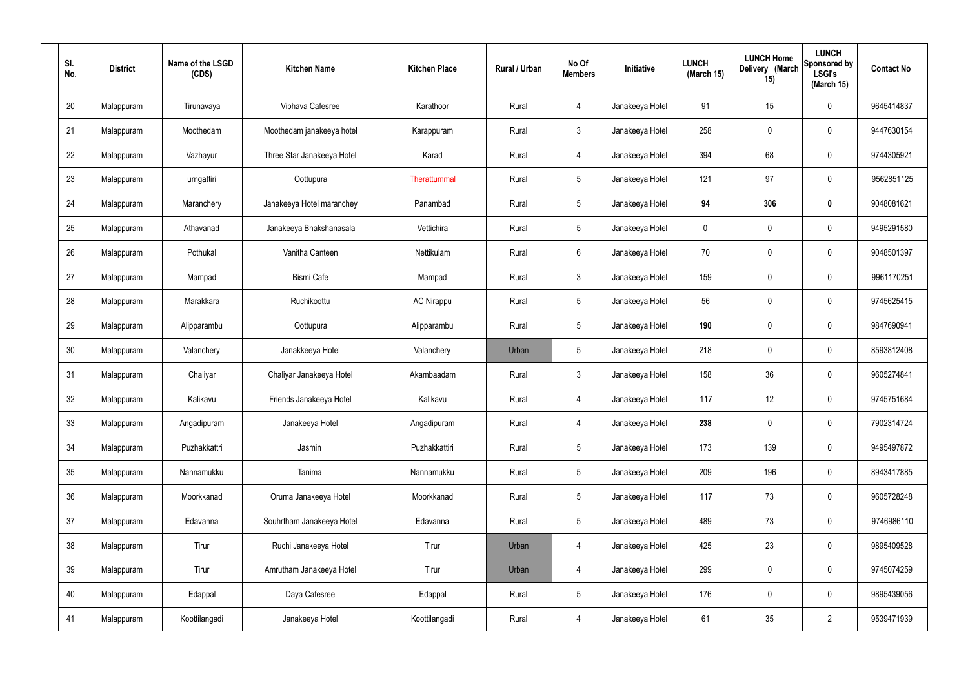| SI.<br>No. | <b>District</b> | Name of the LSGD<br>(CDS) | <b>Kitchen Name</b>        | <b>Kitchen Place</b> | Rural / Urban | No Of<br><b>Members</b> | Initiative      | <b>LUNCH</b><br>(March 15) | <b>LUNCH Home</b><br>Delivery (March<br>15) | <b>LUNCH</b><br>Sponsored by<br><b>LSGI's</b><br>(March 15) | <b>Contact No</b> |
|------------|-----------------|---------------------------|----------------------------|----------------------|---------------|-------------------------|-----------------|----------------------------|---------------------------------------------|-------------------------------------------------------------|-------------------|
| 20         | Malappuram      | Tirunavaya                | Vibhava Cafesree           | Karathoor            | Rural         | 4                       | Janakeeya Hotel | 91                         | 15                                          | $\mathbf 0$                                                 | 9645414837        |
| 21         | Malappuram      | Moothedam                 | Moothedam janakeeya hotel  | Karappuram           | Rural         | $\mathfrak{Z}$          | Janakeeya Hotel | 258                        | $\mathbf 0$                                 | $\mathbf 0$                                                 | 9447630154        |
| 22         | Malappuram      | Vazhayur                  | Three Star Janakeeya Hotel | Karad                | Rural         | 4                       | Janakeeya Hotel | 394                        | 68                                          | $\mathbf 0$                                                 | 9744305921        |
| 23         | Malappuram      | urngattiri                | Oottupura                  | Therattummal         | Rural         | $5\phantom{.0}$         | Janakeeya Hotel | 121                        | 97                                          | $\mathbf 0$                                                 | 9562851125        |
| 24         | Malappuram      | Maranchery                | Janakeeya Hotel maranchey  | Panambad             | Rural         | $5\phantom{.0}$         | Janakeeya Hotel | 94                         | 306                                         | $\mathbf 0$                                                 | 9048081621        |
| 25         | Malappuram      | Athavanad                 | Janakeeya Bhakshanasala    | Vettichira           | Rural         | $5\phantom{.0}$         | Janakeeya Hotel | 0                          | 0                                           | $\mathbf 0$                                                 | 9495291580        |
| 26         | Malappuram      | Pothukal                  | Vanitha Canteen            | Nettikulam           | Rural         | $6\phantom{.}$          | Janakeeya Hotel | 70                         | 0                                           | $\mathbf 0$                                                 | 9048501397        |
| 27         | Malappuram      | Mampad                    | <b>Bismi Cafe</b>          | Mampad               | Rural         | $\mathfrak{Z}$          | Janakeeya Hotel | 159                        | $\mathbf 0$                                 | $\mathbf 0$                                                 | 9961170251        |
| 28         | Malappuram      | Marakkara                 | Ruchikoottu                | <b>AC Nirappu</b>    | Rural         | $5\phantom{.0}$         | Janakeeya Hotel | 56                         | 0                                           | $\mathbf 0$                                                 | 9745625415        |
| 29         | Malappuram      | Alipparambu               | Oottupura                  | Alipparambu          | Rural         | $5\phantom{.0}$         | Janakeeya Hotel | 190                        | 0                                           | $\mathbf 0$                                                 | 9847690941        |
| 30         | Malappuram      | Valanchery                | Janakkeeya Hotel           | Valanchery           | Urban         | $5\phantom{.0}$         | Janakeeya Hotel | 218                        | 0                                           | $\boldsymbol{0}$                                            | 8593812408        |
| 31         | Malappuram      | Chaliyar                  | Chaliyar Janakeeya Hotel   | Akambaadam           | Rural         | $\mathfrak{Z}$          | Janakeeya Hotel | 158                        | 36                                          | $\mathbf 0$                                                 | 9605274841        |
| 32         | Malappuram      | Kalikavu                  | Friends Janakeeya Hotel    | Kalikavu             | Rural         | $\overline{4}$          | Janakeeya Hotel | 117                        | 12                                          | $\boldsymbol{0}$                                            | 9745751684        |
| 33         | Malappuram      | Angadipuram               | Janakeeya Hotel            | Angadipuram          | Rural         | $\overline{4}$          | Janakeeya Hotel | 238                        | 0                                           | $\mathbf 0$                                                 | 7902314724        |
| 34         | Malappuram      | Puzhakkattri              | Jasmin                     | Puzhakkattiri        | Rural         | $5\phantom{.0}$         | Janakeeya Hotel | 173                        | 139                                         | $\mathbf 0$                                                 | 9495497872        |
| 35         | Malappuram      | Nannamukku                | Tanima                     | Nannamukku           | Rural         | $5\phantom{.0}$         | Janakeeya Hotel | 209                        | 196                                         | $\mathbf 0$                                                 | 8943417885        |
| 36         | Malappuram      | Moorkkanad                | Oruma Janakeeya Hotel      | Moorkkanad           | Rural         | $5\phantom{.0}$         | Janakeeya Hotel | 117                        | 73                                          | $\mathbf 0$                                                 | 9605728248        |
| 37         | Malappuram      | Edavanna                  | Souhrtham Janakeeya Hotel  | Edavanna             | Rural         | $5\phantom{.0}$         | Janakeeya Hotel | 489                        | 73                                          | $\mathbf 0$                                                 | 9746986110        |
| 38         | Malappuram      | Tirur                     | Ruchi Janakeeya Hotel      | Tirur                | Urban         | $\overline{4}$          | Janakeeya Hotel | 425                        | 23                                          | $\mathbf 0$                                                 | 9895409528        |
| 39         | Malappuram      | Tirur                     | Amrutham Janakeeya Hotel   | Tirur                | Urban         | $\overline{4}$          | Janakeeya Hotel | 299                        | 0                                           | $\mathbf 0$                                                 | 9745074259        |
| 40         | Malappuram      | Edappal                   | Daya Cafesree              | Edappal              | Rural         | $5\,$                   | Janakeeya Hotel | 176                        | 0                                           | $\mathbf 0$                                                 | 9895439056        |
| 41         | Malappuram      | Koottilangadi             | Janakeeya Hotel            | Koottilangadi        | Rural         | 4                       | Janakeeya Hotel | 61                         | $35\,$                                      | $\overline{2}$                                              | 9539471939        |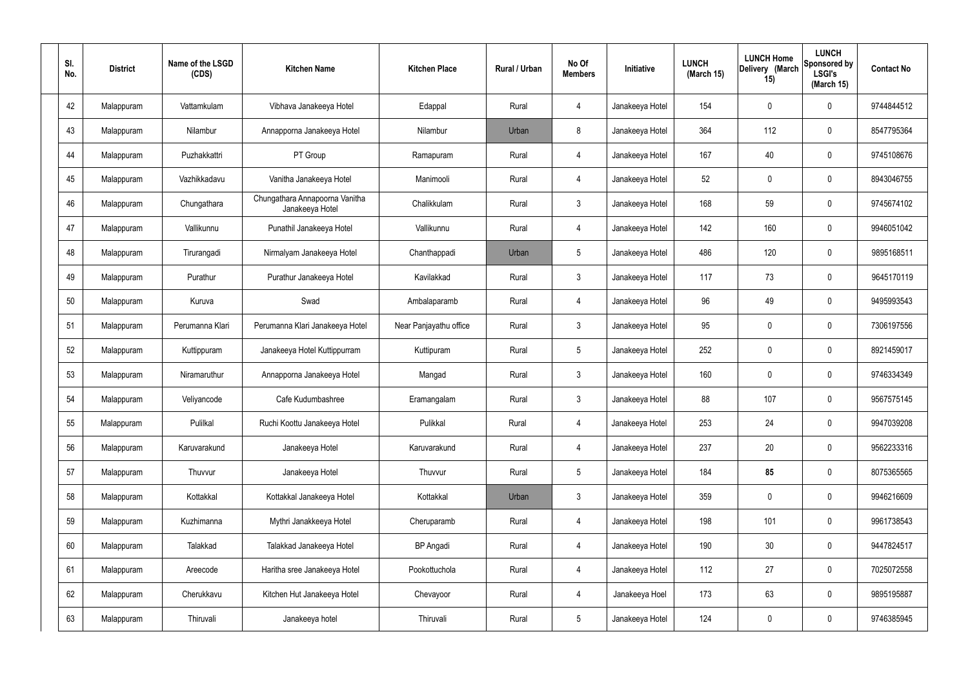| SI.<br>No. | <b>District</b> | Name of the LSGD<br>(CDS) | <b>Kitchen Name</b>                               | <b>Kitchen Place</b>   | Rural / Urban | No Of<br><b>Members</b> | Initiative      | <b>LUNCH</b><br>(March 15) | <b>LUNCH Home</b><br>Delivery (March<br>15) | <b>LUNCH</b><br>Sponsored by<br><b>LSGI's</b><br>(March 15) | <b>Contact No</b> |
|------------|-----------------|---------------------------|---------------------------------------------------|------------------------|---------------|-------------------------|-----------------|----------------------------|---------------------------------------------|-------------------------------------------------------------|-------------------|
| 42         | Malappuram      | Vattamkulam               | Vibhava Janakeeya Hotel                           | Edappal                | Rural         | 4                       | Janakeeya Hotel | 154                        | $\mathbf 0$                                 | 0                                                           | 9744844512        |
| 43         | Malappuram      | Nilambur                  | Annapporna Janakeeya Hotel                        | Nilambur               | Urban         | 8                       | Janakeeya Hotel | 364                        | 112                                         | 0                                                           | 8547795364        |
| 44         | Malappuram      | Puzhakkattri              | PT Group                                          | Ramapuram              | Rural         | 4                       | Janakeeya Hotel | 167                        | 40                                          | 0                                                           | 9745108676        |
| 45         | Malappuram      | Vazhikkadavu              | Vanitha Janakeeya Hotel                           | Manimooli              | Rural         | 4                       | Janakeeya Hotel | 52                         | $\mathbf 0$                                 | 0                                                           | 8943046755        |
| 46         | Malappuram      | Chungathara               | Chungathara Annapoorna Vanitha<br>Janakeeya Hotel | Chalikkulam            | Rural         | $\mathbf{3}$            | Janakeeya Hotel | 168                        | 59                                          | 0                                                           | 9745674102        |
| 47         | Malappuram      | Vallikunnu                | Punathil Janakeeya Hotel                          | Vallikunnu             | Rural         | 4                       | Janakeeya Hotel | 142                        | 160                                         | 0                                                           | 9946051042        |
| 48         | Malappuram      | Tirurangadi               | Nirmalyam Janakeeya Hotel                         | Chanthappadi           | Urban         | $5\phantom{.0}$         | Janakeeya Hotel | 486                        | 120                                         | 0                                                           | 9895168511        |
| 49         | Malappuram      | Purathur                  | Purathur Janakeeya Hotel                          | Kavilakkad             | Rural         | $\mathbf{3}$            | Janakeeya Hotel | 117                        | 73                                          | 0                                                           | 9645170119        |
| 50         | Malappuram      | Kuruva                    | Swad                                              | Ambalaparamb           | Rural         | 4                       | Janakeeya Hotel | 96                         | 49                                          | 0                                                           | 9495993543        |
| 51         | Malappuram      | Perumanna Klari           | Perumanna Klari Janakeeya Hotel                   | Near Panjayathu office | Rural         | $\mathbf{3}$            | Janakeeya Hotel | 95                         | 0                                           | 0                                                           | 7306197556        |
| 52         | Malappuram      | Kuttippuram               | Janakeeya Hotel Kuttippurram                      | Kuttipuram             | Rural         | $5\phantom{.0}$         | Janakeeya Hotel | 252                        | 0                                           | 0                                                           | 8921459017        |
| 53         | Malappuram      | Niramaruthur              | Annapporna Janakeeya Hotel                        | Mangad                 | Rural         | $\mathbf{3}$            | Janakeeya Hotel | 160                        | 0                                           | 0                                                           | 9746334349        |
| 54         | Malappuram      | Veliyancode               | Cafe Kudumbashree                                 | Eramangalam            | Rural         | $\mathbf{3}$            | Janakeeya Hotel | 88                         | 107                                         | 0                                                           | 9567575145        |
| 55         | Malappuram      | Pulilkal                  | Ruchi Koottu Janakeeya Hotel                      | Pulikkal               | Rural         | $\overline{4}$          | Janakeeya Hotel | 253                        | 24                                          | 0                                                           | 9947039208        |
| 56         | Malappuram      | Karuvarakund              | Janakeeya Hotel                                   | Karuvarakund           | Rural         | $\overline{4}$          | Janakeeya Hotel | 237                        | 20                                          | 0                                                           | 9562233316        |
| 57         | Malappuram      | Thuvvur                   | Janakeeya Hotel                                   | Thuvvur                | Rural         | $5\phantom{.0}$         | Janakeeya Hotel | 184                        | 85                                          | 0                                                           | 8075365565        |
| 58         | Malappuram      | Kottakkal                 | Kottakkal Janakeeya Hotel                         | Kottakkal              | Urban         | $\mathbf{3}$            | Janakeeya Hotel | 359                        | $\pmb{0}$                                   | 0                                                           | 9946216609        |
| 59         | Malappuram      | Kuzhimanna                | Mythri Janakkeeya Hotel                           | Cheruparamb            | Rural         | $\overline{4}$          | Janakeeya Hotel | 198                        | 101                                         | 0                                                           | 9961738543        |
| 60         | Malappuram      | Talakkad                  | Talakkad Janakeeya Hotel                          | <b>BP</b> Angadi       | Rural         | $\overline{4}$          | Janakeeya Hotel | 190                        | 30 <sub>2</sub>                             | 0                                                           | 9447824517        |
| 61         | Malappuram      | Areecode                  | Haritha sree Janakeeya Hotel                      | Pookottuchola          | Rural         | $\overline{4}$          | Janakeeya Hotel | 112                        | 27                                          | 0                                                           | 7025072558        |
| 62         | Malappuram      | Cherukkavu                | Kitchen Hut Janakeeya Hotel                       | Chevayoor              | Rural         | $\overline{4}$          | Janakeeya Hoel  | 173                        | 63                                          | 0                                                           | 9895195887        |
| 63         | Malappuram      | Thiruvali                 | Janakeeya hotel                                   | Thiruvali              | Rural         | $5\phantom{.0}$         | Janakeeya Hotel | 124                        | $\pmb{0}$                                   | 0                                                           | 9746385945        |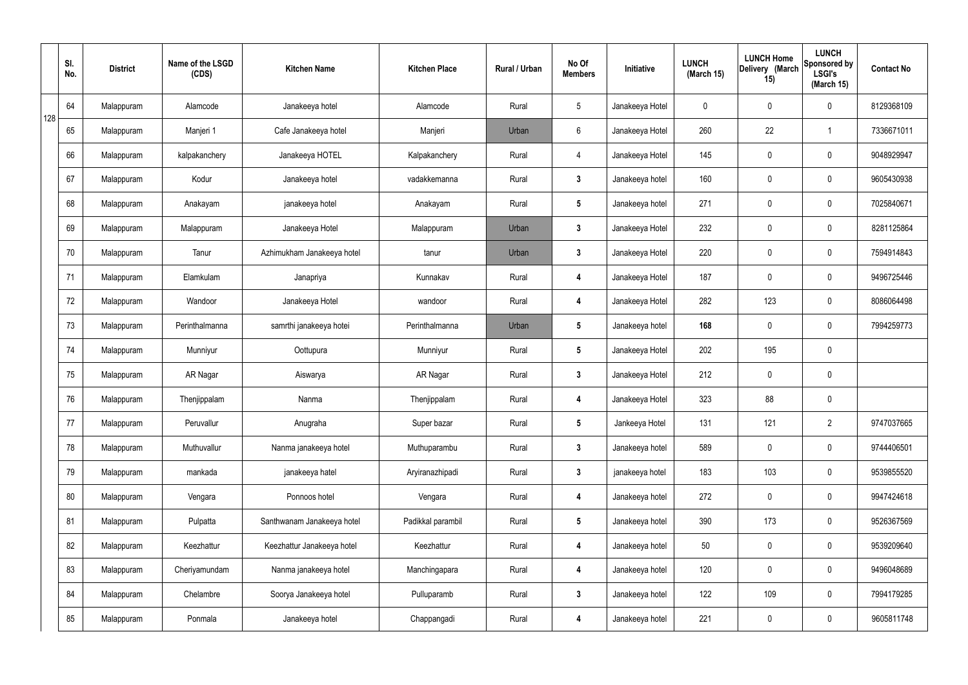|     | SI.<br>No. | <b>District</b> | Name of the LSGD<br>(CDS) | <b>Kitchen Name</b>        | <b>Kitchen Place</b> | Rural / Urban | No Of<br><b>Members</b> | Initiative      | <b>LUNCH</b><br>(March 15) | <b>LUNCH Home</b><br>Delivery (March<br>15) | <b>LUNCH</b><br>Sponsored by<br><b>LSGI's</b><br>(March 15) | <b>Contact No</b> |
|-----|------------|-----------------|---------------------------|----------------------------|----------------------|---------------|-------------------------|-----------------|----------------------------|---------------------------------------------|-------------------------------------------------------------|-------------------|
| 128 | 64         | Malappuram      | Alamcode                  | Janakeeya hotel            | Alamcode             | Rural         | $5\phantom{.0}$         | Janakeeya Hotel | $\mathbf 0$                | 0                                           | $\mathbf 0$                                                 | 8129368109        |
|     | 65         | Malappuram      | Manjeri 1                 | Cafe Janakeeya hotel       | Manjeri              | Urban         | $6\phantom{.}6$         | Janakeeya Hotel | 260                        | 22                                          | $\mathbf 1$                                                 | 7336671011        |
|     | 66         | Malappuram      | kalpakanchery             | Janakeeya HOTEL            | Kalpakanchery        | Rural         | $\overline{4}$          | Janakeeya Hotel | 145                        | 0                                           | $\mathbf 0$                                                 | 9048929947        |
|     | 67         | Malappuram      | Kodur                     | Janakeeya hotel            | vadakkemanna         | Rural         | $\mathbf{3}$            | Janakeeya hotel | 160                        | 0                                           | $\mathbf 0$                                                 | 9605430938        |
|     | 68         | Malappuram      | Anakayam                  | janakeeya hotel            | Anakayam             | Rural         | $5\phantom{.0}$         | Janakeeya hotel | 271                        | 0                                           | $\mathbf 0$                                                 | 7025840671        |
|     | 69         | Malappuram      | Malappuram                | Janakeeya Hotel            | Malappuram           | Urban         | $\mathbf{3}$            | Janakeeya Hotel | 232                        | $\mathbf 0$                                 | $\mathbf 0$                                                 | 8281125864        |
|     | 70         | Malappuram      | Tanur                     | Azhimukham Janakeeya hotel | tanur                | Urban         | $\mathbf{3}$            | Janakeeya Hotel | 220                        | $\mathbf 0$                                 | $\mathbf 0$                                                 | 7594914843        |
|     | 71         | Malappuram      | Elamkulam                 | Janapriya                  | Kunnakav             | Rural         | 4                       | Janakeeya Hotel | 187                        | $\mathbf 0$                                 | $\mathbf 0$                                                 | 9496725446        |
|     | 72         | Malappuram      | Wandoor                   | Janakeeya Hotel            | wandoor              | Rural         | 4                       | Janakeeya Hotel | 282                        | 123                                         | $\mathbf 0$                                                 | 8086064498        |
|     | 73         | Malappuram      | Perinthalmanna            | samrthi janakeeya hotei    | Perinthalmanna       | Urban         | $5\phantom{.0}$         | Janakeeya hotel | 168                        | 0                                           | $\mathbf 0$                                                 | 7994259773        |
|     | 74         | Malappuram      | Munniyur                  | Oottupura                  | Munniyur             | Rural         | $5\phantom{.0}$         | Janakeeya Hotel | 202                        | 195                                         | $\pmb{0}$                                                   |                   |
|     | 75         | Malappuram      | AR Nagar                  | Aiswarya                   | AR Nagar             | Rural         | $\mathbf{3}$            | Janakeeya Hotel | 212                        | 0                                           | $\mathbf 0$                                                 |                   |
|     | 76         | Malappuram      | Thenjippalam              | Nanma                      | Thenjippalam         | Rural         | 4                       | Janakeeya Hotel | 323                        | 88                                          | $\mathbf 0$                                                 |                   |
|     | 77         | Malappuram      | Peruvallur                | Anugraha                   | Super bazar          | Rural         | $5\overline{)}$         | Jankeeya Hotel  | 131                        | 121                                         | $\overline{2}$                                              | 9747037665        |
|     | 78         | Malappuram      | Muthuvallur               | Nanma janakeeya hotel      | Muthuparambu         | Rural         | $3\phantom{a}$          | Janakeeya hotel | 589                        | 0                                           | $\mathbf 0$                                                 | 9744406501        |
|     | 79         | Malappuram      | mankada                   | janakeeya hatel            | Aryiranazhipadi      | Rural         | $\mathbf{3}$            | janakeeya hotel | 183                        | 103                                         | $\mathbf 0$                                                 | 9539855520        |
|     | 80         | Malappuram      | Vengara                   | Ponnoos hotel              | Vengara              | Rural         | 4                       | Janakeeya hotel | 272                        | 0                                           | $\mathbf 0$                                                 | 9947424618        |
|     | 81         | Malappuram      | Pulpatta                  | Santhwanam Janakeeya hotel | Padikkal parambil    | Rural         | $5\phantom{.0}$         | Janakeeya hotel | 390                        | 173                                         | $\mathbf 0$                                                 | 9526367569        |
|     | 82         | Malappuram      | Keezhattur                | Keezhattur Janakeeya hotel | Keezhattur           | Rural         | 4                       | Janakeeya hotel | 50                         | 0                                           | $\mathbf 0$                                                 | 9539209640        |
|     | 83         | Malappuram      | Cheriyamundam             | Nanma janakeeya hotel      | Manchingapara        | Rural         | 4                       | Janakeeya hotel | 120                        | 0                                           | $\mathbf 0$                                                 | 9496048689        |
|     | 84         | Malappuram      | Chelambre                 | Soorya Janakeeya hotel     | Pulluparamb          | Rural         | $\mathbf{3}$            | Janakeeya hotel | 122                        | 109                                         | $\mathbf 0$                                                 | 7994179285        |
|     | 85         | Malappuram      | Ponmala                   | Janakeeya hotel            | Chappangadi          | Rural         | 4                       | Janakeeya hotel | 221                        | 0                                           | $\mathbf 0$                                                 | 9605811748        |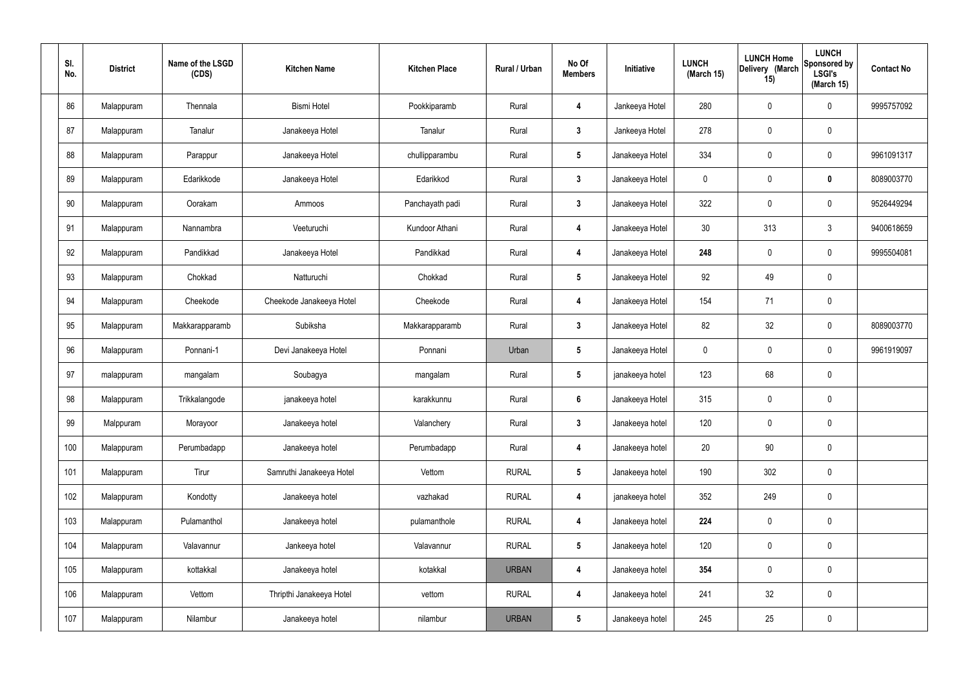| SI.<br>No. | <b>District</b> | Name of the LSGD<br>(CDS) | <b>Kitchen Name</b>      | <b>Kitchen Place</b> | Rural / Urban | No Of<br><b>Members</b> | Initiative      | <b>LUNCH</b><br>(March 15) | <b>LUNCH Home</b><br>Delivery (March<br>15) | <b>LUNCH</b><br>Sponsored by<br><b>LSGI's</b><br>(March 15) | <b>Contact No</b> |
|------------|-----------------|---------------------------|--------------------------|----------------------|---------------|-------------------------|-----------------|----------------------------|---------------------------------------------|-------------------------------------------------------------|-------------------|
| 86         | Malappuram      | Thennala                  | <b>Bismi Hotel</b>       | Pookkiparamb         | Rural         | 4                       | Jankeeya Hotel  | 280                        | 0                                           | $\mathbf 0$                                                 | 9995757092        |
| 87         | Malappuram      | Tanalur                   | Janakeeya Hotel          | Tanalur              | Rural         | $\mathbf{3}$            | Jankeeya Hotel  | 278                        | 0                                           | $\pmb{0}$                                                   |                   |
| 88         | Malappuram      | Parappur                  | Janakeeya Hotel          | chullipparambu       | Rural         | $5\phantom{.0}$         | Janakeeya Hotel | 334                        | 0                                           | $\mathbf 0$                                                 | 9961091317        |
| 89         | Malappuram      | Edarikkode                | Janakeeya Hotel          | Edarikkod            | Rural         | $\mathbf{3}$            | Janakeeya Hotel | $\mathbf 0$                | 0                                           | $\mathbf 0$                                                 | 8089003770        |
| 90         | Malappuram      | Oorakam                   | Ammoos                   | Panchayath padi      | Rural         | $3\phantom{a}$          | Janakeeya Hotel | 322                        | 0                                           | $\mathbf 0$                                                 | 9526449294        |
| 91         | Malappuram      | Nannambra                 | Veeturuchi               | Kundoor Athani       | Rural         | 4                       | Janakeeya Hotel | 30                         | 313                                         | $3\phantom{.0}$                                             | 9400618659        |
| 92         | Malappuram      | Pandikkad                 | Janakeeya Hotel          | Pandikkad            | Rural         | 4                       | Janakeeya Hotel | 248                        | $\mathbf 0$                                 | $\mathbf 0$                                                 | 9995504081        |
| 93         | Malappuram      | Chokkad                   | Natturuchi               | Chokkad              | Rural         | $5\phantom{.0}$         | Janakeeya Hotel | 92                         | 49                                          | $\mathbf 0$                                                 |                   |
| 94         | Malappuram      | Cheekode                  | Cheekode Janakeeya Hotel | Cheekode             | Rural         | 4                       | Janakeeya Hotel | 154                        | 71                                          | $\mathbf 0$                                                 |                   |
| 95         | Malappuram      | Makkarapparamb            | Subiksha                 | Makkarapparamb       | Rural         | $\mathbf{3}$            | Janakeeya Hotel | 82                         | 32                                          | $\mathbf 0$                                                 | 8089003770        |
| 96         | Malappuram      | Ponnani-1                 | Devi Janakeeya Hotel     | Ponnani              | Urban         | $5\phantom{.0}$         | Janakeeya Hotel | $\mathbf 0$                | 0                                           | $\mathbf 0$                                                 | 9961919097        |
| 97         | malappuram      | mangalam                  | Soubagya                 | mangalam             | Rural         | $5\phantom{.0}$         | janakeeya hotel | 123                        | 68                                          | $\pmb{0}$                                                   |                   |
| 98         | Malappuram      | Trikkalangode             | janakeeya hotel          | karakkunnu           | Rural         | $6\phantom{.}6$         | Janakeeya Hotel | 315                        | $\mathbf 0$                                 | $\mathbf 0$                                                 |                   |
| 99         | Malppuram       | Morayoor                  | Janakeeya hotel          | Valanchery           | Rural         | $\mathbf{3}$            | Janakeeya hotel | 120                        | $\mathbf 0$                                 | $\mathbf 0$                                                 |                   |
| 100        | Malappuram      | Perumbadapp               | Janakeeya hotel          | Perumbadapp          | Rural         | $\overline{\mathbf{4}}$ | Janakeeya hotel | 20                         | $90\,$                                      | $\mathbf 0$                                                 |                   |
| 101        | Malappuram      | Tirur                     | Samruthi Janakeeya Hotel | Vettom               | <b>RURAL</b>  | $5\phantom{.0}$         | Janakeeya hotel | 190                        | 302                                         | $\mathbf 0$                                                 |                   |
| 102        | Malappuram      | Kondotty                  | Janakeeya hotel          | vazhakad             | <b>RURAL</b>  | 4                       | janakeeya hotel | 352                        | 249                                         | $\mathbf 0$                                                 |                   |
| 103        | Malappuram      | Pulamanthol               | Janakeeya hotel          | pulamanthole         | <b>RURAL</b>  | 4                       | Janakeeya hotel | 224                        | 0                                           | $\mathbf 0$                                                 |                   |
| 104        | Malappuram      | Valavannur                | Jankeeya hotel           | Valavannur           | <b>RURAL</b>  | $5\phantom{.0}$         | Janakeeya hotel | 120                        | 0                                           | $\mathbf 0$                                                 |                   |
| 105        | Malappuram      | kottakkal                 | Janakeeya hotel          | kotakkal             | <b>URBAN</b>  | 4                       | Janakeeya hotel | 354                        | $\pmb{0}$                                   | $\mathbf 0$                                                 |                   |
| 106        | Malappuram      | Vettom                    | Thripthi Janakeeya Hotel | vettom               | <b>RURAL</b>  | $\overline{\mathbf{4}}$ | Janakeeya hotel | 241                        | 32                                          | $\mathbf 0$                                                 |                   |
| 107        | Malappuram      | Nilambur                  | Janakeeya hotel          | nilambur             | <b>URBAN</b>  | $5\phantom{.0}$         | Janakeeya hotel | 245                        | 25                                          | $\pmb{0}$                                                   |                   |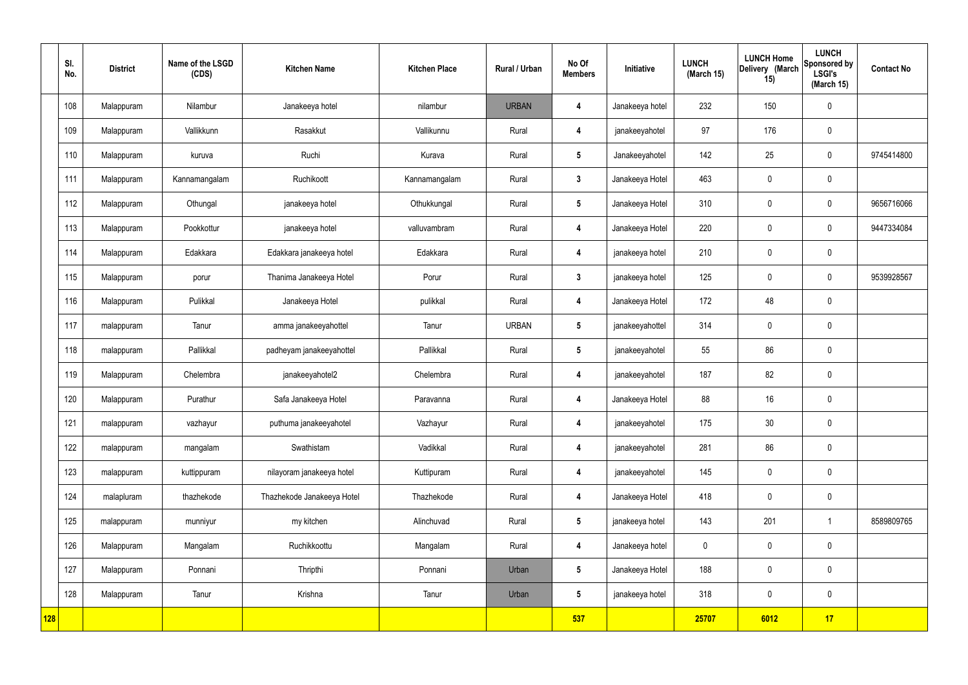|            | SI.<br>No. | <b>District</b> | Name of the LSGD<br>(CDS) | <b>Kitchen Name</b>        | <b>Kitchen Place</b> | Rural / Urban | No Of<br><b>Members</b> | Initiative      | <b>LUNCH</b><br>(March 15) | <b>LUNCH Home</b><br>Delivery (March<br>15) | <b>LUNCH</b><br>Sponsored by<br><b>LSGI's</b><br>(March 15) | <b>Contact No</b> |
|------------|------------|-----------------|---------------------------|----------------------------|----------------------|---------------|-------------------------|-----------------|----------------------------|---------------------------------------------|-------------------------------------------------------------|-------------------|
|            | 108        | Malappuram      | Nilambur                  | Janakeeya hotel            | nilambur             | <b>URBAN</b>  | 4                       | Janakeeya hotel | 232                        | 150                                         | $\mathbf 0$                                                 |                   |
|            | 109        | Malappuram      | Vallikkunn                | Rasakkut                   | Vallikunnu           | Rural         | $\overline{\mathbf{4}}$ | janakeeyahotel  | 97                         | 176                                         | $\mathbf 0$                                                 |                   |
|            | 110        | Malappuram      | kuruva                    | Ruchi                      | Kurava               | Rural         | $5\overline{)}$         | Janakeeyahotel  | 142                        | 25                                          | $\mathbf 0$                                                 | 9745414800        |
|            | 111        | Malappuram      | Kannamangalam             | Ruchikoott                 | Kannamangalam        | Rural         | $3\phantom{a}$          | Janakeeya Hotel | 463                        | $\pmb{0}$                                   | $\mathbf 0$                                                 |                   |
|            | 112        | Malappuram      | Othungal                  | janakeeya hotel            | Othukkungal          | Rural         | $5\overline{)}$         | Janakeeya Hotel | 310                        | $\mathbf 0$                                 | $\mathbf 0$                                                 | 9656716066        |
|            | 113        | Malappuram      | Pookkottur                | janakeeya hotel            | valluvambram         | Rural         | $\boldsymbol{4}$        | Janakeeya Hotel | 220                        | $\mathbf 0$                                 | $\mathbf 0$                                                 | 9447334084        |
|            | 114        | Malappuram      | Edakkara                  | Edakkara janakeeya hotel   | Edakkara             | Rural         | 4                       | janakeeya hotel | 210                        | $\mathbf 0$                                 | $\mathbf 0$                                                 |                   |
|            | 115        | Malappuram      | porur                     | Thanima Janakeeya Hotel    | Porur                | Rural         | $3\overline{3}$         | janakeeya hotel | 125                        | $\pmb{0}$                                   | $\mathbf 0$                                                 | 9539928567        |
|            | 116        | Malappuram      | Pulikkal                  | Janakeeya Hotel            | pulikkal             | Rural         | $\boldsymbol{4}$        | Janakeeya Hotel | 172                        | 48                                          | $\mathbf 0$                                                 |                   |
|            | 117        | malappuram      | Tanur                     | amma janakeeyahottel       | Tanur                | <b>URBAN</b>  | $5\overline{)}$         | janakeeyahottel | 314                        | $\mathbf 0$                                 | $\mathbf 0$                                                 |                   |
|            | 118        | malappuram      | Pallikkal                 | padheyam janakeeyahottel   | Pallikkal            | Rural         | $5\overline{)}$         | janakeeyahotel  | 55                         | 86                                          | $\mathbf 0$                                                 |                   |
|            | 119        | Malappuram      | Chelembra                 | janakeeyahotel2            | Chelembra            | Rural         | 4                       | janakeeyahotel  | 187                        | 82                                          | $\mathbf 0$                                                 |                   |
|            | 120        | Malappuram      | Purathur                  | Safa Janakeeya Hotel       | Paravanna            | Rural         | $\overline{4}$          | Janakeeya Hotel | 88                         | 16                                          | $\mathbf 0$                                                 |                   |
|            | 121        | malappuram      | vazhayur                  | puthuma janakeeyahotel     | Vazhayur             | Rural         | 4                       | janakeeyahotel  | 175                        | $30\,$                                      | $\mathbf 0$                                                 |                   |
|            | 122        | malappuram      | mangalam                  | Swathistam                 | Vadikkal             | Rural         | $\overline{\mathbf{4}}$ | janakeeyahotel  | 281                        | 86                                          | $\mathbf 0$                                                 |                   |
|            | 123        | malappuram      | kuttippuram               | nilayoram janakeeya hotel  | Kuttipuram           | Rural         | $\overline{\mathbf{4}}$ | janakeeyahotel  | 145                        | $\pmb{0}$                                   | $\mathbf 0$                                                 |                   |
|            | 124        | malapluram      | thazhekode                | Thazhekode Janakeeya Hotel | Thazhekode           | Rural         | $\overline{\mathbf{4}}$ | Janakeeya Hotel | 418                        | $\mathbf 0$                                 | $\mathbf 0$                                                 |                   |
|            | 125        | malappuram      | munniyur                  | my kitchen                 | Alinchuvad           | Rural         | $5\phantom{.0}$         | janakeeya hotel | 143                        | 201                                         | $\mathbf{1}$                                                | 8589809765        |
|            | 126        | Malappuram      | Mangalam                  | Ruchikkoottu               | Mangalam             | Rural         | $\overline{\mathbf{4}}$ | Janakeeya hotel | $\mathbf 0$                | $\pmb{0}$                                   | $\mathbf 0$                                                 |                   |
|            | 127        | Malappuram      | Ponnani                   | Thripthi                   | Ponnani              | Urban         | $5\overline{)}$         | Janakeeya Hotel | 188                        | $\pmb{0}$                                   | $\mathbf 0$                                                 |                   |
|            | 128        | Malappuram      | Tanur                     | Krishna                    | Tanur                | Urban         | $5\overline{)}$         | janakeeya hotel | 318                        | $\pmb{0}$                                   | $\mathbf 0$                                                 |                   |
| <b>128</b> |            |                 |                           |                            |                      |               | 537                     |                 | 25707                      | 6012                                        | 17                                                          |                   |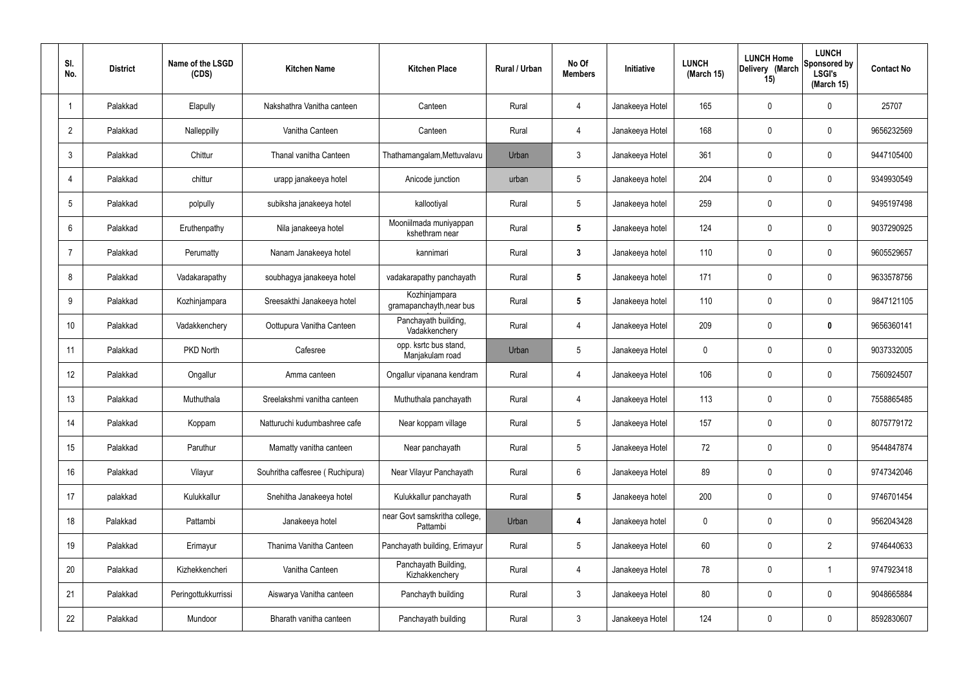| SI.<br>No.     | <b>District</b> | Name of the LSGD<br>(CDS) | <b>Kitchen Name</b>             | <b>Kitchen Place</b>                      | Rural / Urban | No Of<br><b>Members</b> | Initiative      | <b>LUNCH</b><br>(March 15) | <b>LUNCH Home</b><br>Delivery (March<br>15) | <b>LUNCH</b><br>Sponsored by<br><b>LSGI's</b><br>(March 15) | <b>Contact No</b> |
|----------------|-----------------|---------------------------|---------------------------------|-------------------------------------------|---------------|-------------------------|-----------------|----------------------------|---------------------------------------------|-------------------------------------------------------------|-------------------|
| -1             | Palakkad        | Elapully                  | Nakshathra Vanitha canteen      | Canteen                                   | Rural         | 4                       | Janakeeya Hotel | 165                        | 0                                           | $\mathbf 0$                                                 | 25707             |
| $\overline{2}$ | Palakkad        | Nalleppilly               | Vanitha Canteen                 | Canteen                                   | Rural         | 4                       | Janakeeya Hotel | 168                        | 0                                           | $\mathbf 0$                                                 | 9656232569        |
| 3              | Palakkad        | Chittur                   | Thanal vanitha Canteen          | Thathamangalam, Mettuvalavu               | Urban         | 3                       | Janakeeya Hotel | 361                        | 0                                           | $\mathbf 0$                                                 | 9447105400        |
|                | Palakkad        | chittur                   | urapp janakeeya hotel           | Anicode junction                          | urban         | $5\phantom{.0}$         | Janakeeya hotel | 204                        | 0                                           | $\mathbf 0$                                                 | 9349930549        |
| 5              | Palakkad        | polpully                  | subiksha janakeeya hotel        | kallootiyal                               | Rural         | $5\phantom{.0}$         | Janakeeya hotel | 259                        | 0                                           | $\mathbf 0$                                                 | 9495197498        |
| 6              | Palakkad        | Eruthenpathy              | Nila janakeeya hotel            | Mooniilmada muniyappan<br>kshethram near  | Rural         | $5\phantom{.0}$         | Janakeeya hotel | 124                        | $\mathbf 0$                                 | $\mathbf 0$                                                 | 9037290925        |
| 7              | Palakkad        | Perumatty                 | Nanam Janakeeya hotel           | kannimari                                 | Rural         | $\mathbf{3}$            | Janakeeya hotel | 110                        | 0                                           | $\mathbf 0$                                                 | 9605529657        |
| 8              | Palakkad        | Vadakarapathy             | soubhagya janakeeya hotel       | vadakarapathy panchayath                  | Rural         | $5\phantom{.0}$         | Janakeeya hotel | 171                        | $\mathbf 0$                                 | $\mathbf 0$                                                 | 9633578756        |
| 9              | Palakkad        | Kozhinjampara             | Sreesakthi Janakeeya hotel      | Kozhinjampara<br>gramapanchayth, near bus | Rural         | $5\phantom{.0}$         | Janakeeya hotel | 110                        | 0                                           | $\mathbf 0$                                                 | 9847121105        |
| 10             | Palakkad        | Vadakkenchery             | Oottupura Vanitha Canteen       | Panchayath building,<br>Vadakkenchery     | Rural         | 4                       | Janakeeya Hotel | 209                        | 0                                           | $\mathbf 0$                                                 | 9656360141        |
| 11             | Palakkad        | PKD North                 | Cafesree                        | opp. ksrtc bus stand,<br>Manjakulam road  | Urban         | $5\phantom{.0}$         | Janakeeya Hotel | $\mathbf 0$                | 0                                           | $\mathbf 0$                                                 | 9037332005        |
| 12             | Palakkad        | Ongallur                  | Amma canteen                    | Ongallur vipanana kendram                 | Rural         | 4                       | Janakeeya Hotel | 106                        | 0                                           | $\boldsymbol{0}$                                            | 7560924507        |
| 13             | Palakkad        | Muthuthala                | Sreelakshmi vanitha canteen     | Muthuthala panchayath                     | Rural         | 4                       | Janakeeya Hotel | 113                        | 0                                           | 0                                                           | 7558865485        |
| 14             | Palakkad        | Koppam                    | Natturuchi kudumbashree cafe    | Near koppam village                       | Rural         | $5\phantom{.0}$         | Janakeeya Hotel | 157                        | 0                                           | $\mathbf 0$                                                 | 8075779172        |
| 15             | Palakkad        | Paruthur                  | Mamatty vanitha canteen         | Near panchayath                           | Rural         | $5\phantom{.0}$         | Janakeeya Hotel | 72                         | $\mathbf 0$                                 | $\mathbf 0$                                                 | 9544847874        |
| 16             | Palakkad        | Vilayur                   | Souhritha caffesree (Ruchipura) | Near Vilayur Panchayath                   | Rural         | $6\phantom{.}6$         | Janakeeya Hotel | 89                         | $\mathbf 0$                                 | $\mathbf 0$                                                 | 9747342046        |
| 17             | palakkad        | Kulukkallur               | Snehitha Janakeeya hotel        | Kulukkallur panchayath                    | Rural         | $5\phantom{.0}$         | Janakeeya hotel | 200                        | $\mathbf 0$                                 | $\mathbf 0$                                                 | 9746701454        |
| 18             | Palakkad        | Pattambi                  | Janakeeya hotel                 | near Govt samskritha college,<br>Pattambi | Urban         | 4                       | Janakeeya hotel | $\mathbf 0$                | 0                                           | $\mathbf 0$                                                 | 9562043428        |
| 19             | Palakkad        | Erimayur                  | Thanima Vanitha Canteen         | Panchayath building, Erimayur             | Rural         | $5\,$                   | Janakeeya Hotel | 60                         | 0                                           | $\overline{2}$                                              | 9746440633        |
| 20             | Palakkad        | Kizhekkencheri            | Vanitha Canteen                 | Panchayath Building,<br>Kizhakkenchery    | Rural         | 4                       | Janakeeya Hotel | 78                         | 0                                           | $\mathbf 1$                                                 | 9747923418        |
| 21             | Palakkad        | Peringottukkurrissi       | Aiswarya Vanitha canteen        | Panchayth building                        | Rural         | $3\phantom{a}$          | Janakeeya Hotel | 80                         | $\mathbf 0$                                 | $\mathbf 0$                                                 | 9048665884        |
| 22             | Palakkad        | Mundoor                   | Bharath vanitha canteen         | Panchayath building                       | Rural         | $\mathfrak{Z}$          | Janakeeya Hotel | 124                        | 0                                           | $\boldsymbol{0}$                                            | 8592830607        |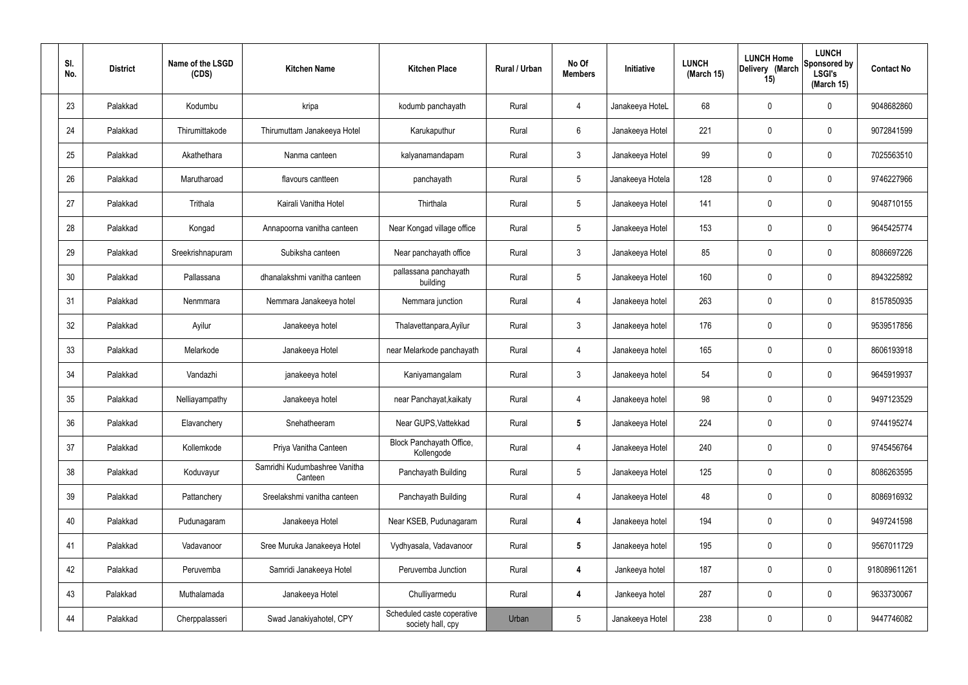| SI.<br>No. | <b>District</b> | Name of the LSGD<br>(CDS) | <b>Kitchen Name</b>                      | <b>Kitchen Place</b>                            | Rural / Urban | No Of<br><b>Members</b> | Initiative       | <b>LUNCH</b><br>(March 15) | <b>LUNCH Home</b><br>Delivery (March<br>15) | <b>LUNCH</b><br>Sponsored by<br><b>LSGI's</b><br>(March 15) | <b>Contact No</b> |
|------------|-----------------|---------------------------|------------------------------------------|-------------------------------------------------|---------------|-------------------------|------------------|----------------------------|---------------------------------------------|-------------------------------------------------------------|-------------------|
| 23         | Palakkad        | Kodumbu                   | kripa                                    | kodumb panchayath                               | Rural         | 4                       | Janakeeya HoteL  | 68                         | $\mathbf 0$                                 | 0                                                           | 9048682860        |
| 24         | Palakkad        | Thirumittakode            | Thirumuttam Janakeeya Hotel              | Karukaputhur                                    | Rural         | 6                       | Janakeeya Hotel  | 221                        | $\mathbf 0$                                 | 0                                                           | 9072841599        |
| 25         | Palakkad        | Akathethara               | Nanma canteen                            | kalyanamandapam                                 | Rural         | $\mathbf{3}$            | Janakeeya Hotel  | 99                         | 0                                           | 0                                                           | 7025563510        |
| 26         | Palakkad        | Marutharoad               | flavours cantteen                        | panchayath                                      | Rural         | $5\phantom{.0}$         | Janakeeya Hotela | 128                        | $\mathbf 0$                                 | 0                                                           | 9746227966        |
| 27         | Palakkad        | Trithala                  | Kairali Vanitha Hotel                    | Thirthala                                       | Rural         | $5\phantom{.0}$         | Janakeeya Hotel  | 141                        | 0                                           | 0                                                           | 9048710155        |
| 28         | Palakkad        | Kongad                    | Annapoorna vanitha canteen               | Near Kongad village office                      | Rural         | $5\phantom{.0}$         | Janakeeya Hotel  | 153                        | $\mathbf 0$                                 | 0                                                           | 9645425774        |
| 29         | Palakkad        | Sreekrishnapuram          | Subiksha canteen                         | Near panchayath office                          | Rural         | $\mathbf{3}$            | Janakeeya Hotel  | 85                         | $\mathbf 0$                                 | 0                                                           | 8086697226        |
| 30         | Palakkad        | Pallassana                | dhanalakshmi vanitha canteen             | pallassana panchayath<br>building               | Rural         | $5\phantom{.0}$         | Janakeeya Hotel  | 160                        | $\mathbf 0$                                 | 0                                                           | 8943225892        |
| 31         | Palakkad        | Nenmmara                  | Nemmara Janakeeya hotel                  | Nemmara junction                                | Rural         | 4                       | Janakeeya hotel  | 263                        | $\mathbf 0$                                 | 0                                                           | 8157850935        |
| 32         | Palakkad        | Ayilur                    | Janakeeya hotel                          | Thalavettanpara, Ayilur                         | Rural         | $\mathbf{3}$            | Janakeeya hotel  | 176                        | 0                                           | 0                                                           | 9539517856        |
| 33         | Palakkad        | Melarkode                 | Janakeeya Hotel                          | near Melarkode panchayath                       | Rural         | $\overline{4}$          | Janakeeya hotel  | 165                        | 0                                           | 0                                                           | 8606193918        |
| 34         | Palakkad        | Vandazhi                  | janakeeya hotel                          | Kaniyamangalam                                  | Rural         | $\mathbf{3}$            | Janakeeya hotel  | 54                         | 0                                           | 0                                                           | 9645919937        |
| 35         | Palakkad        | Nelliayampathy            | Janakeeya hotel                          | near Panchayat, kaikaty                         | Rural         | 4                       | Janakeeya hotel  | 98                         | 0                                           | 0                                                           | 9497123529        |
| 36         | Palakkad        | Elavanchery               | Snehatheeram                             | Near GUPS, Vattekkad                            | Rural         | $\sqrt{5}$              | Janakeeya Hotel  | 224                        | $\mathbf 0$                                 | 0                                                           | 9744195274        |
| 37         | Palakkad        | Kollemkode                | Priya Vanitha Canteen                    | Block Panchayath Office,<br>Kollengode          | Rural         | $\overline{4}$          | Janakeeya Hotel  | 240                        | $\mathbf 0$                                 | 0                                                           | 9745456764        |
| 38         | Palakkad        | Koduvayur                 | Samridhi Kudumbashree Vanitha<br>Canteen | Panchayath Building                             | Rural         | $5\phantom{.0}$         | Janakeeya Hotel  | 125                        | $\mathbf 0$                                 | 0                                                           | 8086263595        |
| 39         | Palakkad        | Pattanchery               | Sreelakshmi vanitha canteen              | Panchayath Building                             | Rural         | $\overline{4}$          | Janakeeya Hotel  | 48                         | $\mathbf 0$                                 | 0                                                           | 8086916932        |
| 40         | Palakkad        | Pudunagaram               | Janakeeya Hotel                          | Near KSEB, Pudunagaram                          | Rural         | $\overline{4}$          | Janakeeya hotel  | 194                        | $\mathbf 0$                                 | 0                                                           | 9497241598        |
| 41         | Palakkad        | Vadavanoor                | Sree Muruka Janakeeya Hotel              | Vydhyasala, Vadavanoor                          | Rural         | $5\phantom{.0}$         | Janakeeya hotel  | 195                        | $\mathbf 0$                                 | 0                                                           | 9567011729        |
| 42         | Palakkad        | Peruvemba                 | Samridi Janakeeya Hotel                  | Peruvemba Junction                              | Rural         | 4                       | Jankeeya hotel   | 187                        | $\mathbf 0$                                 | 0                                                           | 918089611261      |
| 43         | Palakkad        | Muthalamada               | Janakeeya Hotel                          | Chulliyarmedu                                   | Rural         | 4                       | Jankeeya hotel   | 287                        | $\mathbf 0$                                 | 0                                                           | 9633730067        |
| 44         | Palakkad        | Cherppalasseri            | Swad Janakiyahotel, CPY                  | Scheduled caste coperative<br>society hall, cpy | Urban         | $5\phantom{.0}$         | Janakeeya Hotel  | 238                        | 0                                           | 0                                                           | 9447746082        |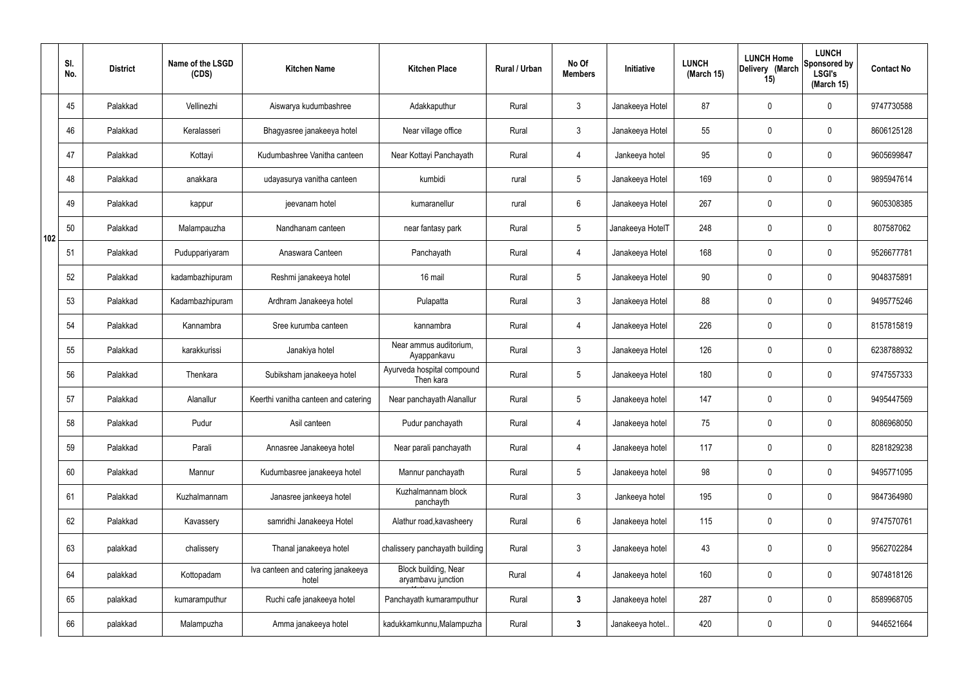|     | SI.<br>No. | <b>District</b> | Name of the LSGD<br>(CDS) | <b>Kitchen Name</b>                         | <b>Kitchen Place</b>                       | Rural / Urban | No Of<br><b>Members</b> | Initiative       | <b>LUNCH</b><br>(March 15) | <b>LUNCH Home</b><br>Delivery (March<br>15) | <b>LUNCH</b><br>Sponsored by<br><b>LSGI's</b><br>(March 15) | <b>Contact No</b> |
|-----|------------|-----------------|---------------------------|---------------------------------------------|--------------------------------------------|---------------|-------------------------|------------------|----------------------------|---------------------------------------------|-------------------------------------------------------------|-------------------|
|     | 45         | Palakkad        | Vellinezhi                | Aiswarya kudumbashree                       | Adakkaputhur                               | Rural         | $\mathbf{3}$            | Janakeeya Hotel  | 87                         | 0                                           | $\mathbf 0$                                                 | 9747730588        |
|     | 46         | Palakkad        | Keralasseri               | Bhagyasree janakeeya hotel                  | Near village office                        | Rural         | $\mathbf{3}$            | Janakeeya Hotel  | 55                         | $\mathbf 0$                                 | $\mathbf 0$                                                 | 8606125128        |
|     | 47         | Palakkad        | Kottayi                   | Kudumbashree Vanitha canteen                | Near Kottayi Panchayath                    | Rural         | $\overline{4}$          | Jankeeya hotel   | 95                         | 0                                           | $\mathbf 0$                                                 | 9605699847        |
|     | 48         | Palakkad        | anakkara                  | udayasurya vanitha canteen                  | kumbidi                                    | rural         | $5\phantom{.0}$         | Janakeeya Hotel  | 169                        | $\mathbf 0$                                 | $\mathbf 0$                                                 | 9895947614        |
|     | 49         | Palakkad        | kappur                    | jeevanam hotel                              | kumaranellur                               | rural         | $6\phantom{.}6$         | Janakeeya Hotel  | 267                        | $\mathbf 0$                                 | $\mathbf 0$                                                 | 9605308385        |
| 102 | 50         | Palakkad        | Malampauzha               | Nandhanam canteen                           | near fantasy park                          | Rural         | $5\phantom{.0}$         | Janakeeya HotelT | 248                        | $\mathbf 0$                                 | $\mathbf 0$                                                 | 807587062         |
|     | 51         | Palakkad        | Puduppariyaram            | Anaswara Canteen                            | Panchayath                                 | Rural         | $\overline{4}$          | Janakeeya Hotel  | 168                        | $\mathbf 0$                                 | $\mathbf 0$                                                 | 9526677781        |
|     | 52         | Palakkad        | kadambazhipuram           | Reshmi janakeeya hotel                      | 16 mail                                    | Rural         | $5\phantom{.0}$         | Janakeeya Hotel  | 90                         | 0                                           | $\mathbf 0$                                                 | 9048375891        |
|     | 53         | Palakkad        | Kadambazhipuram           | Ardhram Janakeeya hotel                     | Pulapatta                                  | Rural         | $\mathbf{3}$            | Janakeeya Hotel  | 88                         | $\mathbf 0$                                 | $\mathbf 0$                                                 | 9495775246        |
|     | 54         | Palakkad        | Kannambra                 | Sree kurumba canteen                        | kannambra                                  | Rural         | 4                       | Janakeeya Hotel  | 226                        | 0                                           | $\mathbf 0$                                                 | 8157815819        |
|     | 55         | Palakkad        | karakkurissi              | Janakiya hotel                              | Near ammus auditorium,<br>Ayappankavu      | Rural         | $\mathbf{3}$            | Janakeeya Hotel  | 126                        | 0                                           | $\mathbf 0$                                                 | 6238788932        |
|     | 56         | Palakkad        | Thenkara                  | Subiksham janakeeya hotel                   | Ayurveda hospital compound<br>Then kara    | Rural         | $5\phantom{.0}$         | Janakeeya Hotel  | 180                        | 0                                           | $\mathbf 0$                                                 | 9747557333        |
|     | 57         | Palakkad        | Alanallur                 | Keerthi vanitha canteen and catering        | Near panchayath Alanallur                  | Rural         | $5\phantom{.0}$         | Janakeeya hotel  | 147                        | 0                                           | $\mathbf 0$                                                 | 9495447569        |
|     | 58         | Palakkad        | Pudur                     | Asil canteen                                | Pudur panchayath                           | Rural         | 4                       | Janakeeya hotel  | 75                         | $\mathbf 0$                                 | $\mathbf 0$                                                 | 8086968050        |
|     | 59         | Palakkad        | Parali                    | Annasree Janakeeya hotel                    | Near parali panchayath                     | Rural         | $\overline{4}$          | Janakeeya hotel  | 117                        | $\mathbf 0$                                 | $\mathbf 0$                                                 | 8281829238        |
|     | 60         | Palakkad        | Mannur                    | Kudumbasree janakeeya hotel                 | Mannur panchayath                          | Rural         | $5\phantom{.0}$         | Janakeeya hotel  | 98                         | $\mathbf 0$                                 | $\mathbf 0$                                                 | 9495771095        |
|     | 61         | Palakkad        | Kuzhalmannam              | Janasree jankeeya hotel                     | Kuzhalmannam block<br>panchayth            | Rural         | $\mathbf{3}$            | Jankeeya hotel   | 195                        | 0                                           | $\mathbf 0$                                                 | 9847364980        |
|     | 62         | Palakkad        | Kavassery                 | samridhi Janakeeya Hotel                    | Alathur road, kavasheery                   | Rural         | $6\overline{6}$         | Janakeeya hotel  | 115                        | 0                                           | $\mathbf 0$                                                 | 9747570761        |
|     | 63         | palakkad        | chalissery                | Thanal janakeeya hotel                      | chalissery panchayath building             | Rural         | $\mathfrak{Z}$          | Janakeeya hotel  | 43                         | 0                                           | $\mathbf 0$                                                 | 9562702284        |
|     | 64         | palakkad        | Kottopadam                | Iva canteen and catering janakeeya<br>hotel | Block building, Near<br>aryambavu junction | Rural         | $\overline{4}$          | Janakeeya hotel  | 160                        | 0                                           | $\mathbf 0$                                                 | 9074818126        |
|     | 65         | palakkad        | kumaramputhur             | Ruchi cafe janakeeya hotel                  | Panchayath kumaramputhur                   | Rural         | $\mathbf{3}$            | Janakeeya hotel  | 287                        | 0                                           | $\mathbf 0$                                                 | 8589968705        |
|     | 66         | palakkad        | Malampuzha                | Amma janakeeya hotel                        | kadukkamkunnu, Malampuzha                  | Rural         | $\mathbf{3}$            | Janakeeya hotel. | 420                        | 0                                           | $\overline{0}$                                              | 9446521664        |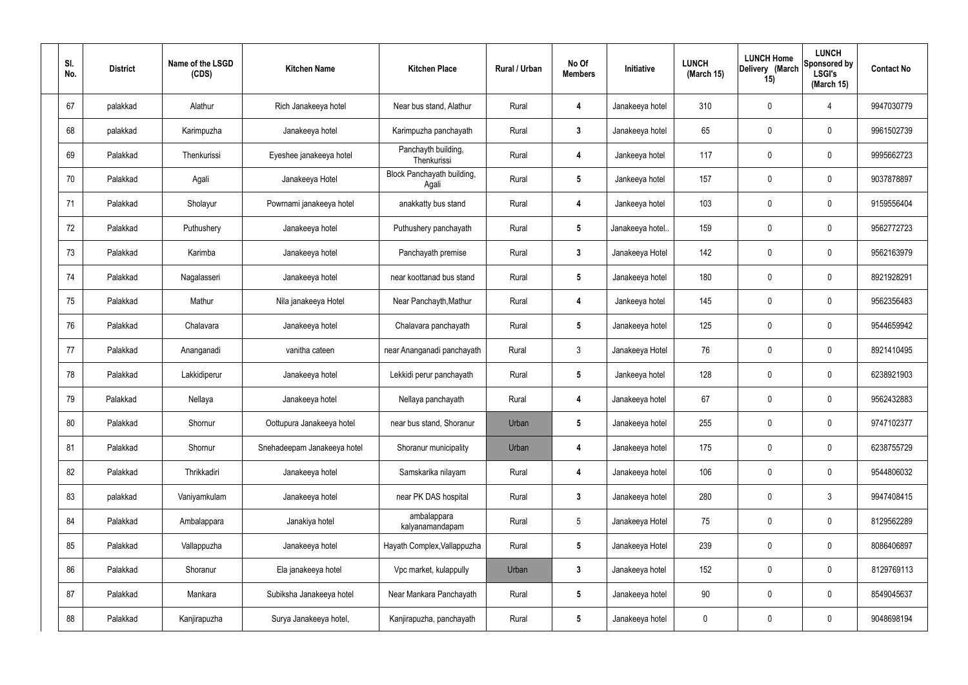| SI.<br>No. | <b>District</b> | Name of the LSGD<br>(CDS) | <b>Kitchen Name</b>         | <b>Kitchen Place</b>                | Rural / Urban | No Of<br><b>Members</b> | Initiative       | <b>LUNCH</b><br>(March 15) | <b>LUNCH Home</b><br>Delivery (March<br>15) | <b>LUNCH</b><br>Sponsored by<br><b>LSGI's</b><br>(March 15) | <b>Contact No</b> |
|------------|-----------------|---------------------------|-----------------------------|-------------------------------------|---------------|-------------------------|------------------|----------------------------|---------------------------------------------|-------------------------------------------------------------|-------------------|
| 67         | palakkad        | Alathur                   | Rich Janakeeya hotel        | Near bus stand, Alathur             | Rural         | 4                       | Janakeeya hotel  | 310                        | 0                                           | 4                                                           | 9947030779        |
| 68         | palakkad        | Karimpuzha                | Janakeeya hotel             | Karimpuzha panchayath               | Rural         | $\mathbf{3}$            | Janakeeya hotel  | 65                         | $\mathbf 0$                                 | $\mathbf 0$                                                 | 9961502739        |
| 69         | Palakkad        | Thenkurissi               | Eyeshee janakeeya hotel     | Panchayth building,<br>Thenkurissi  | Rural         | 4                       | Jankeeya hotel   | 117                        | 0                                           | $\mathbf 0$                                                 | 9995662723        |
| 70         | Palakkad        | Agali                     | Janakeeya Hotel             | Block Panchayath building,<br>Agali | Rural         | $5\phantom{.0}$         | Jankeeya hotel   | 157                        | $\mathbf 0$                                 | $\mathbf 0$                                                 | 9037878897        |
| 71         | Palakkad        | Sholayur                  | Powrnami janakeeya hotel    | anakkatty bus stand                 | Rural         | 4                       | Jankeeya hotel   | 103                        | $\mathbf 0$                                 | $\mathbf 0$                                                 | 9159556404        |
| 72         | Palakkad        | Puthushery                | Janakeeya hotel             | Puthushery panchayath               | Rural         | $5\phantom{.0}$         | Janakeeya hotel. | 159                        | $\mathbf 0$                                 | $\mathbf 0$                                                 | 9562772723        |
| 73         | Palakkad        | Karimba                   | Janakeeya hotel             | Panchayath premise                  | Rural         | $\mathbf{3}$            | Janakeeya Hotel  | 142                        | $\mathbf 0$                                 | $\mathbf 0$                                                 | 9562163979        |
| 74         | Palakkad        | Nagalasseri               | Janakeeya hotel             | near koottanad bus stand            | Rural         | $5\phantom{.0}$         | Janakeeya hotel  | 180                        | $\mathbf 0$                                 | $\mathbf 0$                                                 | 8921928291        |
| 75         | Palakkad        | Mathur                    | Nila janakeeya Hotel        | Near Panchayth, Mathur              | Rural         | 4                       | Jankeeya hotel   | 145                        | $\mathbf 0$                                 | $\mathbf 0$                                                 | 9562356483        |
| 76         | Palakkad        | Chalavara                 | Janakeeya hotel             | Chalavara panchayath                | Rural         | $5\phantom{.0}$         | Janakeeya hotel  | 125                        | 0                                           | $\mathbf 0$                                                 | 9544659942        |
| 77         | Palakkad        | Ananganadi                | vanitha cateen              | near Ananganadi panchayath          | Rural         | $\mathbf{3}$            | Janakeeya Hotel  | 76                         | 0                                           | $\mathbf 0$                                                 | 8921410495        |
| 78         | Palakkad        | Lakkidiperur              | Janakeeya hotel             | Lekkidi perur panchayath            | Rural         | $5\phantom{.0}$         | Jankeeya hotel   | 128                        | $\mathbf 0$                                 | $\mathbf 0$                                                 | 6238921903        |
| 79         | Palakkad        | Nellaya                   | Janakeeya hotel             | Nellaya panchayath                  | Rural         | 4                       | Janakeeya hotel  | 67                         | 0                                           | $\mathbf 0$                                                 | 9562432883        |
| 80         | Palakkad        | Shornur                   | Oottupura Janakeeya hotel   | near bus stand, Shoranur            | Urban         | $5\phantom{.0}$         | Janakeeya hotel  | 255                        | $\mathbf 0$                                 | $\mathbf 0$                                                 | 9747102377        |
| 81         | Palakkad        | Shornur                   | Snehadeepam Janakeeya hotel | Shoranur municipality               | Urban         | $\overline{4}$          | Janakeeya hotel  | 175                        | 0                                           | $\mathbf 0$                                                 | 6238755729        |
| 82         | Palakkad        | Thrikkadiri               | Janakeeya hotel             | Samskarika nilayam                  | Rural         | 4                       | Janakeeya hotel  | 106                        | 0                                           | $\mathbf 0$                                                 | 9544806032        |
| 83         | palakkad        | Vaniyamkulam              | Janakeeya hotel             | near PK DAS hospital                | Rural         | $\mathbf{3}$            | Janakeeya hotel  | 280                        | 0                                           | $\mathbf{3}$                                                | 9947408415        |
| 84         | Palakkad        | Ambalappara               | Janakiya hotel              | ambalappara<br>kalyanamandapam      | Rural         | $5\phantom{.0}$         | Janakeeya Hotel  | 75                         | 0                                           | $\mathbf 0$                                                 | 8129562289        |
| 85         | Palakkad        | Vallappuzha               | Janakeeya hotel             | Hayath Complex, Vallappuzha         | Rural         | $5\phantom{.0}$         | Janakeeya Hotel  | 239                        | 0                                           | $\mathbf 0$                                                 | 8086406897        |
| 86         | Palakkad        | Shoranur                  | Ela janakeeya hotel         | Vpc market, kulappully              | Urban         | $\mathbf{3}$            | Janakeeya hotel  | 152                        | 0                                           | $\mathbf 0$                                                 | 8129769113        |
| 87         | Palakkad        | Mankara                   | Subiksha Janakeeya hotel    | Near Mankara Panchayath             | Rural         | $5\phantom{.0}$         | Janakeeya hotel  | 90                         | 0                                           | $\mathbf 0$                                                 | 8549045637        |
| 88         | Palakkad        | Kanjirapuzha              | Surya Janakeeya hotel,      | Kanjirapuzha, panchayath            | Rural         | $5\phantom{.0}$         | Janakeeya hotel  | 0                          | 0                                           | $\overline{0}$                                              | 9048698194        |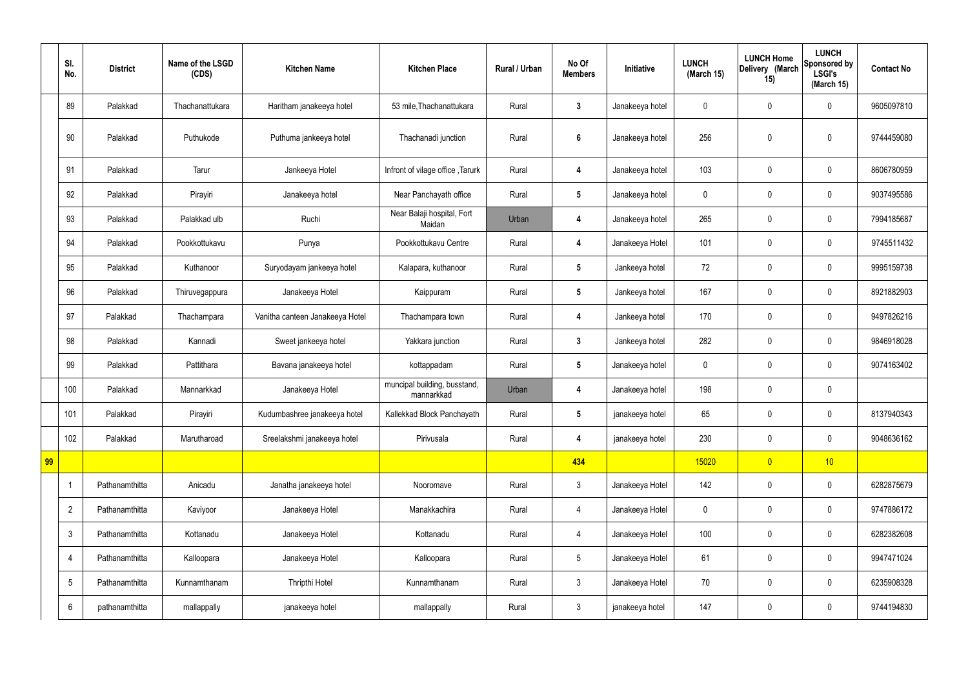|    | SI.<br>No.      | <b>District</b> | Name of the LSGD<br>(CDS) | <b>Kitchen Name</b>             | <b>Kitchen Place</b>                       | Rural / Urban | No Of<br><b>Members</b> | Initiative      | <b>LUNCH</b><br>(March 15) | <b>LUNCH Home</b><br>Delivery (March<br>15) | <b>LUNCH</b><br>Sponsored by<br><b>LSGI's</b><br>(March 15) | <b>Contact No</b> |
|----|-----------------|-----------------|---------------------------|---------------------------------|--------------------------------------------|---------------|-------------------------|-----------------|----------------------------|---------------------------------------------|-------------------------------------------------------------|-------------------|
|    | 89              | Palakkad        | Thachanattukara           | Haritham janakeeya hotel        | 53 mile, Thachanattukara                   | Rural         | $3\phantom{a}$          | Janakeeya hotel | $\mathbf 0$                | $\mathbf 0$                                 | $\mathbf 0$                                                 | 9605097810        |
|    | 90              | Palakkad        | Puthukode                 | Puthuma jankeeya hotel          | Thachanadi junction                        | Rural         | $6\phantom{a}$          | Janakeeya hotel | 256                        | $\mathbf 0$                                 | $\mathbf 0$                                                 | 9744459080        |
|    | 91              | Palakkad        | Tarur                     | Jankeeya Hotel                  | Infront of vilage office, Tarurk           | Rural         | $\boldsymbol{4}$        | Janakeeya hotel | 103                        | $\mathbf 0$                                 | $\mathbf 0$                                                 | 8606780959        |
|    | 92              | Palakkad        | Pirayiri                  | Janakeeya hotel                 | Near Panchayath office                     | Rural         | $5\phantom{.0}$         | Janakeeya hotel | $\mathbf 0$                | $\mathbf 0$                                 | $\mathbf 0$                                                 | 9037495586        |
|    | 93              | Palakkad        | Palakkad ulb              | Ruchi                           | Near Balaji hospital, Fort<br>Maidan       | Urban         | $\overline{4}$          | Janakeeya hotel | 265                        | $\mathbf 0$                                 | $\mathbf 0$                                                 | 7994185687        |
|    | 94              | Palakkad        | Pookkottukavu             | Punya                           | Pookkottukavu Centre                       | Rural         | $\overline{\mathbf{4}}$ | Janakeeya Hotel | 101                        | $\pmb{0}$                                   | $\mathbf 0$                                                 | 9745511432        |
|    | 95              | Palakkad        | Kuthanoor                 | Suryodayam jankeeya hotel       | Kalapara, kuthanoor                        | Rural         | $5\overline{)}$         | Jankeeya hotel  | 72                         | $\mathbf 0$                                 | $\mathbf 0$                                                 | 9995159738        |
|    | 96              | Palakkad        | Thiruvegappura            | Janakeeya Hotel                 | Kaippuram                                  | Rural         | $5\phantom{.0}$         | Jankeeya hotel  | 167                        | $\pmb{0}$                                   | $\mathbf 0$                                                 | 8921882903        |
|    | 97              | Palakkad        | Thachampara               | Vanitha canteen Janakeeya Hotel | Thachampara town                           | Rural         | 4                       | Jankeeya hotel  | 170                        | $\pmb{0}$                                   | $\mathbf 0$                                                 | 9497826216        |
|    | 98              | Palakkad        | Kannadi                   | Sweet jankeeya hotel            | Yakkara junction                           | Rural         | $3\phantom{a}$          | Jankeeya hotel  | 282                        | $\pmb{0}$                                   | $\mathbf 0$                                                 | 9846918028        |
|    | 99              | Palakkad        | Pattithara                | Bavana janakeeya hotel          | kottappadam                                | Rural         | $5\overline{)}$         | Janakeeya hotel | $\mathbf 0$                | $\mathbf 0$                                 | $\mathbf 0$                                                 | 9074163402        |
|    | 100             | Palakkad        | Mannarkkad                | Janakeeya Hotel                 | muncipal building, busstand,<br>mannarkkad | Urban         | 4                       | Janakeeya hotel | 198                        | $\mathbf 0$                                 | $\mathbf 0$                                                 |                   |
|    | 101             | Palakkad        | Pirayiri                  | Kudumbashree janakeeya hotel    | Kallekkad Block Panchayath                 | Rural         | $5\phantom{.0}$         | janakeeya hotel | 65                         | $\pmb{0}$                                   | $\mathbf 0$                                                 | 8137940343        |
|    | 102             | Palakkad        | Marutharoad               | Sreelakshmi janakeeya hotel     | Pirivusala                                 | Rural         | $\overline{\mathbf{4}}$ | janakeeya hotel | 230                        | $\pmb{0}$                                   | $\mathbf 0$                                                 | 9048636162        |
| 99 |                 |                 |                           |                                 |                                            |               | 434                     |                 | 15020                      | $\overline{0}$                              | 10                                                          |                   |
|    | -1              | Pathanamthitta  | Anicadu                   | Janatha janakeeya hotel         | Nooromave                                  | Rural         | 3 <sup>5</sup>          | Janakeeya Hotel | 142                        | $\pmb{0}$                                   | $\mathbf 0$                                                 | 6282875679        |
|    | $\overline{2}$  | Pathanamthitta  | Kaviyoor                  | Janakeeya Hotel                 | Manakkachira                               | Rural         | $\overline{4}$          | Janakeeya Hotel | $\pmb{0}$                  | $\pmb{0}$                                   | $\mathbf 0$                                                 | 9747886172        |
|    | $\mathfrak{Z}$  | Pathanamthitta  | Kottanadu                 | Janakeeya Hotel                 | Kottanadu                                  | Rural         | $\overline{4}$          | Janakeeya Hotel | 100                        | $\pmb{0}$                                   | $\pmb{0}$                                                   | 6282382608        |
|    | 4               | Pathanamthitta  | Kalloopara                | Janakeeya Hotel                 | Kalloopara                                 | Rural         | 5 <sub>5</sub>          | Janakeeya Hotel | 61                         | $\pmb{0}$                                   | $\mathbf 0$                                                 | 9947471024        |
|    | $5\phantom{.0}$ | Pathanamthitta  | Kunnamthanam              | Thripthi Hotel                  | Kunnamthanam                               | Rural         | 3 <sup>5</sup>          | Janakeeya Hotel | 70                         | $\pmb{0}$                                   | $\mathbf 0$                                                 | 6235908328        |
|    | 6               | pathanamthitta  | mallappally               | janakeeya hotel                 | mallappally                                | Rural         | $\mathbf{3}$            | janakeeya hotel | 147                        | $\pmb{0}$                                   | $\boldsymbol{0}$                                            | 9744194830        |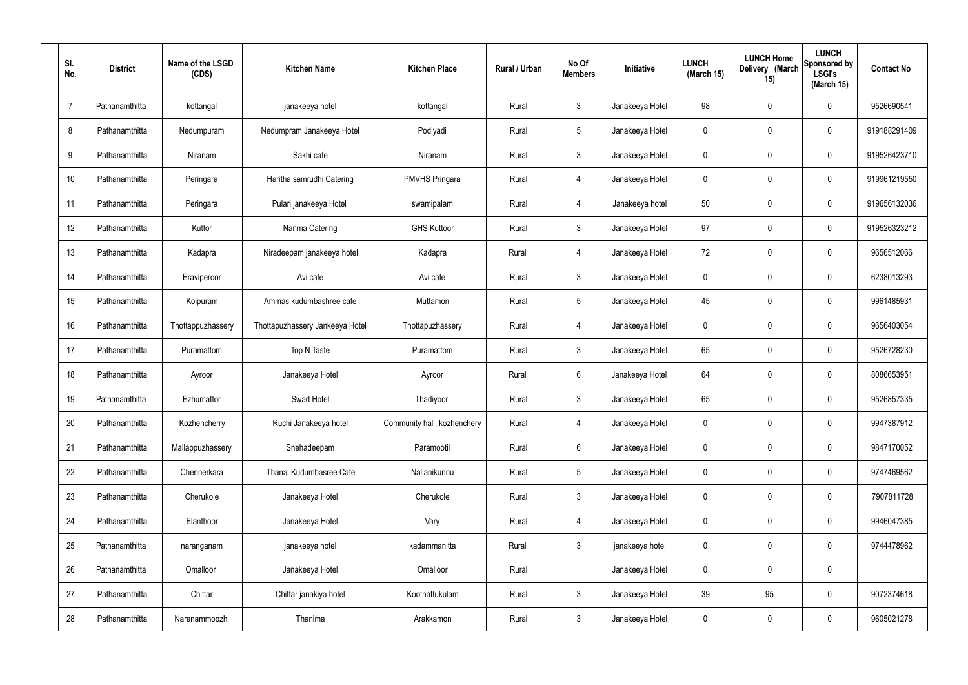| SI.<br>No.     | <b>District</b> | Name of the LSGD<br>(CDS) | <b>Kitchen Name</b>             | <b>Kitchen Place</b>        | Rural / Urban | No Of<br><b>Members</b> | Initiative      | <b>LUNCH</b><br>(March 15) | <b>LUNCH Home</b><br>Delivery (March<br>15) | <b>LUNCH</b><br>Sponsored by<br><b>LSGI's</b><br>(March 15) | <b>Contact No</b> |
|----------------|-----------------|---------------------------|---------------------------------|-----------------------------|---------------|-------------------------|-----------------|----------------------------|---------------------------------------------|-------------------------------------------------------------|-------------------|
| $\overline{7}$ | Pathanamthitta  | kottangal                 | janakeeya hotel                 | kottangal                   | Rural         | $\mathbf{3}$            | Janakeeya Hotel | 98                         | 0                                           | $\mathbf 0$                                                 | 9526690541        |
| 8              | Pathanamthitta  | Nedumpuram                | Nedumpram Janakeeya Hotel       | Podiyadi                    | Rural         | $\sqrt{5}$              | Janakeeya Hotel | $\mathbf 0$                | 0                                           | $\mathbf 0$                                                 | 919188291409      |
| 9              | Pathanamthitta  | Niranam                   | Sakhi cafe                      | Niranam                     | Rural         | $\mathbf{3}$            | Janakeeya Hotel | $\mathbf 0$                | 0                                           | $\mathbf 0$                                                 | 919526423710      |
| 10             | Pathanamthitta  | Peringara                 | Haritha samrudhi Catering       | <b>PMVHS Pringara</b>       | Rural         | 4                       | Janakeeya Hotel | $\mathbf 0$                | 0                                           | $\mathbf 0$                                                 | 919961219550      |
| 11             | Pathanamthitta  | Peringara                 | Pulari janakeeya Hotel          | swamipalam                  | Rural         | $\overline{4}$          | Janakeeya hotel | 50                         | 0                                           | $\mathbf 0$                                                 | 919656132036      |
| 12             | Pathanamthitta  | Kuttor                    | Nanma Catering                  | <b>GHS Kuttoor</b>          | Rural         | $\mathbf{3}$            | Janakeeya Hotel | 97                         | 0                                           | $\mathbf 0$                                                 | 919526323212      |
| 13             | Pathanamthitta  | Kadapra                   | Niradeepam janakeeya hotel      | Kadapra                     | Rural         | 4                       | Janakeeya Hotel | 72                         | 0                                           | $\mathbf 0$                                                 | 9656512066        |
| 14             | Pathanamthitta  | Eraviperoor               | Avi cafe                        | Avi cafe                    | Rural         | $\mathbf{3}$            | Janakeeya Hotel | $\mathbf 0$                | 0                                           | $\mathbf 0$                                                 | 6238013293        |
| 15             | Pathanamthitta  | Koipuram                  | Ammas kudumbashree cafe         | Muttamon                    | Rural         | $5\phantom{.0}$         | Janakeeya Hotel | 45                         | 0                                           | $\mathbf 0$                                                 | 9961485931        |
| 16             | Pathanamthitta  | Thottappuzhassery         | Thottapuzhassery Jankeeya Hotel | Thottapuzhassery            | Rural         | 4                       | Janakeeya Hotel | $\mathbf 0$                | 0                                           | $\mathbf 0$                                                 | 9656403054        |
| 17             | Pathanamthitta  | Puramattom                | Top N Taste                     | Puramattom                  | Rural         | $\mathbf{3}$            | Janakeeya Hotel | 65                         | 0                                           | $\boldsymbol{0}$                                            | 9526728230        |
| 18             | Pathanamthitta  | Ayroor                    | Janakeeya Hotel                 | Ayroor                      | Rural         | $6\phantom{.}6$         | Janakeeya Hotel | 64                         | 0                                           | $\boldsymbol{0}$                                            | 8086653951        |
| 19             | Pathanamthitta  | Ezhumattor                | Swad Hotel                      | Thadiyoor                   | Rural         | $\mathfrak{Z}$          | Janakeeya Hotel | 65                         | 0                                           | $\boldsymbol{0}$                                            | 9526857335        |
| 20             | Pathanamthitta  | Kozhencherry              | Ruchi Janakeeya hotel           | Community hall, kozhenchery | Rural         | 4                       | Janakeeya Hotel | $\mathbf 0$                | $\mathbf 0$                                 | $\mathbf 0$                                                 | 9947387912        |
| 21             | Pathanamthitta  | Mallappuzhassery          | Snehadeepam                     | Paramootil                  | Rural         | $6\phantom{.}6$         | Janakeeya Hotel | $\mathbf 0$                | $\mathbf 0$                                 | $\mathbf 0$                                                 | 9847170052        |
| 22             | Pathanamthitta  | Chennerkara               | Thanal Kudumbasree Cafe         | Nallanikunnu                | Rural         | $5\phantom{.0}$         | Janakeeya Hotel | $\mathbf 0$                | 0                                           | $\mathbf 0$                                                 | 9747469562        |
| 23             | Pathanamthitta  | Cherukole                 | Janakeeya Hotel                 | Cherukole                   | Rural         | $\mathbf{3}$            | Janakeeya Hotel | $\mathbf 0$                | $\mathbf 0$                                 | $\mathbf 0$                                                 | 7907811728        |
| 24             | Pathanamthitta  | Elanthoor                 | Janakeeya Hotel                 | Vary                        | Rural         | 4                       | Janakeeya Hotel | $\mathbf 0$                | $\mathbf 0$                                 | $\mathbf 0$                                                 | 9946047385        |
| 25             | Pathanamthitta  | naranganam                | janakeeya hotel                 | kadammanitta                | Rural         | $\mathbf{3}$            | janakeeya hotel | $\mathbf 0$                | $\mathbf 0$                                 | $\mathbf 0$                                                 | 9744478962        |
| 26             | Pathanamthitta  | Omalloor                  | Janakeeya Hotel                 | Omalloor                    | Rural         |                         | Janakeeya Hotel | $\mathbf 0$                | $\mathbf 0$                                 | $\pmb{0}$                                                   |                   |
| 27             | Pathanamthitta  | Chittar                   | Chittar janakiya hotel          | Koothattukulam              | Rural         | $\mathfrak{Z}$          | Janakeeya Hotel | 39                         | 95                                          | $\mathbf 0$                                                 | 9072374618        |
| 28             | Pathanamthitta  | Naranammoozhi             | Thanima                         | Arakkamon                   | Rural         | $\mathfrak{Z}$          | Janakeeya Hotel | 0                          | $\pmb{0}$                                   | $\boldsymbol{0}$                                            | 9605021278        |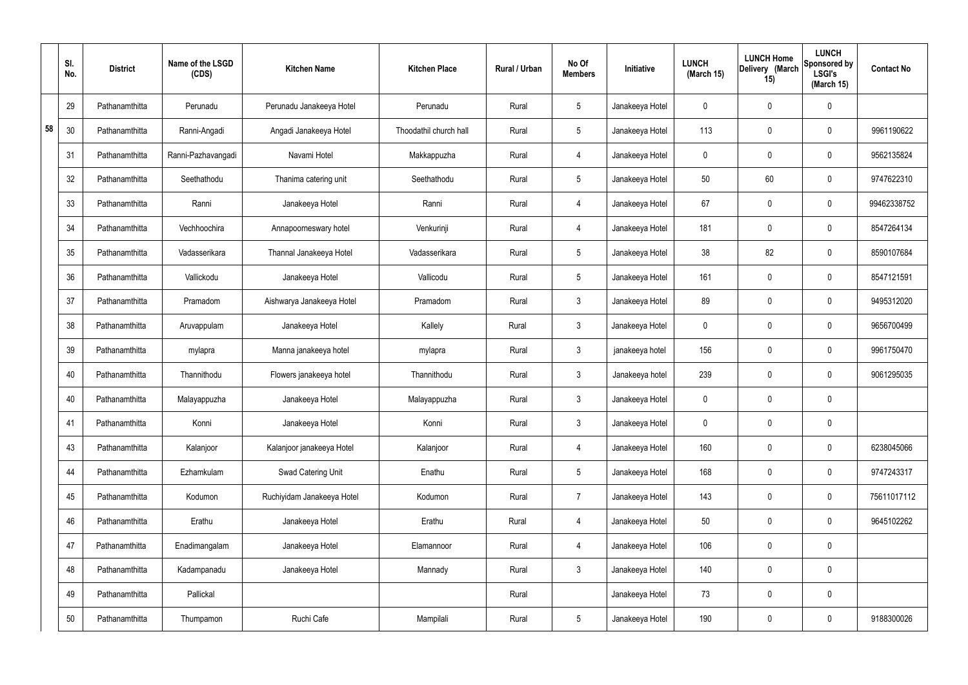|    | SI.<br>No. | <b>District</b> | Name of the LSGD<br>(CDS) | <b>Kitchen Name</b>        | <b>Kitchen Place</b>   | Rural / Urban | No Of<br><b>Members</b> | Initiative      | <b>LUNCH</b><br>(March 15) | <b>LUNCH Home</b><br>Delivery (March<br>15) | <b>LUNCH</b><br>Sponsored by<br><b>LSGI's</b><br>(March 15) | <b>Contact No</b> |
|----|------------|-----------------|---------------------------|----------------------------|------------------------|---------------|-------------------------|-----------------|----------------------------|---------------------------------------------|-------------------------------------------------------------|-------------------|
|    | 29         | Pathanamthitta  | Perunadu                  | Perunadu Janakeeya Hotel   | Perunadu               | Rural         | $5\phantom{.0}$         | Janakeeya Hotel | 0                          | 0                                           | $\mathbf 0$                                                 |                   |
| 58 | 30         | Pathanamthitta  | Ranni-Angadi              | Angadi Janakeeya Hotel     | Thoodathil church hall | Rural         | $5\phantom{.0}$         | Janakeeya Hotel | 113                        | 0                                           | $\mathbf 0$                                                 | 9961190622        |
|    | 31         | Pathanamthitta  | Ranni-Pazhavangadi        | Navami Hotel               | Makkappuzha            | Rural         | 4                       | Janakeeya Hotel | $\mathbf 0$                | 0                                           | $\mathbf 0$                                                 | 9562135824        |
|    | 32         | Pathanamthitta  | Seethathodu               | Thanima catering unit      | Seethathodu            | Rural         | $5\phantom{.0}$         | Janakeeya Hotel | 50                         | 60                                          | $\mathbf 0$                                                 | 9747622310        |
|    | 33         | Pathanamthitta  | Ranni                     | Janakeeya Hotel            | Ranni                  | Rural         | 4                       | Janakeeya Hotel | 67                         | 0                                           | $\mathbf 0$                                                 | 99462338752       |
|    | 34         | Pathanamthitta  | Vechhoochira              | Annapoorneswary hotel      | Venkurinji             | Rural         | $\overline{4}$          | Janakeeya Hotel | 181                        | 0                                           | $\mathbf 0$                                                 | 8547264134        |
|    | 35         | Pathanamthitta  | Vadasserikara             | Thannal Janakeeya Hotel    | Vadasserikara          | Rural         | $5\phantom{.0}$         | Janakeeya Hotel | 38                         | 82                                          | $\mathbf 0$                                                 | 8590107684        |
|    | 36         | Pathanamthitta  | Vallickodu                | Janakeeya Hotel            | Vallicodu              | Rural         | $5\phantom{.0}$         | Janakeeya Hotel | 161                        | $\boldsymbol{0}$                            | $\mathbf 0$                                                 | 8547121591        |
|    | 37         | Pathanamthitta  | Pramadom                  | Aishwarya Janakeeya Hotel  | Pramadom               | Rural         | $\mathbf{3}$            | Janakeeya Hotel | 89                         | $\boldsymbol{0}$                            | $\mathbf 0$                                                 | 9495312020        |
|    | 38         | Pathanamthitta  | Aruvappulam               | Janakeeya Hotel            | Kallely                | Rural         | $\mathbf{3}$            | Janakeeya Hotel | $\mathbf 0$                | 0                                           | $\mathbf 0$                                                 | 9656700499        |
|    | 39         | Pathanamthitta  | mylapra                   | Manna janakeeya hotel      | mylapra                | Rural         | $\mathbf{3}$            | janakeeya hotel | 156                        | 0                                           | $\mathbf 0$                                                 | 9961750470        |
|    | 40         | Pathanamthitta  | Thannithodu               | Flowers janakeeya hotel    | Thannithodu            | Rural         | $\mathbf{3}$            | Janakeeya hotel | 239                        | 0                                           | $\mathbf 0$                                                 | 9061295035        |
|    | 40         | Pathanamthitta  | Malayappuzha              | Janakeeya Hotel            | Malayappuzha           | Rural         | $\mathbf{3}$            | Janakeeya Hotel | $\mathbf 0$                | 0                                           | $\mathbf 0$                                                 |                   |
|    | 41         | Pathanamthitta  | Konni                     | Janakeeya Hotel            | Konni                  | Rural         | $\mathbf{3}$            | Janakeeya Hotel | $\mathbf 0$                | 0                                           | $\mathbf 0$                                                 |                   |
|    | 43         | Pathanamthitta  | Kalanjoor                 | Kalanjoor janakeeya Hotel  | Kalanjoor              | Rural         | $\overline{4}$          | Janakeeya Hotel | 160                        | 0                                           | $\mathbf 0$                                                 | 6238045066        |
|    | 44         | Pathanamthitta  | Ezhamkulam                | Swad Catering Unit         | Enathu                 | Rural         | $5\overline{)}$         | Janakeeya Hotel | 168                        | $\pmb{0}$                                   | $\mathbf 0$                                                 | 9747243317        |
|    | 45         | Pathanamthitta  | Kodumon                   | Ruchiyidam Janakeeya Hotel | Kodumon                | Rural         | $\overline{7}$          | Janakeeya Hotel | 143                        | 0                                           | $\mathbf 0$                                                 | 75611017112       |
|    | 46         | Pathanamthitta  | Erathu                    | Janakeeya Hotel            | Erathu                 | Rural         | $\overline{4}$          | Janakeeya Hotel | 50                         | 0                                           | $\mathbf 0$                                                 | 9645102262        |
|    | 47         | Pathanamthitta  | Enadimangalam             | Janakeeya Hotel            | Elamannoor             | Rural         | $\overline{4}$          | Janakeeya Hotel | 106                        | 0                                           | $\mathbf 0$                                                 |                   |
|    | 48         | Pathanamthitta  | Kadampanadu               | Janakeeya Hotel            | Mannady                | Rural         | 3 <sup>1</sup>          | Janakeeya Hotel | 140                        | 0                                           | $\mathbf 0$                                                 |                   |
|    | 49         | Pathanamthitta  | Pallickal                 |                            |                        | Rural         |                         | Janakeeya Hotel | 73                         | 0                                           | $\mathbf 0$                                                 |                   |
|    | 50         | Pathanamthitta  | Thumpamon                 | Ruchi Cafe                 | Mampilali              | Rural         | $5\phantom{.0}$         | Janakeeya Hotel | 190                        | 0                                           | $\mathbf 0$                                                 | 9188300026        |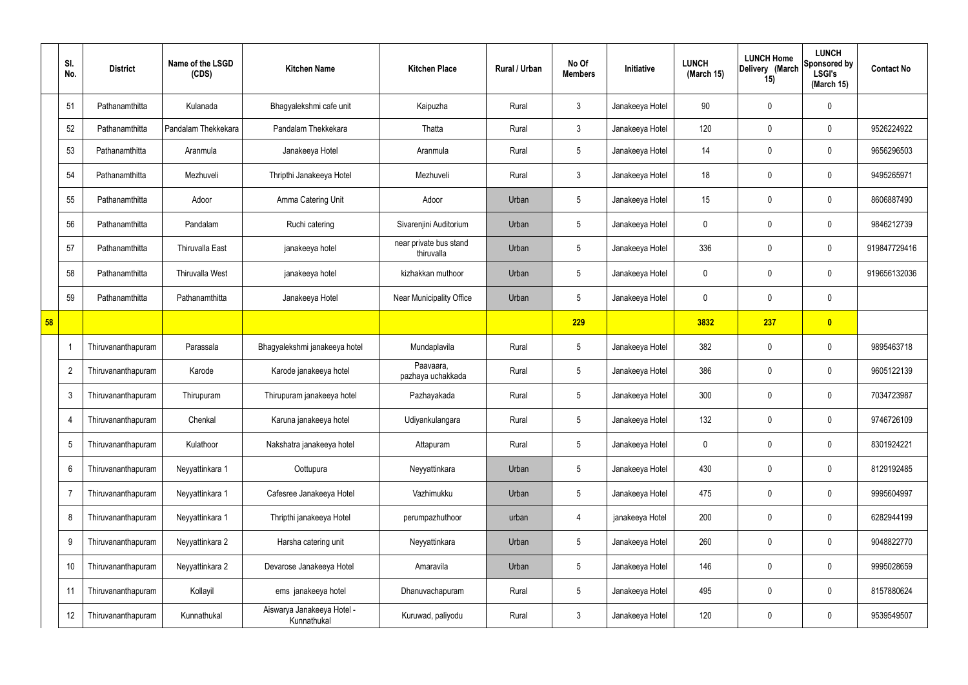|    | SI.<br>No.      | <b>District</b>    | Name of the LSGD<br>(CDS) | <b>Kitchen Name</b>                       | <b>Kitchen Place</b>                 | Rural / Urban | No Of<br><b>Members</b> | Initiative      | <b>LUNCH</b><br>(March 15) | <b>LUNCH Home</b><br>Delivery (March<br>15) | <b>LUNCH</b><br>Sponsored by<br><b>LSGI's</b><br>(March 15) | <b>Contact No</b> |
|----|-----------------|--------------------|---------------------------|-------------------------------------------|--------------------------------------|---------------|-------------------------|-----------------|----------------------------|---------------------------------------------|-------------------------------------------------------------|-------------------|
|    | 51              | Pathanamthitta     | Kulanada                  | Bhagyalekshmi cafe unit                   | Kaipuzha                             | Rural         | $\mathbf{3}$            | Janakeeya Hotel | 90                         | 0                                           | $\mathbf 0$                                                 |                   |
|    | 52              | Pathanamthitta     | Pandalam Thekkekara       | Pandalam Thekkekara                       | Thatta                               | Rural         | $\mathbf{3}$            | Janakeeya Hotel | 120                        | 0                                           | $\boldsymbol{0}$                                            | 9526224922        |
|    | 53              | Pathanamthitta     | Aranmula                  | Janakeeya Hotel                           | Aranmula                             | Rural         | $5\overline{)}$         | Janakeeya Hotel | 14                         | 0                                           | $\pmb{0}$                                                   | 9656296503        |
|    | 54              | Pathanamthitta     | Mezhuveli                 | Thripthi Janakeeya Hotel                  | Mezhuveli                            | Rural         | $\mathbf{3}$            | Janakeeya Hotel | 18                         | 0                                           | $\pmb{0}$                                                   | 9495265971        |
|    | 55              | Pathanamthitta     | Adoor                     | Amma Catering Unit                        | Adoor                                | Urban         | 5                       | Janakeeya Hotel | 15                         | 0                                           | $\pmb{0}$                                                   | 8606887490        |
|    | 56              | Pathanamthitta     | Pandalam                  | Ruchi catering                            | Sivarenjini Auditorium               | Urban         | $5\overline{)}$         | Janakeeya Hotel | 0                          | 0                                           | $\pmb{0}$                                                   | 9846212739        |
|    | 57              | Pathanamthitta     | Thiruvalla East           | janakeeya hotel                           | near private bus stand<br>thiruvalla | Urban         | 5                       | Janakeeya Hotel | 336                        | 0                                           | $\pmb{0}$                                                   | 919847729416      |
|    | 58              | Pathanamthitta     | <b>Thiruvalla West</b>    | janakeeya hotel                           | kizhakkan muthoor                    | Urban         | $5\overline{)}$         | Janakeeya Hotel | 0                          | 0                                           | $\pmb{0}$                                                   | 919656132036      |
|    | 59              | Pathanamthitta     | Pathanamthitta            | Janakeeya Hotel                           | <b>Near Municipality Office</b>      | Urban         | $5\overline{)}$         | Janakeeya Hotel | 0                          | 0                                           | $\mathbf 0$                                                 |                   |
| 58 |                 |                    |                           |                                           |                                      |               | 229                     |                 | 3832                       | 237                                         | $\bullet$                                                   |                   |
|    |                 | Thiruvananthapuram | Parassala                 | Bhagyalekshmi janakeeya hotel             | Mundaplavila                         | Rural         | $5\overline{)}$         | Janakeeya Hotel | 382                        | 0                                           | $\boldsymbol{0}$                                            | 9895463718        |
|    | $\overline{2}$  | Thiruvananthapuram | Karode                    | Karode janakeeya hotel                    | Paavaara,<br>pazhaya uchakkada       | Rural         | $5\phantom{.0}$         | Janakeeya Hotel | 386                        | 0                                           | $\boldsymbol{0}$                                            | 9605122139        |
|    | $\mathbf{3}$    | Thiruvananthapuram | Thirupuram                | Thirupuram janakeeya hotel                | Pazhayakada                          | Rural         | $5\phantom{.0}$         | Janakeeya Hotel | 300                        | 0                                           | $\mathbf 0$                                                 | 7034723987        |
|    | $\overline{4}$  | Thiruvananthapuram | Chenkal                   | Karuna janakeeya hotel                    | Udiyankulangara                      | Rural         | $5\phantom{.0}$         | Janakeeya Hotel | 132                        | 0                                           | $\boldsymbol{0}$                                            | 9746726109        |
|    | $5\phantom{.0}$ | Thiruvananthapuram | Kulathoor                 | Nakshatra janakeeya hotel                 | Attapuram                            | Rural         | 5                       | Janakeeya Hotel | 0                          | 0                                           | $\pmb{0}$                                                   | 8301924221        |
|    | $6\phantom{.0}$ | Thiruvananthapuram | Neyyattinkara 1           | Oottupura                                 | Neyyattinkara                        | Urban         | $5\phantom{.0}$         | Janakeeya Hotel | 430                        | 0                                           | $\mathbf 0$                                                 | 8129192485        |
|    | $\overline{7}$  | Thiruvananthapuram | Neyyattinkara 1           | Cafesree Janakeeya Hotel                  | Vazhimukku                           | Urban         | $5\phantom{.0}$         | Janakeeya Hotel | 475                        | 0                                           | $\pmb{0}$                                                   | 9995604997        |
|    | 8               | Thiruvananthapuram | Neyyattinkara 1           | Thripthi janakeeya Hotel                  | perumpazhuthoor                      | urban         | 4                       | janakeeya Hotel | 200                        | 0                                           | $\mathbf 0$                                                 | 6282944199        |
|    | 9               | Thiruvananthapuram | Neyyattinkara 2           | Harsha catering unit                      | Neyyattinkara                        | Urban         | $5\phantom{.0}$         | Janakeeya Hotel | 260                        | 0                                           | $\pmb{0}$                                                   | 9048822770        |
|    | 10              | Thiruvananthapuram | Neyyattinkara 2           | Devarose Janakeeya Hotel                  | Amaravila                            | Urban         | $5\phantom{.0}$         | Janakeeya Hotel | 146                        | 0                                           | $\boldsymbol{0}$                                            | 9995028659        |
|    | 11              | Thiruvananthapuram | Kollayil                  | ems janakeeya hotel                       | Dhanuvachapuram                      | Rural         | $5\phantom{.0}$         | Janakeeya Hotel | 495                        | 0                                           | $\pmb{0}$                                                   | 8157880624        |
|    | 12              | Thiruvananthapuram | Kunnathukal               | Aiswarya Janakeeya Hotel -<br>Kunnathukal | Kuruwad, paliyodu                    | Rural         | $\mathbf{3}$            | Janakeeya Hotel | 120                        | 0                                           | $\pmb{0}$                                                   | 9539549507        |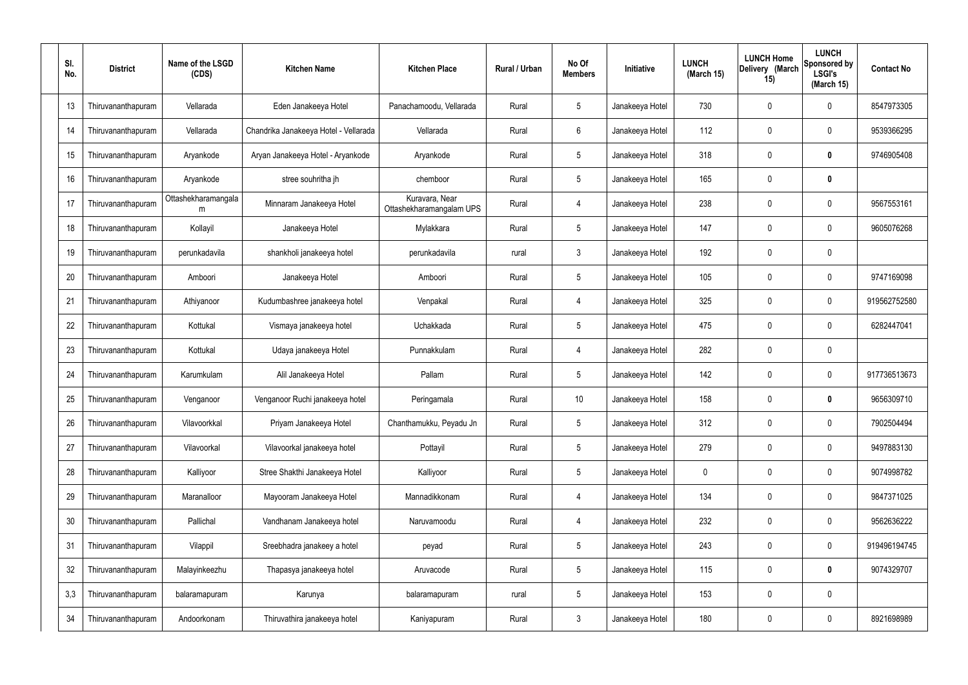| SI.<br>No. | <b>District</b>    | Name of the LSGD<br>(CDS) | <b>Kitchen Name</b>                   | <b>Kitchen Place</b>                       | Rural / Urban | No Of<br><b>Members</b> | Initiative      | <b>LUNCH</b><br>(March 15) | <b>LUNCH Home</b><br>Delivery (March<br>15) | <b>LUNCH</b><br>Sponsored by<br><b>LSGI's</b><br>(March 15) | <b>Contact No</b> |
|------------|--------------------|---------------------------|---------------------------------------|--------------------------------------------|---------------|-------------------------|-----------------|----------------------------|---------------------------------------------|-------------------------------------------------------------|-------------------|
| 13         | Thiruvananthapuram | Vellarada                 | Eden Janakeeya Hotel                  | Panachamoodu, Vellarada                    | Rural         | $5\phantom{.0}$         | Janakeeya Hotel | 730                        | 0                                           | 0                                                           | 8547973305        |
| 14         | Thiruvananthapuram | Vellarada                 | Chandrika Janakeeya Hotel - Vellarada | Vellarada                                  | Rural         | $6\phantom{.}$          | Janakeeya Hotel | 112                        | 0                                           | $\mathbf 0$                                                 | 9539366295        |
| 15         | Thiruvananthapuram | Aryankode                 | Aryan Janakeeya Hotel - Aryankode     | Aryankode                                  | Rural         | $5\phantom{.0}$         | Janakeeya Hotel | 318                        | 0                                           | 0                                                           | 9746905408        |
| 16         | Thiruvananthapuram | Aryankode                 | stree souhritha jh                    | chemboor                                   | Rural         | $5\phantom{.0}$         | Janakeeya Hotel | 165                        | 0                                           | $\pmb{0}$                                                   |                   |
| 17         | Thiruvananthapuram | Ottashekharamangala<br>m  | Minnaram Janakeeya Hotel              | Kuravara, Near<br>Ottashekharamangalam UPS | Rural         | $\overline{4}$          | Janakeeya Hotel | 238                        | 0                                           | $\mathbf 0$                                                 | 9567553161        |
| 18         | Thiruvananthapuram | Kollayil                  | Janakeeya Hotel                       | Mylakkara                                  | Rural         | $5\phantom{.0}$         | Janakeeya Hotel | 147                        | 0                                           | $\mathbf 0$                                                 | 9605076268        |
| 19         | Thiruvananthapuram | perunkadavila             | shankholi janakeeya hotel             | perunkadavila                              | rural         | $\mathfrak{Z}$          | Janakeeya Hotel | 192                        | 0                                           | $\mathbf 0$                                                 |                   |
| 20         | Thiruvananthapuram | Amboori                   | Janakeeya Hotel                       | Amboori                                    | Rural         | $5\phantom{.0}$         | Janakeeya Hotel | 105                        | $\mathbf 0$                                 | $\mathbf 0$                                                 | 9747169098        |
| 21         | Thiruvananthapuram | Athiyanoor                | Kudumbashree janakeeya hotel          | Venpakal                                   | Rural         | $\overline{4}$          | Janakeeya Hotel | 325                        | 0                                           | $\mathbf 0$                                                 | 919562752580      |
| 22         | Thiruvananthapuram | Kottukal                  | Vismaya janakeeya hotel               | Uchakkada                                  | Rural         | $5\phantom{.0}$         | Janakeeya Hotel | 475                        | 0                                           | $\boldsymbol{0}$                                            | 6282447041        |
| 23         | Thiruvananthapuram | Kottukal                  | Udaya janakeeya Hotel                 | Punnakkulam                                | Rural         | $\overline{4}$          | Janakeeya Hotel | 282                        | 0                                           | $\boldsymbol{0}$                                            |                   |
| 24         | Thiruvananthapuram | Karumkulam                | Alil Janakeeya Hotel                  | Pallam                                     | Rural         | $5\phantom{.0}$         | Janakeeya Hotel | 142                        | 0                                           | $\boldsymbol{0}$                                            | 917736513673      |
| 25         | Thiruvananthapuram | Venganoor                 | Venganoor Ruchi janakeeya hotel       | Peringamala                                | Rural         | 10 <sup>°</sup>         | Janakeeya Hotel | 158                        | 0                                           | 0                                                           | 9656309710        |
| 26         | Thiruvananthapuram | Vilavoorkkal              | Priyam Janakeeya Hotel                | Chanthamukku, Peyadu Jn                    | Rural         | $5\phantom{.0}$         | Janakeeya Hotel | 312                        | 0                                           | $\mathbf 0$                                                 | 7902504494        |
| 27         | Thiruvananthapuram | Vilavoorkal               | Vilavoorkal janakeeya hotel           | Pottayil                                   | Rural         | $5\phantom{.0}$         | Janakeeya Hotel | 279                        | $\mathbf 0$                                 | $\mathbf 0$                                                 | 9497883130        |
| 28         | Thiruvananthapuram | Kalliyoor                 | Stree Shakthi Janakeeya Hotel         | Kalliyoor                                  | Rural         | $5\phantom{.0}$         | Janakeeya Hotel | $\mathbf 0$                | 0                                           | $\mathbf 0$                                                 | 9074998782        |
| 29         | Thiruvananthapuram | Maranalloor               | Mayooram Janakeeya Hotel              | Mannadikkonam                              | Rural         | 4                       | Janakeeya Hotel | 134                        | $\mathbf 0$                                 | $\mathbf 0$                                                 | 9847371025        |
| 30         | Thiruvananthapuram | Pallichal                 | Vandhanam Janakeeya hotel             | Naruvamoodu                                | Rural         | 4                       | Janakeeya Hotel | 232                        | 0                                           | $\mathbf 0$                                                 | 9562636222        |
| 31         | Thiruvananthapuram | Vilappil                  | Sreebhadra janakeey a hotel           | peyad                                      | Rural         | $5\phantom{.0}$         | Janakeeya Hotel | 243                        | $\mathbf 0$                                 | $\mathbf 0$                                                 | 919496194745      |
| 32         | Thiruvananthapuram | Malayinkeezhu             | Thapasya janakeeya hotel              | Aruvacode                                  | Rural         | $5\phantom{.0}$         | Janakeeya Hotel | 115                        | 0                                           | $\mathbf 0$                                                 | 9074329707        |
| 3,3        | Thiruvananthapuram | balaramapuram             | Karunya                               | balaramapuram                              | rural         | $5\phantom{.0}$         | Janakeeya Hotel | 153                        | $\boldsymbol{0}$                            | $\pmb{0}$                                                   |                   |
| 34         | Thiruvananthapuram | Andoorkonam               | Thiruvathira janakeeya hotel          | Kaniyapuram                                | Rural         | $\mathfrak{Z}$          | Janakeeya Hotel | 180                        | 0                                           | $\boldsymbol{0}$                                            | 8921698989        |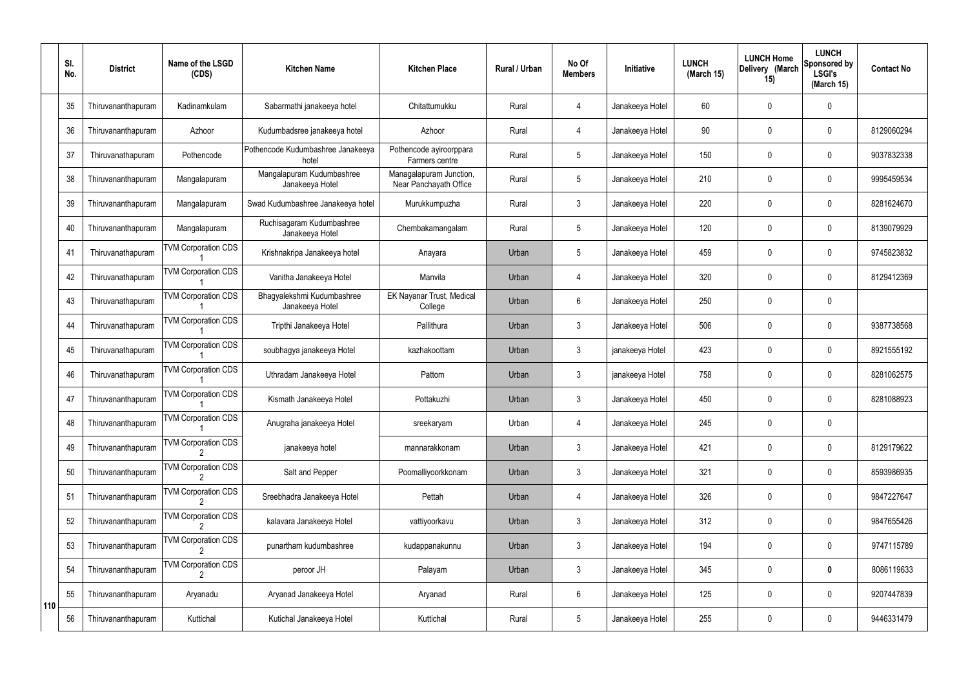|     | SI.<br>No. | <b>District</b>    | Name of the LSGD<br>(CDS)       | <b>Kitchen Name</b>                           | <b>Kitchen Place</b>                              | Rural / Urban | No Of<br><b>Members</b> | Initiative      | <b>LUNCH</b><br>(March 15) | <b>LUNCH Home</b><br>Delivery (March<br>15) | <b>LUNCH</b><br>Sponsored by<br><b>LSGI's</b><br>(March $15$ ) | <b>Contact No</b> |
|-----|------------|--------------------|---------------------------------|-----------------------------------------------|---------------------------------------------------|---------------|-------------------------|-----------------|----------------------------|---------------------------------------------|----------------------------------------------------------------|-------------------|
|     | 35         | Thiruvananthapuram | Kadinamkulam                    | Sabarmathi janakeeya hotel                    | Chitattumukku                                     | Rural         | 4                       | Janakeeya Hotel | 60                         | $\mathbf 0$                                 | $\pmb{0}$                                                      |                   |
|     | 36         | Thiruvananthapuram | Azhoor                          | Kudumbadsree janakeeya hotel                  | Azhoor                                            | Rural         | $\overline{4}$          | Janakeeya Hotel | 90                         | 0                                           | $\pmb{0}$                                                      | 8129060294        |
|     | 37         | Thiruvanathapuram  | Pothencode                      | Pothencode Kudumbashree Janakeeya<br>hotel    | Pothencode ayiroorppara<br>Farmers centre         | Rural         | $5\overline{)}$         | Janakeeya Hotel | 150                        | 0                                           | $\mathbf 0$                                                    | 9037832338        |
|     | 38         | Thiruvananthapuram | Mangalapuram                    | Mangalapuram Kudumbashree<br>Janakeeya Hotel  | Managalapuram Junction,<br>Near Panchayath Office | Rural         | $5\overline{)}$         | Janakeeya Hotel | 210                        | 0                                           | $\mathbf 0$                                                    | 9995459534        |
|     | 39         | Thiruvananthapuram | Mangalapuram                    | Swad Kudumbashree Janakeeya hotel             | Murukkumpuzha                                     | Rural         | 3                       | Janakeeya Hotel | 220                        | 0                                           | $\mathbf 0$                                                    | 8281624670        |
|     | 40         | Thiruvananthapuram | Mangalapuram                    | Ruchisagaram Kudumbashree<br>Janakeeya Hotel  | Chembakamangalam                                  | Rural         | $5\overline{)}$         | Janakeeya Hotel | 120                        | $\mathbf{0}$                                | $\mathbf 0$                                                    | 8139079929        |
|     | 41         | Thiruvanathapuram  | <b>TVM Corporation CDS</b>      | Krishnakripa Janakeeya hotel                  | Anayara                                           | Urban         | $5\overline{)}$         | Janakeeya Hotel | 459                        | $\mathbf{0}$                                | $\mathbf 0$                                                    | 9745823832        |
|     | 42         | Thiruvanathapuram  | <b>TVM Corporation CDS</b>      | Vanitha Janakeeya Hotel                       | Manvila                                           | Urban         | 4                       | Janakeeya Hotel | 320                        | $\mathbf{0}$                                | $\mathbf 0$                                                    | 8129412369        |
|     | 43         | Thiruvanathapuram  | <b>TVM Corporation CDS</b>      | Bhagyalekshmi Kudumbashree<br>Janakeeya Hotel | EK Nayanar Trust, Medical<br>College              | Urban         | 6                       | Janakeeya Hotel | 250                        | $\mathbf 0$                                 | $\pmb{0}$                                                      |                   |
|     | 44         | Thiruvanathapuram  | <b>TVM Corporation CDS</b>      | Tripthi Janakeeya Hotel                       | Pallithura                                        | Urban         | 3                       | Janakeeya Hotel | 506                        | $\mathbf{0}$                                | $\mathbf 0$                                                    | 9387738568        |
|     | 45         | Thiruvanathapuram  | <b>TVM Corporation CDS</b>      | soubhagya janakeeya Hotel                     | kazhakoottam                                      | Urban         | 3                       | janakeeya Hotel | 423                        | $\mathbf{0}$                                | $\mathbf 0$                                                    | 8921555192        |
|     | 46         | Thiruvanathapuram  | <b>TVM Corporation CDS</b>      | Uthradam Janakeeya Hotel                      | Pattom                                            | Urban         | 3                       | janakeeya Hotel | 758                        | $\mathbf{0}$                                | $\mathbf 0$                                                    | 8281062575        |
|     | 47         | Thiruvananthapuram | <b>TVM Corporation CDS</b>      | Kismath Janakeeya Hotel                       | Pottakuzhi                                        | Urban         | 3                       | Janakeeya Hotel | 450                        | 0                                           | $\mathbf 0$                                                    | 8281088923        |
|     | 48         | Thiruvananthapuram | <b>TVM Corporation CDS</b>      | Anugraha janakeeya Hotel                      | sreekaryam                                        | Urban         | $\overline{4}$          | Janakeeya Hotel | 245                        | $\mathsf{0}$                                | $\pmb{0}$                                                      |                   |
|     | 49         | Thiruvananthapuram | <b>TVM Corporation CDS</b>      | janakeeya hotel                               | mannarakkonam                                     | Urban         | $\mathfrak{Z}$          | Janakeeya Hotel | 421                        | $\mathbf 0$                                 | $\pmb{0}$                                                      | 8129179622        |
|     | 50         | Thiruvananthapuram | <b>TVM Corporation CDS</b>      | Salt and Pepper                               | Poomalliyoorkkonam                                | Urban         | $\mathfrak{Z}$          | Janakeeya Hotel | 321                        | 0                                           | $\pmb{0}$                                                      | 8593986935        |
|     | 51         | Thiruvananthapuram | <b>TVM Corporation CDS</b>      | Sreebhadra Janakeeya Hotel                    | Pettah                                            | Urban         | 4                       | Janakeeya Hotel | 326                        | $\mathbf 0$                                 | $\pmb{0}$                                                      | 9847227647        |
|     | 52         | Thiruvananthapuram | <b>TVM Corporation CDS</b>      | kalavara Janakeeya Hotel                      | vattiyoorkavu                                     | Urban         | $\mathfrak{Z}$          | Janakeeya Hotel | 312                        | 0                                           | $\pmb{0}$                                                      | 9847655426        |
|     | 53         | Thiruvananthapuram | <b>TVM Corporation CDS</b>      | punartham kudumbashree                        | kudappanakunnu                                    | Urban         | $\mathbf{3}$            | Janakeeya Hotel | 194                        | $\mathbf 0$                                 | $\mathsf{0}$                                                   | 9747115789        |
|     | 54         | Thiruvananthapuram | <b>TVM Corporation CDS</b><br>2 | peroor JH                                     | Palayam                                           | Urban         | $\mathfrak{Z}$          | Janakeeya Hotel | 345                        | 0                                           | $\pmb{0}$                                                      | 8086119633        |
| 110 | 55         | Thiruvananthapuram | Aryanadu                        | Aryanad Janakeeya Hotel                       | Aryanad                                           | Rural         | 6                       | Janakeeya Hotel | 125                        | $\mathbf 0$                                 | $\mathbf 0$                                                    | 9207447839        |
|     | 56         | Thiruvananthapuram | Kuttichal                       | Kutichal Janakeeya Hotel                      | Kuttichal                                         | Rural         | $5\phantom{.0}$         | Janakeeya Hotel | 255                        | 0                                           | 0                                                              | 9446331479        |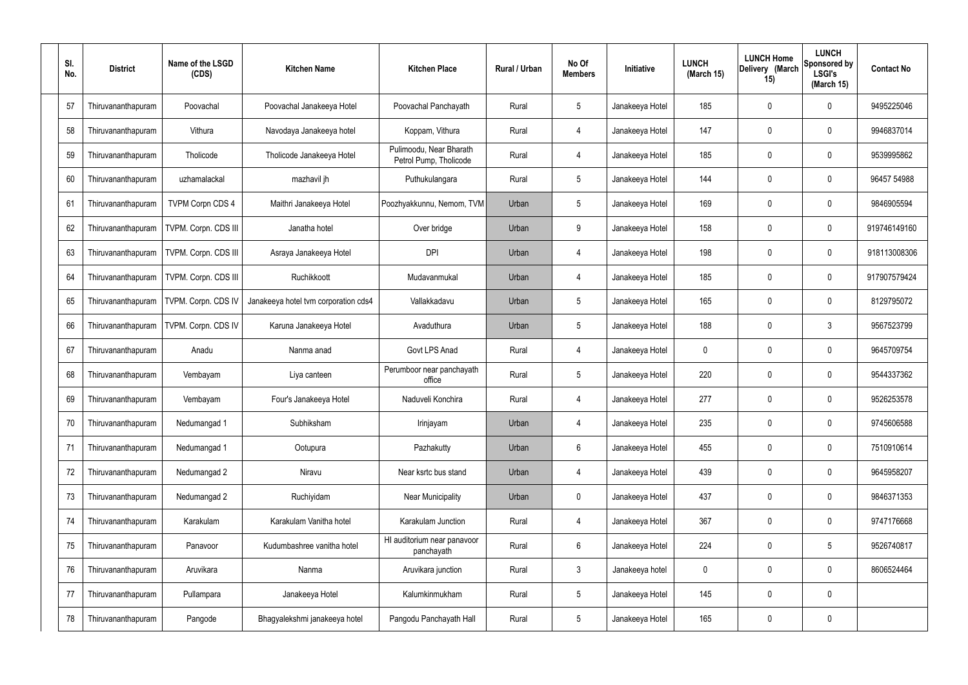| SI.<br>No. | <b>District</b>    | Name of the LSGD<br>(CDS) | <b>Kitchen Name</b>                  | <b>Kitchen Place</b>                              | Rural / Urban | No Of<br><b>Members</b> | Initiative      | <b>LUNCH</b><br>(March 15) | <b>LUNCH Home</b><br>Delivery (March<br>15) | <b>LUNCH</b><br>Sponsored by<br><b>LSGI's</b><br>(March 15) | <b>Contact No</b> |
|------------|--------------------|---------------------------|--------------------------------------|---------------------------------------------------|---------------|-------------------------|-----------------|----------------------------|---------------------------------------------|-------------------------------------------------------------|-------------------|
| 57         | Thiruvananthapuram | Poovachal                 | Poovachal Janakeeya Hotel            | Poovachal Panchayath                              | Rural         | $5\phantom{.0}$         | Janakeeya Hotel | 185                        | 0                                           | 0                                                           | 9495225046        |
| 58         | Thiruvananthapuram | Vithura                   | Navodaya Janakeeya hotel             | Koppam, Vithura                                   | Rural         | $\overline{4}$          | Janakeeya Hotel | 147                        | 0                                           | $\mathbf 0$                                                 | 9946837014        |
| 59         | Thiruvananthapuram | Tholicode                 | Tholicode Janakeeya Hotel            | Pulimoodu, Near Bharath<br>Petrol Pump, Tholicode | Rural         | $\overline{4}$          | Janakeeya Hotel | 185                        | 0                                           | $\mathbf 0$                                                 | 9539995862        |
| 60         | Thiruvananthapuram | uzhamalackal              | mazhavil jh                          | Puthukulangara                                    | Rural         | $5\phantom{.0}$         | Janakeeya Hotel | 144                        | 0                                           | $\mathbf 0$                                                 | 96457 54988       |
| 61         | Thiruvananthapuram | <b>TVPM Corpn CDS 4</b>   | Maithri Janakeeya Hotel              | Poozhyakkunnu, Nemom, TVM                         | Urban         | $5\phantom{.0}$         | Janakeeya Hotel | 169                        | 0                                           | $\mathbf 0$                                                 | 9846905594        |
| 62         | Thiruvananthapuram | TVPM. Corpn. CDS III      | Janatha hotel                        | Over bridge                                       | Urban         | 9                       | Janakeeya Hotel | 158                        | 0                                           | $\mathbf 0$                                                 | 919746149160      |
| 63         | Thiruvananthapuram | TVPM. Corpn. CDS III      | Asraya Janakeeya Hotel               | <b>DPI</b>                                        | Urban         | $\overline{4}$          | Janakeeya Hotel | 198                        | 0                                           | $\mathbf 0$                                                 | 918113008306      |
| 64         | Thiruvananthapuram | TVPM. Corpn. CDS III      | Ruchikkoott                          | Mudavanmukal                                      | Urban         | $\overline{4}$          | Janakeeya Hotel | 185                        | 0                                           | $\mathbf 0$                                                 | 917907579424      |
| 65         | Thiruvananthapuram | TVPM. Corpn. CDS IV       | Janakeeya hotel tvm corporation cds4 | Vallakkadavu                                      | Urban         | $5\phantom{.0}$         | Janakeeya Hotel | 165                        | 0                                           | $\mathbf 0$                                                 | 8129795072        |
| 66         | Thiruvananthapuram | TVPM. Corpn. CDS IV       | Karuna Janakeeya Hotel               | Avaduthura                                        | Urban         | $5\phantom{.0}$         | Janakeeya Hotel | 188                        | 0                                           | $\mathbf{3}$                                                | 9567523799        |
| 67         | Thiruvananthapuram | Anadu                     | Nanma anad                           | Govt LPS Anad                                     | Rural         | $\overline{4}$          | Janakeeya Hotel | 0                          | 0                                           | 0                                                           | 9645709754        |
| 68         | Thiruvananthapuram | Vembayam                  | Liya canteen                         | Perumboor near panchayath<br>office               | Rural         | $5\phantom{.0}$         | Janakeeya Hotel | 220                        | 0                                           | $\boldsymbol{0}$                                            | 9544337362        |
| 69         | Thiruvananthapuram | Vembayam                  | Four's Janakeeya Hotel               | Naduveli Konchira                                 | Rural         | 4                       | Janakeeya Hotel | 277                        | 0                                           | 0                                                           | 9526253578        |
| 70         | Thiruvananthapuram | Nedumangad 1              | Subhiksham                           | Irinjayam                                         | Urban         | 4                       | Janakeeya Hotel | 235                        | 0                                           | $\mathbf 0$                                                 | 9745606588        |
| 71         | Thiruvananthapuram | Nedumangad 1              | Ootupura                             | Pazhakutty                                        | Urban         | $6\phantom{.}$          | Janakeeya Hotel | 455                        | 0                                           | $\pmb{0}$                                                   | 7510910614        |
| 72         | Thiruvananthapuram | Nedumangad 2              | Niravu                               | Near ksrtc bus stand                              | Urban         | 4                       | Janakeeya Hotel | 439                        | 0                                           | $\boldsymbol{0}$                                            | 9645958207        |
| 73         | Thiruvananthapuram | Nedumangad 2              | Ruchiyidam                           | <b>Near Municipality</b>                          | Urban         | $\pmb{0}$               | Janakeeya Hotel | 437                        | 0                                           | $\pmb{0}$                                                   | 9846371353        |
| 74         | Thiruvananthapuram | Karakulam                 | Karakulam Vanitha hotel              | Karakulam Junction                                | Rural         | $\overline{4}$          | Janakeeya Hotel | 367                        | 0                                           | $\boldsymbol{0}$                                            | 9747176668        |
| 75         | Thiruvananthapuram | Panavoor                  | Kudumbashree vanitha hotel           | HI auditorium near panavoor<br>panchayath         | Rural         | $6\phantom{.}$          | Janakeeya Hotel | 224                        | 0                                           | $\sqrt{5}$                                                  | 9526740817        |
| 76         | Thiruvananthapuram | Aruvikara                 | Nanma                                | Aruvikara junction                                | Rural         | $\mathfrak{Z}$          | Janakeeya hotel | $\mathbf 0$                | 0                                           | $\boldsymbol{0}$                                            | 8606524464        |
| 77         | Thiruvananthapuram | Pullampara                | Janakeeya Hotel                      | Kalumkinmukham                                    | Rural         | $5\phantom{.0}$         | Janakeeya Hotel | 145                        | $\boldsymbol{0}$                            | $\pmb{0}$                                                   |                   |
| 78         | Thiruvananthapuram | Pangode                   | Bhagyalekshmi janakeeya hotel        | Pangodu Panchayath Hall                           | Rural         | $5\,$                   | Janakeeya Hotel | 165                        | 0                                           | $\pmb{0}$                                                   |                   |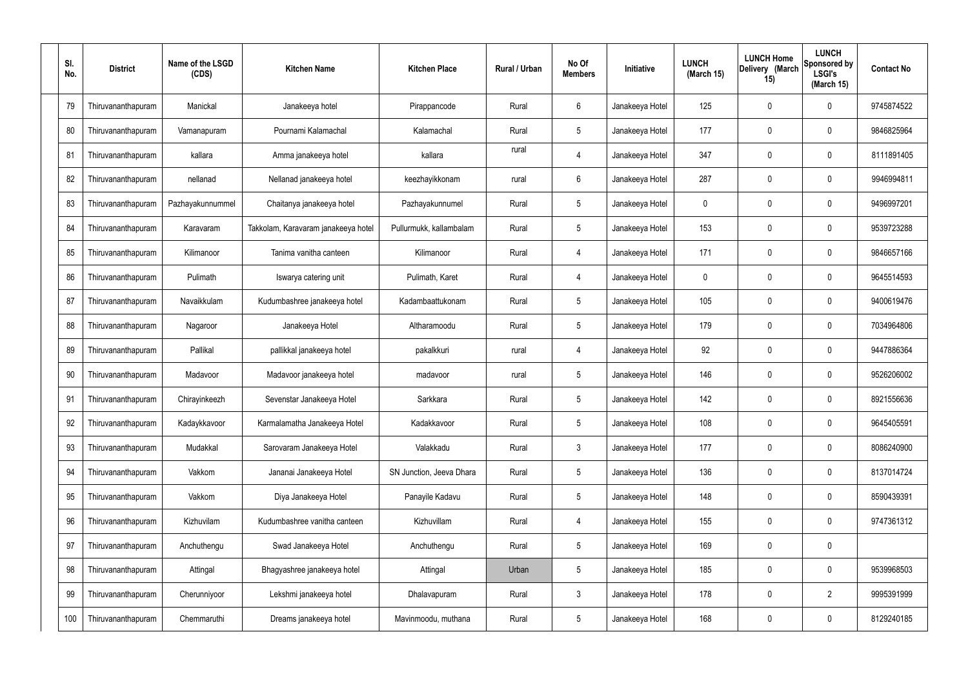| SI.<br>No. | <b>District</b>    | Name of the LSGD<br>(CDS) | <b>Kitchen Name</b>                 | <b>Kitchen Place</b>     | Rural / Urban | No Of<br><b>Members</b> | Initiative      | <b>LUNCH</b><br>(March 15) | <b>LUNCH Home</b><br>Delivery (March<br>15) | <b>LUNCH</b><br><b>Sponsored by</b><br><b>LSGI's</b><br>(March 15) | <b>Contact No</b> |
|------------|--------------------|---------------------------|-------------------------------------|--------------------------|---------------|-------------------------|-----------------|----------------------------|---------------------------------------------|--------------------------------------------------------------------|-------------------|
| 79         | Thiruvananthapuram | Manickal                  | Janakeeya hotel                     | Pirappancode             | Rural         | 6                       | Janakeeya Hotel | 125                        | 0                                           | 0                                                                  | 9745874522        |
| 80         | Thiruvananthapuram | Vamanapuram               | Pournami Kalamachal                 | Kalamachal               | Rural         | $5\phantom{.0}$         | Janakeeya Hotel | 177                        | $\mathbf 0$                                 | 0                                                                  | 9846825964        |
| 81         | Thiruvananthapuram | kallara                   | Amma janakeeya hotel                | kallara                  | rural         | 4                       | Janakeeya Hotel | 347                        | 0                                           | 0                                                                  | 8111891405        |
| 82         | Thiruvananthapuram | nellanad                  | Nellanad janakeeya hotel            | keezhayikkonam           | rural         | 6                       | Janakeeya Hotel | 287                        | $\mathbf 0$                                 | 0                                                                  | 9946994811        |
| 83         | Thiruvananthapuram | Pazhayakunnummel          | Chaitanya janakeeya hotel           | Pazhayakunnumel          | Rural         | $5\phantom{.0}$         | Janakeeya Hotel | 0                          | $\mathbf 0$                                 | 0                                                                  | 9496997201        |
| 84         | Thiruvananthapuram | Karavaram                 | Takkolam, Karavaram janakeeya hotel | Pullurmukk, kallambalam  | Rural         | $5\phantom{.0}$         | Janakeeya Hotel | 153                        | $\mathbf 0$                                 | 0                                                                  | 9539723288        |
| 85         | Thiruvananthapuram | Kilimanoor                | Tanima vanitha canteen              | Kilimanoor               | Rural         | 4                       | Janakeeya Hotel | 171                        | 0                                           | 0                                                                  | 9846657166        |
| 86         | Thiruvananthapuram | Pulimath                  | Iswarya catering unit               | Pulimath, Karet          | Rural         | $\overline{4}$          | Janakeeya Hotel | 0                          | $\mathbf 0$                                 | 0                                                                  | 9645514593        |
| 87         | Thiruvananthapuram | Navaikkulam               | Kudumbashree janakeeya hotel        | Kadambaattukonam         | Rural         | $5\phantom{.0}$         | Janakeeya Hotel | 105                        | $\mathbf 0$                                 | 0                                                                  | 9400619476        |
| 88         | Thiruvananthapuram | Nagaroor                  | Janakeeya Hotel                     | Altharamoodu             | Rural         | $5\phantom{.0}$         | Janakeeya Hotel | 179                        | $\mathbf 0$                                 | 0                                                                  | 7034964806        |
| 89         | Thiruvananthapuram | Pallikal                  | pallikkal janakeeya hotel           | pakalkkuri               | rural         | 4                       | Janakeeya Hotel | 92                         | 0                                           | 0                                                                  | 9447886364        |
| 90         | Thiruvananthapuram | Madavoor                  | Madavoor janakeeya hotel            | madavoor                 | rural         | $5\phantom{.0}$         | Janakeeya Hotel | 146                        | 0                                           | 0                                                                  | 9526206002        |
| 91         | Thiruvananthapuram | Chirayinkeezh             | Sevenstar Janakeeya Hotel           | Sarkkara                 | Rural         | 5                       | Janakeeya Hotel | 142                        | 0                                           | 0                                                                  | 8921556636        |
| 92         | Thiruvananthapuram | Kadaykkavoor              | Karmalamatha Janakeeya Hotel        | Kadakkavoor              | Rural         | 5                       | Janakeeya Hotel | 108                        | $\mathbf 0$                                 | 0                                                                  | 9645405591        |
| 93         | Thiruvananthapuram | Mudakkal                  | Sarovaram Janakeeya Hotel           | Valakkadu                | Rural         | $\mathbf{3}$            | Janakeeya Hotel | 177                        | $\mathbf 0$                                 | 0                                                                  | 8086240900        |
| 94         | Thiruvananthapuram | Vakkom                    | Jananai Janakeeya Hotel             | SN Junction, Jeeva Dhara | Rural         | $5\phantom{.0}$         | Janakeeya Hotel | 136                        | $\mathbf 0$                                 | 0                                                                  | 8137014724        |
| 95         | Thiruvananthapuram | Vakkom                    | Diya Janakeeya Hotel                | Panayile Kadavu          | Rural         | $5\phantom{.0}$         | Janakeeya Hotel | 148                        | $\mathbf 0$                                 | 0                                                                  | 8590439391        |
| 96         | Thiruvananthapuram | Kizhuvilam                | Kudumbashree vanitha canteen        | Kizhuvillam              | Rural         | $\overline{4}$          | Janakeeya Hotel | 155                        | $\mathbf 0$                                 | 0                                                                  | 9747361312        |
| 97         | Thiruvananthapuram | Anchuthengu               | Swad Janakeeya Hotel                | Anchuthengu              | Rural         | $5\phantom{.0}$         | Janakeeya Hotel | 169                        | $\mathbf 0$                                 | 0                                                                  |                   |
| 98         | Thiruvananthapuram | Attingal                  | Bhagyashree janakeeya hotel         | Attingal                 | Urban         | $5\phantom{.0}$         | Janakeeya Hotel | 185                        | $\mathbf 0$                                 | 0                                                                  | 9539968503        |
| 99         | Thiruvananthapuram | Cherunniyoor              | Lekshmi janakeeya hotel             | Dhalavapuram             | Rural         | $\mathbf{3}$            | Janakeeya Hotel | 178                        | $\mathbf 0$                                 | $\overline{2}$                                                     | 9995391999        |
| 100        | Thiruvananthapuram | Chemmaruthi               | Dreams janakeeya hotel              | Mavinmoodu, muthana      | Rural         | $\sqrt{5}$              | Janakeeya Hotel | 168                        | $\pmb{0}$                                   | 0                                                                  | 8129240185        |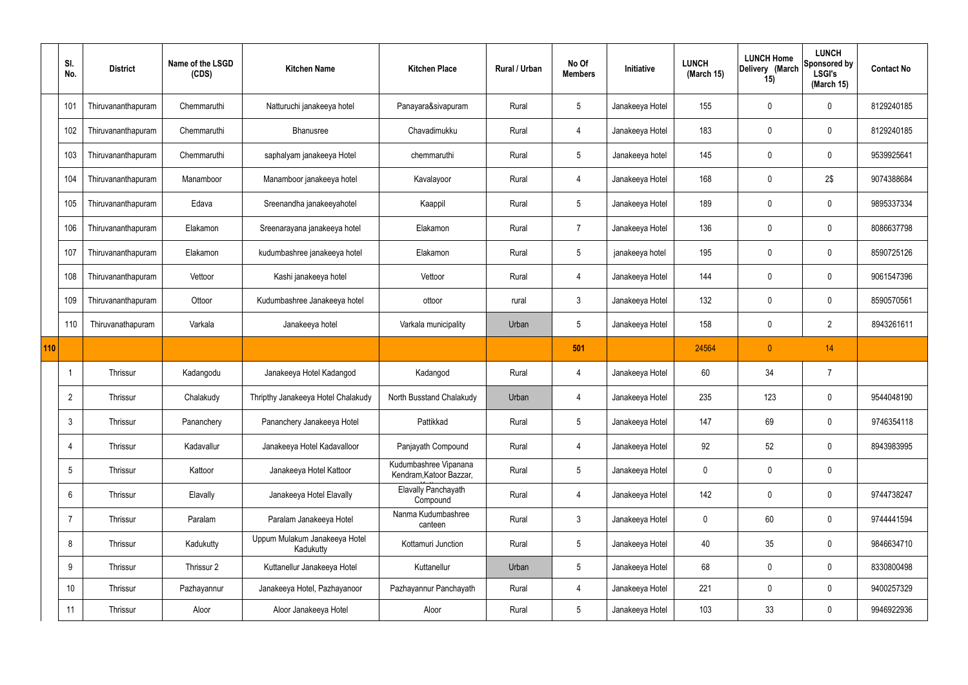|     | SI.<br>No.      | <b>District</b>    | Name of the LSGD<br>(CDS) | <b>Kitchen Name</b>                        | <b>Kitchen Place</b>                             | Rural / Urban | No Of<br><b>Members</b> | Initiative      | <b>LUNCH</b><br>(March 15) | <b>LUNCH Home</b><br>Delivery (March<br>15) | <b>LUNCH</b><br>Sponsored by<br><b>LSGI's</b><br>(March 15) | <b>Contact No</b> |
|-----|-----------------|--------------------|---------------------------|--------------------------------------------|--------------------------------------------------|---------------|-------------------------|-----------------|----------------------------|---------------------------------------------|-------------------------------------------------------------|-------------------|
|     | 101             | Thiruvananthapuram | Chemmaruthi               | Natturuchi janakeeya hotel                 | Panayara&sivapuram                               | Rural         | 5                       | Janakeeya Hotel | 155                        | 0                                           | $\mathbf 0$                                                 | 8129240185        |
|     | 102             | Thiruvananthapuram | Chemmaruthi               | Bhanusree                                  | Chavadimukku                                     | Rural         | 4                       | Janakeeya Hotel | 183                        | 0                                           | $\pmb{0}$                                                   | 8129240185        |
|     | 103             | Thiruvananthapuram | Chemmaruthi               | saphalyam janakeeya Hotel                  | chemmaruthi                                      | Rural         | $5\phantom{.0}$         | Janakeeya hotel | 145                        | 0                                           | $\mathbf 0$                                                 | 9539925641        |
|     | 104             | Thiruvananthapuram | Manamboor                 | Manamboor janakeeya hotel                  | Kavalayoor                                       | Rural         | 4                       | Janakeeya Hotel | 168                        | 0                                           | 2\$                                                         | 9074388684        |
|     | 105             | Thiruvananthapuram | Edava                     | Sreenandha janakeeyahotel                  | Kaappil                                          | Rural         | $5\phantom{.0}$         | Janakeeya Hotel | 189                        | 0                                           | $\mathbf 0$                                                 | 9895337334        |
|     | 106             | Thiruvananthapuram | Elakamon                  | Sreenarayana janakeeya hotel               | Elakamon                                         | Rural         | $\overline{7}$          | Janakeeya Hotel | 136                        | 0                                           | $\pmb{0}$                                                   | 8086637798        |
|     | 107             | Thiruvananthapuram | Elakamon                  | kudumbashree janakeeya hotel               | Elakamon                                         | Rural         | $5\phantom{.0}$         | janakeeya hotel | 195                        | 0                                           | $\mathbf 0$                                                 | 8590725126        |
|     | 108             | Thiruvananthapuram | Vettoor                   | Kashi janakeeya hotel                      | Vettoor                                          | Rural         | 4                       | Janakeeya Hotel | 144                        | 0                                           | $\pmb{0}$                                                   | 9061547396        |
|     | 109             | Thiruvananthapuram | Ottoor                    | Kudumbashree Janakeeya hotel               | ottoor                                           | rural         | $\mathbf{3}$            | Janakeeya Hotel | 132                        | 0                                           | $\pmb{0}$                                                   | 8590570561        |
|     | 110             | Thiruvanathapuram  | Varkala                   | Janakeeya hotel                            | Varkala municipality                             | Urban         | $5\phantom{.0}$         | Janakeeya Hotel | 158                        | 0                                           | $\overline{2}$                                              | 8943261611        |
|     |                 |                    |                           |                                            |                                                  |               |                         |                 |                            |                                             |                                                             |                   |
| 110 |                 |                    |                           |                                            |                                                  |               | 501                     |                 | 24564                      | $\overline{0}$                              | 14                                                          |                   |
|     | $\mathbf{1}$    | Thrissur           | Kadangodu                 | Janakeeya Hotel Kadangod                   | Kadangod                                         | Rural         | 4                       | Janakeeya Hotel | 60                         | 34                                          | $\overline{7}$                                              |                   |
|     | $\overline{2}$  | Thrissur           | Chalakudy                 | Thripthy Janakeeya Hotel Chalakudy         | North Busstand Chalakudy                         | Urban         | 4                       | Janakeeya Hotel | 235                        | 123                                         | $\mathbf 0$                                                 | 9544048190        |
|     | $\mathbf{3}$    | Thrissur           | Pananchery                | Pananchery Janakeeya Hotel                 | Pattikkad                                        | Rural         | 5                       | Janakeeya Hotel | 147                        | 69                                          | $\mathbf 0$                                                 | 9746354118        |
|     | $\overline{4}$  | Thrissur           | Kadavallur                | Janakeeya Hotel Kadavalloor                | Panjayath Compound                               | Rural         | $\overline{4}$          | Janakeeya Hotel | 92                         | 52                                          | $\mathbf 0$                                                 | 8943983995        |
|     | $5\phantom{.0}$ | Thrissur           | Kattoor                   | Janakeeya Hotel Kattoor                    | Kudumbashree Vipanana<br>Kendram, Katoor Bazzar, | Rural         | $5\phantom{.0}$         | Janakeeya Hotel | 0                          | 0                                           | $\pmb{0}$                                                   |                   |
|     | $6\overline{6}$ | Thrissur           | Elavally                  | Janakeeya Hotel Elavally                   | Elavally Panchayath<br>Compound                  | Rural         | $\overline{4}$          | Janakeeya Hotel | 142                        | 0                                           | $\pmb{0}$                                                   | 9744738247        |
|     | $\overline{7}$  | Thrissur           | Paralam                   | Paralam Janakeeya Hotel                    | Nanma Kudumbashree<br>canteen                    | Rural         | $\mathbf{3}$            | Janakeeya Hotel | $\mathbf 0$                | 60                                          | $\mathbf 0$                                                 | 9744441594        |
|     | 8               | Thrissur           | Kadukutty                 | Uppum Mulakum Janakeeya Hotel<br>Kadukutty | Kottamuri Junction                               | Rural         | $5\phantom{.0}$         | Janakeeya Hotel | 40                         | 35                                          | $\mathbf 0$                                                 | 9846634710        |
|     | 9               | Thrissur           | Thrissur 2                | Kuttanellur Janakeeya Hotel                | Kuttanellur                                      | Urban         | $5\phantom{.0}$         | Janakeeya Hotel | 68                         | 0                                           | $\mathbf 0$                                                 | 8330800498        |
|     | 10 <sup>°</sup> | Thrissur           | Pazhayannur               | Janakeeya Hotel, Pazhayanoor               | Pazhayannur Panchayath                           | Rural         | 4                       | Janakeeya Hotel | 221                        | 0                                           | $\mathbf 0$                                                 | 9400257329        |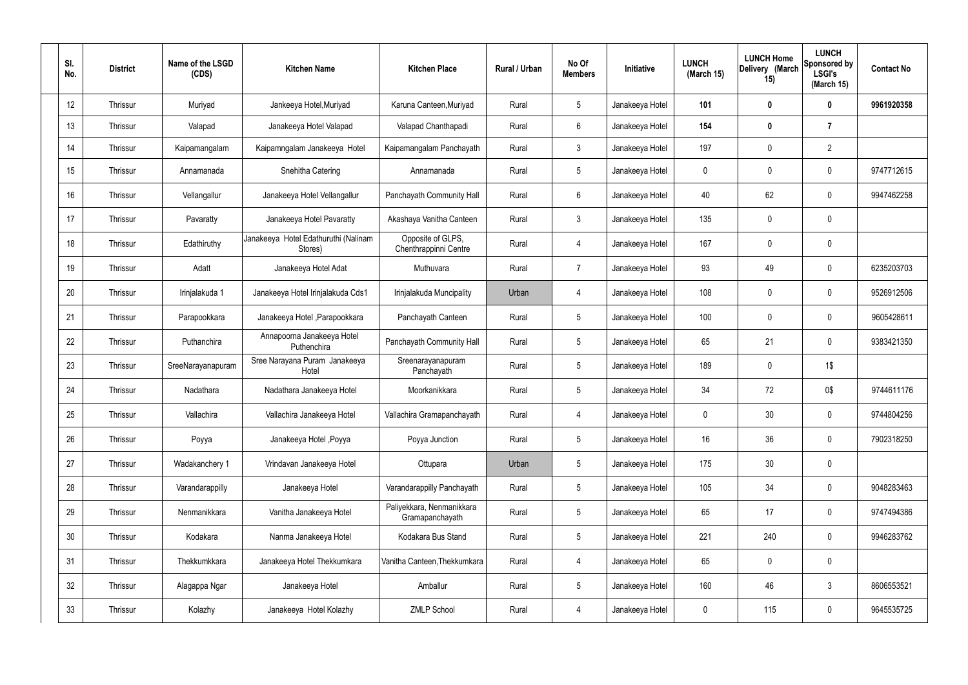| SI.<br>No. | <b>District</b> | Name of the LSGD<br>(CDS) | <b>Kitchen Name</b>                             | <b>Kitchen Place</b>                         | Rural / Urban | No Of<br><b>Members</b> | Initiative      | <b>LUNCH</b><br>(March 15) | <b>LUNCH Home</b><br>Delivery (March<br>15) | <b>LUNCH</b><br>Sponsored by<br><b>LSGI's</b><br>(March 15) | <b>Contact No</b> |
|------------|-----------------|---------------------------|-------------------------------------------------|----------------------------------------------|---------------|-------------------------|-----------------|----------------------------|---------------------------------------------|-------------------------------------------------------------|-------------------|
| 12         | Thrissur        | Muriyad                   | Jankeeya Hotel, Muriyad                         | Karuna Canteen, Muriyad                      | Rural         | $5\phantom{.0}$         | Janakeeya Hotel | 101                        | 0                                           | $\mathbf 0$                                                 | 9961920358        |
| 13         | Thrissur        | Valapad                   | Janakeeya Hotel Valapad                         | Valapad Chanthapadi                          | Rural         | 6                       | Janakeeya Hotel | 154                        | $\boldsymbol{0}$                            | $\overline{7}$                                              |                   |
| 14         | Thrissur        | Kaipamangalam             | Kaipamngalam Janakeeya Hotel                    | Kaipamangalam Panchayath                     | Rural         | $\mathbf{3}$            | Janakeeya Hotel | 197                        | $\mathbf 0$                                 | $\overline{2}$                                              |                   |
| 15         | Thrissur        | Annamanada                | Snehitha Catering                               | Annamanada                                   | Rural         | 5                       | Janakeeya Hotel | 0                          | 0                                           | $\mathbf 0$                                                 | 9747712615        |
| 16         | Thrissur        | Vellangallur              | Janakeeya Hotel Vellangallur                    | Panchayath Community Hall                    | Rural         | 6                       | Janakeeya Hotel | 40                         | 62                                          | $\boldsymbol{0}$                                            | 9947462258        |
| 17         | Thrissur        | Pavaratty                 | Janakeeya Hotel Pavaratty                       | Akashaya Vanitha Canteen                     | Rural         | 3                       | Janakeeya Hotel | 135                        | 0                                           | $\boldsymbol{0}$                                            |                   |
| 18         | Thrissur        | Edathiruthy               | Janakeeya Hotel Edathuruthi (Nalinam<br>Stores) | Opposite of GLPS,<br>Chenthrappinni Centre   | Rural         | $\overline{4}$          | Janakeeya Hotel | 167                        | 0                                           | $\boldsymbol{0}$                                            |                   |
| 19         | Thrissur        | Adatt                     | Janakeeya Hotel Adat                            | Muthuvara                                    | Rural         | $\overline{7}$          | Janakeeya Hotel | 93                         | 49                                          | $\boldsymbol{0}$                                            | 6235203703        |
| 20         | Thrissur        | Irinjalakuda 1            | Janakeeya Hotel Irinjalakuda Cds1               | Irinjalakuda Muncipality                     | Urban         | 4                       | Janakeeya Hotel | 108                        | 0                                           | $\boldsymbol{0}$                                            | 9526912506        |
| 21         | Thrissur        | Parapookkara              | Janakeeya Hotel, Parapookkara                   | Panchayath Canteen                           | Rural         | 5                       | Janakeeya Hotel | 100                        | 0                                           | $\boldsymbol{0}$                                            | 9605428611        |
| 22         | Thrissur        | Puthanchira               | Annapoorna Janakeeya Hotel<br>Puthenchira       | Panchayath Community Hall                    | Rural         | 5                       | Janakeeya Hotel | 65                         | 21                                          | $\mathbf 0$                                                 | 9383421350        |
| 23         | Thrissur        | SreeNarayanapuram         | Sree Narayana Puram Janakeeya<br>Hotel          | Sreenarayanapuram<br>Panchayath              | Rural         | 5                       | Janakeeya Hotel | 189                        | 0                                           | 1\$                                                         |                   |
| 24         | Thrissur        | Nadathara                 | Nadathara Janakeeya Hotel                       | Moorkanikkara                                | Rural         | $\sqrt{5}$              | Janakeeya Hotel | 34                         | 72                                          | 0\$                                                         | 9744611176        |
| 25         | Thrissur        | Vallachira                | Vallachira Janakeeya Hotel                      | Vallachira Gramapanchayath                   | Rural         | $\overline{4}$          | Janakeeya Hotel | 0                          | 30                                          | $\pmb{0}$                                                   | 9744804256        |
| 26         | Thrissur        | Poyya                     | Janakeeya Hotel , Poyya                         | Poyya Junction                               | Rural         | $5\,$                   | Janakeeya Hotel | 16                         | 36                                          | $\mathbf 0$                                                 | 7902318250        |
| 27         | Thrissur        | Wadakanchery 1            | Vrindavan Janakeeya Hotel                       | Ottupara                                     | Urban         | $5\phantom{.0}$         | Janakeeya Hotel | 175                        | 30                                          | $\pmb{0}$                                                   |                   |
| 28         | Thrissur        | Varandarappilly           | Janakeeya Hotel                                 | Varandarappilly Panchayath                   | Rural         | $\sqrt{5}$              | Janakeeya Hotel | 105                        | 34                                          | $\mathbf 0$                                                 | 9048283463        |
| 29         | Thrissur        | Nenmanikkara              | Vanitha Janakeeya Hotel                         | Paliyekkara, Nenmanikkara<br>Gramapanchayath | Rural         | $5\phantom{.0}$         | Janakeeya Hotel | 65                         | 17                                          | $\mathbf 0$                                                 | 9747494386        |
| 30         | Thrissur        | Kodakara                  | Nanma Janakeeya Hotel                           | Kodakara Bus Stand                           | Rural         | $\sqrt{5}$              | Janakeeya Hotel | 221                        | 240                                         | $\mathbf 0$                                                 | 9946283762        |
| 31         | Thrissur        | Thekkumkkara              | Janakeeya Hotel Thekkumkara                     | Vanitha Canteen, Thekkumkara                 | Rural         | $\overline{4}$          | Janakeeya Hotel | 65                         | $\pmb{0}$                                   | $\pmb{0}$                                                   |                   |
| 32         | Thrissur        | Alagappa Ngar             | Janakeeya Hotel                                 | Amballur                                     | Rural         | $\sqrt{5}$              | Janakeeya Hotel | 160                        | 46                                          | $\mathbf{3}$                                                | 8606553521        |
| 33         | Thrissur        | Kolazhy                   | Janakeeya Hotel Kolazhy                         | <b>ZMLP School</b>                           | Rural         | $\overline{4}$          | Janakeeya Hotel | 0                          | 115                                         | $\pmb{0}$                                                   | 9645535725        |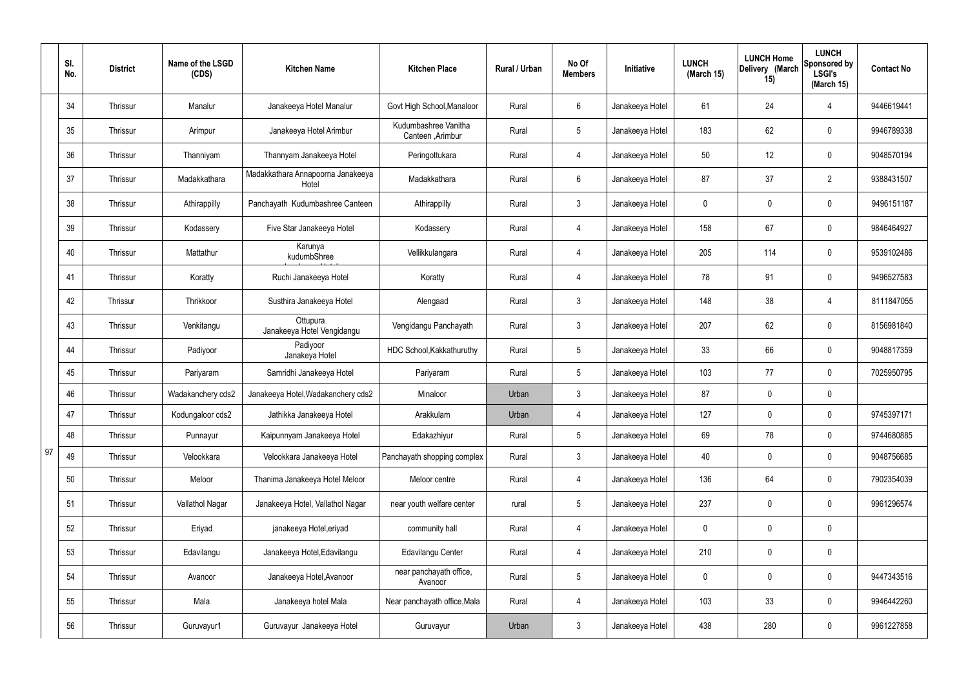|    | SI.<br>No. | <b>District</b> | Name of the LSGD<br>(CDS) | <b>Kitchen Name</b>                        | <b>Kitchen Place</b>                      | Rural / Urban | No Of<br><b>Members</b> | Initiative      | <b>LUNCH</b><br>(March 15) | <b>LUNCH Home</b><br>Delivery (March<br>15) | <b>LUNCH</b><br>Sponsored by<br><b>LSGI's</b><br>(March 15) | <b>Contact No</b> |
|----|------------|-----------------|---------------------------|--------------------------------------------|-------------------------------------------|---------------|-------------------------|-----------------|----------------------------|---------------------------------------------|-------------------------------------------------------------|-------------------|
|    | 34         | Thrissur        | Manalur                   | Janakeeya Hotel Manalur                    | Govt High School, Manaloor                | Rural         | $6\phantom{.}6$         | Janakeeya Hotel | 61                         | 24                                          | 4                                                           | 9446619441        |
|    | 35         | Thrissur        | Arimpur                   | Janakeeya Hotel Arimbur                    | Kudumbashree Vanitha<br>Canteen , Arimbur | Rural         | $5\overline{)}$         | Janakeeya Hotel | 183                        | 62                                          | $\mathbf 0$                                                 | 9946789338        |
|    | 36         | Thrissur        | Thanniyam                 | Thannyam Janakeeya Hotel                   | Peringottukara                            | Rural         | $\overline{4}$          | Janakeeya Hotel | 50                         | 12                                          | $\mathbf 0$                                                 | 9048570194        |
|    | 37         | Thrissur        | Madakkathara              | Madakkathara Annapoorna Janakeeya<br>Hotel | Madakkathara                              | Rural         | $6\overline{6}$         | Janakeeya Hotel | 87                         | 37                                          | $\overline{2}$                                              | 9388431507        |
|    | 38         | Thrissur        | Athirappilly              | Panchayath Kudumbashree Canteen            | Athirappilly                              | Rural         | $\mathbf{3}$            | Janakeeya Hotel | 0                          | $\mathbf 0$                                 | $\mathbf 0$                                                 | 9496151187        |
|    | 39         | Thrissur        | Kodassery                 | Five Star Janakeeya Hotel                  | Kodassery                                 | Rural         | $\overline{4}$          | Janakeeya Hotel | 158                        | 67                                          | $\mathbf 0$                                                 | 9846464927        |
|    | 40         | Thrissur        | Mattathur                 | Karunya<br>kudumbShree                     | Vellikkulangara                           | Rural         | $\overline{4}$          | Janakeeya Hotel | 205                        | 114                                         | $\mathbf 0$                                                 | 9539102486        |
|    | 41         | Thrissur        | Koratty                   | Ruchi Janakeeya Hotel                      | Koratty                                   | Rural         | $\overline{4}$          | Janakeeya Hotel | 78                         | 91                                          | $\mathbf 0$                                                 | 9496527583        |
|    | 42         | Thrissur        | Thrikkoor                 | Susthira Janakeeya Hotel                   | Alengaad                                  | Rural         | $\mathbf{3}$            | Janakeeya Hotel | 148                        | 38                                          | 4                                                           | 8111847055        |
|    | 43         | Thrissur        | Venkitangu                | Ottupura<br>Janakeeya Hotel Vengidangu     | Vengidangu Panchayath                     | Rural         | $\mathbf{3}$            | Janakeeya Hotel | 207                        | 62                                          | $\mathbf 0$                                                 | 8156981840        |
|    | 44         | Thrissur        | Padiyoor                  | Padiyoor<br>Janakeya Hotel                 | HDC School, Kakkathuruthy                 | Rural         | $5\overline{)}$         | Janakeeya Hotel | 33                         | 66                                          | $\mathbf 0$                                                 | 9048817359        |
|    | 45         | Thrissur        | Pariyaram                 | Samridhi Janakeeya Hotel                   | Pariyaram                                 | Rural         | $5\overline{)}$         | Janakeeya Hotel | 103                        | 77                                          | $\mathbf 0$                                                 | 7025950795        |
|    | 46         | Thrissur        | Wadakanchery cds2         | Janakeeya Hotel, Wadakanchery cds2         | Minaloor                                  | Urban         | $\mathbf{3}$            | Janakeeya Hotel | 87                         | $\mathbf 0$                                 | $\mathbf 0$                                                 |                   |
|    | 47         | Thrissur        | Kodungaloor cds2          | Jathikka Janakeeya Hotel                   | Arakkulam                                 | Urban         | 4                       | Janakeeya Hotel | 127                        | 0                                           | $\mathbf 0$                                                 | 9745397171        |
|    | 48         | Thrissur        | Punnayur                  | Kaipunnyam Janakeeya Hotel                 | Edakazhiyur                               | Rural         | 5 <sub>5</sub>          | Janakeeya Hotel | 69                         | 78                                          | $\mathbf 0$                                                 | 9744680885        |
| 97 | 49         | Thrissur        | Velookkara                | Velookkara Janakeeya Hotel                 | Panchayath shopping complex               | Rural         | $\mathbf{3}$            | Janakeeya Hotel | 40                         | 0                                           | $\mathbf 0$                                                 | 9048756685        |
|    | 50         | Thrissur        | Meloor                    | Thanima Janakeeya Hotel Meloor             | Meloor centre                             | Rural         | $\overline{4}$          | Janakeeya Hotel | 136                        | 64                                          | $\mathbf 0$                                                 | 7902354039        |
|    | 51         | Thrissur        | Vallathol Nagar           | Janakeeya Hotel, Vallathol Nagar           | near youth welfare center                 | rural         | $5\overline{)}$         | Janakeeya Hotel | 237                        | 0                                           | $\mathbf 0$                                                 | 9961296574        |
|    | 52         | Thrissur        | Eriyad                    | janakeeya Hotel, eriyad                    | community hall                            | Rural         | $\overline{4}$          | Janakeeya Hotel | 0                          | 0                                           | $\mathbf 0$                                                 |                   |
|    | 53         | Thrissur        | Edavilangu                | Janakeeya Hotel, Edavilangu                | Edavilangu Center                         | Rural         | $\overline{4}$          | Janakeeya Hotel | 210                        | 0                                           | $\mathbf 0$                                                 |                   |
|    | 54         | Thrissur        | Avanoor                   | Janakeeya Hotel, Avanoor                   | near panchayath office,<br>Avanoor        | Rural         | $5\overline{)}$         | Janakeeya Hotel | 0                          | $\mathbf 0$                                 | $\mathbf 0$                                                 | 9447343516        |
|    | 55         | Thrissur        | Mala                      | Janakeeya hotel Mala                       | Near panchayath office, Mala              | Rural         | $\overline{4}$          | Janakeeya Hotel | 103                        | 33                                          | $\mathbf 0$                                                 | 9946442260        |
|    | 56         | Thrissur        | Guruvayur1                | Guruvayur Janakeeya Hotel                  | Guruvayur                                 | Urban         | $\mathfrak{Z}$          | Janakeeya Hotel | 438                        | 280                                         | $\overline{0}$                                              | 9961227858        |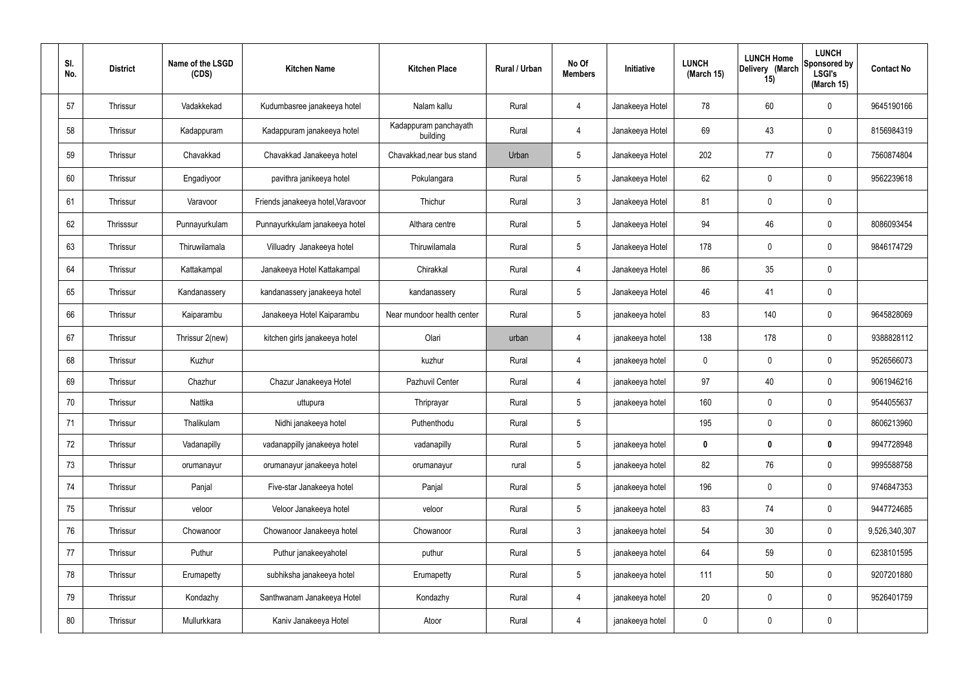| SI.<br>No. | <b>District</b> | Name of the LSGD<br>(CDS) | <b>Kitchen Name</b>               | <b>Kitchen Place</b>              | Rural / Urban | No Of<br><b>Members</b> | Initiative      | <b>LUNCH</b><br>(March 15) | <b>LUNCH Home</b><br>Delivery (March<br>15) | <b>LUNCH</b><br>Sponsored by<br><b>LSGI's</b><br>(March 15) | <b>Contact No</b> |
|------------|-----------------|---------------------------|-----------------------------------|-----------------------------------|---------------|-------------------------|-----------------|----------------------------|---------------------------------------------|-------------------------------------------------------------|-------------------|
| 57         | Thrissur        | Vadakkekad                | Kudumbasree janakeeya hotel       | Nalam kallu                       | Rural         | $\overline{4}$          | Janakeeya Hotel | 78                         | 60                                          | $\mathbf 0$                                                 | 9645190166        |
| 58         | Thrissur        | Kadappuram                | Kadappuram janakeeya hotel        | Kadappuram panchayath<br>building | Rural         | $\overline{4}$          | Janakeeya Hotel | 69                         | 43                                          | $\mathbf 0$                                                 | 8156984319        |
| 59         | Thrissur        | Chavakkad                 | Chavakkad Janakeeya hotel         | Chavakkad, near bus stand         | Urban         | $5\phantom{.0}$         | Janakeeya Hotel | 202                        | 77                                          | $\mathbf 0$                                                 | 7560874804        |
| 60         | Thrissur        | Engadiyoor                | pavithra janikeeya hotel          | Pokulangara                       | Rural         | $5\overline{)}$         | Janakeeya Hotel | 62                         | $\mathbf 0$                                 | $\pmb{0}$                                                   | 9562239618        |
| 61         | Thrissur        | Varavoor                  | Friends janakeeya hotel, Varavoor | Thichur                           | Rural         | $\mathbf{3}$            | Janakeeya Hotel | 81                         | $\mathbf 0$                                 | $\mathbf 0$                                                 |                   |
| 62         | Thrisssur       | Punnayurkulam             | Punnayurkkulam janakeeya hotel    | Althara centre                    | Rural         | $5\phantom{.0}$         | Janakeeya Hotel | 94                         | 46                                          | $\boldsymbol{0}$                                            | 8086093454        |
| 63         | Thrissur        | Thiruwilamala             | Villuadry Janakeeya hotel         | Thiruwilamala                     | Rural         | $5\overline{)}$         | Janakeeya Hotel | 178                        | $\mathbf 0$                                 | $\boldsymbol{0}$                                            | 9846174729        |
| 64         | Thrissur        | Kattakampal               | Janakeeya Hotel Kattakampal       | Chirakkal                         | Rural         | $\overline{4}$          | Janakeeya Hotel | 86                         | 35                                          | $\mathbf 0$                                                 |                   |
| 65         | Thrissur        | Kandanassery              | kandanassery janakeeya hotel      | kandanassery                      | Rural         | $5\overline{)}$         | Janakeeya Hotel | 46                         | 41                                          | $\mathbf 0$                                                 |                   |
| 66         | Thrissur        | Kaiparambu                | Janakeeya Hotel Kaiparambu        | Near mundoor health center        | Rural         | $5\phantom{.0}$         | janakeeya hotel | 83                         | 140                                         | $\pmb{0}$                                                   | 9645828069        |
| 67         | Thrissur        | Thrissur 2(new)           | kitchen girls janakeeya hotel     | Olari                             | urban         | $\overline{4}$          | janakeeya hotel | 138                        | 178                                         | $\mathbf 0$                                                 | 9388828112        |
| 68         | Thrissur        | Kuzhur                    |                                   | kuzhur                            | Rural         | $\overline{4}$          | janakeeya hotel | $\mathbf 0$                | $\mathbf 0$                                 | $\mathbf 0$                                                 | 9526566073        |
| 69         | Thrissur        | Chazhur                   | Chazur Janakeeya Hotel            | Pazhuvil Center                   | Rural         | 4                       | janakeeya hotel | 97                         | 40                                          | $\mathbf 0$                                                 | 9061946216        |
| 70         | Thrissur        | Nattika                   | uttupura                          | Thriprayar                        | Rural         | 5                       | janakeeya hotel | 160                        | $\mathbf 0$                                 | $\mathbf 0$                                                 | 9544055637        |
| 71         | Thrissur        | Thalikulam                | Nidhi janakeeya hotel             | Puthenthodu                       | Rural         | $5\phantom{.0}$         |                 | 195                        | $\mathbf 0$                                 | $\mathbf 0$                                                 | 8606213960        |
| 72         | Thrissur        | Vadanapilly               | vadanappilly janakeeya hotel      | vadanapilly                       | Rural         | $5\overline{)}$         | janakeeya hotel | $\mathbf 0$                | $\mathbf 0$                                 | $\mathbf 0$                                                 | 9947728948        |
| 73         | Thrissur        | orumanayur                | orumanayur janakeeya hotel        | orumanayur                        | rural         | $5\overline{)}$         | janakeeya hotel | 82                         | 76                                          | $\mathbf 0$                                                 | 9995588758        |
| 74         | Thrissur        | Panjal                    | Five-star Janakeeya hotel         | Panjal                            | Rural         | $5\overline{)}$         | janakeeya hotel | 196                        | $\mathbf 0$                                 | $\mathbf 0$                                                 | 9746847353        |
| 75         | Thrissur        | veloor                    | Veloor Janakeeya hotel            | veloor                            | Rural         | $5\overline{)}$         | janakeeya hotel | 83                         | 74                                          | $\mathbf 0$                                                 | 9447724685        |
| 76         | Thrissur        | Chowanoor                 | Chowanoor Janakeeya hotel         | Chowanoor                         | Rural         | $\mathbf{3}$            | janakeeya hotel | 54                         | 30 <sub>o</sub>                             | $\mathbf 0$                                                 | 9,526,340,307     |
| 77         | Thrissur        | Puthur                    | Puthur janakeeyahotel             | puthur                            | Rural         | $5\phantom{.0}$         | janakeeya hotel | 64                         | 59                                          | $\mathbf 0$                                                 | 6238101595        |
| 78         | Thrissur        | Erumapetty                | subhiksha janakeeya hotel         | Erumapetty                        | Rural         | $5\phantom{.0}$         | janakeeya hotel | 111                        | 50                                          | $\mathsf{0}$                                                | 9207201880        |
| 79         | Thrissur        | Kondazhy                  | Santhwanam Janakeeya Hotel        | Kondazhy                          | Rural         | $\overline{4}$          | janakeeya hotel | 20                         | $\pmb{0}$                                   | $\mathbf 0$                                                 | 9526401759        |
| 80         | Thrissur        | Mullurkkara               | Kaniv Janakeeya Hotel             | Atoor                             | Rural         | 4                       | janakeeya hotel | $\mathbf 0$                | $\pmb{0}$                                   | $\pmb{0}$                                                   |                   |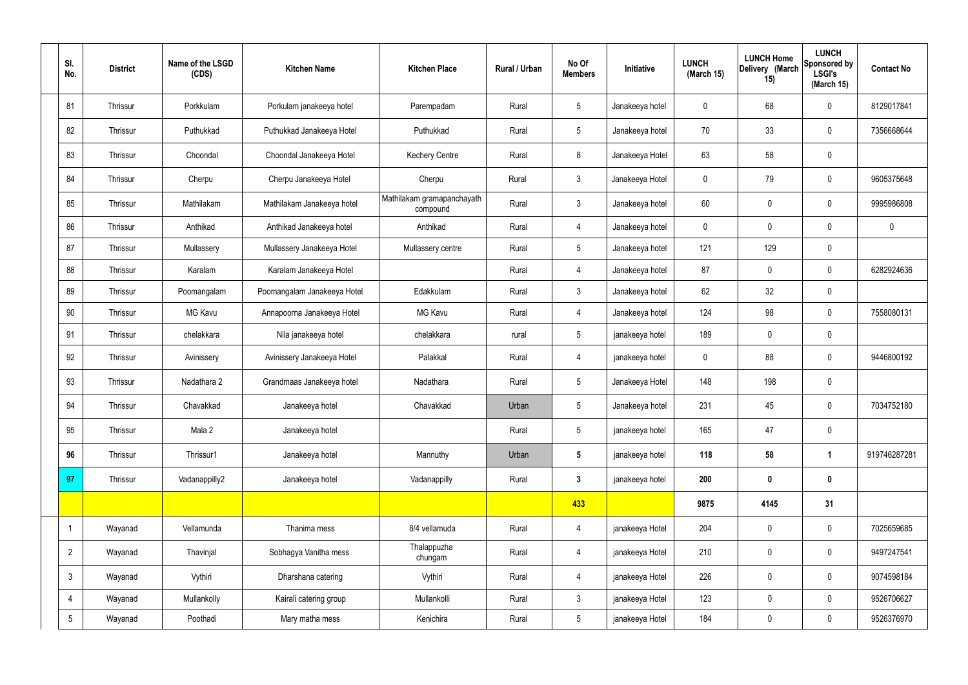| SI.<br>No.      | <b>District</b> | Name of the LSGD<br>(CDS) | <b>Kitchen Name</b>         | <b>Kitchen Place</b>                   | Rural / Urban | No Of<br><b>Members</b> | Initiative      | <b>LUNCH</b><br>(March 15) | <b>LUNCH Home</b><br>Delivery (March<br>15) | <b>LUNCH</b><br>Sponsored by<br><b>LSGI's</b><br>(March 15) | <b>Contact No</b> |
|-----------------|-----------------|---------------------------|-----------------------------|----------------------------------------|---------------|-------------------------|-----------------|----------------------------|---------------------------------------------|-------------------------------------------------------------|-------------------|
| 81              | Thrissur        | Porkkulam                 | Porkulam janakeeya hotel    | Parempadam                             | Rural         | $5\phantom{.0}$         | Janakeeya hotel | $\mathbf 0$                | 68                                          | $\mathbf 0$                                                 | 8129017841        |
| 82              | Thrissur        | Puthukkad                 | Puthukkad Janakeeya Hotel   | Puthukkad                              | Rural         | $5\phantom{.0}$         | Janakeeya hotel | 70                         | 33                                          | $\mathbf 0$                                                 | 7356668644        |
| 83              | Thrissur        | Choondal                  | Choondal Janakeeya Hotel    | <b>Kechery Centre</b>                  | Rural         | 8                       | Janakeeya Hotel | 63                         | 58                                          | $\mathbf 0$                                                 |                   |
| 84              | Thrissur        | Cherpu                    | Cherpu Janakeeya Hotel      | Cherpu                                 | Rural         | $\mathbf{3}$            | Janakeeya Hotel | $\pmb{0}$                  | 79                                          | $\mathbf 0$                                                 | 9605375648        |
| 85              | Thrissur        | Mathilakam                | Mathilakam Janakeeya hotel  | Mathilakam gramapanchayath<br>compound | Rural         | $\mathbf{3}$            | Janakeeya hotel | 60                         | $\mathbf 0$                                 | $\mathbf 0$                                                 | 9995986808        |
| 86              | Thrissur        | Anthikad                  | Anthikad Janakeeya hotel    | Anthikad                               | Rural         | $\overline{4}$          | Janakeeya hotel | $\pmb{0}$                  | $\pmb{0}$                                   | $\mathbf 0$                                                 | $\mathbf 0$       |
| 87              | Thrissur        | Mullassery                | Mullassery Janakeeya Hotel  | Mullassery centre                      | Rural         | $5\overline{)}$         | Janakeeya hotel | 121                        | 129                                         | $\mathbf 0$                                                 |                   |
| 88              | Thrissur        | Karalam                   | Karalam Janakeeya Hotel     |                                        | Rural         | 4                       | Janakeeya hotel | 87                         | $\mathbf 0$                                 | $\mathbf 0$                                                 | 6282924636        |
| 89              | Thrissur        | Poomangalam               | Poomangalam Janakeeya Hotel | Edakkulam                              | Rural         | $\mathbf{3}$            | Janakeeya hotel | 62                         | 32                                          | $\mathbf 0$                                                 |                   |
| 90              | Thrissur        | MG Kavu                   | Annapoorna Janakeeya Hotel  | MG Kavu                                | Rural         | 4                       | Janakeeya hotel | 124                        | 98                                          | $\mathbf 0$                                                 | 7558080131        |
| 91              | Thrissur        | chelakkara                | Nila janakeeya hotel        | chelakkara                             | rural         | $5\phantom{.0}$         | janakeeya hotel | 189                        | $\pmb{0}$                                   | $\mathbf 0$                                                 |                   |
| 92              | Thrissur        | Avinissery                | Avinissery Janakeeya Hotel  | Palakkal                               | Rural         | 4                       | janakeeya hotel | $\mathbf 0$                | 88                                          | $\mathbf 0$                                                 | 9446800192        |
| 93              | Thrissur        | Nadathara 2               | Grandmaas Janakeeya hotel   | Nadathara                              | Rural         | $5\phantom{.0}$         | Janakeeya Hotel | 148                        | 198                                         | $\mathbf 0$                                                 |                   |
| 94              | Thrissur        | Chavakkad                 | Janakeeya hotel             | Chavakkad                              | Urban         | 5                       | Janakeeya hotel | 231                        | 45                                          | 0                                                           | 7034752180        |
| 95              | Thrissur        | Mala 2                    | Janakeeya hotel             |                                        | Rural         | $5\overline{)}$         | janakeeya hotel | 165                        | 47                                          | $\mathbf 0$                                                 |                   |
| 96              | Thrissur        | Thrissur1                 | Janakeeya hotel             | Mannuthy                               | Urban         | $5\overline{)}$         | janakeeya hotel | 118                        | 58                                          | $\mathbf 1$                                                 | 919746287281      |
| 97              | Thrissur        | Vadanappilly2             | Janakeeya hotel             | Vadanappilly                           | Rural         | $3\phantom{a}$          | janakeeya hotel | 200                        | $\bm{0}$                                    | $\mathbf 0$                                                 |                   |
|                 |                 |                           |                             |                                        |               | 433                     |                 | 9875                       | 4145                                        | 31                                                          |                   |
| -1              | Wayanad         | Vellamunda                | Thanima mess                | 8/4 vellamuda                          | Rural         | $\overline{4}$          | janakeeya Hotel | 204                        | $\pmb{0}$                                   | $\mathbf 0$                                                 | 7025659685        |
| $\overline{2}$  | Wayanad         | Thavinjal                 | Sobhagya Vanitha mess       | Thalappuzha<br>chungam                 | Rural         | $\overline{4}$          | janakeeya Hotel | 210                        | $\pmb{0}$                                   | $\mathbf 0$                                                 | 9497247541        |
| $\mathbf{3}$    | Wayanad         | Vythiri                   | Dharshana catering          | Vythiri                                | Rural         | $\overline{4}$          | janakeeya Hotel | 226                        | $\pmb{0}$                                   | $\mathbf 0$                                                 | 9074598184        |
| 4               | Wayanad         | Mullankolly               | Kairali catering group      | Mullankolli                            | Rural         | $\mathbf{3}$            | janakeeya Hotel | 123                        | $\mathbf 0$                                 | $\mathbf 0$                                                 | 9526706627        |
| $5\phantom{.0}$ | Wayanad         | Poothadi                  | Mary matha mess             | Kenichira                              | Rural         | $5\overline{)}$         | janakeeya Hotel | 184                        | $\mathbf 0$                                 | $\mathbf 0$                                                 | 9526376970        |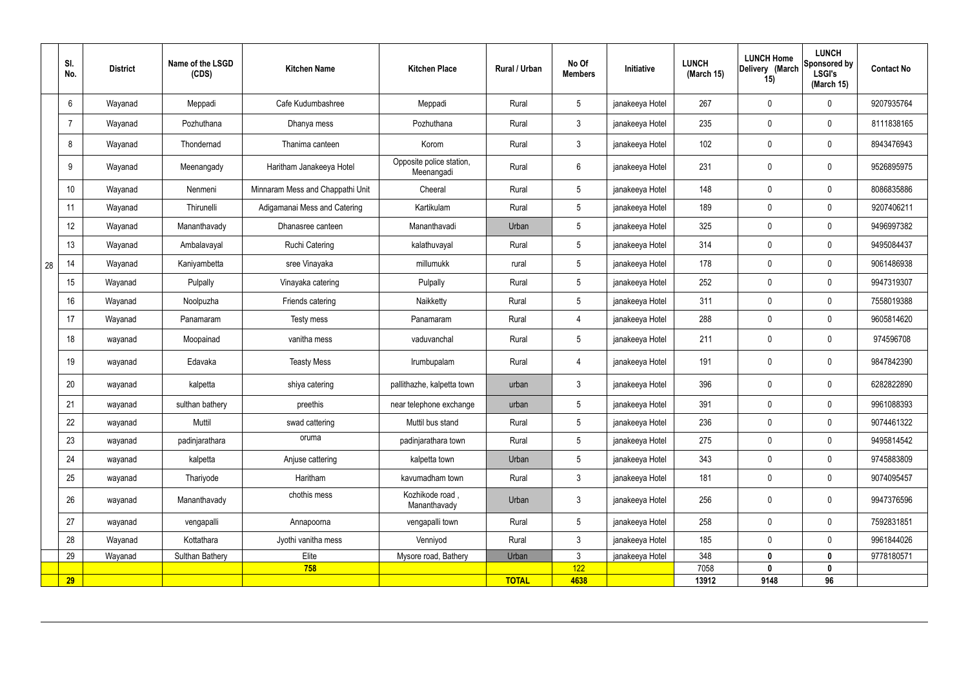|    | SI.<br>No.      | <b>District</b> | Name of the LSGD<br>(CDS) | <b>Kitchen Name</b>              | <b>Kitchen Place</b>                   | Rural / Urban | No Of<br><b>Members</b> | Initiative      | <b>LUNCH</b><br>(March 15) | <b>LUNCH Home</b><br>Delivery (March<br>15) | <b>LUNCH</b><br>Sponsored by<br><b>LSGI's</b><br>(March 15) | <b>Contact No</b> |
|----|-----------------|-----------------|---------------------------|----------------------------------|----------------------------------------|---------------|-------------------------|-----------------|----------------------------|---------------------------------------------|-------------------------------------------------------------|-------------------|
|    | 6               | Wayanad         | Meppadi                   | Cafe Kudumbashree                | Meppadi                                | Rural         | $5\overline{)}$         | janakeeya Hotel | 267                        | $\mathbf 0$                                 | $\boldsymbol{0}$                                            | 9207935764        |
|    | 7               | Wayanad         | Pozhuthana                | Dhanya mess                      | Pozhuthana                             | Rural         | $\mathbf{3}$            | janakeeya Hotel | 235                        | $\boldsymbol{0}$                            | $\mathbf 0$                                                 | 8111838165        |
|    | 8               | Wayanad         | Thondernad                | Thanima canteen                  | Korom                                  | Rural         | $\mathbf{3}$            | janakeeya Hotel | 102                        | $\mathbf 0$                                 | $\mathbf 0$                                                 | 8943476943        |
|    | 9               | Wayanad         | Meenangady                | Haritham Janakeeya Hotel         | Opposite police station,<br>Meenangadi | Rural         | $6\phantom{.}6$         | janakeeya Hotel | 231                        | 0                                           | $\boldsymbol{0}$                                            | 9526895975        |
|    | 10 <sup>°</sup> | Wayanad         | Nenmeni                   | Minnaram Mess and Chappathi Unit | Cheeral                                | Rural         | 5 <sup>5</sup>          | janakeeya Hotel | 148                        | $\mathbf 0$                                 | $\boldsymbol{0}$                                            | 8086835886        |
|    | 11              | Wayanad         | Thirunelli                | Adigamanai Mess and Catering     | Kartikulam                             | Rural         | 5 <sup>5</sup>          | janakeeya Hotel | 189                        | $\mathbf 0$                                 | $\mathbf 0$                                                 | 9207406211        |
|    | 12              | Wayanad         | Mananthavady              | Dhanasree canteen                | Mananthavadi                           | Urban         | $5\phantom{.0}$         | janakeeya Hotel | 325                        | 0                                           | $\pmb{0}$                                                   | 9496997382        |
|    | 13              | Wayanad         | Ambalavayal               | <b>Ruchi Catering</b>            | kalathuvayal                           | Rural         | $5\phantom{.0}$         | janakeeya Hotel | 314                        | $\mathbf 0$                                 | $\mathbf 0$                                                 | 9495084437        |
| 28 | 14              | Wayanad         | Kaniyambetta              | sree Vinayaka                    | millumukk                              | rural         | $5\overline{)}$         | janakeeya Hotel | 178                        | $\mathbf 0$                                 | $\mathbf 0$                                                 | 9061486938        |
|    | 15              | Wayanad         | Pulpally                  | Vinayaka catering                | Pulpally                               | Rural         | $5\overline{)}$         | janakeeya Hotel | 252                        | $\mathbf 0$                                 | $\mathbf 0$                                                 | 9947319307        |
|    | 16              | Wayanad         | Noolpuzha                 | Friends catering                 | Naikketty                              | Rural         | 5 <sup>5</sup>          | janakeeya Hotel | 311                        | $\mathbf 0$                                 | 0                                                           | 7558019388        |
|    | 17              | Wayanad         | Panamaram                 | Testy mess                       | Panamaram                              | Rural         | $\overline{4}$          | janakeeya Hotel | 288                        | $\mathbf 0$                                 | $\mathbf 0$                                                 | 9605814620        |
|    | 18              | wayanad         | Moopainad                 | vanitha mess                     | vaduvanchal                            | Rural         | $5\phantom{.0}$         | janakeeya Hotel | 211                        | $\mathbf 0$                                 | $\mathbf 0$                                                 | 974596708         |
|    | 19              | wayanad         | Edavaka                   | <b>Teasty Mess</b>               | Irumbupalam                            | Rural         | 4                       | janakeeya Hotel | 191                        | 0                                           | $\boldsymbol{0}$                                            | 9847842390        |
|    | 20              | wayanad         | kalpetta                  | shiya catering                   | pallithazhe, kalpetta town             | urban         | $\mathbf{3}$            | janakeeya Hotel | 396                        | $\mathbf 0$                                 | $\mathbf 0$                                                 | 6282822890        |
|    | 21              | wayanad         | sulthan bathery           | preethis                         | near telephone exchange                | urban         | 5                       | janakeeya Hotel | 391                        | 0                                           | $\Omega$                                                    | 9961088393        |
|    | 22              | wayanad         | Muttil                    | swad cattering                   | Muttil bus stand                       | Rural         | 5 <sup>5</sup>          | janakeeya Hotel | 236                        | 0                                           | $\mathbf 0$                                                 | 9074461322        |
|    | 23              | wayanad         | padinjarathara            | oruma                            | padinjarathara town                    | Rural         | 5 <sub>5</sub>          | janakeeya Hotel | 275                        | 0                                           | $\mathbf 0$                                                 | 9495814542        |
|    | 24              | wayanad         | kalpetta                  | Anjuse cattering                 | kalpetta town                          | Urban         | 5 <sup>5</sup>          | janakeeya Hotel | 343                        | 0                                           | $\mathbf 0$                                                 | 9745883809        |
|    | 25              | wayanad         | Thariyode                 | Haritham                         | kavumadham town                        | Rural         | 3 <sup>1</sup>          | janakeeya Hotel | 181                        | 0                                           | $\mathbf 0$                                                 | 9074095457        |
|    | 26              | wayanad         | Mananthavady              | chothis mess                     | Kozhikode road,<br>Mananthavady        | Urban         | 3 <sup>1</sup>          | janakeeya Hotel | 256                        | 0                                           | $\mathbf 0$                                                 | 9947376596        |
|    | 27              | wayanad         | vengapalli                | Annapoorna                       | vengapalli town                        | Rural         | 5 <sup>5</sup>          | janakeeya Hotel | 258                        | $\mathbf 0$                                 | $\mathbf 0$                                                 | 7592831851        |
|    | 28              | Wayanad         | Kottathara                | Jyothi vanitha mess              | Venniyod                               | Rural         | 3 <sup>1</sup>          | janakeeya Hotel | 185                        | 0                                           | $\mathbf 0$                                                 | 9961844026        |
|    | 29              | Wayanad         | Sulthan Bathery           | Elite                            | Mysore road, Bathery                   | Urban         | 3 <sup>1</sup>          | janakeeya Hotel | 348                        | $\mathbf 0$                                 | $\mathbf 0$                                                 | 9778180571        |
|    | 29              |                 |                           | 758                              |                                        | <b>TOTAL</b>  | 122<br>4638             |                 | 7058<br>13912              | $\mathbf{0}$<br>9148                        | $\mathbf 0$<br>96                                           |                   |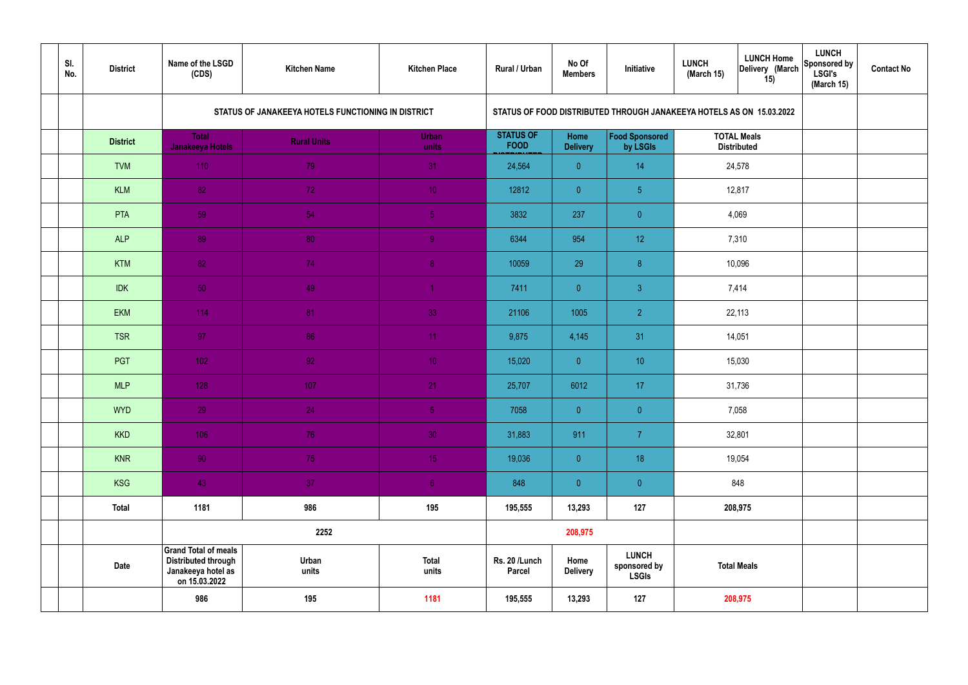| SI.<br>No. | <b>District</b> | Name of the LSGD<br>(CDS)                                                                        | <b>Kitchen Name</b>                                | <b>Kitchen Place</b>  | Rural / Urban                   | No Of<br><b>Members</b> | Initiative                                                           | <b>LUNCH</b><br>(March 15) | <b>LUNCH Home</b><br>Delivery (March<br>15) | <b>LUNCH</b><br>Sponsored by<br><b>LSGI's</b><br>(March 15) | <b>Contact No</b> |
|------------|-----------------|--------------------------------------------------------------------------------------------------|----------------------------------------------------|-----------------------|---------------------------------|-------------------------|----------------------------------------------------------------------|----------------------------|---------------------------------------------|-------------------------------------------------------------|-------------------|
|            |                 |                                                                                                  | STATUS OF JANAKEEYA HOTELS FUNCTIONING IN DISTRICT |                       |                                 |                         | STATUS OF FOOD DISTRIBUTED THROUGH JANAKEEYA HOTELS AS ON 15.03.2022 |                            |                                             |                                                             |                   |
|            | <b>District</b> | <b>Total</b><br><b>Janakeeya Hotels</b>                                                          | <b>Rural Units</b>                                 | <b>Urban</b><br>units | <b>STATUS OF</b><br><b>FOOD</b> | Home<br><b>Delivery</b> | Food Sponsored<br>by LSGIs                                           |                            | <b>TOTAL Meals</b><br><b>Distributed</b>    |                                                             |                   |
|            | <b>TVM</b>      | 110                                                                                              | 79                                                 | 31                    | 24,564                          | $\overline{0}$          | 14                                                                   |                            | 24,578                                      |                                                             |                   |
|            | <b>KLM</b>      | 82                                                                                               | 72                                                 | 10 <sup>°</sup>       | 12812                           | $\overline{0}$          | 5 <sub>5</sub>                                                       |                            | 12,817                                      |                                                             |                   |
|            | PTA             | 59                                                                                               | 54                                                 | $\sqrt{5}$            | 3832                            | 237                     | $\overline{0}$                                                       |                            | 4,069                                       |                                                             |                   |
|            | <b>ALP</b>      | 89                                                                                               | 80                                                 | $\overline{9}$        | 6344                            | 954                     | 12 <sup>°</sup>                                                      |                            | 7,310                                       |                                                             |                   |
|            | <b>KTM</b>      | 82                                                                                               | 74                                                 | 8 <sup>°</sup>        | 10059                           | 29                      | 8                                                                    |                            | 10,096                                      |                                                             |                   |
|            | <b>IDK</b>      | 50                                                                                               | 49                                                 | $\blacktriangleleft$  | 7411                            | $\overline{0}$          | $\mathbf{3}$                                                         |                            | 7,414                                       |                                                             |                   |
|            | <b>EKM</b>      | 114                                                                                              | 81                                                 | 33                    | 21106                           | 1005                    | $\overline{2}$                                                       |                            | 22,113                                      |                                                             |                   |
|            | <b>TSR</b>      | 97                                                                                               | 86                                                 | 11                    | 9,875                           | 4,145                   | 31                                                                   |                            | 14,051                                      |                                                             |                   |
|            | PGT             | $102$                                                                                            | 92                                                 | 10 <sup>°</sup>       | 15,020                          | $\overline{0}$          | 10 <sup>°</sup>                                                      |                            | 15,030                                      |                                                             |                   |
|            | <b>MLP</b>      | 128                                                                                              | 107                                                | 21                    | 25,707                          | 6012                    | 17                                                                   |                            | 31,736                                      |                                                             |                   |
|            | <b>WYD</b>      | 29                                                                                               | 24                                                 | 5 <sub>1</sub>        | 7058                            | $\mathbf{0}$            | $\overline{0}$                                                       |                            | 7,058                                       |                                                             |                   |
|            | <b>KKD</b>      | 106                                                                                              | 76                                                 | 30 <sup>°</sup>       | 31,883                          | 911                     | $\overline{7}$                                                       |                            | 32,801                                      |                                                             |                   |
|            | <b>KNR</b>      | 90 <sub>1</sub>                                                                                  | 75                                                 | 15 <sub>1</sub>       | 19,036                          | $\overline{0}$          | 18                                                                   |                            | 19,054                                      |                                                             |                   |
|            | <b>KSG</b>      | 43                                                                                               | 37                                                 | 6 <sup>1</sup>        | 848                             | $\overline{0}$          | $\pmb{0}$                                                            |                            | 848                                         |                                                             |                   |
|            | <b>Total</b>    | 1181                                                                                             | 986                                                | 195                   | 195,555                         | 13,293                  | 127                                                                  |                            | 208,975                                     |                                                             |                   |
|            |                 |                                                                                                  | 2252                                               |                       |                                 | 208,975                 |                                                                      |                            |                                             |                                                             |                   |
|            | <b>Date</b>     | <b>Grand Total of meals</b><br><b>Distributed through</b><br>Janakeeya hotel as<br>on 15.03.2022 | Urban<br>units                                     | <b>Total</b><br>units | Rs. 20 /Lunch<br><b>Parcel</b>  | Home<br><b>Delivery</b> | <b>LUNCH</b><br>sponsored by<br><b>LSGIs</b>                         |                            | <b>Total Meals</b>                          |                                                             |                   |
|            |                 | 986                                                                                              | 195                                                | 1181                  | 195,555                         | 13,293                  | 127                                                                  |                            | 208,975                                     |                                                             |                   |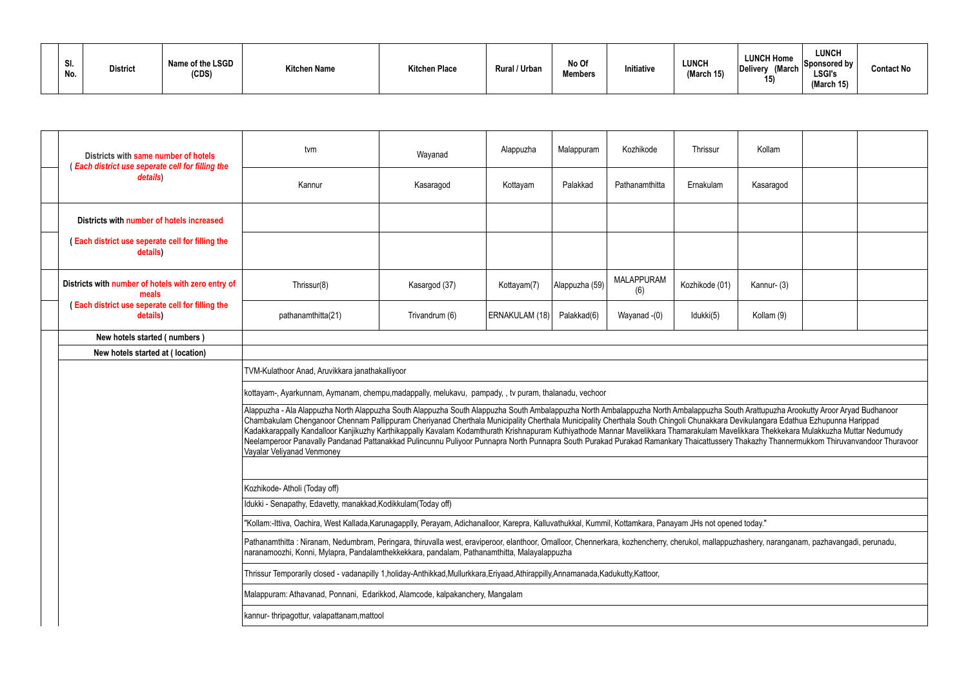| SI.<br>No. | <b>District</b> | Name of the LSGD<br>(CDS) | <b>Kitchen Name</b> | <b>Kitchen Place</b> | <b>Rural / Urban</b> | No Of<br><b>Members</b> | Initiative | <b>LUNCH</b><br>(March 15) | <b>LUNCH Home</b><br>(March<br>Delivery<br>טו | <b>LUNCH</b><br>$ $ Sponsored by $ $<br><b>LSGI's</b><br>(March 15) | <b>Contact No</b> |
|------------|-----------------|---------------------------|---------------------|----------------------|----------------------|-------------------------|------------|----------------------------|-----------------------------------------------|---------------------------------------------------------------------|-------------------|
|------------|-----------------|---------------------------|---------------------|----------------------|----------------------|-------------------------|------------|----------------------------|-----------------------------------------------|---------------------------------------------------------------------|-------------------|

| Districts with same number of hotels<br>(Each district use seperate cell for filling the | tvm                                                                                                                                                                                                                                                                                                                                                                                                                                                                                                                                                                                                                                                                                                                                                                     | Wayanad        | Alappuzha      | Malappuram     | Kozhikode                | Thrissur       | Kollam      |  |
|------------------------------------------------------------------------------------------|-------------------------------------------------------------------------------------------------------------------------------------------------------------------------------------------------------------------------------------------------------------------------------------------------------------------------------------------------------------------------------------------------------------------------------------------------------------------------------------------------------------------------------------------------------------------------------------------------------------------------------------------------------------------------------------------------------------------------------------------------------------------------|----------------|----------------|----------------|--------------------------|----------------|-------------|--|
| details)                                                                                 | Kannur                                                                                                                                                                                                                                                                                                                                                                                                                                                                                                                                                                                                                                                                                                                                                                  | Kasaragod      | Kottayam       | Palakkad       | Pathanamthitta           | Ernakulam      | Kasaragod   |  |
| Districts with number of hotels increased                                                |                                                                                                                                                                                                                                                                                                                                                                                                                                                                                                                                                                                                                                                                                                                                                                         |                |                |                |                          |                |             |  |
| (Each district use seperate cell for filling the<br>details)                             |                                                                                                                                                                                                                                                                                                                                                                                                                                                                                                                                                                                                                                                                                                                                                                         |                |                |                |                          |                |             |  |
| Districts with number of hotels with zero entry of<br>meals                              | Thrissur(8)                                                                                                                                                                                                                                                                                                                                                                                                                                                                                                                                                                                                                                                                                                                                                             | Kasargod (37)  | Kottayam(7)    | Alappuzha (59) | <b>MALAPPURAM</b><br>(6) | Kozhikode (01) | Kannur- (3) |  |
| (Each district use seperate cell for filling the<br>details)                             | pathanamthitta(21)                                                                                                                                                                                                                                                                                                                                                                                                                                                                                                                                                                                                                                                                                                                                                      | Trivandrum (6) | ERNAKULAM (18) | Palakkad(6)    | Wayanad -(0)             | Idukki(5)      | Kollam (9)  |  |
| New hotels started (numbers)                                                             |                                                                                                                                                                                                                                                                                                                                                                                                                                                                                                                                                                                                                                                                                                                                                                         |                |                |                |                          |                |             |  |
| New hotels started at (location)                                                         |                                                                                                                                                                                                                                                                                                                                                                                                                                                                                                                                                                                                                                                                                                                                                                         |                |                |                |                          |                |             |  |
|                                                                                          | TVM-Kulathoor Anad, Aruvikkara janathakalliyoor                                                                                                                                                                                                                                                                                                                                                                                                                                                                                                                                                                                                                                                                                                                         |                |                |                |                          |                |             |  |
|                                                                                          | kottayam-, Ayarkunnam, Aymanam, chempu, madappally, melukavu, pampady, , tv puram, thalanadu, vechoor                                                                                                                                                                                                                                                                                                                                                                                                                                                                                                                                                                                                                                                                   |                |                |                |                          |                |             |  |
|                                                                                          | Alappuzha - Ala Alappuzha North Alappuzha South Alappuzha South Alappuzha South Ambalappuzha North Ambalappuzha South Arattupuzha Arookutty Aroor Aryad Budhanoor<br>Chambakulam Chenganoor Chennam Pallippuram Cheriyanad Cherthala Municipality Cherthala Municipality Cherthala South Chingoli Chunakkara Devikulangara Edathua Ezhupunna Harippad<br>Kadakkarappally Kandalloor Kanjikuzhy Karthikappally Kavalam Kodamthurath Krishnapuram Kuthiyathode Mannar Mavelikkara Thamarakulam Mavelikkara Thekkekara Mulakkuzha Muttar Nedumudy<br>Neelamperoor Panavally Pandanad Pattanakkad Pulincunnu Puliyoor Punnapra North Punnapra South Purakad Purakad Ramankary Thaicattussery Thakazhy Thannermukkom Thiruvanvandoor Thuravoor<br>Vayalar Veliyanad Venmoney |                |                |                |                          |                |             |  |
|                                                                                          |                                                                                                                                                                                                                                                                                                                                                                                                                                                                                                                                                                                                                                                                                                                                                                         |                |                |                |                          |                |             |  |
|                                                                                          | Kozhikode- Atholi (Today off)                                                                                                                                                                                                                                                                                                                                                                                                                                                                                                                                                                                                                                                                                                                                           |                |                |                |                          |                |             |  |
|                                                                                          | Idukki - Senapathy, Edavetty, manakkad, Kodikkulam (Today off)                                                                                                                                                                                                                                                                                                                                                                                                                                                                                                                                                                                                                                                                                                          |                |                |                |                          |                |             |  |
|                                                                                          | "Kollam:-Ittiva, Oachira, West Kallada,Karunagapplly, Perayam, Adichanalloor, Karepra, Kalluvathukkal, Kummil, Kottamkara, Panayam JHs not opened today."                                                                                                                                                                                                                                                                                                                                                                                                                                                                                                                                                                                                               |                |                |                |                          |                |             |  |
|                                                                                          | Pathanamthitta: Niranam, Nedumbram, Peringara, thiruvalla west, eraviperoor, elanthoor, Omalloor, Chennerkara, kozhencherry, cherukol, mallappuzhashery, naranganam, pazhavangadi, perunadu,<br>naranamoozhi, Konni, Mylapra, Pandalamthekkekkara, pandalam, Pathanamthitta, Malayalappuzha                                                                                                                                                                                                                                                                                                                                                                                                                                                                             |                |                |                |                          |                |             |  |
|                                                                                          | Thrissur Temporarily closed - vadanapilly 1,holiday-Anthikkad,Mullurkkara,Eriyaad,Athirappilly,Annamanada,Kadukutty,Kattoor,                                                                                                                                                                                                                                                                                                                                                                                                                                                                                                                                                                                                                                            |                |                |                |                          |                |             |  |
|                                                                                          | Malappuram: Athavanad, Ponnani, Edarikkod, Alamcode, kalpakanchery, Mangalam                                                                                                                                                                                                                                                                                                                                                                                                                                                                                                                                                                                                                                                                                            |                |                |                |                          |                |             |  |
|                                                                                          | kannur-thripagottur, valapattanam, mattool                                                                                                                                                                                                                                                                                                                                                                                                                                                                                                                                                                                                                                                                                                                              |                |                |                |                          |                |             |  |
|                                                                                          |                                                                                                                                                                                                                                                                                                                                                                                                                                                                                                                                                                                                                                                                                                                                                                         |                |                |                |                          |                |             |  |

| Kollam                                                                                              |  |
|-----------------------------------------------------------------------------------------------------|--|
| Kasaragod                                                                                           |  |
|                                                                                                     |  |
|                                                                                                     |  |
| Kannur- (3)                                                                                         |  |
| Kollam (9)                                                                                          |  |
|                                                                                                     |  |
|                                                                                                     |  |
|                                                                                                     |  |
|                                                                                                     |  |
| uth Arattupuzha Arookutty Aroor Aryad Budhanoor<br>Devikulangara Edathua Ezhupunna Harippad         |  |
| relikkara Thekkekara Mulakkuzha Muttar Nedumudy<br>Thakazhy Thannermukkom Thiruvanvandoor Thuravoor |  |
|                                                                                                     |  |
|                                                                                                     |  |
|                                                                                                     |  |
|                                                                                                     |  |
| ed today."                                                                                          |  |
| zhashery, naranganam, pazhavangadi, perunadu,                                                       |  |
|                                                                                                     |  |
|                                                                                                     |  |
|                                                                                                     |  |
|                                                                                                     |  |